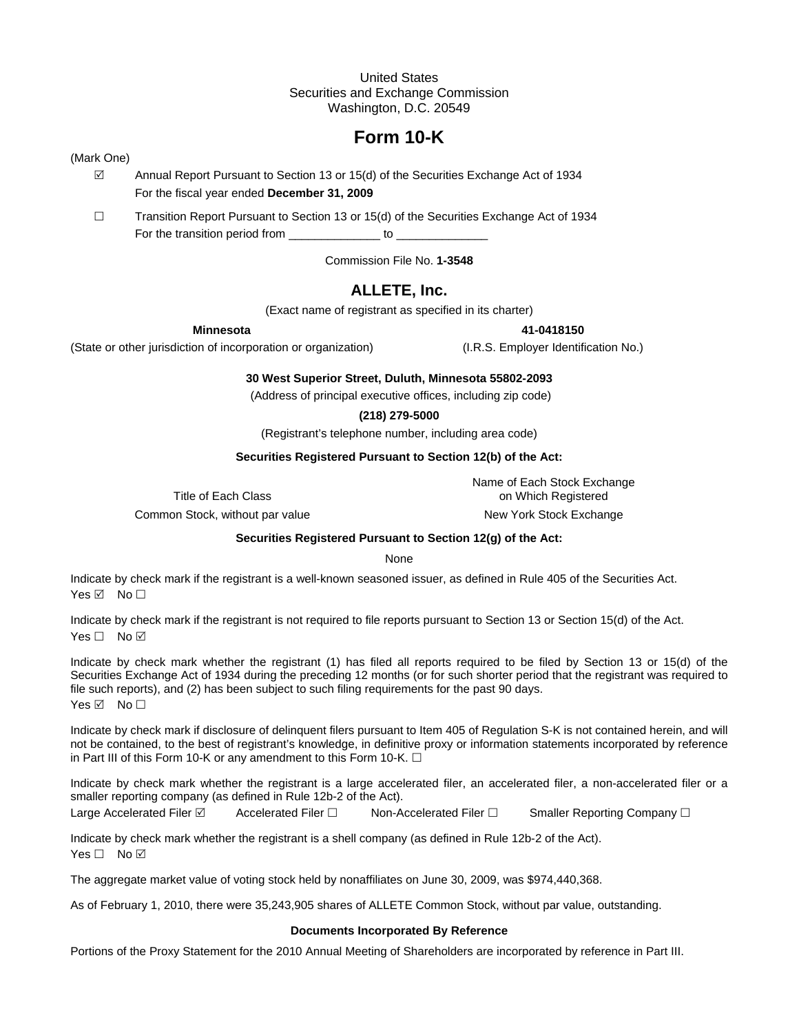## United States Securities and Exchange Commission Washington, D.C. 20549

# **Form 10-K**

## (Mark One)

- $\boxtimes$  Annual Report Pursuant to Section 13 or 15(d) of the Securities Exchange Act of 1934 For the fiscal year ended **December 31, 2009**
- $\Box$  Transition Report Pursuant to Section 13 or 15(d) of the Securities Exchange Act of 1934 For the transition period from example to to to the transition period from  $\sim$

Commission File No. **1-3548**

## **ALLETE, Inc.**

(Exact name of registrant as specified in its charter)

(State or other jurisdiction of incorporation or organization) (I.R.S. Employer Identification No.)

**30 West Superior Street, Duluth, Minnesota 55802-2093** 

(Address of principal executive offices, including zip code)

**(218) 279-5000** 

(Registrant's telephone number, including area code)

**Securities Registered Pursuant to Section 12(b) of the Act:** 

Name of Each Stock Exchange on Which Registered

## Title of Each Class

Common Stock, without par value New York Stock Exchange

**Securities Registered Pursuant to Section 12(g) of the Act:** 

**None** 

Indicate by check mark if the registrant is a well-known seasoned issuer, as defined in Rule 405 of the Securities Act. Yes  $\boxtimes$  No  $\Box$ 

Indicate by check mark if the registrant is not required to file reports pursuant to Section 13 or Section 15(d) of the Act.  $Yes \Box No \Box$ 

Indicate by check mark whether the registrant (1) has filed all reports required to be filed by Section 13 or 15(d) of the Securities Exchange Act of 1934 during the preceding 12 months (or for such shorter period that the registrant was required to file such reports), and (2) has been subject to such filing requirements for the past 90 days. Yes  $\boxtimes$  No  $\Box$ 

Indicate by check mark if disclosure of delinquent filers pursuant to Item 405 of Regulation S-K is not contained herein, and will not be contained, to the best of registrant's knowledge, in definitive proxy or information statements incorporated by reference in Part III of this Form 10-K or any amendment to this Form 10-K.  $\Box$ 

Indicate by check mark whether the registrant is a large accelerated filer, an accelerated filer, a non-accelerated filer or a smaller reporting company (as defined in Rule 12b-2 of the Act). Large Accelerated Filer  $\boxdot$  Accelerated Filer  $\Box$  Non-Accelerated Filer  $\Box$  Smaller Reporting Company  $\Box$ 

Indicate by check mark whether the registrant is a shell company (as defined in Rule 12b-2 of the Act).  $Yes \Box No \Box$ 

The aggregate market value of voting stock held by nonaffiliates on June 30, 2009, was \$974,440,368.

As of February 1, 2010, there were 35,243,905 shares of ALLETE Common Stock, without par value, outstanding.

## **Documents Incorporated By Reference**

Portions of the Proxy Statement for the 2010 Annual Meeting of Shareholders are incorporated by reference in Part III.

**Minnesota 41-0418150**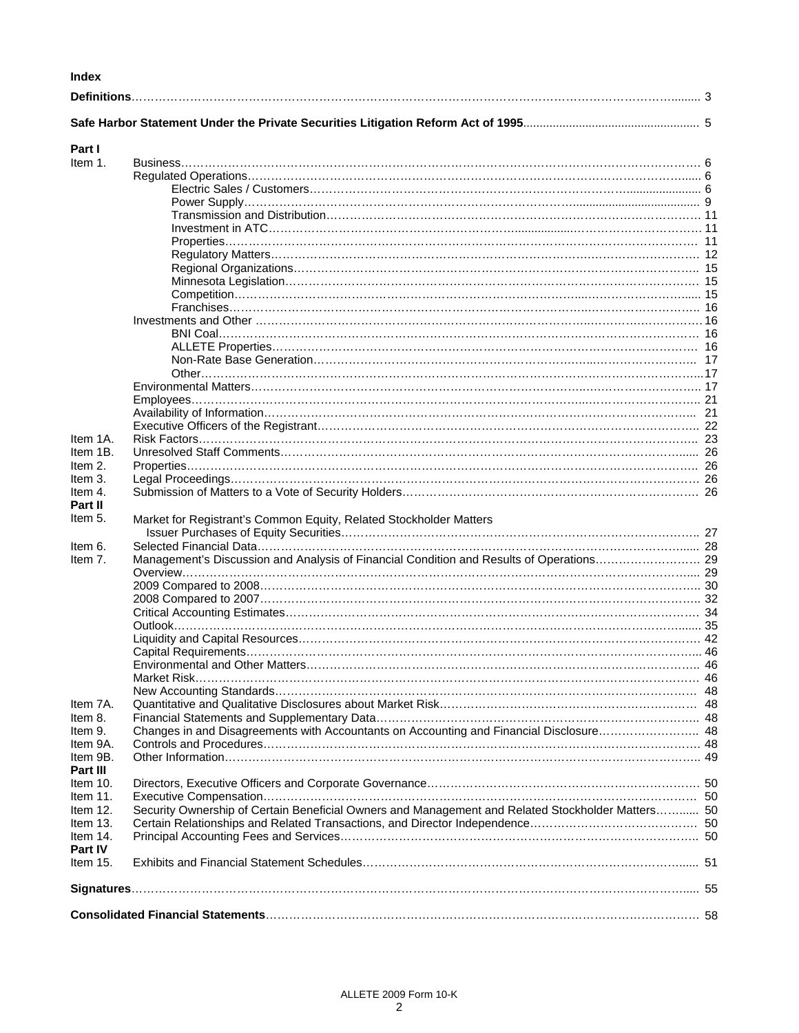## **Index**

| Part I         |                                                                                                   |  |
|----------------|---------------------------------------------------------------------------------------------------|--|
| Item 1.        |                                                                                                   |  |
|                |                                                                                                   |  |
|                |                                                                                                   |  |
|                |                                                                                                   |  |
|                |                                                                                                   |  |
|                |                                                                                                   |  |
|                |                                                                                                   |  |
|                |                                                                                                   |  |
|                |                                                                                                   |  |
|                |                                                                                                   |  |
|                |                                                                                                   |  |
|                |                                                                                                   |  |
|                |                                                                                                   |  |
|                |                                                                                                   |  |
|                |                                                                                                   |  |
|                |                                                                                                   |  |
|                |                                                                                                   |  |
|                |                                                                                                   |  |
|                |                                                                                                   |  |
|                |                                                                                                   |  |
|                |                                                                                                   |  |
|                |                                                                                                   |  |
| Item 1A.       |                                                                                                   |  |
| Item 1B.       |                                                                                                   |  |
| Item 2.        |                                                                                                   |  |
|                |                                                                                                   |  |
| Item 3.        |                                                                                                   |  |
| Item 4.        |                                                                                                   |  |
| Part II        |                                                                                                   |  |
| Item 5.        | Market for Registrant's Common Equity, Related Stockholder Matters                                |  |
|                |                                                                                                   |  |
| Item 6.        |                                                                                                   |  |
| Item 7.        | Management's Discussion and Analysis of Financial Condition and Results of Operations 29          |  |
|                |                                                                                                   |  |
|                |                                                                                                   |  |
|                |                                                                                                   |  |
|                |                                                                                                   |  |
|                |                                                                                                   |  |
|                |                                                                                                   |  |
|                |                                                                                                   |  |
|                |                                                                                                   |  |
|                |                                                                                                   |  |
|                |                                                                                                   |  |
|                |                                                                                                   |  |
|                |                                                                                                   |  |
| Item 7A.       |                                                                                                   |  |
| Item 8.        |                                                                                                   |  |
| Item 9.        | Changes in and Disagreements with Accountants on Accounting and Financial Disclosure 48           |  |
| Item 9A.       |                                                                                                   |  |
| Item 9B.       |                                                                                                   |  |
| Part III       |                                                                                                   |  |
| Item $10.$     |                                                                                                   |  |
| Item $11.$     |                                                                                                   |  |
|                |                                                                                                   |  |
| Item $12.$     | Security Ownership of Certain Beneficial Owners and Management and Related Stockholder Matters 50 |  |
| Item $13.$     |                                                                                                   |  |
| Item $14.$     |                                                                                                   |  |
| <b>Part IV</b> |                                                                                                   |  |
| Item $15.$     |                                                                                                   |  |
|                |                                                                                                   |  |
|                |                                                                                                   |  |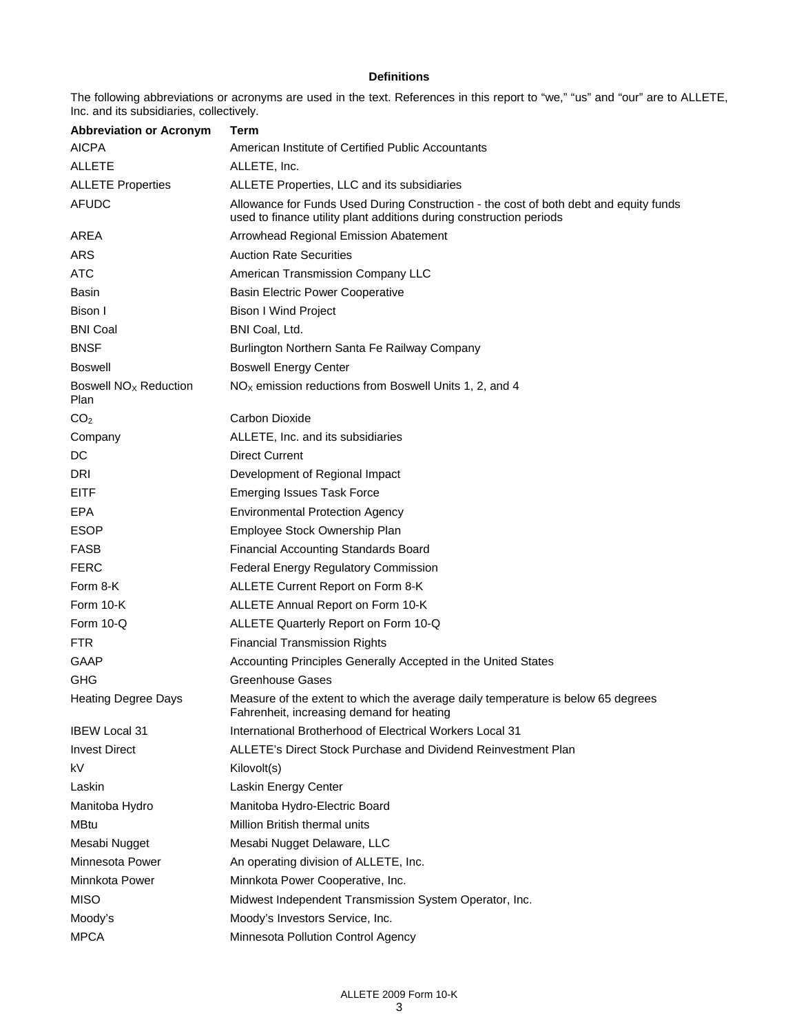## **Definitions**

The following abbreviations or acronyms are used in the text. References in this report to "we," "us" and "our" are to ALLETE, Inc. and its subsidiaries, collectively.

| <b>Abbreviation or Acronym</b>            | Term                                                                                                                                                         |
|-------------------------------------------|--------------------------------------------------------------------------------------------------------------------------------------------------------------|
| <b>AICPA</b>                              | American Institute of Certified Public Accountants                                                                                                           |
| <b>ALLETE</b>                             | ALLETE. Inc.                                                                                                                                                 |
| <b>ALLETE Properties</b>                  | ALLETE Properties, LLC and its subsidiaries                                                                                                                  |
| <b>AFUDC</b>                              | Allowance for Funds Used During Construction - the cost of both debt and equity funds<br>used to finance utility plant additions during construction periods |
| AREA                                      | Arrowhead Regional Emission Abatement                                                                                                                        |
| <b>ARS</b>                                | <b>Auction Rate Securities</b>                                                                                                                               |
| <b>ATC</b>                                | American Transmission Company LLC                                                                                                                            |
| Basin                                     | <b>Basin Electric Power Cooperative</b>                                                                                                                      |
| Bison I                                   | <b>Bison I Wind Project</b>                                                                                                                                  |
| <b>BNI Coal</b>                           | BNI Coal, Ltd.                                                                                                                                               |
| <b>BNSF</b>                               | Burlington Northern Santa Fe Railway Company                                                                                                                 |
| <b>Boswell</b>                            | <b>Boswell Energy Center</b>                                                                                                                                 |
| Boswell NO <sub>x</sub> Reduction<br>Plan | $NOX$ emission reductions from Boswell Units 1, 2, and 4                                                                                                     |
| CO <sub>2</sub>                           | Carbon Dioxide                                                                                                                                               |
| Company                                   | ALLETE, Inc. and its subsidiaries                                                                                                                            |
| DC                                        | Direct Current                                                                                                                                               |
| <b>DRI</b>                                | Development of Regional Impact                                                                                                                               |
| EITF                                      | <b>Emerging Issues Task Force</b>                                                                                                                            |
| EPA                                       | <b>Environmental Protection Agency</b>                                                                                                                       |
| <b>ESOP</b>                               | Employee Stock Ownership Plan                                                                                                                                |
| FASB                                      | Financial Accounting Standards Board                                                                                                                         |
| <b>FERC</b>                               | Federal Energy Regulatory Commission                                                                                                                         |
| Form 8-K                                  | ALLETE Current Report on Form 8-K                                                                                                                            |
| Form 10-K                                 | ALLETE Annual Report on Form 10-K                                                                                                                            |
| Form 10-Q                                 | ALLETE Quarterly Report on Form 10-Q                                                                                                                         |
| <b>FTR</b>                                | <b>Financial Transmission Rights</b>                                                                                                                         |
| GAAP                                      | Accounting Principles Generally Accepted in the United States                                                                                                |
| <b>GHG</b>                                | Greenhouse Gases                                                                                                                                             |
| <b>Heating Degree Days</b>                | Measure of the extent to which the average daily temperature is below 65 degrees<br>Fahrenheit, increasing demand for heating                                |
| <b>IBEW Local 31</b>                      | International Brotherhood of Electrical Workers Local 31                                                                                                     |
| <b>Invest Direct</b>                      | ALLETE's Direct Stock Purchase and Dividend Reinvestment Plan                                                                                                |
| kV                                        | Kilovolt(s)                                                                                                                                                  |
| Laskin                                    | Laskin Energy Center                                                                                                                                         |
| Manitoba Hydro                            | Manitoba Hydro-Electric Board                                                                                                                                |
| <b>MBtu</b>                               | Million British thermal units                                                                                                                                |
| Mesabi Nugget                             | Mesabi Nugget Delaware, LLC                                                                                                                                  |
| Minnesota Power                           | An operating division of ALLETE, Inc.                                                                                                                        |
| Minnkota Power                            | Minnkota Power Cooperative, Inc.                                                                                                                             |
| <b>MISO</b>                               | Midwest Independent Transmission System Operator, Inc.                                                                                                       |
| Moody's                                   | Moody's Investors Service, Inc.                                                                                                                              |
| <b>MPCA</b>                               | Minnesota Pollution Control Agency                                                                                                                           |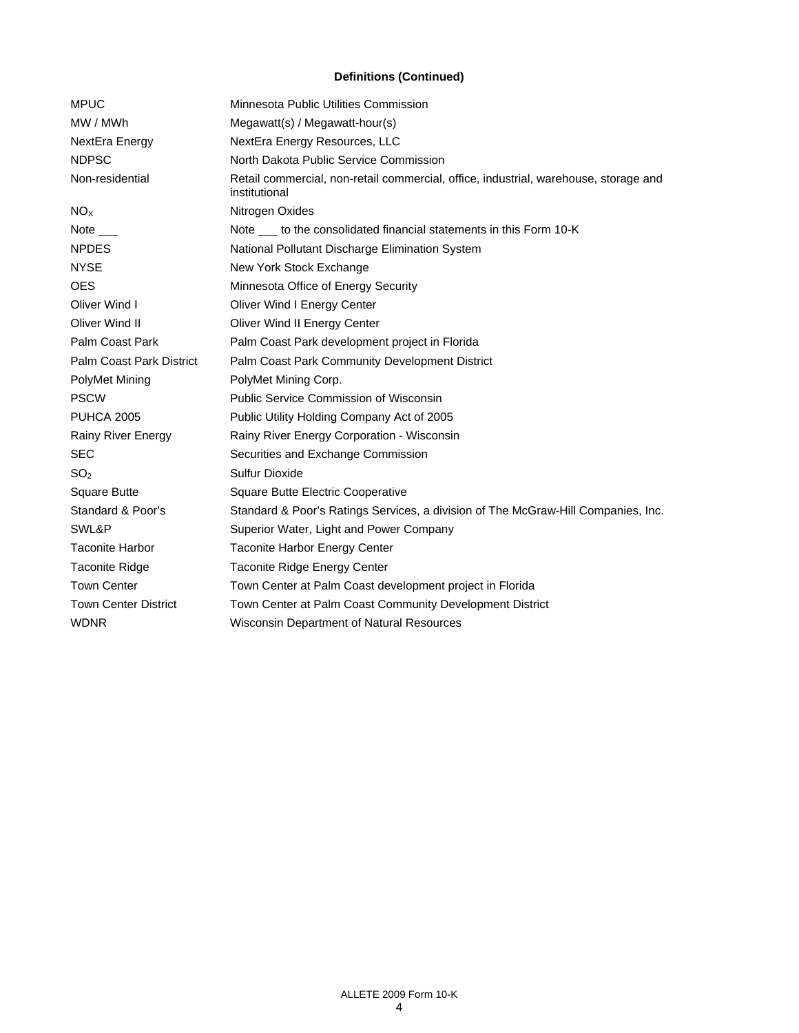## **Definitions (Continued)**

| <b>MPUC</b>                 | Minnesota Public Utilities Commission                                                                 |
|-----------------------------|-------------------------------------------------------------------------------------------------------|
| MW / MWh                    | Megawatt(s) / Megawatt-hour(s)                                                                        |
| NextEra Energy              | NextEra Energy Resources, LLC                                                                         |
| <b>NDPSC</b>                | North Dakota Public Service Commission                                                                |
| Non-residential             | Retail commercial, non-retail commercial, office, industrial, warehouse, storage and<br>institutional |
| NO <sub>X</sub>             | Nitrogen Oxides                                                                                       |
| Note $\_\_$                 | Note to the consolidated financial statements in this Form 10-K                                       |
| <b>NPDES</b>                | National Pollutant Discharge Elimination System                                                       |
| <b>NYSE</b>                 | New York Stock Exchange                                                                               |
| <b>OES</b>                  | Minnesota Office of Energy Security                                                                   |
| Oliver Wind I               | Oliver Wind I Energy Center                                                                           |
| Oliver Wind II              | Oliver Wind II Energy Center                                                                          |
| Palm Coast Park             | Palm Coast Park development project in Florida                                                        |
| Palm Coast Park District    | Palm Coast Park Community Development District                                                        |
| PolyMet Mining              | PolyMet Mining Corp.                                                                                  |
| <b>PSCW</b>                 | <b>Public Service Commission of Wisconsin</b>                                                         |
| <b>PUHCA 2005</b>           | Public Utility Holding Company Act of 2005                                                            |
| Rainy River Energy          | Rainy River Energy Corporation - Wisconsin                                                            |
| <b>SEC</b>                  | Securities and Exchange Commission                                                                    |
| SO <sub>2</sub>             | Sulfur Dioxide                                                                                        |
| Square Butte                | <b>Square Butte Electric Cooperative</b>                                                              |
| Standard & Poor's           | Standard & Poor's Ratings Services, a division of The McGraw-Hill Companies, Inc.                     |
| SWL&P                       | Superior Water, Light and Power Company                                                               |
| <b>Taconite Harbor</b>      | <b>Taconite Harbor Energy Center</b>                                                                  |
| <b>Taconite Ridge</b>       | <b>Taconite Ridge Energy Center</b>                                                                   |
| <b>Town Center</b>          | Town Center at Palm Coast development project in Florida                                              |
| <b>Town Center District</b> | Town Center at Palm Coast Community Development District                                              |
| <b>WDNR</b>                 | <b>Wisconsin Department of Natural Resources</b>                                                      |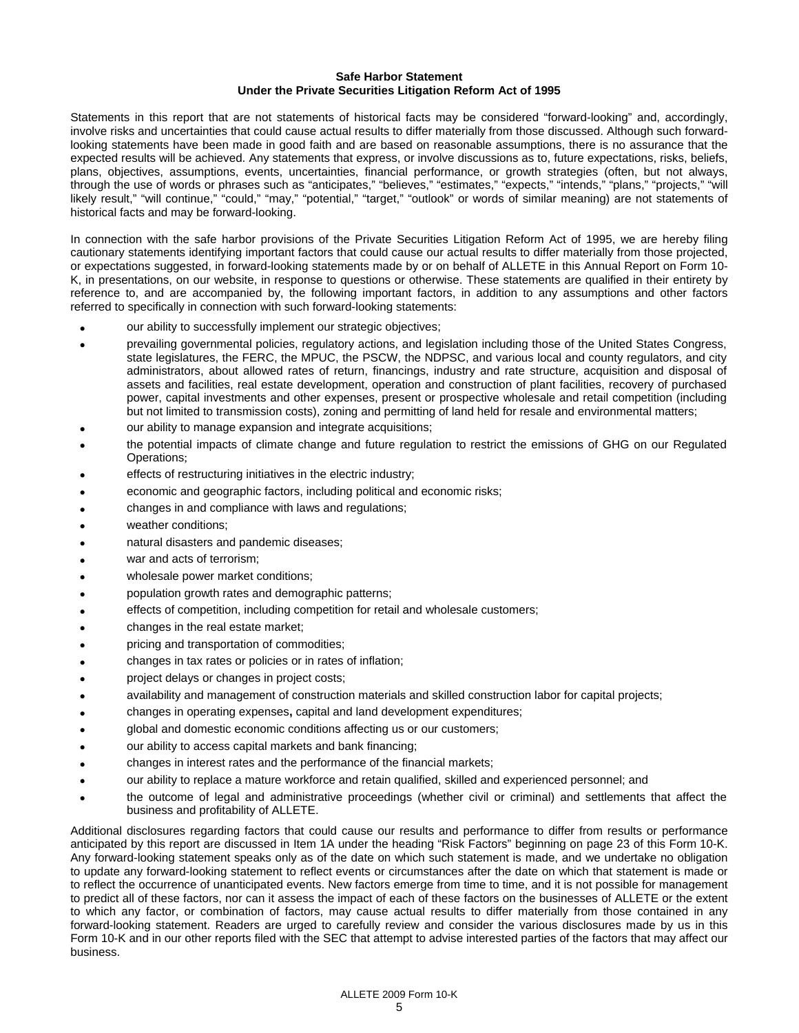#### **Safe Harbor Statement Under the Private Securities Litigation Reform Act of 1995**

Statements in this report that are not statements of historical facts may be considered "forward-looking" and, accordingly, involve risks and uncertainties that could cause actual results to differ materially from those discussed. Although such forwardlooking statements have been made in good faith and are based on reasonable assumptions, there is no assurance that the expected results will be achieved. Any statements that express, or involve discussions as to, future expectations, risks, beliefs, plans, objectives, assumptions, events, uncertainties, financial performance, or growth strategies (often, but not always, through the use of words or phrases such as "anticipates," "believes," "estimates," "expects," "intends," "plans," "projects," "will likely result," "will continue," "could," "may," "potential," "target," "outlook" or words of similar meaning) are not statements of historical facts and may be forward-looking.

In connection with the safe harbor provisions of the Private Securities Litigation Reform Act of 1995, we are hereby filing cautionary statements identifying important factors that could cause our actual results to differ materially from those projected, or expectations suggested, in forward-looking statements made by or on behalf of ALLETE in this Annual Report on Form 10- K, in presentations, on our website, in response to questions or otherwise. These statements are qualified in their entirety by reference to, and are accompanied by, the following important factors, in addition to any assumptions and other factors referred to specifically in connection with such forward-looking statements:

- our ability to successfully implement our strategic objectives;
- prevailing governmental policies, regulatory actions, and legislation including those of the United States Congress, state legislatures, the FERC, the MPUC, the PSCW, the NDPSC, and various local and county regulators, and city administrators, about allowed rates of return, financings, industry and rate structure, acquisition and disposal of assets and facilities, real estate development, operation and construction of plant facilities, recovery of purchased power, capital investments and other expenses, present or prospective wholesale and retail competition (including but not limited to transmission costs), zoning and permitting of land held for resale and environmental matters;
- our ability to manage expansion and integrate acquisitions;
- the potential impacts of climate change and future regulation to restrict the emissions of GHG on our Regulated Operations;
- effects of restructuring initiatives in the electric industry;
- economic and geographic factors, including political and economic risks;
- changes in and compliance with laws and regulations;
- weather conditions;
- natural disasters and pandemic diseases;
- war and acts of terrorism;
- wholesale power market conditions;
- population growth rates and demographic patterns;
- effects of competition, including competition for retail and wholesale customers;
- changes in the real estate market;
- pricing and transportation of commodities;
- changes in tax rates or policies or in rates of inflation;
- project delays or changes in project costs;
- availability and management of construction materials and skilled construction labor for capital projects;
- changes in operating expenses**,** capital and land development expenditures;
- global and domestic economic conditions affecting us or our customers;
- our ability to access capital markets and bank financing;
- changes in interest rates and the performance of the financial markets;
- our ability to replace a mature workforce and retain qualified, skilled and experienced personnel; and
- the outcome of legal and administrative proceedings (whether civil or criminal) and settlements that affect the business and profitability of ALLETE.

Additional disclosures regarding factors that could cause our results and performance to differ from results or performance anticipated by this report are discussed in Item 1A under the heading "Risk Factors" beginning on page 23 of this Form 10-K. Any forward-looking statement speaks only as of the date on which such statement is made, and we undertake no obligation to update any forward-looking statement to reflect events or circumstances after the date on which that statement is made or to reflect the occurrence of unanticipated events. New factors emerge from time to time, and it is not possible for management to predict all of these factors, nor can it assess the impact of each of these factors on the businesses of ALLETE or the extent to which any factor, or combination of factors, may cause actual results to differ materially from those contained in any forward-looking statement. Readers are urged to carefully review and consider the various disclosures made by us in this Form 10-K and in our other reports filed with the SEC that attempt to advise interested parties of the factors that may affect our business.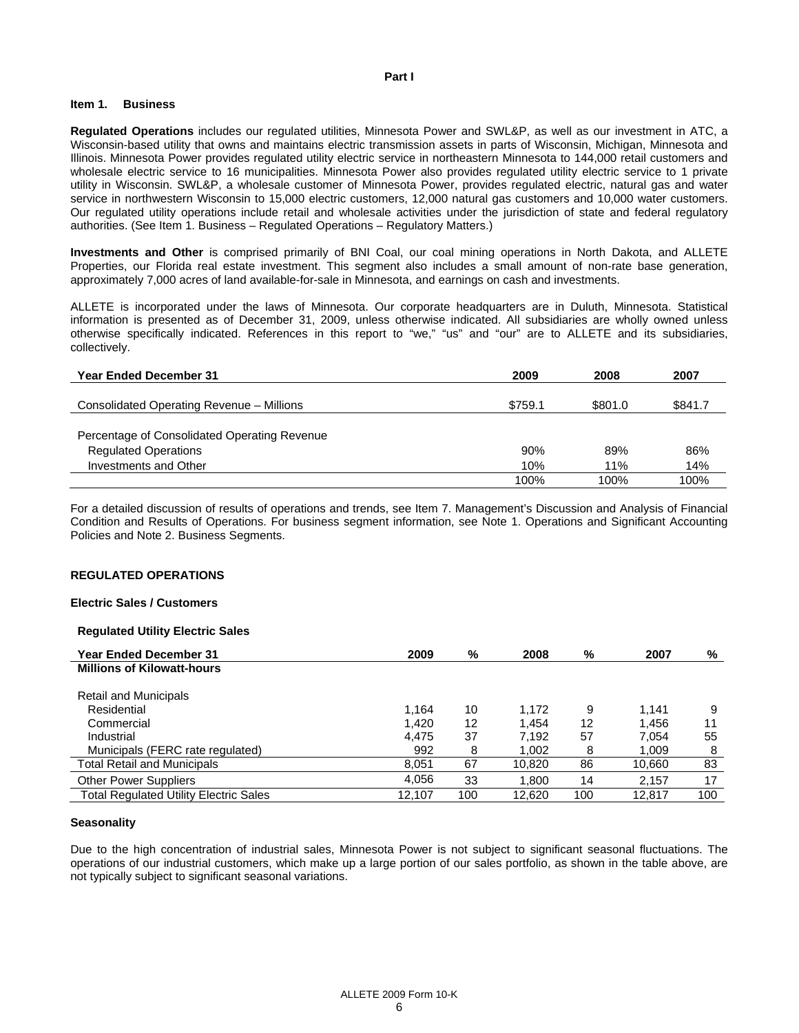#### **Part I**

#### **Item 1. Business**

**Regulated Operations** includes our regulated utilities, Minnesota Power and SWL&P, as well as our investment in ATC, a Wisconsin-based utility that owns and maintains electric transmission assets in parts of Wisconsin, Michigan, Minnesota and Illinois. Minnesota Power provides regulated utility electric service in northeastern Minnesota to 144,000 retail customers and wholesale electric service to 16 municipalities. Minnesota Power also provides regulated utility electric service to 1 private utility in Wisconsin. SWL&P, a wholesale customer of Minnesota Power, provides regulated electric, natural gas and water service in northwestern Wisconsin to 15,000 electric customers, 12,000 natural gas customers and 10,000 water customers. Our regulated utility operations include retail and wholesale activities under the jurisdiction of state and federal regulatory authorities. (See Item 1. Business – Regulated Operations – Regulatory Matters.)

**Investments and Other** is comprised primarily of BNI Coal, our coal mining operations in North Dakota, and ALLETE Properties, our Florida real estate investment. This segment also includes a small amount of non-rate base generation, approximately 7,000 acres of land available-for-sale in Minnesota, and earnings on cash and investments.

ALLETE is incorporated under the laws of Minnesota. Our corporate headquarters are in Duluth, Minnesota. Statistical information is presented as of December 31, 2009, unless otherwise indicated. All subsidiaries are wholly owned unless otherwise specifically indicated. References in this report to "we," "us" and "our" are to ALLETE and its subsidiaries, collectively.

| <b>Year Ended December 31</b>                | 2009    | 2008    | 2007    |
|----------------------------------------------|---------|---------|---------|
|                                              |         |         |         |
| Consolidated Operating Revenue - Millions    | \$759.1 | \$801.0 | \$841.7 |
| Percentage of Consolidated Operating Revenue |         |         |         |
| <b>Regulated Operations</b>                  | 90%     | 89%     | 86%     |
| Investments and Other                        | 10%     | 11%     | 14%     |
|                                              | 100%    | 100%    | 100%    |

For a detailed discussion of results of operations and trends, see Item 7. Management's Discussion and Analysis of Financial Condition and Results of Operations. For business segment information, see Note 1. Operations and Significant Accounting Policies and Note 2. Business Segments.

## **REGULATED OPERATIONS**

#### **Electric Sales / Customers**

#### **Regulated Utility Electric Sales**

| <b>Year Ended December 31</b>          | 2009   | %   | 2008   | %   | 2007   | %   |
|----------------------------------------|--------|-----|--------|-----|--------|-----|
| <b>Millions of Kilowatt-hours</b>      |        |     |        |     |        |     |
| <b>Retail and Municipals</b>           |        |     |        |     |        |     |
| Residential                            | 1.164  | 10  | 1.172  | 9   | 1.141  | 9   |
| Commercial                             | 1.420  | 12  | 1.454  | 12  | 1.456  | 11  |
| Industrial                             | 4.475  | 37  | 7.192  | 57  | 7.054  | 55  |
| Municipals (FERC rate regulated)       | 992    | 8   | 1.002  | 8   | 1.009  | 8   |
| <b>Total Retail and Municipals</b>     | 8,051  | 67  | 10.820 | 86  | 10,660 | 83  |
| <b>Other Power Suppliers</b>           | 4.056  | 33  | 1.800  | 14  | 2.157  | 17  |
| Total Regulated Utility Electric Sales | 12.107 | 100 | 12.620 | 100 | 12.817 | 100 |

#### **Seasonality**

Due to the high concentration of industrial sales, Minnesota Power is not subject to significant seasonal fluctuations. The operations of our industrial customers, which make up a large portion of our sales portfolio, as shown in the table above, are not typically subject to significant seasonal variations.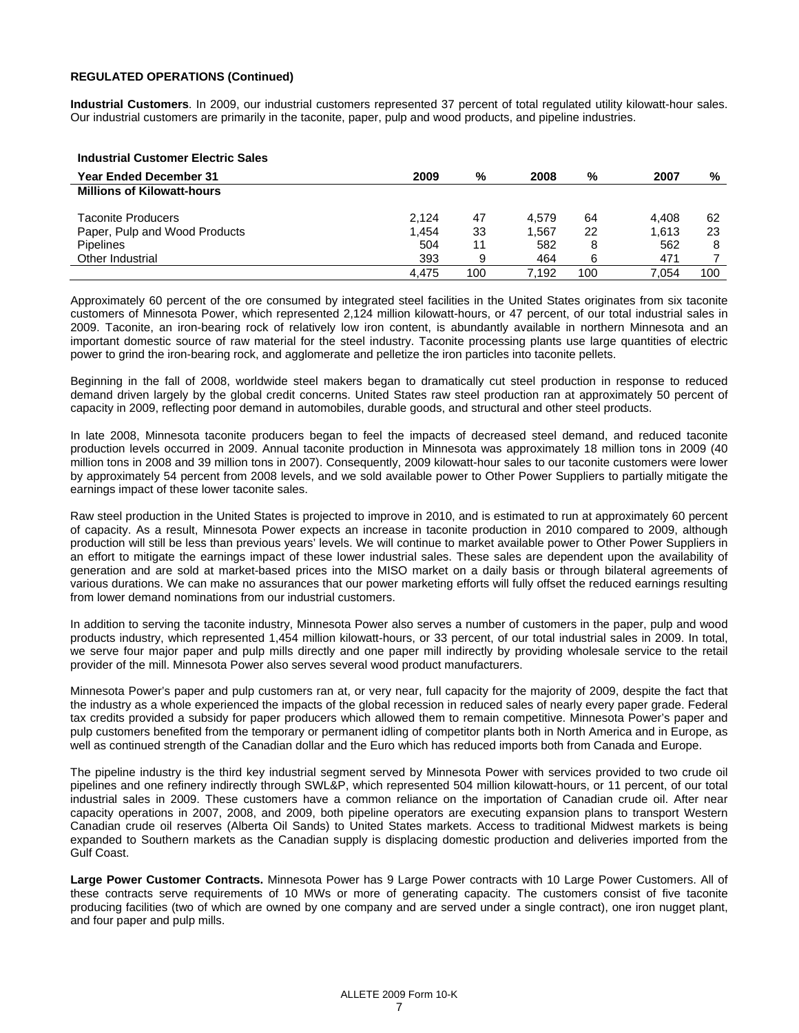## **REGULATED OPERATIONS (Continued)**

**Industrial Customers**. In 2009, our industrial customers represented 37 percent of total regulated utility kilowatt-hour sales. Our industrial customers are primarily in the taconite, paper, pulp and wood products, and pipeline industries.

| <b>Industrial Customer Electric Sales</b> |       |     |       |     |       |     |
|-------------------------------------------|-------|-----|-------|-----|-------|-----|
| <b>Year Ended December 31</b>             | 2009  | %   | 2008  | %   | 2007  | %   |
| <b>Millions of Kilowatt-hours</b>         |       |     |       |     |       |     |
| Taconite Producers                        | 2.124 | 47  | 4.579 | 64  | 4.408 | 62  |
| Paper, Pulp and Wood Products             | 1.454 | 33  | 1.567 | 22  | 1.613 | 23  |
| Pipelines                                 | 504   | 11  | 582   | 8   | 562   | 8   |
| Other Industrial                          | 393   | 9   | 464   | 6   | 471   |     |
|                                           | 4.475 | 100 | 7.192 | 100 | 7.054 | 100 |

Approximately 60 percent of the ore consumed by integrated steel facilities in the United States originates from six taconite customers of Minnesota Power, which represented 2,124 million kilowatt-hours, or 47 percent, of our total industrial sales in 2009. Taconite, an iron-bearing rock of relatively low iron content, is abundantly available in northern Minnesota and an important domestic source of raw material for the steel industry. Taconite processing plants use large quantities of electric power to grind the iron-bearing rock, and agglomerate and pelletize the iron particles into taconite pellets.

Beginning in the fall of 2008, worldwide steel makers began to dramatically cut steel production in response to reduced demand driven largely by the global credit concerns. United States raw steel production ran at approximately 50 percent of capacity in 2009, reflecting poor demand in automobiles, durable goods, and structural and other steel products.

In late 2008, Minnesota taconite producers began to feel the impacts of decreased steel demand, and reduced taconite production levels occurred in 2009. Annual taconite production in Minnesota was approximately 18 million tons in 2009 (40 million tons in 2008 and 39 million tons in 2007). Consequently, 2009 kilowatt-hour sales to our taconite customers were lower by approximately 54 percent from 2008 levels, and we sold available power to Other Power Suppliers to partially mitigate the earnings impact of these lower taconite sales.

Raw steel production in the United States is projected to improve in 2010, and is estimated to run at approximately 60 percent of capacity. As a result, Minnesota Power expects an increase in taconite production in 2010 compared to 2009, although production will still be less than previous years' levels. We will continue to market available power to Other Power Suppliers in an effort to mitigate the earnings impact of these lower industrial sales. These sales are dependent upon the availability of generation and are sold at market-based prices into the MISO market on a daily basis or through bilateral agreements of various durations. We can make no assurances that our power marketing efforts will fully offset the reduced earnings resulting from lower demand nominations from our industrial customers.

In addition to serving the taconite industry, Minnesota Power also serves a number of customers in the paper, pulp and wood products industry, which represented 1,454 million kilowatt-hours, or 33 percent, of our total industrial sales in 2009. In total, we serve four major paper and pulp mills directly and one paper mill indirectly by providing wholesale service to the retail provider of the mill. Minnesota Power also serves several wood product manufacturers.

Minnesota Power's paper and pulp customers ran at, or very near, full capacity for the majority of 2009, despite the fact that the industry as a whole experienced the impacts of the global recession in reduced sales of nearly every paper grade. Federal tax credits provided a subsidy for paper producers which allowed them to remain competitive. Minnesota Power's paper and pulp customers benefited from the temporary or permanent idling of competitor plants both in North America and in Europe, as well as continued strength of the Canadian dollar and the Euro which has reduced imports both from Canada and Europe.

The pipeline industry is the third key industrial segment served by Minnesota Power with services provided to two crude oil pipelines and one refinery indirectly through SWL&P, which represented 504 million kilowatt-hours, or 11 percent, of our total industrial sales in 2009. These customers have a common reliance on the importation of Canadian crude oil. After near capacity operations in 2007, 2008, and 2009, both pipeline operators are executing expansion plans to transport Western Canadian crude oil reserves (Alberta Oil Sands) to United States markets. Access to traditional Midwest markets is being expanded to Southern markets as the Canadian supply is displacing domestic production and deliveries imported from the Gulf Coast.

**Large Power Customer Contracts.** Minnesota Power has 9 Large Power contracts with 10 Large Power Customers. All of these contracts serve requirements of 10 MWs or more of generating capacity. The customers consist of five taconite producing facilities (two of which are owned by one company and are served under a single contract), one iron nugget plant, and four paper and pulp mills.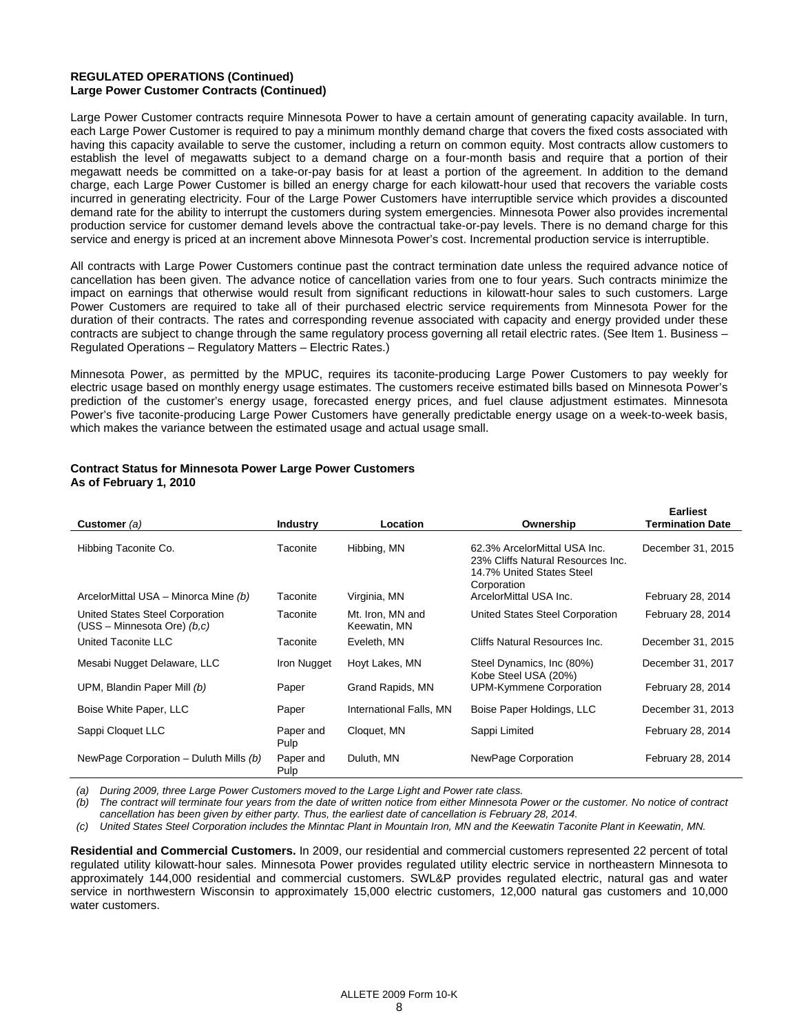## **REGULATED OPERATIONS (Continued) Large Power Customer Contracts (Continued)**

Large Power Customer contracts require Minnesota Power to have a certain amount of generating capacity available. In turn, each Large Power Customer is required to pay a minimum monthly demand charge that covers the fixed costs associated with having this capacity available to serve the customer, including a return on common equity. Most contracts allow customers to establish the level of megawatts subject to a demand charge on a four-month basis and require that a portion of their megawatt needs be committed on a take-or-pay basis for at least a portion of the agreement. In addition to the demand charge, each Large Power Customer is billed an energy charge for each kilowatt-hour used that recovers the variable costs incurred in generating electricity. Four of the Large Power Customers have interruptible service which provides a discounted demand rate for the ability to interrupt the customers during system emergencies. Minnesota Power also provides incremental production service for customer demand levels above the contractual take-or-pay levels. There is no demand charge for this service and energy is priced at an increment above Minnesota Power's cost. Incremental production service is interruptible.

All contracts with Large Power Customers continue past the contract termination date unless the required advance notice of cancellation has been given. The advance notice of cancellation varies from one to four years. Such contracts minimize the impact on earnings that otherwise would result from significant reductions in kilowatt-hour sales to such customers. Large Power Customers are required to take all of their purchased electric service requirements from Minnesota Power for the duration of their contracts. The rates and corresponding revenue associated with capacity and energy provided under these contracts are subject to change through the same regulatory process governing all retail electric rates. (See Item 1. Business – Regulated Operations – Regulatory Matters – Electric Rates.)

Minnesota Power, as permitted by the MPUC, requires its taconite-producing Large Power Customers to pay weekly for electric usage based on monthly energy usage estimates. The customers receive estimated bills based on Minnesota Power's prediction of the customer's energy usage, forecasted energy prices, and fuel clause adjustment estimates. Minnesota Power's five taconite-producing Large Power Customers have generally predictable energy usage on a week-to-week basis, which makes the variance between the estimated usage and actual usage small.

|                                                                     |                   |                                  |                                                                                                               | <b>Earliest</b>         |
|---------------------------------------------------------------------|-------------------|----------------------------------|---------------------------------------------------------------------------------------------------------------|-------------------------|
| Customer $(a)$                                                      | <b>Industry</b>   | Location                         | Ownership                                                                                                     | <b>Termination Date</b> |
| Hibbing Taconite Co.                                                | Taconite          | Hibbing, MN                      | 62.3% ArcelorMittal USA Inc.<br>23% Cliffs Natural Resources Inc.<br>14.7% United States Steel<br>Corporation | December 31, 2015       |
| ArcelorMittal USA - Minorca Mine (b)                                | Taconite          | Virginia, MN                     | ArcelorMittal USA Inc.                                                                                        | February 28, 2014       |
| United States Steel Corporation<br>$(USS - Minnesota Ore)$ $(b, c)$ | Taconite          | Mt. Iron, MN and<br>Keewatin, MN | United States Steel Corporation                                                                               | February 28, 2014       |
| United Taconite LLC                                                 | Taconite          | Eveleth, MN                      | Cliffs Natural Resources Inc.                                                                                 | December 31, 2015       |
| Mesabi Nugget Delaware, LLC                                         | Iron Nugget       | Hoyt Lakes, MN                   | Steel Dynamics, Inc (80%)<br>Kobe Steel USA (20%)                                                             | December 31, 2017       |
| UPM, Blandin Paper Mill (b)                                         | Paper             | Grand Rapids, MN                 | UPM-Kymmene Corporation                                                                                       | February 28, 2014       |
| Boise White Paper, LLC                                              | Paper             | International Falls, MN          | Boise Paper Holdings, LLC                                                                                     | December 31, 2013       |
| Sappi Cloquet LLC                                                   | Paper and<br>Pulp | Cloquet, MN                      | Sappi Limited                                                                                                 | February 28, 2014       |
| NewPage Corporation – Duluth Mills $(b)$                            | Paper and<br>Pulp | Duluth, MN                       | NewPage Corporation                                                                                           | February 28, 2014       |

#### **Contract Status for Minnesota Power Large Power Customers As of February 1, 2010**

*(a) During 2009, three Large Power Customers moved to the Large Light and Power rate class.* 

*(b) The contract will terminate four years from the date of written notice from either Minnesota Power or the customer. No notice of contract cancellation has been given by either party. Thus, the earliest date of cancellation is February 28, 2014.* 

*(c) United States Steel Corporation includes the Minntac Plant in Mountain Iron, MN and the Keewatin Taconite Plant in Keewatin, MN.* 

**Residential and Commercial Customers.** In 2009, our residential and commercial customers represented 22 percent of total regulated utility kilowatt-hour sales. Minnesota Power provides regulated utility electric service in northeastern Minnesota to approximately 144,000 residential and commercial customers. SWL&P provides regulated electric, natural gas and water service in northwestern Wisconsin to approximately 15,000 electric customers, 12,000 natural gas customers and 10,000 water customers.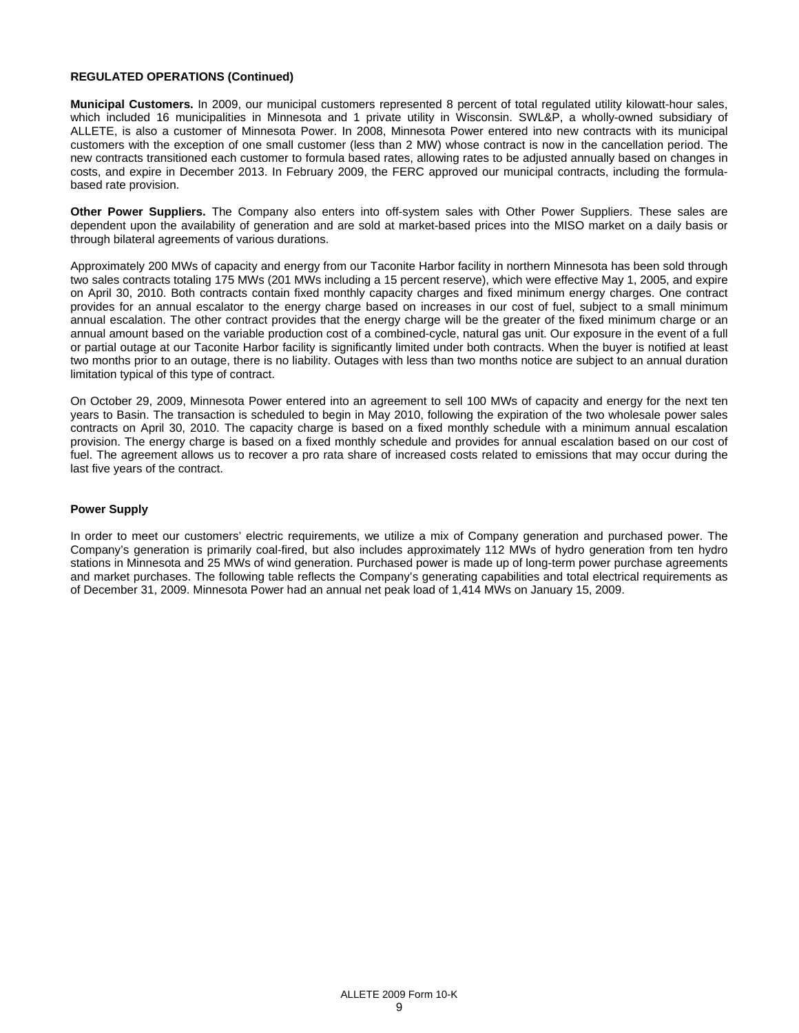## **REGULATED OPERATIONS (Continued)**

**Municipal Customers.** In 2009, our municipal customers represented 8 percent of total regulated utility kilowatt-hour sales, which included 16 municipalities in Minnesota and 1 private utility in Wisconsin. SWL&P, a wholly-owned subsidiary of ALLETE, is also a customer of Minnesota Power. In 2008, Minnesota Power entered into new contracts with its municipal customers with the exception of one small customer (less than 2 MW) whose contract is now in the cancellation period. The new contracts transitioned each customer to formula based rates, allowing rates to be adjusted annually based on changes in costs, and expire in December 2013. In February 2009, the FERC approved our municipal contracts, including the formulabased rate provision.

**Other Power Suppliers.** The Company also enters into off-system sales with Other Power Suppliers. These sales are dependent upon the availability of generation and are sold at market-based prices into the MISO market on a daily basis or through bilateral agreements of various durations.

Approximately 200 MWs of capacity and energy from our Taconite Harbor facility in northern Minnesota has been sold through two sales contracts totaling 175 MWs (201 MWs including a 15 percent reserve), which were effective May 1, 2005, and expire on April 30, 2010. Both contracts contain fixed monthly capacity charges and fixed minimum energy charges. One contract provides for an annual escalator to the energy charge based on increases in our cost of fuel, subject to a small minimum annual escalation. The other contract provides that the energy charge will be the greater of the fixed minimum charge or an annual amount based on the variable production cost of a combined-cycle, natural gas unit. Our exposure in the event of a full or partial outage at our Taconite Harbor facility is significantly limited under both contracts. When the buyer is notified at least two months prior to an outage, there is no liability. Outages with less than two months notice are subject to an annual duration limitation typical of this type of contract.

On October 29, 2009, Minnesota Power entered into an agreement to sell 100 MWs of capacity and energy for the next ten years to Basin. The transaction is scheduled to begin in May 2010, following the expiration of the two wholesale power sales contracts on April 30, 2010. The capacity charge is based on a fixed monthly schedule with a minimum annual escalation provision. The energy charge is based on a fixed monthly schedule and provides for annual escalation based on our cost of fuel. The agreement allows us to recover a pro rata share of increased costs related to emissions that may occur during the last five years of the contract.

#### **Power Supply**

In order to meet our customers' electric requirements, we utilize a mix of Company generation and purchased power. The Company's generation is primarily coal-fired, but also includes approximately 112 MWs of hydro generation from ten hydro stations in Minnesota and 25 MWs of wind generation. Purchased power is made up of long-term power purchase agreements and market purchases. The following table reflects the Company's generating capabilities and total electrical requirements as of December 31, 2009. Minnesota Power had an annual net peak load of 1,414 MWs on January 15, 2009.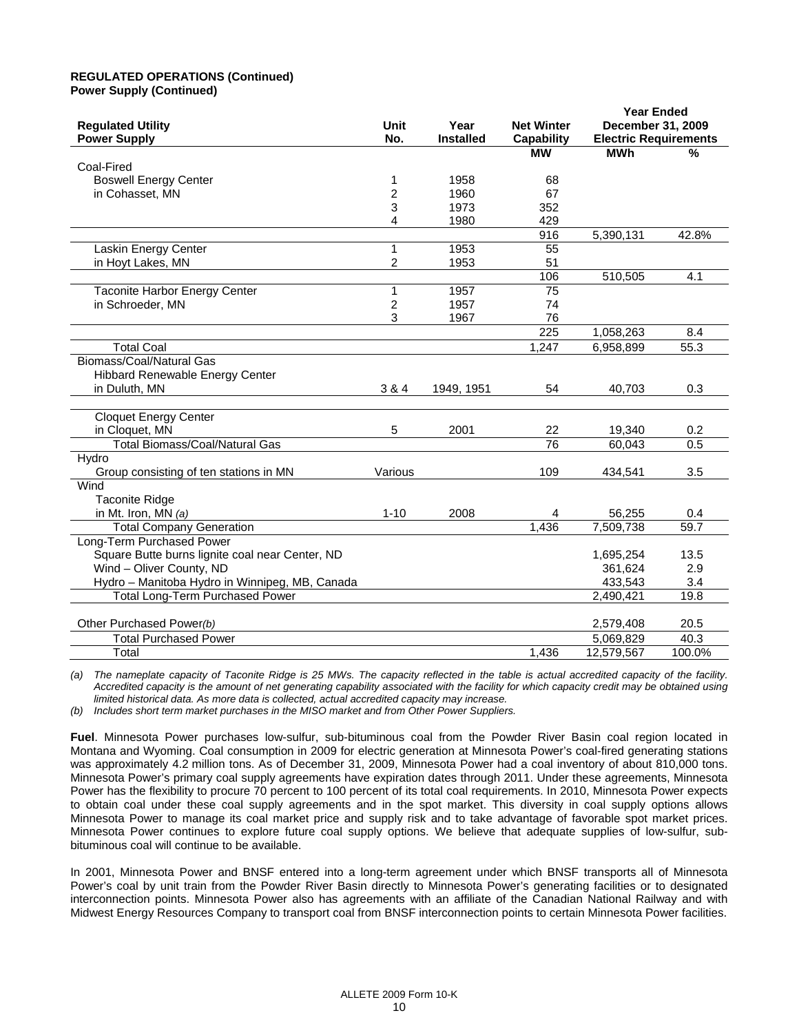## **REGULATED OPERATIONS (Continued) Power Supply (Continued)**

|                                                 |                |                  |                   | <b>Year Ended</b>            |        |
|-------------------------------------------------|----------------|------------------|-------------------|------------------------------|--------|
| <b>Regulated Utility</b>                        | <b>Unit</b>    | Year             | <b>Net Winter</b> | December 31, 2009            |        |
| <b>Power Supply</b>                             | No.            | <b>Installed</b> | <b>Capability</b> | <b>Electric Requirements</b> |        |
|                                                 |                |                  | <b>MW</b>         | <b>MWh</b>                   | $\%$   |
| Coal-Fired                                      |                |                  |                   |                              |        |
| <b>Boswell Energy Center</b>                    | 1              | 1958             | 68                |                              |        |
| in Cohasset, MN                                 | 2              | 1960             | 67                |                              |        |
|                                                 | 3              | 1973             | 352               |                              |        |
|                                                 | 4              | 1980             | 429               |                              |        |
|                                                 |                |                  | 916               | 5,390,131                    | 42.8%  |
| Laskin Energy Center                            | 1              | 1953             | 55                |                              |        |
| in Hoyt Lakes, MN                               | $\overline{c}$ | 1953             | 51                |                              |        |
|                                                 |                |                  | 106               | 510,505                      | 4.1    |
| <b>Taconite Harbor Energy Center</b>            | 1              | 1957             | 75                |                              |        |
| in Schroeder, MN                                | 2              | 1957             | 74                |                              |        |
|                                                 | 3              | 1967             | 76                |                              |        |
|                                                 |                |                  | 225               | 1,058,263                    | 8.4    |
| <b>Total Coal</b>                               |                |                  | 1.247             | 6.958.899                    | 55.3   |
| Biomass/Coal/Natural Gas                        |                |                  |                   |                              |        |
| Hibbard Renewable Energy Center                 |                |                  |                   |                              |        |
| in Duluth, MN                                   | 3 & 4          | 1949, 1951       | 54                | 40,703                       | 0.3    |
|                                                 |                |                  |                   |                              |        |
| <b>Cloquet Energy Center</b>                    |                |                  |                   |                              |        |
| in Cloquet, MN                                  | 5              | 2001             | 22                | 19,340                       | 0.2    |
| <b>Total Biomass/Coal/Natural Gas</b>           |                |                  | 76                | 60.043                       | 0.5    |
| Hydro                                           |                |                  |                   |                              |        |
| Group consisting of ten stations in MN          | Various        |                  | 109               | 434,541                      | 3.5    |
| Wind                                            |                |                  |                   |                              |        |
| <b>Taconite Ridge</b>                           |                |                  |                   |                              |        |
| in Mt. Iron, MN (a)                             | $1 - 10$       | 2008             | 4                 | 56,255                       | 0.4    |
| <b>Total Company Generation</b>                 |                |                  | 1,436             | 7,509,738                    | 59.7   |
| Long-Term Purchased Power                       |                |                  |                   |                              |        |
| Square Butte burns lignite coal near Center, ND |                |                  |                   | 1,695,254                    | 13.5   |
| Wind - Oliver County, ND                        |                |                  |                   | 361,624                      | 2.9    |
| Hydro - Manitoba Hydro in Winnipeg, MB, Canada  |                |                  |                   | 433,543                      | 3.4    |
| <b>Total Long-Term Purchased Power</b>          |                |                  |                   | 2,490,421                    | 19.8   |
|                                                 |                |                  |                   |                              |        |
| Other Purchased Power(b)                        |                |                  |                   | 2,579,408                    | 20.5   |
| <b>Total Purchased Power</b>                    |                |                  |                   | 5,069,829                    | 40.3   |
| Total                                           |                |                  | 1,436             | 12,579,567                   | 100.0% |

*(a) The nameplate capacity of Taconite Ridge is 25 MWs. The capacity reflected in the table is actual accredited capacity of the facility. Accredited capacity is the amount of net generating capability associated with the facility for which capacity credit may be obtained using limited historical data. As more data is collected, actual accredited capacity may increase.* 

*(b) Includes short term market purchases in the MISO market and from Other Power Suppliers.* 

**Fuel**. Minnesota Power purchases low-sulfur, sub-bituminous coal from the Powder River Basin coal region located in Montana and Wyoming. Coal consumption in 2009 for electric generation at Minnesota Power's coal-fired generating stations was approximately 4.2 million tons. As of December 31, 2009, Minnesota Power had a coal inventory of about 810,000 tons. Minnesota Power's primary coal supply agreements have expiration dates through 2011. Under these agreements, Minnesota Power has the flexibility to procure 70 percent to 100 percent of its total coal requirements. In 2010, Minnesota Power expects to obtain coal under these coal supply agreements and in the spot market. This diversity in coal supply options allows Minnesota Power to manage its coal market price and supply risk and to take advantage of favorable spot market prices. Minnesota Power continues to explore future coal supply options. We believe that adequate supplies of low-sulfur, subbituminous coal will continue to be available.

In 2001, Minnesota Power and BNSF entered into a long-term agreement under which BNSF transports all of Minnesota Power's coal by unit train from the Powder River Basin directly to Minnesota Power's generating facilities or to designated interconnection points. Minnesota Power also has agreements with an affiliate of the Canadian National Railway and with Midwest Energy Resources Company to transport coal from BNSF interconnection points to certain Minnesota Power facilities.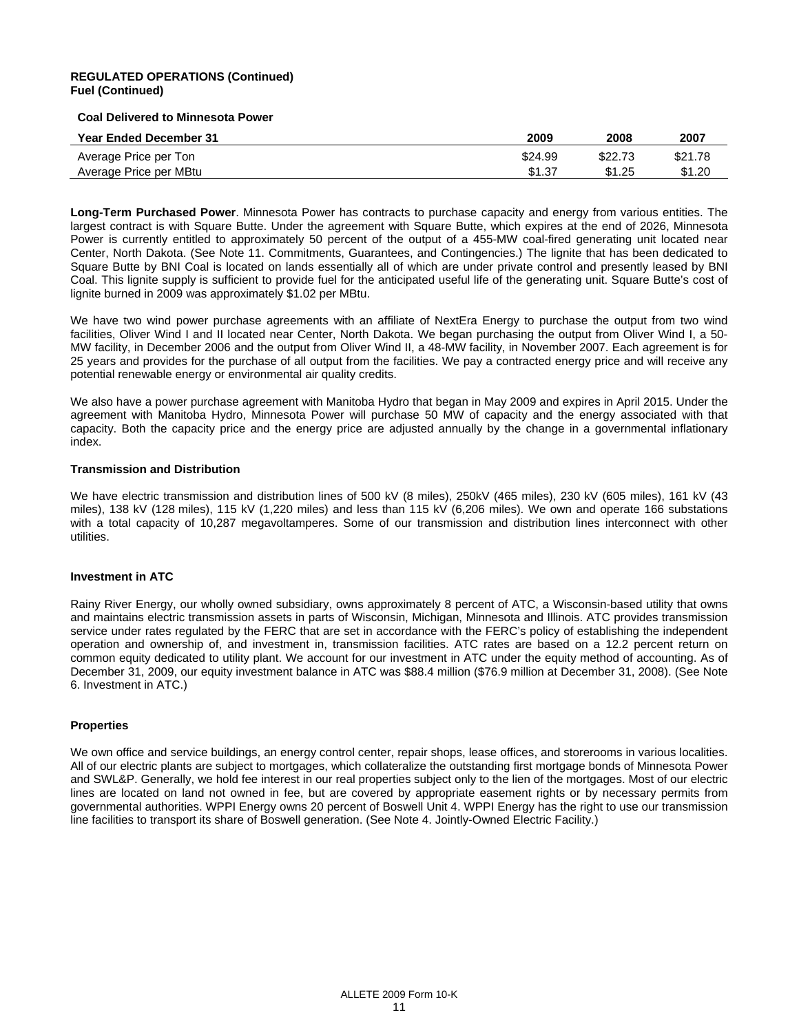## **REGULATED OPERATIONS (Continued) Fuel (Continued)**

**Coal Delivered to Minnesota Power** 

| <b>Year Ended December 31</b> | 2009    | 2008    | 2007    |
|-------------------------------|---------|---------|---------|
| Average Price per Ton         | \$24.99 | \$22.73 | \$21.78 |
| Average Price per MBtu        | \$1.37  | \$1.25  | \$1.20  |

**Long-Term Purchased Power**. Minnesota Power has contracts to purchase capacity and energy from various entities. The largest contract is with Square Butte. Under the agreement with Square Butte, which expires at the end of 2026, Minnesota Power is currently entitled to approximately 50 percent of the output of a 455-MW coal-fired generating unit located near Center, North Dakota. (See Note 11. Commitments, Guarantees, and Contingencies.) The lignite that has been dedicated to Square Butte by BNI Coal is located on lands essentially all of which are under private control and presently leased by BNI Coal. This lignite supply is sufficient to provide fuel for the anticipated useful life of the generating unit. Square Butte's cost of lignite burned in 2009 was approximately \$1.02 per MBtu.

We have two wind power purchase agreements with an affiliate of NextEra Energy to purchase the output from two wind facilities, Oliver Wind I and II located near Center, North Dakota. We began purchasing the output from Oliver Wind I, a 50- MW facility, in December 2006 and the output from Oliver Wind II, a 48-MW facility, in November 2007. Each agreement is for 25 years and provides for the purchase of all output from the facilities. We pay a contracted energy price and will receive any potential renewable energy or environmental air quality credits.

We also have a power purchase agreement with Manitoba Hydro that began in May 2009 and expires in April 2015. Under the agreement with Manitoba Hydro, Minnesota Power will purchase 50 MW of capacity and the energy associated with that capacity. Both the capacity price and the energy price are adjusted annually by the change in a governmental inflationary index.

#### **Transmission and Distribution**

We have electric transmission and distribution lines of 500 kV (8 miles), 250kV (465 miles), 230 kV (605 miles), 161 kV (43 miles), 138 kV (128 miles), 115 kV (1,220 miles) and less than 115 kV (6,206 miles). We own and operate 166 substations with a total capacity of 10,287 megavoltamperes. Some of our transmission and distribution lines interconnect with other utilities.

#### **Investment in ATC**

Rainy River Energy, our wholly owned subsidiary, owns approximately 8 percent of ATC, a Wisconsin-based utility that owns and maintains electric transmission assets in parts of Wisconsin, Michigan, Minnesota and Illinois. ATC provides transmission service under rates regulated by the FERC that are set in accordance with the FERC's policy of establishing the independent operation and ownership of, and investment in, transmission facilities. ATC rates are based on a 12.2 percent return on common equity dedicated to utility plant. We account for our investment in ATC under the equity method of accounting. As of December 31, 2009, our equity investment balance in ATC was \$88.4 million (\$76.9 million at December 31, 2008). (See Note 6. Investment in ATC.)

## **Properties**

We own office and service buildings, an energy control center, repair shops, lease offices, and storerooms in various localities. All of our electric plants are subject to mortgages, which collateralize the outstanding first mortgage bonds of Minnesota Power and SWL&P. Generally, we hold fee interest in our real properties subject only to the lien of the mortgages. Most of our electric lines are located on land not owned in fee, but are covered by appropriate easement rights or by necessary permits from governmental authorities. WPPI Energy owns 20 percent of Boswell Unit 4. WPPI Energy has the right to use our transmission line facilities to transport its share of Boswell generation. (See Note 4. Jointly-Owned Electric Facility.)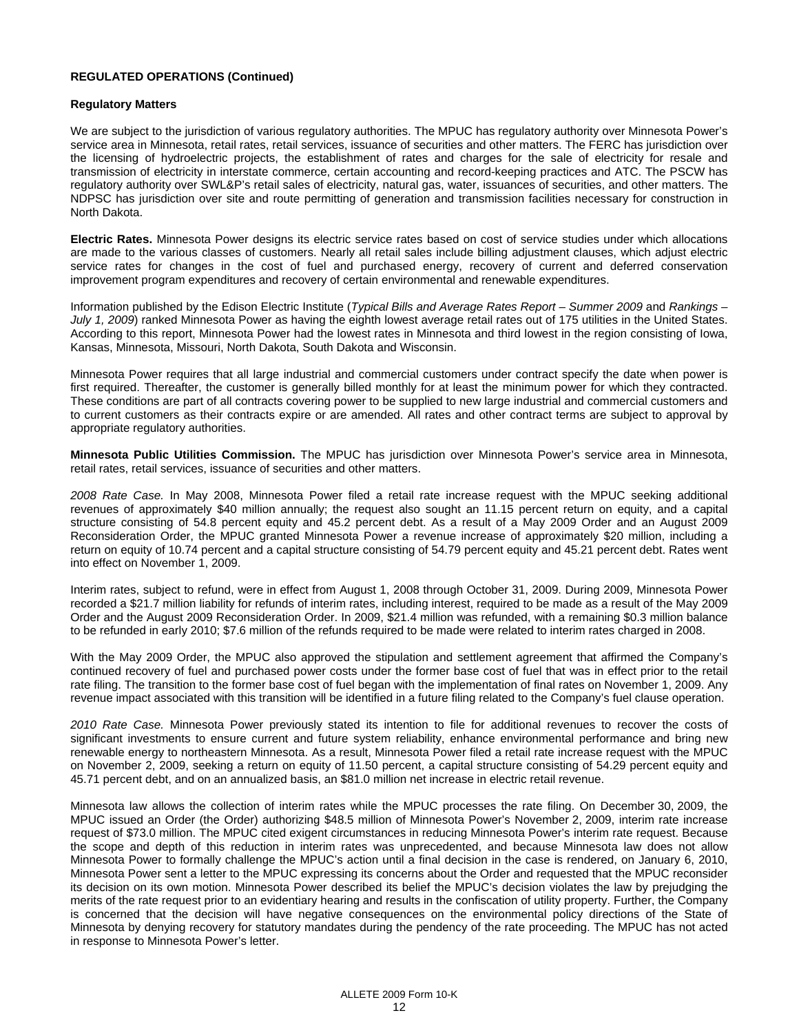## **REGULATED OPERATIONS (Continued)**

## **Regulatory Matters**

We are subject to the jurisdiction of various regulatory authorities. The MPUC has regulatory authority over Minnesota Power's service area in Minnesota, retail rates, retail services, issuance of securities and other matters. The FERC has jurisdiction over the licensing of hydroelectric projects, the establishment of rates and charges for the sale of electricity for resale and transmission of electricity in interstate commerce, certain accounting and record-keeping practices and ATC. The PSCW has regulatory authority over SWL&P's retail sales of electricity, natural gas, water, issuances of securities, and other matters. The NDPSC has jurisdiction over site and route permitting of generation and transmission facilities necessary for construction in North Dakota.

**Electric Rates.** Minnesota Power designs its electric service rates based on cost of service studies under which allocations are made to the various classes of customers. Nearly all retail sales include billing adjustment clauses, which adjust electric service rates for changes in the cost of fuel and purchased energy, recovery of current and deferred conservation improvement program expenditures and recovery of certain environmental and renewable expenditures.

Information published by the Edison Electric Institute (*Typical Bills and Average Rates Report – Summer 2009* and *Rankings – July 1, 2009*) ranked Minnesota Power as having the eighth lowest average retail rates out of 175 utilities in the United States. According to this report, Minnesota Power had the lowest rates in Minnesota and third lowest in the region consisting of Iowa, Kansas, Minnesota, Missouri, North Dakota, South Dakota and Wisconsin.

Minnesota Power requires that all large industrial and commercial customers under contract specify the date when power is first required. Thereafter, the customer is generally billed monthly for at least the minimum power for which they contracted. These conditions are part of all contracts covering power to be supplied to new large industrial and commercial customers and to current customers as their contracts expire or are amended. All rates and other contract terms are subject to approval by appropriate regulatory authorities.

**Minnesota Public Utilities Commission.** The MPUC has jurisdiction over Minnesota Power's service area in Minnesota, retail rates, retail services, issuance of securities and other matters.

*2008 Rate Case.* In May 2008, Minnesota Power filed a retail rate increase request with the MPUC seeking additional revenues of approximately \$40 million annually; the request also sought an 11.15 percent return on equity, and a capital structure consisting of 54.8 percent equity and 45.2 percent debt. As a result of a May 2009 Order and an August 2009 Reconsideration Order, the MPUC granted Minnesota Power a revenue increase of approximately \$20 million, including a return on equity of 10.74 percent and a capital structure consisting of 54.79 percent equity and 45.21 percent debt. Rates went into effect on November 1, 2009.

Interim rates, subject to refund, were in effect from August 1, 2008 through October 31, 2009. During 2009, Minnesota Power recorded a \$21.7 million liability for refunds of interim rates, including interest, required to be made as a result of the May 2009 Order and the August 2009 Reconsideration Order. In 2009, \$21.4 million was refunded, with a remaining \$0.3 million balance to be refunded in early 2010; \$7.6 million of the refunds required to be made were related to interim rates charged in 2008.

With the May 2009 Order, the MPUC also approved the stipulation and settlement agreement that affirmed the Company's continued recovery of fuel and purchased power costs under the former base cost of fuel that was in effect prior to the retail rate filing. The transition to the former base cost of fuel began with the implementation of final rates on November 1, 2009. Any revenue impact associated with this transition will be identified in a future filing related to the Company's fuel clause operation.

*2010 Rate Case.* Minnesota Power previously stated its intention to file for additional revenues to recover the costs of significant investments to ensure current and future system reliability, enhance environmental performance and bring new renewable energy to northeastern Minnesota. As a result, Minnesota Power filed a retail rate increase request with the MPUC on November 2, 2009, seeking a return on equity of 11.50 percent, a capital structure consisting of 54.29 percent equity and 45.71 percent debt, and on an annualized basis, an \$81.0 million net increase in electric retail revenue.

Minnesota law allows the collection of interim rates while the MPUC processes the rate filing. On December 30, 2009, the MPUC issued an Order (the Order) authorizing \$48.5 million of Minnesota Power's November 2, 2009, interim rate increase request of \$73.0 million. The MPUC cited exigent circumstances in reducing Minnesota Power's interim rate request. Because the scope and depth of this reduction in interim rates was unprecedented, and because Minnesota law does not allow Minnesota Power to formally challenge the MPUC's action until a final decision in the case is rendered, on January 6, 2010, Minnesota Power sent a letter to the MPUC expressing its concerns about the Order and requested that the MPUC reconsider its decision on its own motion. Minnesota Power described its belief the MPUC's decision violates the law by prejudging the merits of the rate request prior to an evidentiary hearing and results in the confiscation of utility property. Further, the Company is concerned that the decision will have negative consequences on the environmental policy directions of the State of Minnesota by denying recovery for statutory mandates during the pendency of the rate proceeding. The MPUC has not acted in response to Minnesota Power's letter.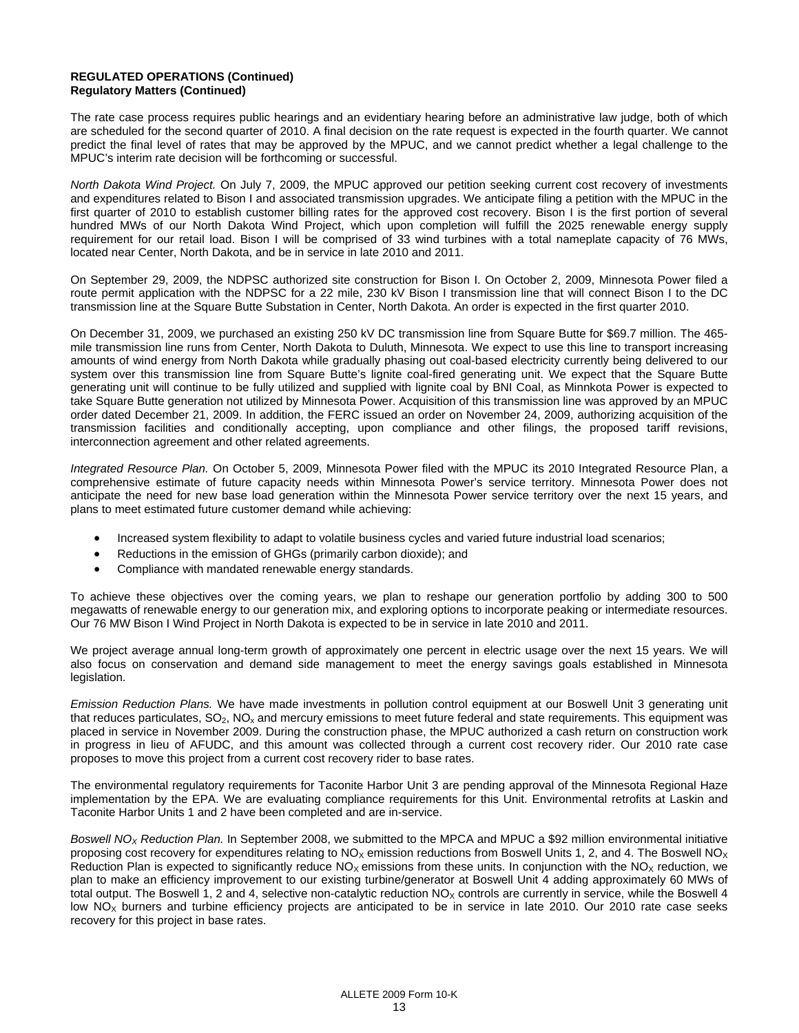## **REGULATED OPERATIONS (Continued) Regulatory Matters (Continued)**

The rate case process requires public hearings and an evidentiary hearing before an administrative law judge, both of which are scheduled for the second quarter of 2010. A final decision on the rate request is expected in the fourth quarter. We cannot predict the final level of rates that may be approved by the MPUC, and we cannot predict whether a legal challenge to the MPUC's interim rate decision will be forthcoming or successful.

*North Dakota Wind Project.* On July 7, 2009, the MPUC approved our petition seeking current cost recovery of investments and expenditures related to Bison I and associated transmission upgrades. We anticipate filing a petition with the MPUC in the first quarter of 2010 to establish customer billing rates for the approved cost recovery. Bison I is the first portion of several hundred MWs of our North Dakota Wind Project, which upon completion will fulfill the 2025 renewable energy supply requirement for our retail load. Bison I will be comprised of 33 wind turbines with a total nameplate capacity of 76 MWs, located near Center, North Dakota, and be in service in late 2010 and 2011.

On September 29, 2009, the NDPSC authorized site construction for Bison I. On October 2, 2009, Minnesota Power filed a route permit application with the NDPSC for a 22 mile, 230 kV Bison I transmission line that will connect Bison I to the DC transmission line at the Square Butte Substation in Center, North Dakota. An order is expected in the first quarter 2010.

On December 31, 2009, we purchased an existing 250 kV DC transmission line from Square Butte for \$69.7 million. The 465 mile transmission line runs from Center, North Dakota to Duluth, Minnesota. We expect to use this line to transport increasing amounts of wind energy from North Dakota while gradually phasing out coal-based electricity currently being delivered to our system over this transmission line from Square Butte's lignite coal-fired generating unit. We expect that the Square Butte generating unit will continue to be fully utilized and supplied with lignite coal by BNI Coal, as Minnkota Power is expected to take Square Butte generation not utilized by Minnesota Power. Acquisition of this transmission line was approved by an MPUC order dated December 21, 2009. In addition, the FERC issued an order on November 24, 2009, authorizing acquisition of the transmission facilities and conditionally accepting, upon compliance and other filings, the proposed tariff revisions, interconnection agreement and other related agreements.

*Integrated Resource Plan.* On October 5, 2009, Minnesota Power filed with the MPUC its 2010 Integrated Resource Plan, a comprehensive estimate of future capacity needs within Minnesota Power's service territory. Minnesota Power does not anticipate the need for new base load generation within the Minnesota Power service territory over the next 15 years, and plans to meet estimated future customer demand while achieving:

- Increased system flexibility to adapt to volatile business cycles and varied future industrial load scenarios;
- Reductions in the emission of GHGs (primarily carbon dioxide); and
- Compliance with mandated renewable energy standards.

To achieve these objectives over the coming years, we plan to reshape our generation portfolio by adding 300 to 500 megawatts of renewable energy to our generation mix, and exploring options to incorporate peaking or intermediate resources. Our 76 MW Bison I Wind Project in North Dakota is expected to be in service in late 2010 and 2011.

We project average annual long-term growth of approximately one percent in electric usage over the next 15 years. We will also focus on conservation and demand side management to meet the energy savings goals established in Minnesota legislation.

*Emission Reduction Plans.* We have made investments in pollution control equipment at our Boswell Unit 3 generating unit that reduces particulates,  $SO_2$ ,  $NO_x$  and mercury emissions to meet future federal and state requirements. This equipment was placed in service in November 2009. During the construction phase, the MPUC authorized a cash return on construction work in progress in lieu of AFUDC, and this amount was collected through a current cost recovery rider. Our 2010 rate case proposes to move this project from a current cost recovery rider to base rates.

The environmental regulatory requirements for Taconite Harbor Unit 3 are pending approval of the Minnesota Regional Haze implementation by the EPA. We are evaluating compliance requirements for this Unit. Environmental retrofits at Laskin and Taconite Harbor Units 1 and 2 have been completed and are in-service.

*Boswell NOX Reduction Plan.* In September 2008, we submitted to the MPCA and MPUC a \$92 million environmental initiative proposing cost recovery for expenditures relating to  $NO<sub>X</sub>$  emission reductions from Boswell Units 1, 2, and 4. The Boswell NO<sub>X</sub> Reduction Plan is expected to significantly reduce  $NO<sub>X</sub>$  emissions from these units. In conjunction with the  $NO<sub>X</sub>$  reduction, we plan to make an efficiency improvement to our existing turbine/generator at Boswell Unit 4 adding approximately 60 MWs of total output. The Boswell 1, 2 and 4, selective non-catalytic reduction  $NO_X$  controls are currently in service, while the Boswell 4 low  $NO<sub>X</sub>$  burners and turbine efficiency projects are anticipated to be in service in late 2010. Our 2010 rate case seeks recovery for this project in base rates.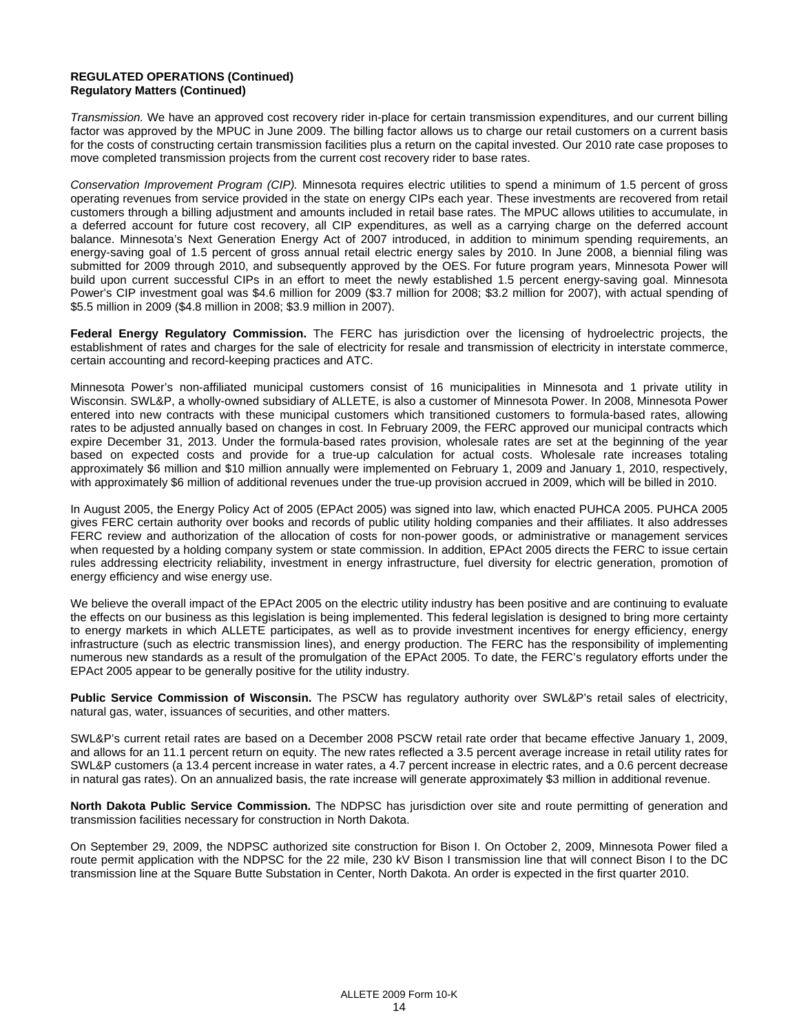## **REGULATED OPERATIONS (Continued) Regulatory Matters (Continued)**

*Transmission.* We have an approved cost recovery rider in-place for certain transmission expenditures, and our current billing factor was approved by the MPUC in June 2009. The billing factor allows us to charge our retail customers on a current basis for the costs of constructing certain transmission facilities plus a return on the capital invested. Our 2010 rate case proposes to move completed transmission projects from the current cost recovery rider to base rates.

*Conservation Improvement Program (CIP).* Minnesota requires electric utilities to spend a minimum of 1.5 percent of gross operating revenues from service provided in the state on energy CIPs each year. These investments are recovered from retail customers through a billing adjustment and amounts included in retail base rates. The MPUC allows utilities to accumulate, in a deferred account for future cost recovery, all CIP expenditures, as well as a carrying charge on the deferred account balance. Minnesota's Next Generation Energy Act of 2007 introduced, in addition to minimum spending requirements, an energy-saving goal of 1.5 percent of gross annual retail electric energy sales by 2010. In June 2008, a biennial filing was submitted for 2009 through 2010, and subsequently approved by the OES. For future program years, Minnesota Power will build upon current successful CIPs in an effort to meet the newly established 1.5 percent energy-saving goal. Minnesota Power's CIP investment goal was \$4.6 million for 2009 (\$3.7 million for 2008; \$3.2 million for 2007), with actual spending of \$5.5 million in 2009 (\$4.8 million in 2008; \$3.9 million in 2007).

**Federal Energy Regulatory Commission.** The FERC has jurisdiction over the licensing of hydroelectric projects, the establishment of rates and charges for the sale of electricity for resale and transmission of electricity in interstate commerce, certain accounting and record-keeping practices and ATC.

Minnesota Power's non-affiliated municipal customers consist of 16 municipalities in Minnesota and 1 private utility in Wisconsin. SWL&P, a wholly-owned subsidiary of ALLETE, is also a customer of Minnesota Power. In 2008, Minnesota Power entered into new contracts with these municipal customers which transitioned customers to formula-based rates, allowing rates to be adjusted annually based on changes in cost. In February 2009, the FERC approved our municipal contracts which expire December 31, 2013. Under the formula-based rates provision, wholesale rates are set at the beginning of the year based on expected costs and provide for a true-up calculation for actual costs. Wholesale rate increases totaling approximately \$6 million and \$10 million annually were implemented on February 1, 2009 and January 1, 2010, respectively, with approximately \$6 million of additional revenues under the true-up provision accrued in 2009, which will be billed in 2010.

In August 2005, the Energy Policy Act of 2005 (EPAct 2005) was signed into law, which enacted PUHCA 2005. PUHCA 2005 gives FERC certain authority over books and records of public utility holding companies and their affiliates. It also addresses FERC review and authorization of the allocation of costs for non-power goods, or administrative or management services when requested by a holding company system or state commission. In addition, EPAct 2005 directs the FERC to issue certain rules addressing electricity reliability, investment in energy infrastructure, fuel diversity for electric generation, promotion of energy efficiency and wise energy use.

We believe the overall impact of the EPAct 2005 on the electric utility industry has been positive and are continuing to evaluate the effects on our business as this legislation is being implemented. This federal legislation is designed to bring more certainty to energy markets in which ALLETE participates, as well as to provide investment incentives for energy efficiency, energy infrastructure (such as electric transmission lines), and energy production. The FERC has the responsibility of implementing numerous new standards as a result of the promulgation of the EPAct 2005. To date, the FERC's regulatory efforts under the EPAct 2005 appear to be generally positive for the utility industry.

**Public Service Commission of Wisconsin.** The PSCW has regulatory authority over SWL&P's retail sales of electricity, natural gas, water, issuances of securities, and other matters.

SWL&P's current retail rates are based on a December 2008 PSCW retail rate order that became effective January 1, 2009, and allows for an 11.1 percent return on equity. The new rates reflected a 3.5 percent average increase in retail utility rates for SWL&P customers (a 13.4 percent increase in water rates, a 4.7 percent increase in electric rates, and a 0.6 percent decrease in natural gas rates). On an annualized basis, the rate increase will generate approximately \$3 million in additional revenue.

**North Dakota Public Service Commission.** The NDPSC has jurisdiction over site and route permitting of generation and transmission facilities necessary for construction in North Dakota.

On September 29, 2009, the NDPSC authorized site construction for Bison I. On October 2, 2009, Minnesota Power filed a route permit application with the NDPSC for the 22 mile, 230 kV Bison I transmission line that will connect Bison I to the DC transmission line at the Square Butte Substation in Center, North Dakota. An order is expected in the first quarter 2010.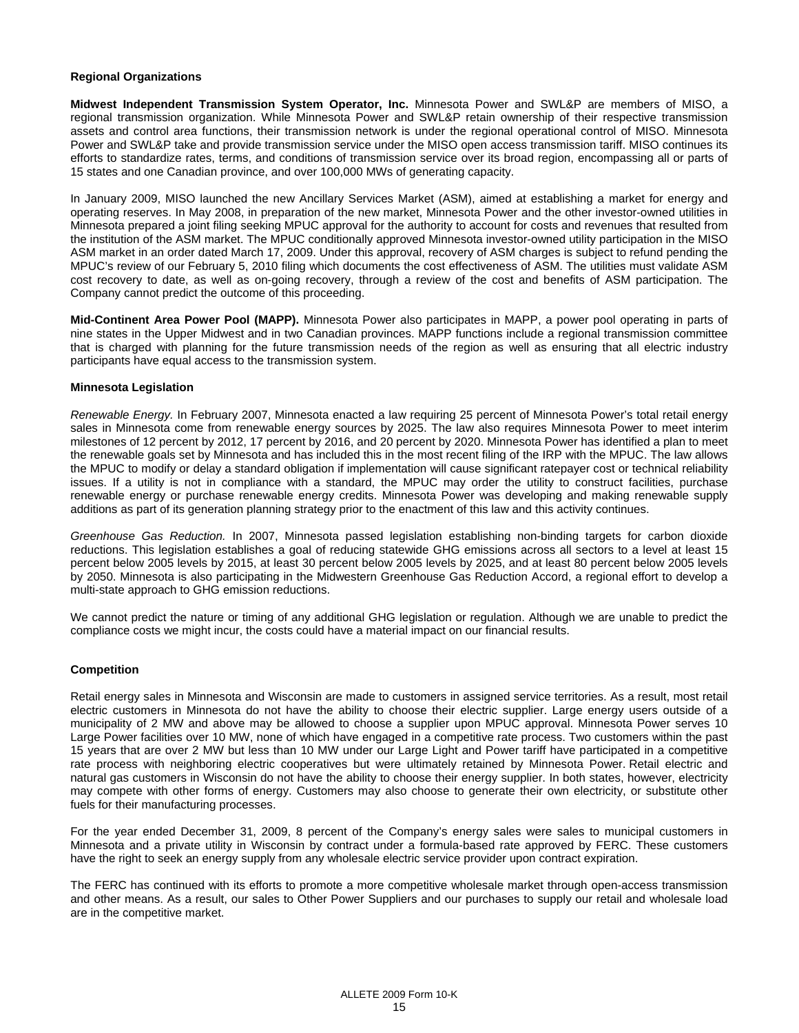## **Regional Organizations**

**Midwest Independent Transmission System Operator, Inc.** Minnesota Power and SWL&P are members of MISO, a regional transmission organization. While Minnesota Power and SWL&P retain ownership of their respective transmission assets and control area functions, their transmission network is under the regional operational control of MISO. Minnesota Power and SWL&P take and provide transmission service under the MISO open access transmission tariff. MISO continues its efforts to standardize rates, terms, and conditions of transmission service over its broad region, encompassing all or parts of 15 states and one Canadian province, and over 100,000 MWs of generating capacity.

In January 2009, MISO launched the new Ancillary Services Market (ASM), aimed at establishing a market for energy and operating reserves. In May 2008, in preparation of the new market, Minnesota Power and the other investor-owned utilities in Minnesota prepared a joint filing seeking MPUC approval for the authority to account for costs and revenues that resulted from the institution of the ASM market. The MPUC conditionally approved Minnesota investor-owned utility participation in the MISO ASM market in an order dated March 17, 2009. Under this approval, recovery of ASM charges is subject to refund pending the MPUC's review of our February 5, 2010 filing which documents the cost effectiveness of ASM. The utilities must validate ASM cost recovery to date, as well as on-going recovery, through a review of the cost and benefits of ASM participation. The Company cannot predict the outcome of this proceeding.

**Mid-Continent Area Power Pool (MAPP).** Minnesota Power also participates in MAPP, a power pool operating in parts of nine states in the Upper Midwest and in two Canadian provinces. MAPP functions include a regional transmission committee that is charged with planning for the future transmission needs of the region as well as ensuring that all electric industry participants have equal access to the transmission system.

#### **Minnesota Legislation**

*Renewable Energy.* In February 2007, Minnesota enacted a law requiring 25 percent of Minnesota Power's total retail energy sales in Minnesota come from renewable energy sources by 2025. The law also requires Minnesota Power to meet interim milestones of 12 percent by 2012, 17 percent by 2016, and 20 percent by 2020. Minnesota Power has identified a plan to meet the renewable goals set by Minnesota and has included this in the most recent filing of the IRP with the MPUC. The law allows the MPUC to modify or delay a standard obligation if implementation will cause significant ratepayer cost or technical reliability issues. If a utility is not in compliance with a standard, the MPUC may order the utility to construct facilities, purchase renewable energy or purchase renewable energy credits. Minnesota Power was developing and making renewable supply additions as part of its generation planning strategy prior to the enactment of this law and this activity continues.

*Greenhouse Gas Reduction.* In 2007, Minnesota passed legislation establishing non-binding targets for carbon dioxide reductions. This legislation establishes a goal of reducing statewide GHG emissions across all sectors to a level at least 15 percent below 2005 levels by 2015, at least 30 percent below 2005 levels by 2025, and at least 80 percent below 2005 levels by 2050. Minnesota is also participating in the Midwestern Greenhouse Gas Reduction Accord, a regional effort to develop a multi-state approach to GHG emission reductions.

We cannot predict the nature or timing of any additional GHG legislation or regulation. Although we are unable to predict the compliance costs we might incur, the costs could have a material impact on our financial results.

## **Competition**

Retail energy sales in Minnesota and Wisconsin are made to customers in assigned service territories. As a result, most retail electric customers in Minnesota do not have the ability to choose their electric supplier. Large energy users outside of a municipality of 2 MW and above may be allowed to choose a supplier upon MPUC approval. Minnesota Power serves 10 Large Power facilities over 10 MW, none of which have engaged in a competitive rate process. Two customers within the past 15 years that are over 2 MW but less than 10 MW under our Large Light and Power tariff have participated in a competitive rate process with neighboring electric cooperatives but were ultimately retained by Minnesota Power. Retail electric and natural gas customers in Wisconsin do not have the ability to choose their energy supplier. In both states, however, electricity may compete with other forms of energy. Customers may also choose to generate their own electricity, or substitute other fuels for their manufacturing processes.

For the year ended December 31, 2009, 8 percent of the Company's energy sales were sales to municipal customers in Minnesota and a private utility in Wisconsin by contract under a formula-based rate approved by FERC. These customers have the right to seek an energy supply from any wholesale electric service provider upon contract expiration.

The FERC has continued with its efforts to promote a more competitive wholesale market through open-access transmission and other means. As a result, our sales to Other Power Suppliers and our purchases to supply our retail and wholesale load are in the competitive market.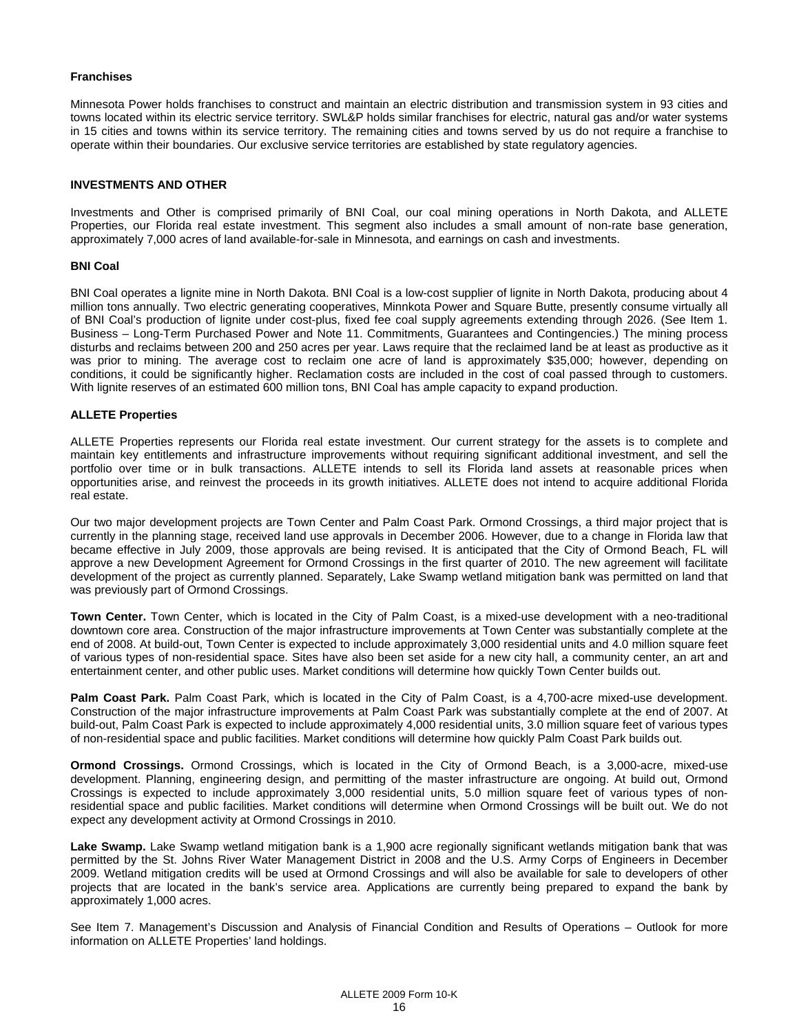#### **Franchises**

Minnesota Power holds franchises to construct and maintain an electric distribution and transmission system in 93 cities and towns located within its electric service territory. SWL&P holds similar franchises for electric, natural gas and/or water systems in 15 cities and towns within its service territory. The remaining cities and towns served by us do not require a franchise to operate within their boundaries. Our exclusive service territories are established by state regulatory agencies.

#### **INVESTMENTS AND OTHER**

Investments and Other is comprised primarily of BNI Coal, our coal mining operations in North Dakota, and ALLETE Properties, our Florida real estate investment. This segment also includes a small amount of non-rate base generation, approximately 7,000 acres of land available-for-sale in Minnesota, and earnings on cash and investments.

## **BNI Coal**

BNI Coal operates a lignite mine in North Dakota. BNI Coal is a low-cost supplier of lignite in North Dakota, producing about 4 million tons annually. Two electric generating cooperatives, Minnkota Power and Square Butte, presently consume virtually all of BNI Coal's production of lignite under cost-plus, fixed fee coal supply agreements extending through 2026. (See Item 1. Business – Long-Term Purchased Power and Note 11. Commitments, Guarantees and Contingencies.) The mining process disturbs and reclaims between 200 and 250 acres per year. Laws require that the reclaimed land be at least as productive as it was prior to mining. The average cost to reclaim one acre of land is approximately \$35,000; however, depending on conditions, it could be significantly higher. Reclamation costs are included in the cost of coal passed through to customers. With lignite reserves of an estimated 600 million tons, BNI Coal has ample capacity to expand production.

#### **ALLETE Properties**

ALLETE Properties represents our Florida real estate investment. Our current strategy for the assets is to complete and maintain key entitlements and infrastructure improvements without requiring significant additional investment, and sell the portfolio over time or in bulk transactions. ALLETE intends to sell its Florida land assets at reasonable prices when opportunities arise, and reinvest the proceeds in its growth initiatives. ALLETE does not intend to acquire additional Florida real estate.

Our two major development projects are Town Center and Palm Coast Park. Ormond Crossings, a third major project that is currently in the planning stage, received land use approvals in December 2006. However, due to a change in Florida law that became effective in July 2009, those approvals are being revised. It is anticipated that the City of Ormond Beach, FL will approve a new Development Agreement for Ormond Crossings in the first quarter of 2010. The new agreement will facilitate development of the project as currently planned. Separately, Lake Swamp wetland mitigation bank was permitted on land that was previously part of Ormond Crossings.

**Town Center.** Town Center, which is located in the City of Palm Coast, is a mixed-use development with a neo-traditional downtown core area. Construction of the major infrastructure improvements at Town Center was substantially complete at the end of 2008. At build-out, Town Center is expected to include approximately 3,000 residential units and 4.0 million square feet of various types of non-residential space. Sites have also been set aside for a new city hall, a community center, an art and entertainment center, and other public uses. Market conditions will determine how quickly Town Center builds out.

**Palm Coast Park.** Palm Coast Park, which is located in the City of Palm Coast, is a 4,700-acre mixed-use development. Construction of the major infrastructure improvements at Palm Coast Park was substantially complete at the end of 2007. At build-out, Palm Coast Park is expected to include approximately 4,000 residential units, 3.0 million square feet of various types of non-residential space and public facilities. Market conditions will determine how quickly Palm Coast Park builds out.

**Ormond Crossings.** Ormond Crossings, which is located in the City of Ormond Beach, is a 3,000-acre, mixed-use development. Planning, engineering design, and permitting of the master infrastructure are ongoing. At build out, Ormond Crossings is expected to include approximately 3,000 residential units, 5.0 million square feet of various types of nonresidential space and public facilities. Market conditions will determine when Ormond Crossings will be built out. We do not expect any development activity at Ormond Crossings in 2010.

**Lake Swamp.** Lake Swamp wetland mitigation bank is a 1,900 acre regionally significant wetlands mitigation bank that was permitted by the St. Johns River Water Management District in 2008 and the U.S. Army Corps of Engineers in December 2009. Wetland mitigation credits will be used at Ormond Crossings and will also be available for sale to developers of other projects that are located in the bank's service area. Applications are currently being prepared to expand the bank by approximately 1,000 acres.

See Item 7. Management's Discussion and Analysis of Financial Condition and Results of Operations – Outlook for more information on ALLETE Properties' land holdings.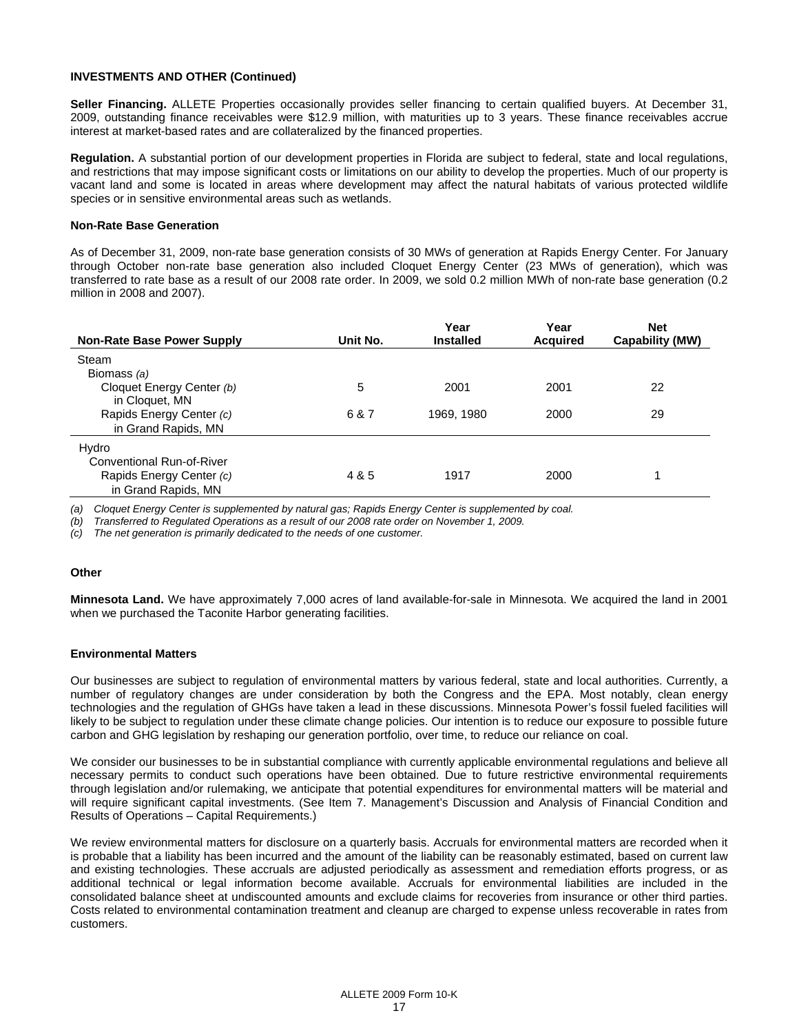## **INVESTMENTS AND OTHER (Continued)**

**Seller Financing.** ALLETE Properties occasionally provides seller financing to certain qualified buyers. At December 31, 2009, outstanding finance receivables were \$12.9 million, with maturities up to 3 years. These finance receivables accrue interest at market-based rates and are collateralized by the financed properties.

**Regulation.** A substantial portion of our development properties in Florida are subject to federal, state and local regulations, and restrictions that may impose significant costs or limitations on our ability to develop the properties. Much of our property is vacant land and some is located in areas where development may affect the natural habitats of various protected wildlife species or in sensitive environmental areas such as wetlands.

#### **Non-Rate Base Generation**

As of December 31, 2009, non-rate base generation consists of 30 MWs of generation at Rapids Energy Center. For January through October non-rate base generation also included Cloquet Energy Center (23 MWs of generation), which was transferred to rate base as a result of our 2008 rate order. In 2009, we sold 0.2 million MWh of non-rate base generation (0.2 million in 2008 and 2007).

| <b>Non-Rate Base Power Supply</b> | Unit No. | Year<br><b>Installed</b> | Year<br><b>Acquired</b> | <b>Net</b><br>Capability (MW) |
|-----------------------------------|----------|--------------------------|-------------------------|-------------------------------|
| Steam                             |          |                          |                         |                               |
| Biomass (a)                       |          |                          |                         |                               |
| Cloquet Energy Center (b)         | 5        | 2001                     | 2001                    | 22                            |
| in Cloquet, MN                    |          |                          |                         |                               |
| Rapids Energy Center (c)          | 6 & 7    | 1969, 1980               | 2000                    | 29                            |
| in Grand Rapids, MN               |          |                          |                         |                               |
| Hydro                             |          |                          |                         |                               |
| Conventional Run-of-River         |          |                          |                         |                               |
| Rapids Energy Center (c)          | 4 & 5    | 1917                     | 2000                    |                               |
| in Grand Rapids, MN               |          |                          |                         |                               |

*(a) Cloquet Energy Center is supplemented by natural gas; Rapids Energy Center is supplemented by coal.* 

*(b) Transferred to Regulated Operations as a result of our 2008 rate order on November 1, 2009.* 

*(c) The net generation is primarily dedicated to the needs of one customer.* 

#### **Other**

**Minnesota Land.** We have approximately 7,000 acres of land available-for-sale in Minnesota. We acquired the land in 2001 when we purchased the Taconite Harbor generating facilities.

#### **Environmental Matters**

Our businesses are subject to regulation of environmental matters by various federal, state and local authorities. Currently, a number of regulatory changes are under consideration by both the Congress and the EPA. Most notably, clean energy technologies and the regulation of GHGs have taken a lead in these discussions. Minnesota Power's fossil fueled facilities will likely to be subject to regulation under these climate change policies. Our intention is to reduce our exposure to possible future carbon and GHG legislation by reshaping our generation portfolio, over time, to reduce our reliance on coal.

We consider our businesses to be in substantial compliance with currently applicable environmental regulations and believe all necessary permits to conduct such operations have been obtained. Due to future restrictive environmental requirements through legislation and/or rulemaking, we anticipate that potential expenditures for environmental matters will be material and will require significant capital investments. (See Item 7. Management's Discussion and Analysis of Financial Condition and Results of Operations – Capital Requirements.)

We review environmental matters for disclosure on a quarterly basis. Accruals for environmental matters are recorded when it is probable that a liability has been incurred and the amount of the liability can be reasonably estimated, based on current law and existing technologies. These accruals are adjusted periodically as assessment and remediation efforts progress, or as additional technical or legal information become available. Accruals for environmental liabilities are included in the consolidated balance sheet at undiscounted amounts and exclude claims for recoveries from insurance or other third parties. Costs related to environmental contamination treatment and cleanup are charged to expense unless recoverable in rates from customers.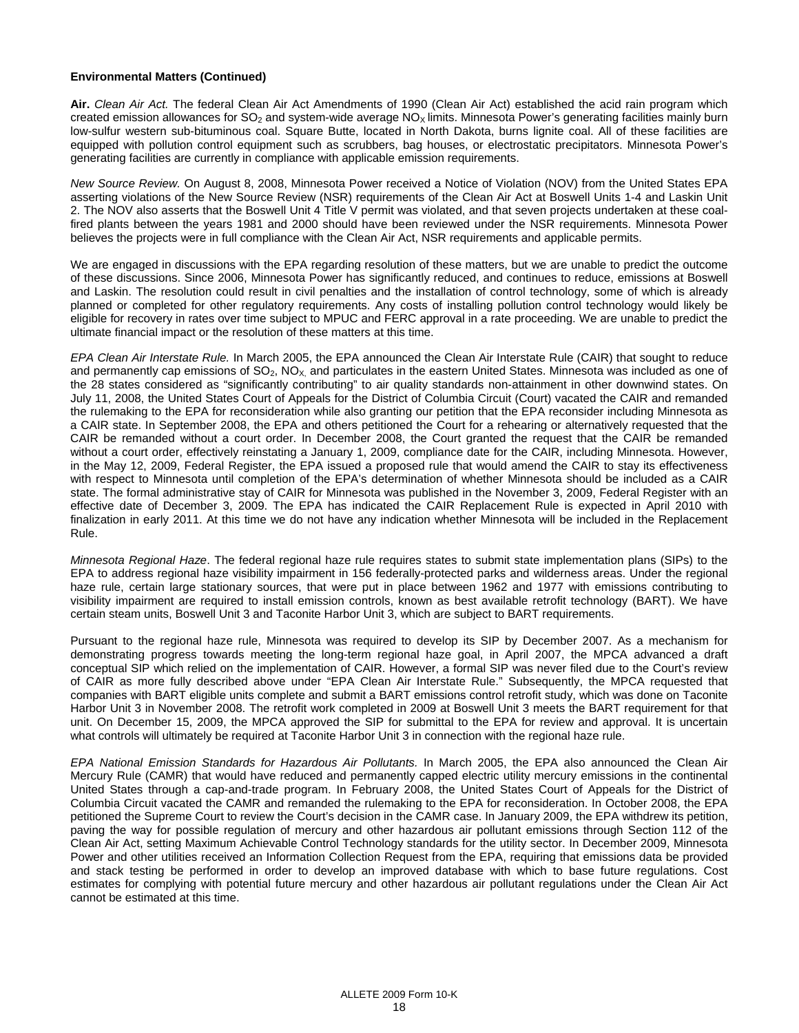## **Environmental Matters (Continued)**

**Air.** *Clean Air Act.* The federal Clean Air Act Amendments of 1990 (Clean Air Act) established the acid rain program which created emission allowances for  $SO<sub>2</sub>$  and system-wide average NO<sub>x</sub> limits. Minnesota Power's generating facilities mainly burn low-sulfur western sub-bituminous coal. Square Butte, located in North Dakota, burns lignite coal. All of these facilities are equipped with pollution control equipment such as scrubbers, bag houses, or electrostatic precipitators. Minnesota Power's generating facilities are currently in compliance with applicable emission requirements.

*New Source Review.* On August 8, 2008, Minnesota Power received a Notice of Violation (NOV) from the United States EPA asserting violations of the New Source Review (NSR) requirements of the Clean Air Act at Boswell Units 1-4 and Laskin Unit 2. The NOV also asserts that the Boswell Unit 4 Title V permit was violated, and that seven projects undertaken at these coalfired plants between the years 1981 and 2000 should have been reviewed under the NSR requirements. Minnesota Power believes the projects were in full compliance with the Clean Air Act, NSR requirements and applicable permits.

We are engaged in discussions with the EPA regarding resolution of these matters, but we are unable to predict the outcome of these discussions. Since 2006, Minnesota Power has significantly reduced, and continues to reduce, emissions at Boswell and Laskin. The resolution could result in civil penalties and the installation of control technology, some of which is already planned or completed for other regulatory requirements. Any costs of installing pollution control technology would likely be eligible for recovery in rates over time subject to MPUC and FERC approval in a rate proceeding. We are unable to predict the ultimate financial impact or the resolution of these matters at this time.

*EPA Clean Air Interstate Rule.* In March 2005, the EPA announced the Clean Air Interstate Rule (CAIR) that sought to reduce and permanently cap emissions of  $SO_2$ ,  $NO_\chi$  and particulates in the eastern United States. Minnesota was included as one of the 28 states considered as "significantly contributing" to air quality standards non-attainment in other downwind states. On July 11, 2008, the United States Court of Appeals for the District of Columbia Circuit (Court) vacated the CAIR and remanded the rulemaking to the EPA for reconsideration while also granting our petition that the EPA reconsider including Minnesota as a CAIR state. In September 2008, the EPA and others petitioned the Court for a rehearing or alternatively requested that the CAIR be remanded without a court order. In December 2008, the Court granted the request that the CAIR be remanded without a court order, effectively reinstating a January 1, 2009, compliance date for the CAIR, including Minnesota. However, in the May 12, 2009, Federal Register, the EPA issued a proposed rule that would amend the CAIR to stay its effectiveness with respect to Minnesota until completion of the EPA's determination of whether Minnesota should be included as a CAIR state. The formal administrative stay of CAIR for Minnesota was published in the November 3, 2009. Federal Register with an effective date of December 3, 2009. The EPA has indicated the CAIR Replacement Rule is expected in April 2010 with finalization in early 2011. At this time we do not have any indication whether Minnesota will be included in the Replacement Rule.

*Minnesota Regional Haze*. The federal regional haze rule requires states to submit state implementation plans (SIPs) to the EPA to address regional haze visibility impairment in 156 federally-protected parks and wilderness areas. Under the regional haze rule, certain large stationary sources, that were put in place between 1962 and 1977 with emissions contributing to visibility impairment are required to install emission controls, known as best available retrofit technology (BART). We have certain steam units, Boswell Unit 3 and Taconite Harbor Unit 3, which are subject to BART requirements.

Pursuant to the regional haze rule, Minnesota was required to develop its SIP by December 2007. As a mechanism for demonstrating progress towards meeting the long-term regional haze goal, in April 2007, the MPCA advanced a draft conceptual SIP which relied on the implementation of CAIR. However, a formal SIP was never filed due to the Court's review of CAIR as more fully described above under "EPA Clean Air Interstate Rule." Subsequently, the MPCA requested that companies with BART eligible units complete and submit a BART emissions control retrofit study, which was done on Taconite Harbor Unit 3 in November 2008. The retrofit work completed in 2009 at Boswell Unit 3 meets the BART requirement for that unit. On December 15, 2009, the MPCA approved the SIP for submittal to the EPA for review and approval. It is uncertain what controls will ultimately be required at Taconite Harbor Unit 3 in connection with the regional haze rule.

*EPA National Emission Standards for Hazardous Air Pollutants.* In March 2005, the EPA also announced the Clean Air Mercury Rule (CAMR) that would have reduced and permanently capped electric utility mercury emissions in the continental United States through a cap-and-trade program. In February 2008, the United States Court of Appeals for the District of Columbia Circuit vacated the CAMR and remanded the rulemaking to the EPA for reconsideration. In October 2008, the EPA petitioned the Supreme Court to review the Court's decision in the CAMR case. In January 2009, the EPA withdrew its petition, paving the way for possible regulation of mercury and other hazardous air pollutant emissions through Section 112 of the Clean Air Act, setting Maximum Achievable Control Technology standards for the utility sector. In December 2009, Minnesota Power and other utilities received an Information Collection Request from the EPA, requiring that emissions data be provided and stack testing be performed in order to develop an improved database with which to base future regulations. Cost estimates for complying with potential future mercury and other hazardous air pollutant regulations under the Clean Air Act cannot be estimated at this time.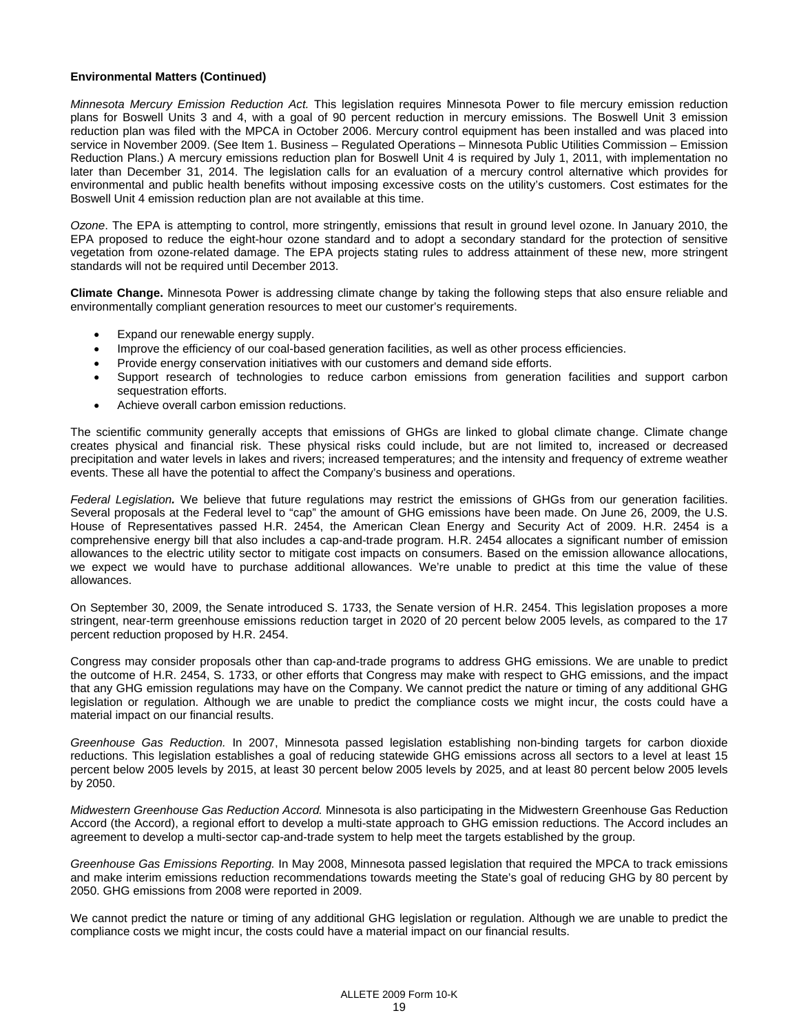## **Environmental Matters (Continued)**

*Minnesota Mercury Emission Reduction Act.* This legislation requires Minnesota Power to file mercury emission reduction plans for Boswell Units 3 and 4, with a goal of 90 percent reduction in mercury emissions. The Boswell Unit 3 emission reduction plan was filed with the MPCA in October 2006. Mercury control equipment has been installed and was placed into service in November 2009. (See Item 1. Business – Regulated Operations – Minnesota Public Utilities Commission – Emission Reduction Plans.) A mercury emissions reduction plan for Boswell Unit 4 is required by July 1, 2011, with implementation no later than December 31, 2014. The legislation calls for an evaluation of a mercury control alternative which provides for environmental and public health benefits without imposing excessive costs on the utility's customers. Cost estimates for the Boswell Unit 4 emission reduction plan are not available at this time.

*Ozone*. The EPA is attempting to control, more stringently, emissions that result in ground level ozone. In January 2010, the EPA proposed to reduce the eight-hour ozone standard and to adopt a secondary standard for the protection of sensitive vegetation from ozone-related damage. The EPA projects stating rules to address attainment of these new, more stringent standards will not be required until December 2013.

**Climate Change.** Minnesota Power is addressing climate change by taking the following steps that also ensure reliable and environmentally compliant generation resources to meet our customer's requirements.

- Expand our renewable energy supply.
- Improve the efficiency of our coal-based generation facilities, as well as other process efficiencies.
- Provide energy conservation initiatives with our customers and demand side efforts.
- Support research of technologies to reduce carbon emissions from generation facilities and support carbon sequestration efforts.
- Achieve overall carbon emission reductions.

The scientific community generally accepts that emissions of GHGs are linked to global climate change. Climate change creates physical and financial risk. These physical risks could include, but are not limited to, increased or decreased precipitation and water levels in lakes and rivers; increased temperatures; and the intensity and frequency of extreme weather events. These all have the potential to affect the Company's business and operations.

*Federal Legislation.* We believe that future regulations may restrict the emissions of GHGs from our generation facilities. Several proposals at the Federal level to "cap" the amount of GHG emissions have been made. On June 26, 2009, the U.S. House of Representatives passed H.R. 2454, the American Clean Energy and Security Act of 2009. H.R. 2454 is a comprehensive energy bill that also includes a cap-and-trade program. H.R. 2454 allocates a significant number of emission allowances to the electric utility sector to mitigate cost impacts on consumers. Based on the emission allowance allocations, we expect we would have to purchase additional allowances. We're unable to predict at this time the value of these allowances.

On September 30, 2009, the Senate introduced S. 1733, the Senate version of H.R. 2454. This legislation proposes a more stringent, near-term greenhouse emissions reduction target in 2020 of 20 percent below 2005 levels, as compared to the 17 percent reduction proposed by H.R. 2454.

Congress may consider proposals other than cap-and-trade programs to address GHG emissions. We are unable to predict the outcome of H.R. 2454, S. 1733, or other efforts that Congress may make with respect to GHG emissions, and the impact that any GHG emission regulations may have on the Company. We cannot predict the nature or timing of any additional GHG legislation or regulation. Although we are unable to predict the compliance costs we might incur, the costs could have a material impact on our financial results.

*Greenhouse Gas Reduction.* In 2007, Minnesota passed legislation establishing non-binding targets for carbon dioxide reductions. This legislation establishes a goal of reducing statewide GHG emissions across all sectors to a level at least 15 percent below 2005 levels by 2015, at least 30 percent below 2005 levels by 2025, and at least 80 percent below 2005 levels by 2050.

*Midwestern Greenhouse Gas Reduction Accord.* Minnesota is also participating in the Midwestern Greenhouse Gas Reduction Accord (the Accord), a regional effort to develop a multi-state approach to GHG emission reductions. The Accord includes an agreement to develop a multi-sector cap-and-trade system to help meet the targets established by the group.

*Greenhouse Gas Emissions Reporting.* In May 2008, Minnesota passed legislation that required the MPCA to track emissions and make interim emissions reduction recommendations towards meeting the State's goal of reducing GHG by 80 percent by 2050. GHG emissions from 2008 were reported in 2009.

We cannot predict the nature or timing of any additional GHG legislation or regulation. Although we are unable to predict the compliance costs we might incur, the costs could have a material impact on our financial results.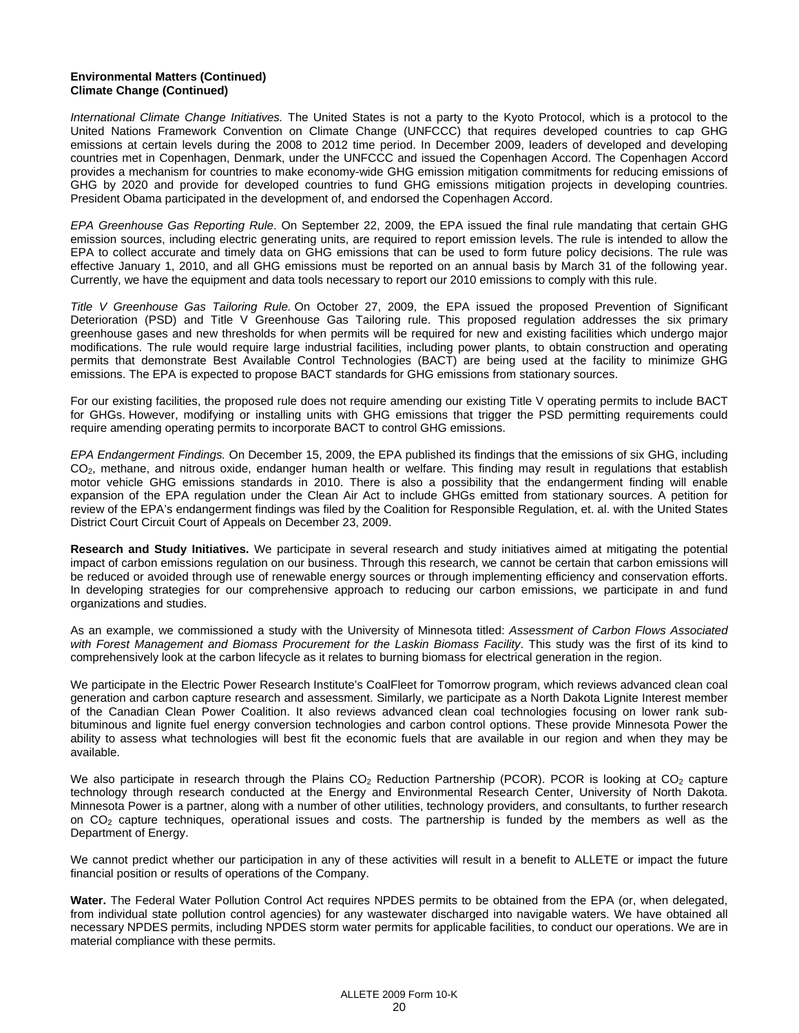## **Environmental Matters (Continued) Climate Change (Continued)**

*International Climate Change Initiatives.* The United States is not a party to the Kyoto Protocol, which is a protocol to the United Nations Framework Convention on Climate Change (UNFCCC) that requires developed countries to cap GHG emissions at certain levels during the 2008 to 2012 time period. In December 2009, leaders of developed and developing countries met in Copenhagen, Denmark, under the UNFCCC and issued the Copenhagen Accord. The Copenhagen Accord provides a mechanism for countries to make economy-wide GHG emission mitigation commitments for reducing emissions of GHG by 2020 and provide for developed countries to fund GHG emissions mitigation projects in developing countries. President Obama participated in the development of, and endorsed the Copenhagen Accord.

*EPA Greenhouse Gas Reporting Rule*. On September 22, 2009, the EPA issued the final rule mandating that certain GHG emission sources, including electric generating units, are required to report emission levels. The rule is intended to allow the EPA to collect accurate and timely data on GHG emissions that can be used to form future policy decisions. The rule was effective January 1, 2010, and all GHG emissions must be reported on an annual basis by March 31 of the following year. Currently, we have the equipment and data tools necessary to report our 2010 emissions to comply with this rule.

*Title V Greenhouse Gas Tailoring Rule.* On October 27, 2009, the EPA issued the proposed Prevention of Significant Deterioration (PSD) and Title V Greenhouse Gas Tailoring rule. This proposed regulation addresses the six primary greenhouse gases and new thresholds for when permits will be required for new and existing facilities which undergo major modifications. The rule would require large industrial facilities, including power plants, to obtain construction and operating permits that demonstrate Best Available Control Technologies (BACT) are being used at the facility to minimize GHG emissions. The EPA is expected to propose BACT standards for GHG emissions from stationary sources.

For our existing facilities, the proposed rule does not require amending our existing Title V operating permits to include BACT for GHGs. However, modifying or installing units with GHG emissions that trigger the PSD permitting requirements could require amending operating permits to incorporate BACT to control GHG emissions.

*EPA Endangerment Findings.* On December 15, 2009, the EPA published its findings that the emissions of six GHG, including CO2, methane, and nitrous oxide, endanger human health or welfare. This finding may result in regulations that establish motor vehicle GHG emissions standards in 2010. There is also a possibility that the endangerment finding will enable expansion of the EPA regulation under the Clean Air Act to include GHGs emitted from stationary sources. A petition for review of the EPA's endangerment findings was filed by the Coalition for Responsible Regulation, et. al. with the United States District Court Circuit Court of Appeals on December 23, 2009.

**Research and Study Initiatives.** We participate in several research and study initiatives aimed at mitigating the potential impact of carbon emissions regulation on our business. Through this research, we cannot be certain that carbon emissions will be reduced or avoided through use of renewable energy sources or through implementing efficiency and conservation efforts. In developing strategies for our comprehensive approach to reducing our carbon emissions, we participate in and fund organizations and studies.

As an example, we commissioned a study with the University of Minnesota titled: *Assessment of Carbon Flows Associated with Forest Management and Biomass Procurement for the Laskin Biomass Facility*. This study was the first of its kind to comprehensively look at the carbon lifecycle as it relates to burning biomass for electrical generation in the region.

We participate in the Electric Power Research Institute's CoalFleet for Tomorrow program, which reviews advanced clean coal generation and carbon capture research and assessment. Similarly, we participate as a North Dakota Lignite Interest member of the Canadian Clean Power Coalition. It also reviews advanced clean coal technologies focusing on lower rank subbituminous and lignite fuel energy conversion technologies and carbon control options. These provide Minnesota Power the ability to assess what technologies will best fit the economic fuels that are available in our region and when they may be available.

We also participate in research through the Plains  $CO<sub>2</sub>$  Reduction Partnership (PCOR). PCOR is looking at  $CO<sub>2</sub>$  capture technology through research conducted at the Energy and Environmental Research Center, University of North Dakota. Minnesota Power is a partner, along with a number of other utilities, technology providers, and consultants, to further research on  $CO<sub>2</sub>$  capture techniques, operational issues and costs. The partnership is funded by the members as well as the Department of Energy.

We cannot predict whether our participation in any of these activities will result in a benefit to ALLETE or impact the future financial position or results of operations of the Company.

**Water.** The Federal Water Pollution Control Act requires NPDES permits to be obtained from the EPA (or, when delegated, from individual state pollution control agencies) for any wastewater discharged into navigable waters. We have obtained all necessary NPDES permits, including NPDES storm water permits for applicable facilities, to conduct our operations. We are in material compliance with these permits.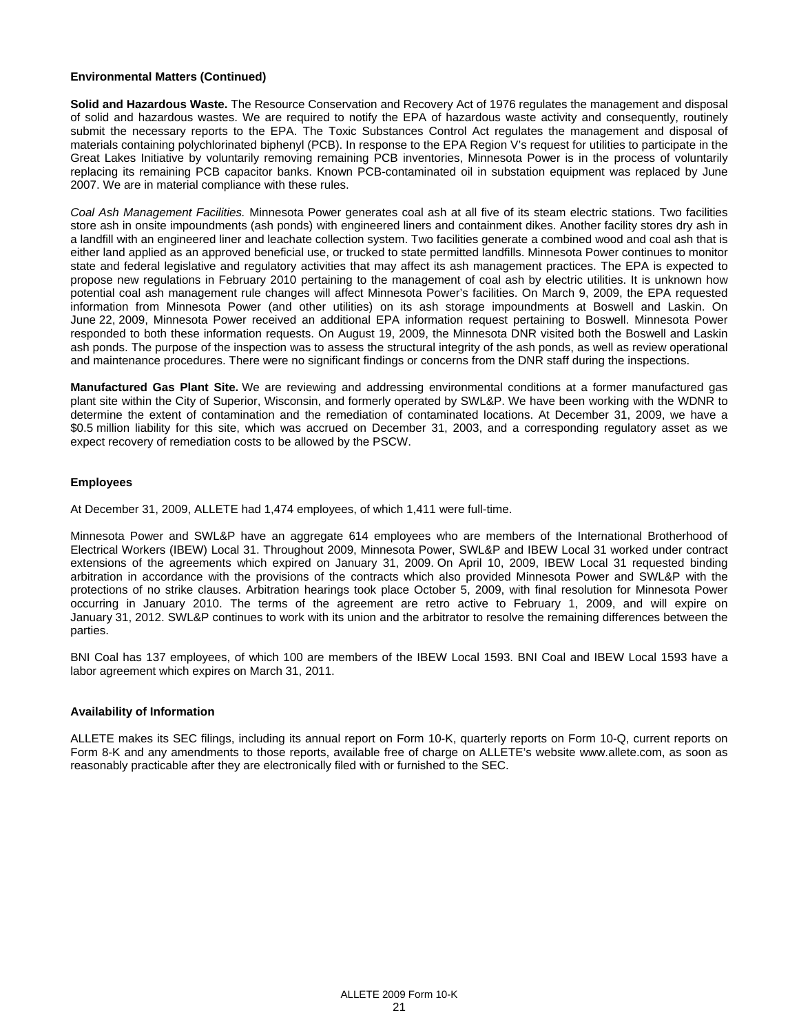## **Environmental Matters (Continued)**

**Solid and Hazardous Waste.** The Resource Conservation and Recovery Act of 1976 regulates the management and disposal of solid and hazardous wastes. We are required to notify the EPA of hazardous waste activity and consequently, routinely submit the necessary reports to the EPA. The Toxic Substances Control Act regulates the management and disposal of materials containing polychlorinated biphenyl (PCB). In response to the EPA Region V's request for utilities to participate in the Great Lakes Initiative by voluntarily removing remaining PCB inventories, Minnesota Power is in the process of voluntarily replacing its remaining PCB capacitor banks. Known PCB-contaminated oil in substation equipment was replaced by June 2007. We are in material compliance with these rules.

*Coal Ash Management Facilities.* Minnesota Power generates coal ash at all five of its steam electric stations. Two facilities store ash in onsite impoundments (ash ponds) with engineered liners and containment dikes. Another facility stores dry ash in a landfill with an engineered liner and leachate collection system. Two facilities generate a combined wood and coal ash that is either land applied as an approved beneficial use, or trucked to state permitted landfills. Minnesota Power continues to monitor state and federal legislative and regulatory activities that may affect its ash management practices. The EPA is expected to propose new regulations in February 2010 pertaining to the management of coal ash by electric utilities. It is unknown how potential coal ash management rule changes will affect Minnesota Power's facilities. On March 9, 2009, the EPA requested information from Minnesota Power (and other utilities) on its ash storage impoundments at Boswell and Laskin. On June 22, 2009, Minnesota Power received an additional EPA information request pertaining to Boswell. Minnesota Power responded to both these information requests. On August 19, 2009, the Minnesota DNR visited both the Boswell and Laskin ash ponds. The purpose of the inspection was to assess the structural integrity of the ash ponds, as well as review operational and maintenance procedures. There were no significant findings or concerns from the DNR staff during the inspections.

**Manufactured Gas Plant Site.** We are reviewing and addressing environmental conditions at a former manufactured gas plant site within the City of Superior, Wisconsin, and formerly operated by SWL&P. We have been working with the WDNR to determine the extent of contamination and the remediation of contaminated locations. At December 31, 2009, we have a \$0.5 million liability for this site, which was accrued on December 31, 2003, and a corresponding regulatory asset as we expect recovery of remediation costs to be allowed by the PSCW.

#### **Employees**

At December 31, 2009, ALLETE had 1,474 employees, of which 1,411 were full-time.

Minnesota Power and SWL&P have an aggregate 614 employees who are members of the International Brotherhood of Electrical Workers (IBEW) Local 31. Throughout 2009, Minnesota Power, SWL&P and IBEW Local 31 worked under contract extensions of the agreements which expired on January 31, 2009. On April 10, 2009, IBEW Local 31 requested binding arbitration in accordance with the provisions of the contracts which also provided Minnesota Power and SWL&P with the protections of no strike clauses. Arbitration hearings took place October 5, 2009, with final resolution for Minnesota Power occurring in January 2010. The terms of the agreement are retro active to February 1, 2009, and will expire on January 31, 2012. SWL&P continues to work with its union and the arbitrator to resolve the remaining differences between the parties.

BNI Coal has 137 employees, of which 100 are members of the IBEW Local 1593. BNI Coal and IBEW Local 1593 have a labor agreement which expires on March 31, 2011.

#### **Availability of Information**

ALLETE makes its SEC filings, including its annual report on Form 10-K, quarterly reports on Form 10-Q, current reports on Form 8-K and any amendments to those reports, available free of charge on ALLETE's website [www.allete.com](http://www.allete.com/), as soon as reasonably practicable after they are electronically filed with or furnished to the SEC.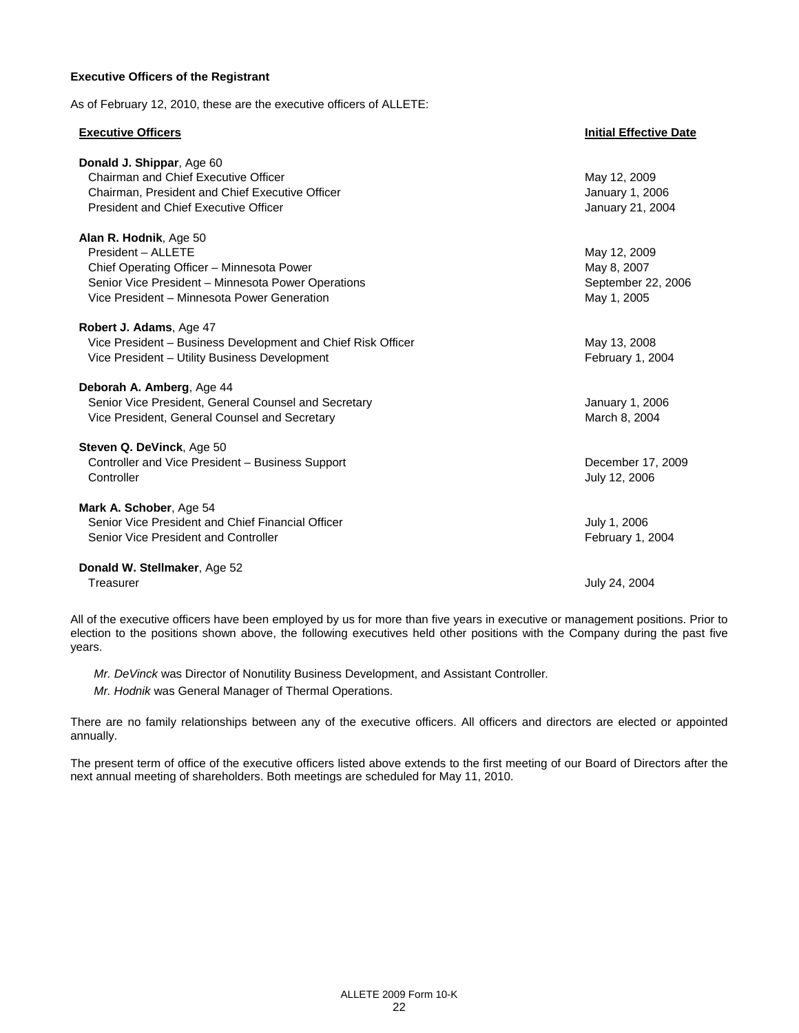## **Executive Officers of the Registrant**

As of February 12, 2010, these are the executive officers of ALLETE:

| <b>Executive Officers</b>                                    | <b>Initial Effective Date</b> |
|--------------------------------------------------------------|-------------------------------|
| Donald J. Shippar, Age 60                                    |                               |
| Chairman and Chief Executive Officer                         | May 12, 2009                  |
| Chairman, President and Chief Executive Officer              | January 1, 2006               |
| <b>President and Chief Executive Officer</b>                 | January 21, 2004              |
| Alan R. Hodnik, Age 50                                       |                               |
| President - ALLETE                                           | May 12, 2009                  |
| Chief Operating Officer - Minnesota Power                    | May 8, 2007                   |
| Senior Vice President - Minnesota Power Operations           | September 22, 2006            |
| Vice President - Minnesota Power Generation                  | May 1, 2005                   |
| Robert J. Adams, Age 47                                      |                               |
| Vice President – Business Development and Chief Risk Officer | May 13, 2008                  |
| Vice President - Utility Business Development                | February 1, 2004              |
| Deborah A. Amberg, Age 44                                    |                               |
| Senior Vice President, General Counsel and Secretary         | January 1, 2006               |
| Vice President, General Counsel and Secretary                | March 8, 2004                 |
| Steven Q. DeVinck, Age 50                                    |                               |
| Controller and Vice President - Business Support             | December 17, 2009             |
| Controller                                                   | July 12, 2006                 |
| Mark A. Schober, Age 54                                      |                               |
| Senior Vice President and Chief Financial Officer            | July 1, 2006                  |
| Senior Vice President and Controller                         | February 1, 2004              |
| Donald W. Stellmaker, Age 52                                 |                               |
| Treasurer                                                    | July 24, 2004                 |
|                                                              |                               |

All of the executive officers have been employed by us for more than five years in executive or management positions. Prior to election to the positions shown above, the following executives held other positions with the Company during the past five years.

*Mr. DeVinck* was Director of Nonutility Business Development, and Assistant Controller*.* 

*Mr. Hodnik* was General Manager of Thermal Operations.

There are no family relationships between any of the executive officers. All officers and directors are elected or appointed annually.

The present term of office of the executive officers listed above extends to the first meeting of our Board of Directors after the next annual meeting of shareholders. Both meetings are scheduled for May 11, 2010.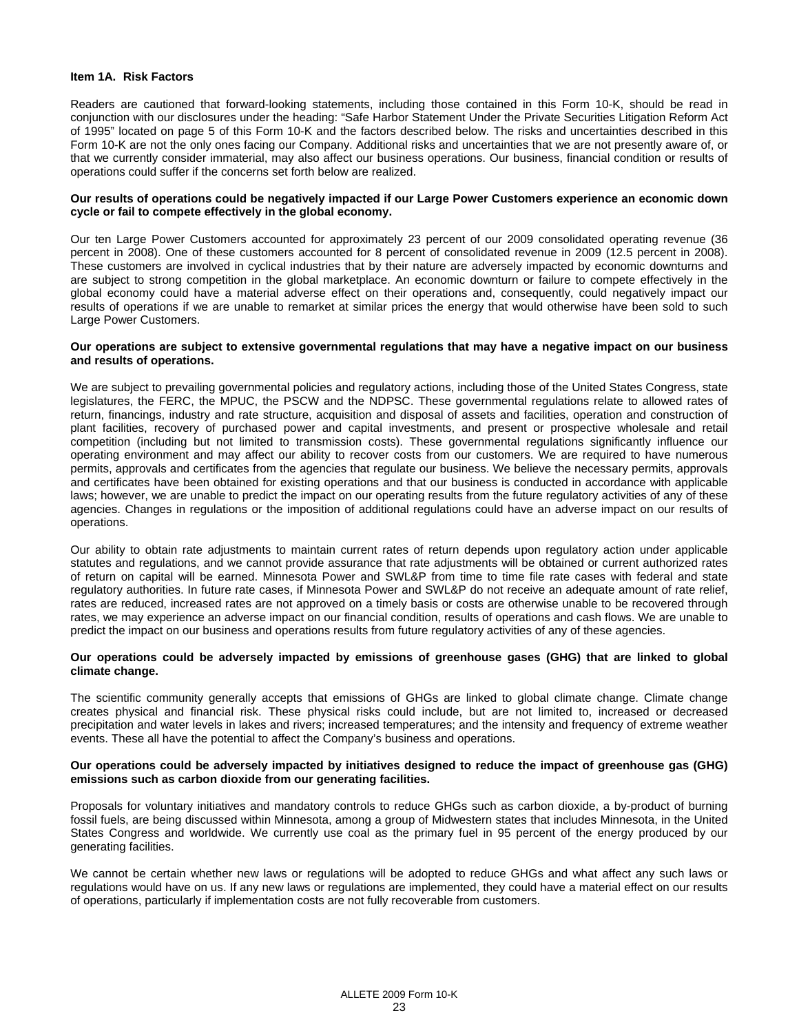#### **Item 1A. Risk Factors**

Readers are cautioned that forward-looking statements, including those contained in this Form 10-K, should be read in conjunction with our disclosures under the heading: "Safe Harbor Statement Under the Private Securities Litigation Reform Act of 1995" located on page 5 of this Form 10-K and the factors described below. The risks and uncertainties described in this Form 10-K are not the only ones facing our Company. Additional risks and uncertainties that we are not presently aware of, or that we currently consider immaterial, may also affect our business operations. Our business, financial condition or results of operations could suffer if the concerns set forth below are realized.

#### **Our results of operations could be negatively impacted if our Large Power Customers experience an economic down cycle or fail to compete effectively in the global economy.**

Our ten Large Power Customers accounted for approximately 23 percent of our 2009 consolidated operating revenue (36 percent in 2008). One of these customers accounted for 8 percent of consolidated revenue in 2009 (12.5 percent in 2008). These customers are involved in cyclical industries that by their nature are adversely impacted by economic downturns and are subject to strong competition in the global marketplace. An economic downturn or failure to compete effectively in the global economy could have a material adverse effect on their operations and, consequently, could negatively impact our results of operations if we are unable to remarket at similar prices the energy that would otherwise have been sold to such Large Power Customers.

#### **Our operations are subject to extensive governmental regulations that may have a negative impact on our business and results of operations.**

We are subject to prevailing governmental policies and regulatory actions, including those of the United States Congress, state legislatures, the FERC, the MPUC, the PSCW and the NDPSC. These governmental regulations relate to allowed rates of return, financings, industry and rate structure, acquisition and disposal of assets and facilities, operation and construction of plant facilities, recovery of purchased power and capital investments, and present or prospective wholesale and retail competition (including but not limited to transmission costs). These governmental regulations significantly influence our operating environment and may affect our ability to recover costs from our customers. We are required to have numerous permits, approvals and certificates from the agencies that regulate our business. We believe the necessary permits, approvals and certificates have been obtained for existing operations and that our business is conducted in accordance with applicable laws; however, we are unable to predict the impact on our operating results from the future regulatory activities of any of these agencies. Changes in regulations or the imposition of additional regulations could have an adverse impact on our results of operations.

Our ability to obtain rate adjustments to maintain current rates of return depends upon regulatory action under applicable statutes and regulations, and we cannot provide assurance that rate adjustments will be obtained or current authorized rates of return on capital will be earned. Minnesota Power and SWL&P from time to time file rate cases with federal and state regulatory authorities. In future rate cases, if Minnesota Power and SWL&P do not receive an adequate amount of rate relief, rates are reduced, increased rates are not approved on a timely basis or costs are otherwise unable to be recovered through rates, we may experience an adverse impact on our financial condition, results of operations and cash flows. We are unable to predict the impact on our business and operations results from future regulatory activities of any of these agencies.

#### **Our operations could be adversely impacted by emissions of greenhouse gases (GHG) that are linked to global climate change.**

The scientific community generally accepts that emissions of GHGs are linked to global climate change. Climate change creates physical and financial risk. These physical risks could include, but are not limited to, increased or decreased precipitation and water levels in lakes and rivers; increased temperatures; and the intensity and frequency of extreme weather events. These all have the potential to affect the Company's business and operations.

#### **Our operations could be adversely impacted by initiatives designed to reduce the impact of greenhouse gas (GHG) emissions such as carbon dioxide from our generating facilities.**

Proposals for voluntary initiatives and mandatory controls to reduce GHGs such as carbon dioxide, a by-product of burning fossil fuels, are being discussed within Minnesota, among a group of Midwestern states that includes Minnesota, in the United States Congress and worldwide. We currently use coal as the primary fuel in 95 percent of the energy produced by our generating facilities.

We cannot be certain whether new laws or regulations will be adopted to reduce GHGs and what affect any such laws or regulations would have on us. If any new laws or regulations are implemented, they could have a material effect on our results of operations, particularly if implementation costs are not fully recoverable from customers.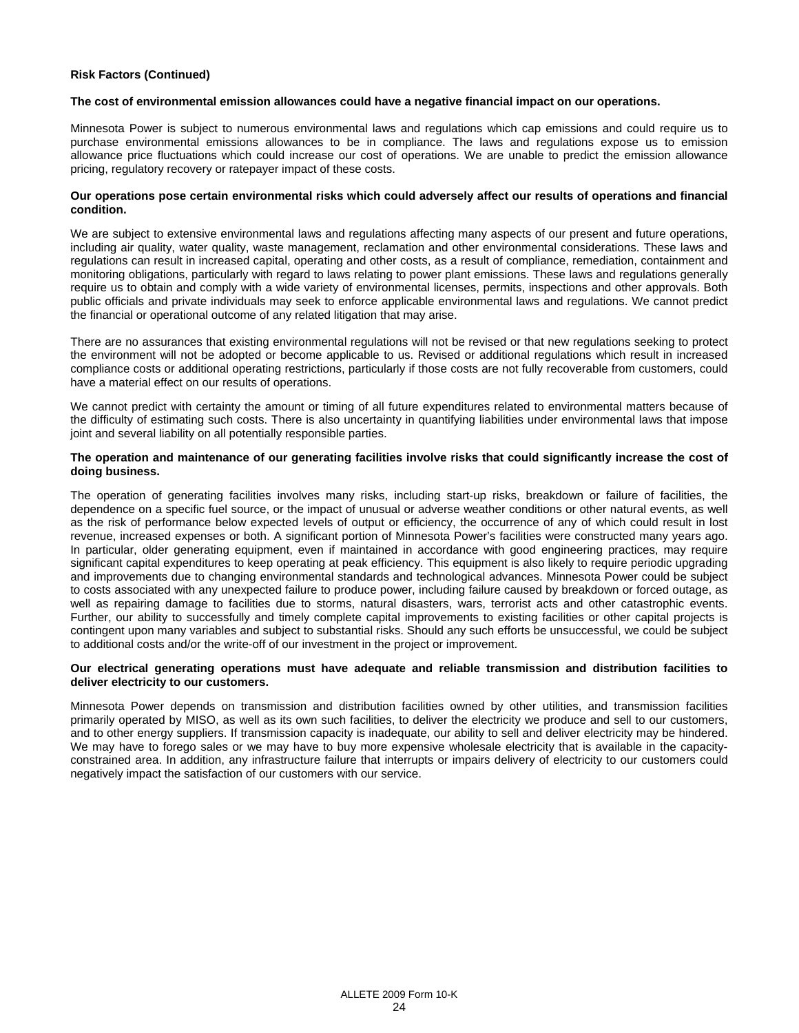## **Risk Factors (Continued)**

#### **The cost of environmental emission allowances could have a negative financial impact on our operations.**

Minnesota Power is subject to numerous environmental laws and regulations which cap emissions and could require us to purchase environmental emissions allowances to be in compliance. The laws and regulations expose us to emission allowance price fluctuations which could increase our cost of operations. We are unable to predict the emission allowance pricing, regulatory recovery or ratepayer impact of these costs.

#### **Our operations pose certain environmental risks which could adversely affect our results of operations and financial condition.**

We are subject to extensive environmental laws and regulations affecting many aspects of our present and future operations, including air quality, water quality, waste management, reclamation and other environmental considerations. These laws and regulations can result in increased capital, operating and other costs, as a result of compliance, remediation, containment and monitoring obligations, particularly with regard to laws relating to power plant emissions. These laws and regulations generally require us to obtain and comply with a wide variety of environmental licenses, permits, inspections and other approvals. Both public officials and private individuals may seek to enforce applicable environmental laws and regulations. We cannot predict the financial or operational outcome of any related litigation that may arise.

There are no assurances that existing environmental regulations will not be revised or that new regulations seeking to protect the environment will not be adopted or become applicable to us. Revised or additional regulations which result in increased compliance costs or additional operating restrictions, particularly if those costs are not fully recoverable from customers, could have a material effect on our results of operations.

We cannot predict with certainty the amount or timing of all future expenditures related to environmental matters because of the difficulty of estimating such costs. There is also uncertainty in quantifying liabilities under environmental laws that impose joint and several liability on all potentially responsible parties.

#### **The operation and maintenance of our generating facilities involve risks that could significantly increase the cost of doing business.**

The operation of generating facilities involves many risks, including start-up risks, breakdown or failure of facilities, the dependence on a specific fuel source, or the impact of unusual or adverse weather conditions or other natural events, as well as the risk of performance below expected levels of output or efficiency, the occurrence of any of which could result in lost revenue, increased expenses or both. A significant portion of Minnesota Power's facilities were constructed many years ago. In particular, older generating equipment, even if maintained in accordance with good engineering practices, may require significant capital expenditures to keep operating at peak efficiency. This equipment is also likely to require periodic upgrading and improvements due to changing environmental standards and technological advances. Minnesota Power could be subject to costs associated with any unexpected failure to produce power, including failure caused by breakdown or forced outage, as well as repairing damage to facilities due to storms, natural disasters, wars, terrorist acts and other catastrophic events. Further, our ability to successfully and timely complete capital improvements to existing facilities or other capital projects is contingent upon many variables and subject to substantial risks. Should any such efforts be unsuccessful, we could be subject to additional costs and/or the write-off of our investment in the project or improvement.

#### **Our electrical generating operations must have adequate and reliable transmission and distribution facilities to deliver electricity to our customers.**

Minnesota Power depends on transmission and distribution facilities owned by other utilities, and transmission facilities primarily operated by MISO, as well as its own such facilities, to deliver the electricity we produce and sell to our customers, and to other energy suppliers. If transmission capacity is inadequate, our ability to sell and deliver electricity may be hindered. We may have to forego sales or we may have to buy more expensive wholesale electricity that is available in the capacityconstrained area. In addition, any infrastructure failure that interrupts or impairs delivery of electricity to our customers could negatively impact the satisfaction of our customers with our service.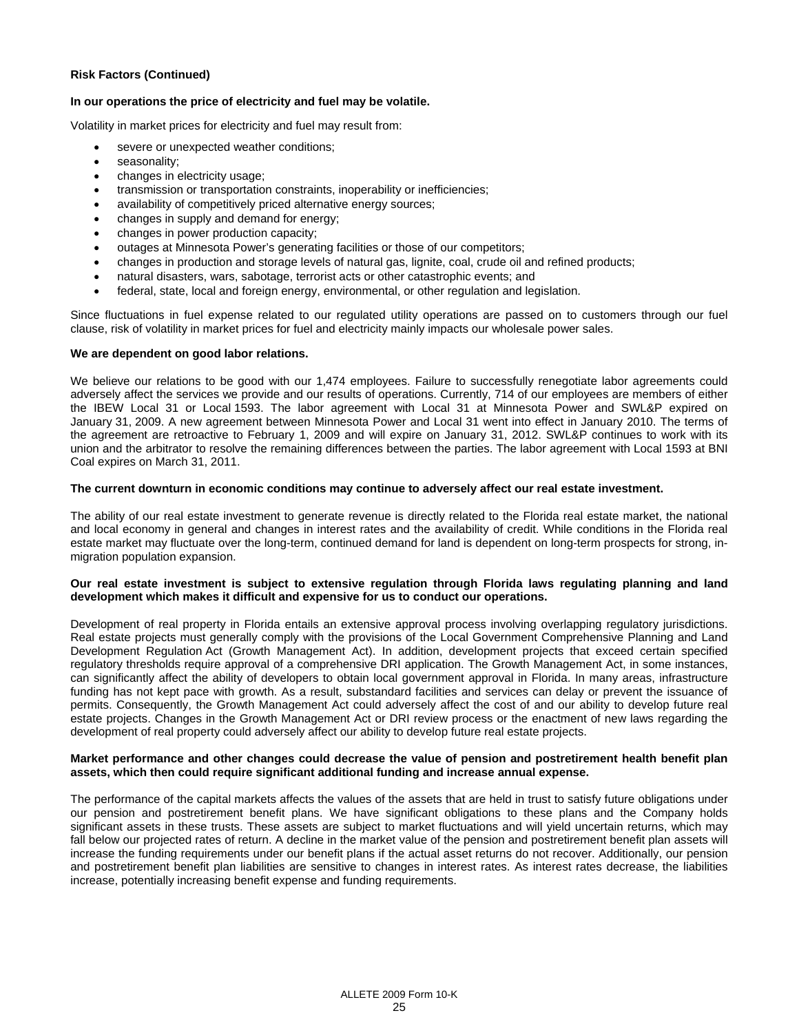## **Risk Factors (Continued)**

## **In our operations the price of electricity and fuel may be volatile.**

Volatility in market prices for electricity and fuel may result from:

- severe or unexpected weather conditions;
	- seasonality;
	- changes in electricity usage;
	- transmission or transportation constraints, inoperability or inefficiencies;
	- availability of competitively priced alternative energy sources;
	- changes in supply and demand for energy;
	- changes in power production capacity;
	- outages at Minnesota Power's generating facilities or those of our competitors;
	- changes in production and storage levels of natural gas, lignite, coal, crude oil and refined products;
	- natural disasters, wars, sabotage, terrorist acts or other catastrophic events; and
	- federal, state, local and foreign energy, environmental, or other regulation and legislation.

Since fluctuations in fuel expense related to our regulated utility operations are passed on to customers through our fuel clause, risk of volatility in market prices for fuel and electricity mainly impacts our wholesale power sales.

#### **We are dependent on good labor relations.**

We believe our relations to be good with our 1,474 employees. Failure to successfully renegotiate labor agreements could adversely affect the services we provide and our results of operations. Currently, 714 of our employees are members of either the IBEW Local 31 or Local 1593. The labor agreement with Local 31 at Minnesota Power and SWL&P expired on January 31, 2009. A new agreement between Minnesota Power and Local 31 went into effect in January 2010. The terms of the agreement are retroactive to February 1, 2009 and will expire on January 31, 2012. SWL&P continues to work with its union and the arbitrator to resolve the remaining differences between the parties. The labor agreement with Local 1593 at BNI Coal expires on March 31, 2011.

#### **The current downturn in economic conditions may continue to adversely affect our real estate investment.**

The ability of our real estate investment to generate revenue is directly related to the Florida real estate market, the national and local economy in general and changes in interest rates and the availability of credit. While conditions in the Florida real estate market may fluctuate over the long-term, continued demand for land is dependent on long-term prospects for strong, inmigration population expansion.

#### **Our real estate investment is subject to extensive regulation through Florida laws regulating planning and land development which makes it difficult and expensive for us to conduct our operations.**

Development of real property in Florida entails an extensive approval process involving overlapping regulatory jurisdictions. Real estate projects must generally comply with the provisions of the Local Government Comprehensive Planning and Land Development Regulation Act (Growth Management Act). In addition, development projects that exceed certain specified regulatory thresholds require approval of a comprehensive DRI application. The Growth Management Act, in some instances, can significantly affect the ability of developers to obtain local government approval in Florida. In many areas, infrastructure funding has not kept pace with growth. As a result, substandard facilities and services can delay or prevent the issuance of permits. Consequently, the Growth Management Act could adversely affect the cost of and our ability to develop future real estate projects. Changes in the Growth Management Act or DRI review process or the enactment of new laws regarding the development of real property could adversely affect our ability to develop future real estate projects.

#### **Market performance and other changes could decrease the value of pension and postretirement health benefit plan assets, which then could require significant additional funding and increase annual expense.**

The performance of the capital markets affects the values of the assets that are held in trust to satisfy future obligations under our pension and postretirement benefit plans. We have significant obligations to these plans and the Company holds significant assets in these trusts. These assets are subject to market fluctuations and will yield uncertain returns, which may fall below our projected rates of return. A decline in the market value of the pension and postretirement benefit plan assets will increase the funding requirements under our benefit plans if the actual asset returns do not recover. Additionally, our pension and postretirement benefit plan liabilities are sensitive to changes in interest rates. As interest rates decrease, the liabilities increase, potentially increasing benefit expense and funding requirements.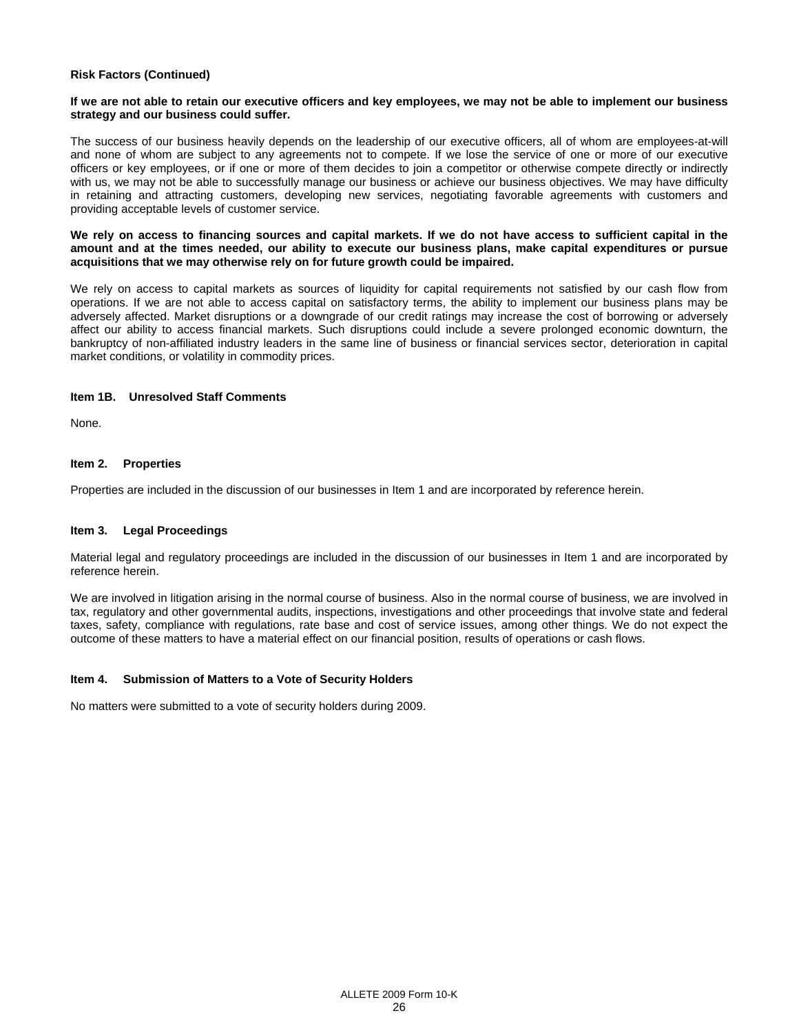## **Risk Factors (Continued)**

#### **If we are not able to retain our executive officers and key employees, we may not be able to implement our business strategy and our business could suffer.**

The success of our business heavily depends on the leadership of our executive officers, all of whom are employees-at-will and none of whom are subject to any agreements not to compete. If we lose the service of one or more of our executive officers or key employees, or if one or more of them decides to join a competitor or otherwise compete directly or indirectly with us, we may not be able to successfully manage our business or achieve our business objectives. We may have difficulty in retaining and attracting customers, developing new services, negotiating favorable agreements with customers and providing acceptable levels of customer service.

#### **We rely on access to financing sources and capital markets. If we do not have access to sufficient capital in the amount and at the times needed, our ability to execute our business plans, make capital expenditures or pursue acquisitions that we may otherwise rely on for future growth could be impaired.**

We rely on access to capital markets as sources of liquidity for capital requirements not satisfied by our cash flow from operations. If we are not able to access capital on satisfactory terms, the ability to implement our business plans may be adversely affected. Market disruptions or a downgrade of our credit ratings may increase the cost of borrowing or adversely affect our ability to access financial markets. Such disruptions could include a severe prolonged economic downturn, the bankruptcy of non-affiliated industry leaders in the same line of business or financial services sector, deterioration in capital market conditions, or volatility in commodity prices.

## **Item 1B. Unresolved Staff Comments**

None.

#### **Item 2. Properties**

Properties are included in the discussion of our businesses in Item 1 and are incorporated by reference herein.

## **Item 3. Legal Proceedings**

Material legal and regulatory proceedings are included in the discussion of our businesses in Item 1 and are incorporated by reference herein.

We are involved in litigation arising in the normal course of business. Also in the normal course of business, we are involved in tax, regulatory and other governmental audits, inspections, investigations and other proceedings that involve state and federal taxes, safety, compliance with regulations, rate base and cost of service issues, among other things. We do not expect the outcome of these matters to have a material effect on our financial position, results of operations or cash flows.

## **Item 4. Submission of Matters to a Vote of Security Holders**

No matters were submitted to a vote of security holders during 2009.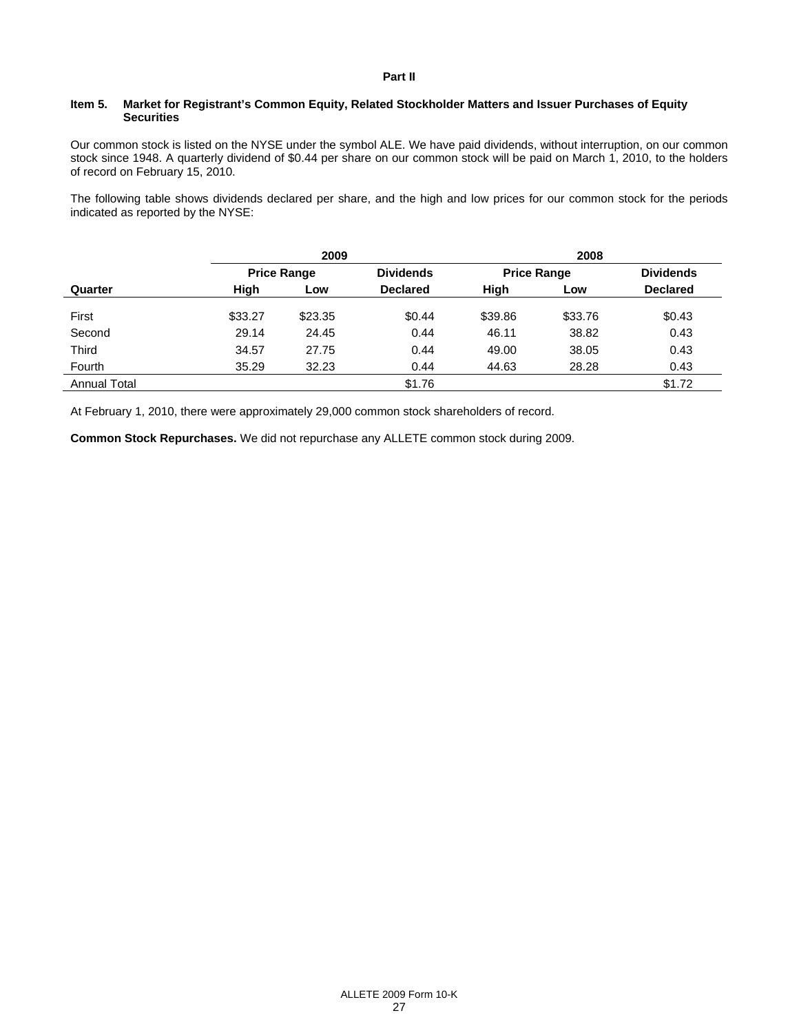## **Part II**

## **Item 5. Market for Registrant's Common Equity, Related Stockholder Matters and Issuer Purchases of Equity Securities**

Our common stock is listed on the NYSE under the symbol ALE. We have paid dividends, without interruption, on our common stock since 1948. A quarterly dividend of \$0.44 per share on our common stock will be paid on March 1, 2010, to the holders of record on February 15, 2010.

The following table shows dividends declared per share, and the high and low prices for our common stock for the periods indicated as reported by the NYSE:

|                     |         | 2009               |                  | 2008               |         |                  |  |
|---------------------|---------|--------------------|------------------|--------------------|---------|------------------|--|
|                     |         | <b>Price Range</b> | <b>Dividends</b> | <b>Price Range</b> |         | <b>Dividends</b> |  |
| Quarter             | High    | Low                | <b>Declared</b>  | High               | Low     | <b>Declared</b>  |  |
| First               | \$33.27 | \$23.35            | \$0.44           | \$39.86            | \$33.76 | \$0.43           |  |
| Second              | 29.14   | 24.45              | 0.44             | 46.11              | 38.82   | 0.43             |  |
| Third               | 34.57   | 27.75              | 0.44             | 49.00              | 38.05   | 0.43             |  |
| Fourth              | 35.29   | 32.23              | 0.44             | 44.63              | 28.28   | 0.43             |  |
| <b>Annual Total</b> |         |                    | \$1.76           |                    |         | \$1.72           |  |

At February 1, 2010, there were approximately 29,000 common stock shareholders of record.

**Common Stock Repurchases.** We did not repurchase any ALLETE common stock during 2009.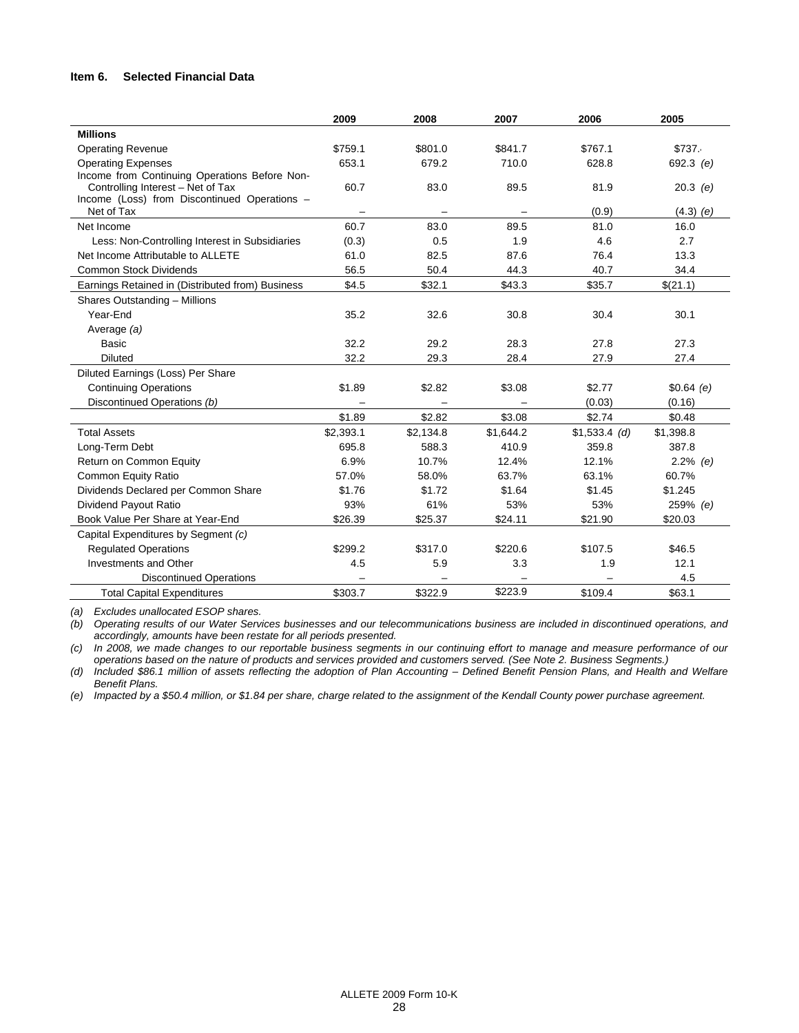## **Item 6. Selected Financial Data**

|                                                                                   | 2009      | 2008      | 2007      | 2006           | 2005        |
|-----------------------------------------------------------------------------------|-----------|-----------|-----------|----------------|-------------|
| <b>Millions</b>                                                                   |           |           |           |                |             |
| <b>Operating Revenue</b>                                                          | \$759.1   | \$801.0   | \$841.7   | \$767.1        | \$737.      |
| <b>Operating Expenses</b>                                                         | 653.1     | 679.2     | 710.0     | 628.8          | 692.3 (e)   |
| Income from Continuing Operations Before Non-                                     |           |           |           |                |             |
| Controlling Interest - Net of Tax<br>Income (Loss) from Discontinued Operations - | 60.7      | 83.0      | 89.5      | 81.9           | 20.3 $(e)$  |
| Net of Tax                                                                        |           |           |           | (0.9)          | $(4.3)$ (e) |
| Net Income                                                                        | 60.7      | 83.0      | 89.5      | 81.0           | 16.0        |
| Less: Non-Controlling Interest in Subsidiaries                                    | (0.3)     | 0.5       | 1.9       | 4.6            | 2.7         |
| Net Income Attributable to ALLETE                                                 | 61.0      | 82.5      | 87.6      | 76.4           | 13.3        |
| <b>Common Stock Dividends</b>                                                     | 56.5      | 50.4      | 44.3      | 40.7           | 34.4        |
| Earnings Retained in (Distributed from) Business                                  | \$4.5     | \$32.1    | \$43.3    | \$35.7         | \$(21.1)    |
| Shares Outstanding - Millions                                                     |           |           |           |                |             |
| Year-End                                                                          | 35.2      | 32.6      | 30.8      | 30.4           | 30.1        |
| Average (a)                                                                       |           |           |           |                |             |
| <b>Basic</b>                                                                      | 32.2      | 29.2      | 28.3      | 27.8           | 27.3        |
| Diluted                                                                           | 32.2      | 29.3      | 28.4      | 27.9           | 27.4        |
| Diluted Earnings (Loss) Per Share                                                 |           |           |           |                |             |
| <b>Continuing Operations</b>                                                      | \$1.89    | \$2.82    | \$3.08    | \$2.77         | $$0.64$ (e) |
| Discontinued Operations (b)                                                       |           |           |           | (0.03)         | (0.16)      |
|                                                                                   | \$1.89    | \$2.82    | \$3.08    | \$2.74         | \$0.48      |
| <b>Total Assets</b>                                                               | \$2,393.1 | \$2,134.8 | \$1,644.2 | $$1,533.4$ (d) | \$1,398.8   |
| Long-Term Debt                                                                    | 695.8     | 588.3     | 410.9     | 359.8          | 387.8       |
| Return on Common Equity                                                           | 6.9%      | 10.7%     | 12.4%     | 12.1%          | $2.2\%$ (e) |
| Common Equity Ratio                                                               | 57.0%     | 58.0%     | 63.7%     | 63.1%          | 60.7%       |
| Dividends Declared per Common Share                                               | \$1.76    | \$1.72    | \$1.64    | \$1.45         | \$1.245     |
| Dividend Payout Ratio                                                             | 93%       | 61%       | 53%       | 53%            | 259% (e)    |
| Book Value Per Share at Year-End                                                  | \$26.39   | \$25.37   | \$24.11   | \$21.90        | \$20.03     |
| Capital Expenditures by Segment (c)                                               |           |           |           |                |             |
| <b>Regulated Operations</b>                                                       | \$299.2   | \$317.0   | \$220.6   | \$107.5        | \$46.5      |
| Investments and Other                                                             | 4.5       | 5.9       | 3.3       | 1.9            | 12.1        |
| <b>Discontinued Operations</b>                                                    |           |           |           |                | 4.5         |
| <b>Total Capital Expenditures</b>                                                 | \$303.7   | \$322.9   | \$223.9   | \$109.4        | \$63.1      |

*(a) Excludes unallocated ESOP shares.* 

*(b) Operating results of our Water Services businesses and our telecommunications business are included in discontinued operations, and accordingly, amounts have been restate for all periods presented.* 

*(c) In 2008, we made changes to our reportable business segments in our continuing effort to manage and measure performance of our operations based on the nature of products and services provided and customers served. (See Note 2. Business Segments.)* 

*(d) Included \$86.1 million of assets reflecting the adoption of Plan Accounting – Defined Benefit Pension Plans, and Health and Welfare Benefit Plans.* 

*(e) Impacted by a \$50.4 million, or \$1.84 per share, charge related to the assignment of the Kendall County power purchase agreement.*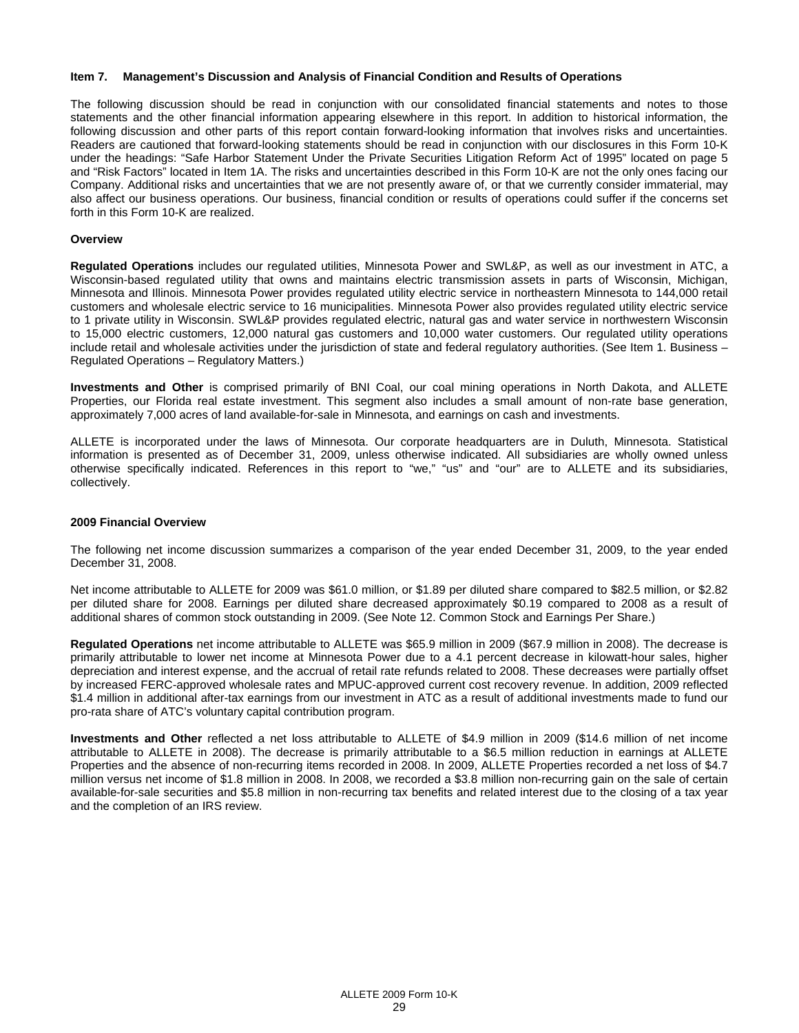#### **Item 7. Management's Discussion and Analysis of Financial Condition and Results of Operations**

The following discussion should be read in conjunction with our consolidated financial statements and notes to those statements and the other financial information appearing elsewhere in this report. In addition to historical information, the following discussion and other parts of this report contain forward-looking information that involves risks and uncertainties. Readers are cautioned that forward-looking statements should be read in conjunction with our disclosures in this Form 10-K under the headings: "Safe Harbor Statement Under the Private Securities Litigation Reform Act of 1995" located on page 5 and "Risk Factors" located in Item 1A. The risks and uncertainties described in this Form 10-K are not the only ones facing our Company. Additional risks and uncertainties that we are not presently aware of, or that we currently consider immaterial, may also affect our business operations. Our business, financial condition or results of operations could suffer if the concerns set forth in this Form 10-K are realized.

#### **Overview**

**Regulated Operations** includes our regulated utilities, Minnesota Power and SWL&P, as well as our investment in ATC, a Wisconsin-based regulated utility that owns and maintains electric transmission assets in parts of Wisconsin, Michigan, Minnesota and Illinois. Minnesota Power provides regulated utility electric service in northeastern Minnesota to 144,000 retail customers and wholesale electric service to 16 municipalities. Minnesota Power also provides regulated utility electric service to 1 private utility in Wisconsin. SWL&P provides regulated electric, natural gas and water service in northwestern Wisconsin to 15,000 electric customers, 12,000 natural gas customers and 10,000 water customers. Our regulated utility operations include retail and wholesale activities under the jurisdiction of state and federal regulatory authorities. (See Item 1. Business – Regulated Operations – Regulatory Matters.)

**Investments and Other** is comprised primarily of BNI Coal, our coal mining operations in North Dakota, and ALLETE Properties, our Florida real estate investment. This segment also includes a small amount of non-rate base generation, approximately 7,000 acres of land available-for-sale in Minnesota, and earnings on cash and investments.

ALLETE is incorporated under the laws of Minnesota. Our corporate headquarters are in Duluth, Minnesota. Statistical information is presented as of December 31, 2009, unless otherwise indicated. All subsidiaries are wholly owned unless otherwise specifically indicated. References in this report to "we," "us" and "our" are to ALLETE and its subsidiaries, collectively.

#### **2009 Financial Overview**

The following net income discussion summarizes a comparison of the year ended December 31, 2009, to the year ended December 31, 2008.

Net income attributable to ALLETE for 2009 was \$61.0 million, or \$1.89 per diluted share compared to \$82.5 million, or \$2.82 per diluted share for 2008. Earnings per diluted share decreased approximately \$0.19 compared to 2008 as a result of additional shares of common stock outstanding in 2009. (See Note 12. Common Stock and Earnings Per Share.)

**Regulated Operations** net income attributable to ALLETE was \$65.9 million in 2009 (\$67.9 million in 2008). The decrease is primarily attributable to lower net income at Minnesota Power due to a 4.1 percent decrease in kilowatt-hour sales, higher depreciation and interest expense, and the accrual of retail rate refunds related to 2008. These decreases were partially offset by increased FERC-approved wholesale rates and MPUC-approved current cost recovery revenue. In addition, 2009 reflected \$1.4 million in additional after-tax earnings from our investment in ATC as a result of additional investments made to fund our pro-rata share of ATC's voluntary capital contribution program.

**Investments and Other** reflected a net loss attributable to ALLETE of \$4.9 million in 2009 (\$14.6 million of net income attributable to ALLETE in 2008). The decrease is primarily attributable to a \$6.5 million reduction in earnings at ALLETE Properties and the absence of non-recurring items recorded in 2008. In 2009, ALLETE Properties recorded a net loss of \$4.7 million versus net income of \$1.8 million in 2008. In 2008, we recorded a \$3.8 million non-recurring gain on the sale of certain available-for-sale securities and \$5.8 million in non-recurring tax benefits and related interest due to the closing of a tax year and the completion of an IRS review.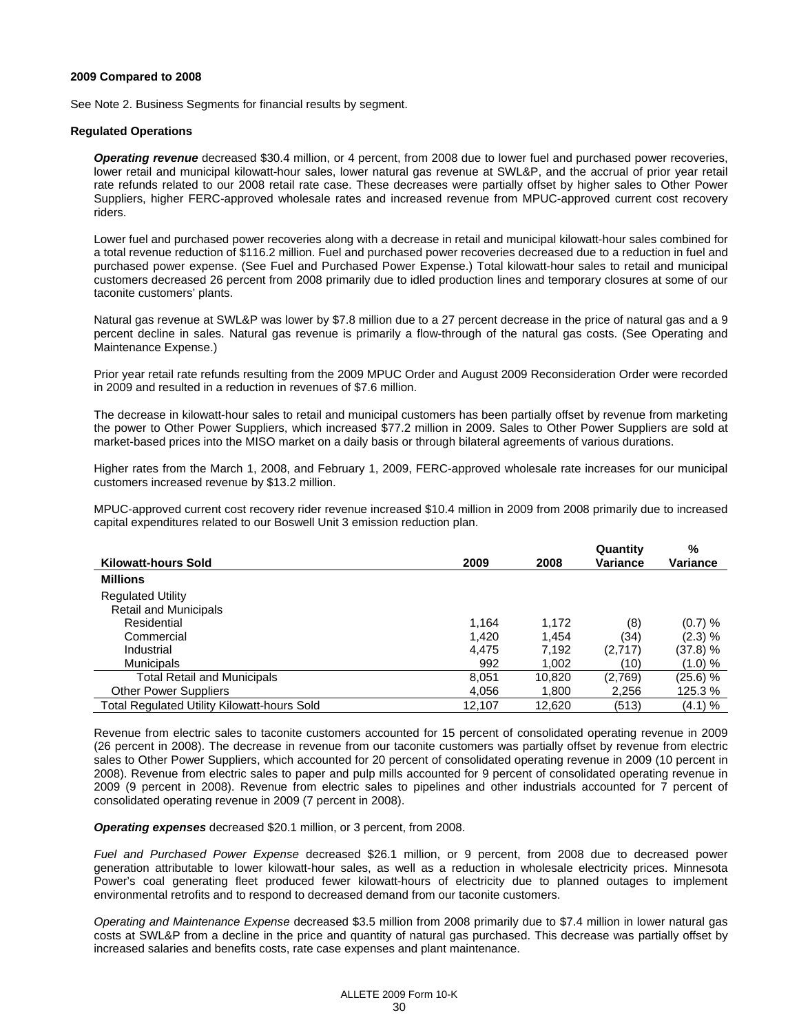#### **2009 Compared to 2008**

See Note 2. Business Segments for financial results by segment.

#### **Regulated Operations**

*Operating revenue* decreased \$30.4 million, or 4 percent, from 2008 due to lower fuel and purchased power recoveries, lower retail and municipal kilowatt-hour sales, lower natural gas revenue at SWL&P, and the accrual of prior year retail rate refunds related to our 2008 retail rate case. These decreases were partially offset by higher sales to Other Power Suppliers, higher FERC-approved wholesale rates and increased revenue from MPUC-approved current cost recovery riders.

Lower fuel and purchased power recoveries along with a decrease in retail and municipal kilowatt-hour sales combined for a total revenue reduction of \$116.2 million. Fuel and purchased power recoveries decreased due to a reduction in fuel and purchased power expense. (See Fuel and Purchased Power Expense.) Total kilowatt-hour sales to retail and municipal customers decreased 26 percent from 2008 primarily due to idled production lines and temporary closures at some of our taconite customers' plants.

Natural gas revenue at SWL&P was lower by \$7.8 million due to a 27 percent decrease in the price of natural gas and a 9 percent decline in sales. Natural gas revenue is primarily a flow-through of the natural gas costs. (See Operating and Maintenance Expense.)

Prior year retail rate refunds resulting from the 2009 MPUC Order and August 2009 Reconsideration Order were recorded in 2009 and resulted in a reduction in revenues of \$7.6 million.

The decrease in kilowatt-hour sales to retail and municipal customers has been partially offset by revenue from marketing the power to Other Power Suppliers, which increased \$77.2 million in 2009. Sales to Other Power Suppliers are sold at market-based prices into the MISO market on a daily basis or through bilateral agreements of various durations.

Higher rates from the March 1, 2008, and February 1, 2009, FERC-approved wholesale rate increases for our municipal customers increased revenue by \$13.2 million.

MPUC-approved current cost recovery rider revenue increased \$10.4 million in 2009 from 2008 primarily due to increased capital expenditures related to our Boswell Unit 3 emission reduction plan.

|                                             |        |        | Quantity | %               |
|---------------------------------------------|--------|--------|----------|-----------------|
| <b>Kilowatt-hours Sold</b>                  | 2009   | 2008   | Variance | <b>Variance</b> |
| <b>Millions</b>                             |        |        |          |                 |
| <b>Regulated Utility</b>                    |        |        |          |                 |
| <b>Retail and Municipals</b>                |        |        |          |                 |
| Residential                                 | 1.164  | 1.172  | (8)      | (0.7) %         |
| Commercial                                  | 1.420  | 1.454  | (34)     | (2.3) %         |
| Industrial                                  | 4.475  | 7.192  | (2,717)  | (37.8) %        |
| <b>Municipals</b>                           | 992    | 1,002  | (10)     | (1.0) %         |
| <b>Total Retail and Municipals</b>          | 8,051  | 10.820 | (2,769)  | (25.6) %        |
| <b>Other Power Suppliers</b>                | 4,056  | 1.800  | 2,256    | 125.3 %         |
| Total Regulated Utility Kilowatt-hours Sold | 12,107 | 12,620 | (513)    | (4.1) %         |

Revenue from electric sales to taconite customers accounted for 15 percent of consolidated operating revenue in 2009 (26 percent in 2008). The decrease in revenue from our taconite customers was partially offset by revenue from electric sales to Other Power Suppliers, which accounted for 20 percent of consolidated operating revenue in 2009 (10 percent in 2008). Revenue from electric sales to paper and pulp mills accounted for 9 percent of consolidated operating revenue in 2009 (9 percent in 2008). Revenue from electric sales to pipelines and other industrials accounted for 7 percent of consolidated operating revenue in 2009 (7 percent in 2008).

*Operating expenses* decreased \$20.1 million, or 3 percent, from 2008.

*Fuel and Purchased Power Expense* decreased \$26.1 million, or 9 percent, from 2008 due to decreased power generation attributable to lower kilowatt-hour sales, as well as a reduction in wholesale electricity prices. Minnesota Power's coal generating fleet produced fewer kilowatt-hours of electricity due to planned outages to implement environmental retrofits and to respond to decreased demand from our taconite customers.

*Operating and Maintenance Expense* decreased \$3.5 million from 2008 primarily due to \$7.4 million in lower natural gas costs at SWL&P from a decline in the price and quantity of natural gas purchased. This decrease was partially offset by increased salaries and benefits costs, rate case expenses and plant maintenance.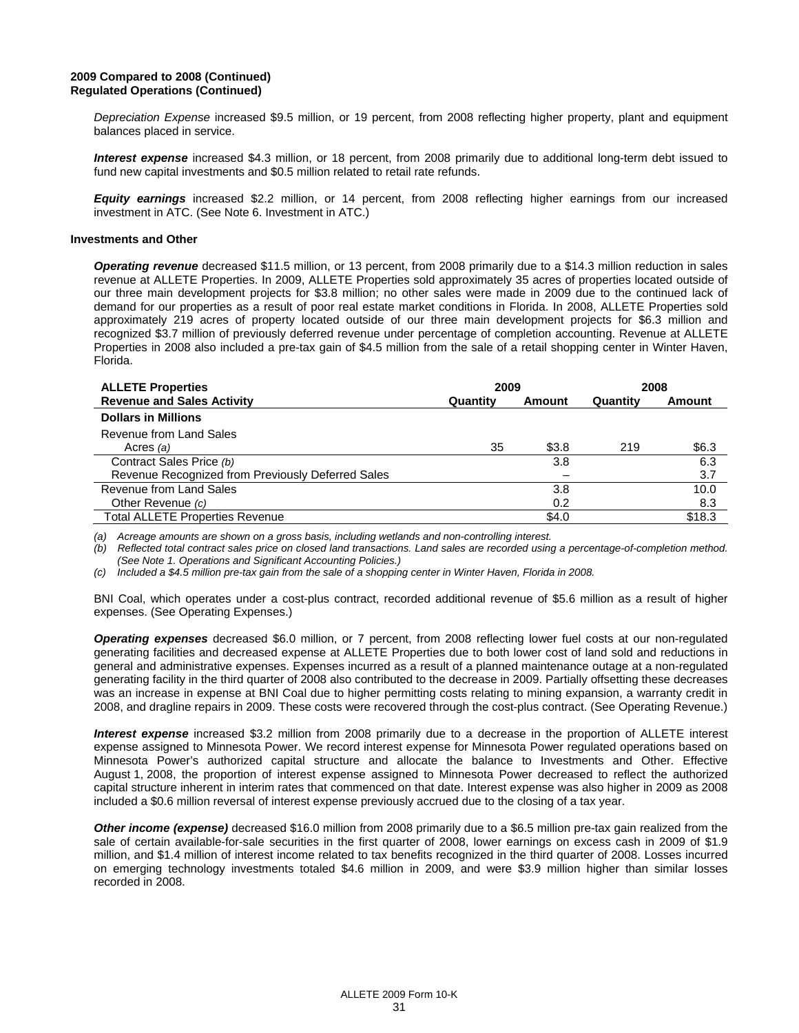## **2009 Compared to 2008 (Continued) Regulated Operations (Continued)**

*Depreciation Expense* increased \$9.5 million, or 19 percent, from 2008 reflecting higher property, plant and equipment balances placed in service.

*Interest expense* increased \$4.3 million, or 18 percent, from 2008 primarily due to additional long-term debt issued to fund new capital investments and \$0.5 million related to retail rate refunds.

*Equity earnings* increased \$2.2 million, or 14 percent, from 2008 reflecting higher earnings from our increased investment in ATC. (See Note 6. Investment in ATC.)

#### **Investments and Other**

*Operating revenue* decreased \$11.5 million, or 13 percent, from 2008 primarily due to a \$14.3 million reduction in sales revenue at ALLETE Properties. In 2009, ALLETE Properties sold approximately 35 acres of properties located outside of our three main development projects for \$3.8 million; no other sales were made in 2009 due to the continued lack of demand for our properties as a result of poor real estate market conditions in Florida. In 2008, ALLETE Properties sold approximately 219 acres of property located outside of our three main development projects for \$6.3 million and recognized \$3.7 million of previously deferred revenue under percentage of completion accounting. Revenue at ALLETE Properties in 2008 also included a pre-tax gain of \$4.5 million from the sale of a retail shopping center in Winter Haven, Florida.

| <b>ALLETE Properties</b>                          | 2009     |        | 2008     |        |
|---------------------------------------------------|----------|--------|----------|--------|
| <b>Revenue and Sales Activity</b>                 | Quantity | Amount | Quantity | Amount |
| <b>Dollars in Millions</b>                        |          |        |          |        |
| Revenue from Land Sales                           |          |        |          |        |
| Acres (a)                                         | 35       | \$3.8  | 219      | \$6.3  |
| Contract Sales Price (b)                          |          | 3.8    |          | 6.3    |
| Revenue Recognized from Previously Deferred Sales |          |        |          | 3.7    |
| Revenue from Land Sales                           |          | 3.8    |          | 10.0   |
| Other Revenue (c)                                 |          | 0.2    |          | 8.3    |
| <b>Total ALLETE Properties Revenue</b>            |          | \$4.0  |          | \$18.3 |

*(a) Acreage amounts are shown on a gross basis, including wetlands and non-controlling interest.* 

*(b) Reflected total contract sales price on closed land transactions. Land sales are recorded using a percentage-of-completion method. (See Note 1. Operations and Significant Accounting Policies.)* 

*(c) Included a \$4.5 million pre-tax gain from the sale of a shopping center in Winter Haven, Florida in 2008.* 

BNI Coal, which operates under a cost-plus contract, recorded additional revenue of \$5.6 million as a result of higher expenses. (See Operating Expenses.)

*Operating expenses* decreased \$6.0 million, or 7 percent, from 2008 reflecting lower fuel costs at our non-regulated generating facilities and decreased expense at ALLETE Properties due to both lower cost of land sold and reductions in general and administrative expenses. Expenses incurred as a result of a planned maintenance outage at a non-regulated generating facility in the third quarter of 2008 also contributed to the decrease in 2009. Partially offsetting these decreases was an increase in expense at BNI Coal due to higher permitting costs relating to mining expansion, a warranty credit in 2008, and dragline repairs in 2009. These costs were recovered through the cost-plus contract. (See Operating Revenue.)

*Interest expense* increased \$3.2 million from 2008 primarily due to a decrease in the proportion of ALLETE interest expense assigned to Minnesota Power. We record interest expense for Minnesota Power regulated operations based on Minnesota Power's authorized capital structure and allocate the balance to Investments and Other. Effective August 1, 2008, the proportion of interest expense assigned to Minnesota Power decreased to reflect the authorized capital structure inherent in interim rates that commenced on that date. Interest expense was also higher in 2009 as 2008 included a \$0.6 million reversal of interest expense previously accrued due to the closing of a tax year.

*Other income (expense)* decreased \$16.0 million from 2008 primarily due to a \$6.5 million pre-tax gain realized from the sale of certain available-for-sale securities in the first quarter of 2008, lower earnings on excess cash in 2009 of \$1.9 million, and \$1.4 million of interest income related to tax benefits recognized in the third quarter of 2008. Losses incurred on emerging technology investments totaled \$4.6 million in 2009, and were \$3.9 million higher than similar losses recorded in 2008.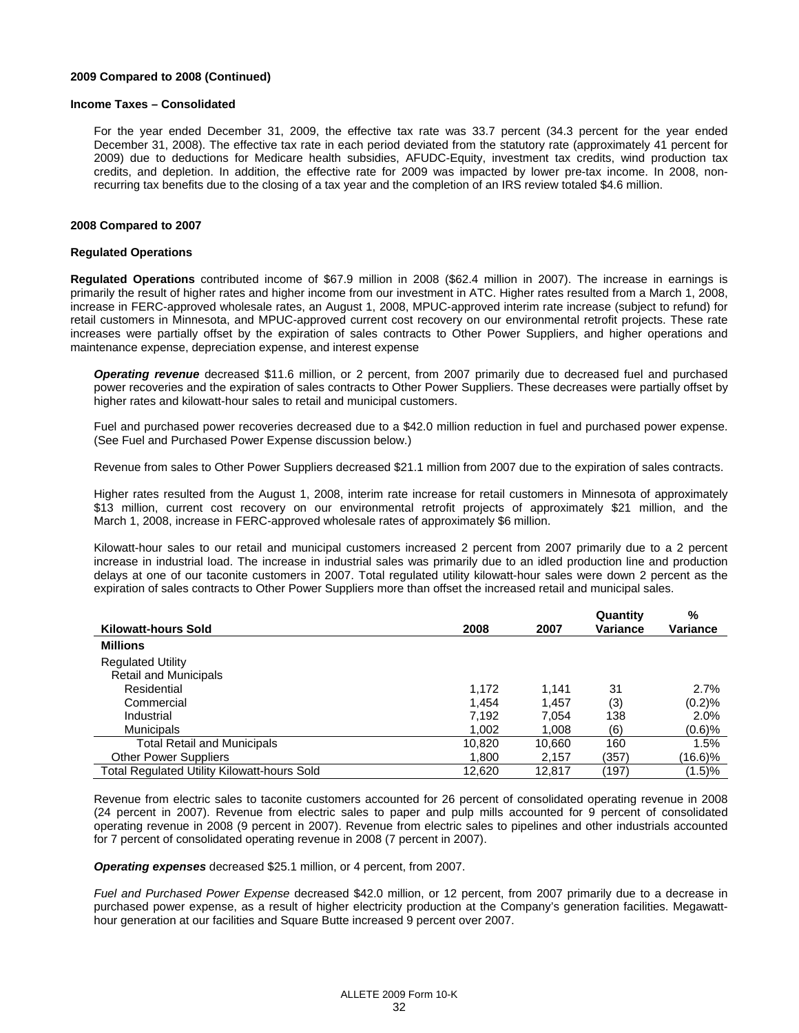#### **2009 Compared to 2008 (Continued)**

#### **Income Taxes – Consolidated**

For the year ended December 31, 2009, the effective tax rate was 33.7 percent (34.3 percent for the year ended December 31, 2008). The effective tax rate in each period deviated from the statutory rate (approximately 41 percent for 2009) due to deductions for Medicare health subsidies, AFUDC-Equity, investment tax credits, wind production tax credits, and depletion. In addition, the effective rate for 2009 was impacted by lower pre-tax income. In 2008, nonrecurring tax benefits due to the closing of a tax year and the completion of an IRS review totaled \$4.6 million.

#### **2008 Compared to 2007**

#### **Regulated Operations**

**Regulated Operations** contributed income of \$67.9 million in 2008 (\$62.4 million in 2007). The increase in earnings is primarily the result of higher rates and higher income from our investment in ATC. Higher rates resulted from a March 1, 2008, increase in FERC-approved wholesale rates, an August 1, 2008, MPUC-approved interim rate increase (subject to refund) for retail customers in Minnesota, and MPUC-approved current cost recovery on our environmental retrofit projects. These rate increases were partially offset by the expiration of sales contracts to Other Power Suppliers, and higher operations and maintenance expense, depreciation expense, and interest expense

*Operating revenue* decreased \$11.6 million, or 2 percent, from 2007 primarily due to decreased fuel and purchased power recoveries and the expiration of sales contracts to Other Power Suppliers. These decreases were partially offset by higher rates and kilowatt-hour sales to retail and municipal customers.

Fuel and purchased power recoveries decreased due to a \$42.0 million reduction in fuel and purchased power expense. (See Fuel and Purchased Power Expense discussion below.)

Revenue from sales to Other Power Suppliers decreased \$21.1 million from 2007 due to the expiration of sales contracts.

Higher rates resulted from the August 1, 2008, interim rate increase for retail customers in Minnesota of approximately \$13 million, current cost recovery on our environmental retrofit projects of approximately \$21 million, and the March 1, 2008, increase in FERC-approved wholesale rates of approximately \$6 million.

Kilowatt-hour sales to our retail and municipal customers increased 2 percent from 2007 primarily due to a 2 percent increase in industrial load. The increase in industrial sales was primarily due to an idled production line and production delays at one of our taconite customers in 2007. Total regulated utility kilowatt-hour sales were down 2 percent as the expiration of sales contracts to Other Power Suppliers more than offset the increased retail and municipal sales.

| Kilowatt-hours Sold                                | 2008   | 2007   | Quantity<br>Variance | $\%$<br>Variance |
|----------------------------------------------------|--------|--------|----------------------|------------------|
| <b>Millions</b>                                    |        |        |                      |                  |
| <b>Regulated Utility</b>                           |        |        |                      |                  |
| Retail and Municipals                              |        |        |                      |                  |
| Residential                                        | 1.172  | 1.141  | 31                   | 2.7%             |
| Commercial                                         | 1.454  | 1.457  | (3)                  | (0.2)%           |
| Industrial                                         | 7,192  | 7.054  | 138                  | 2.0%             |
| <b>Municipals</b>                                  | 1,002  | 1.008  | (6)                  | (0.6)%           |
| Total Retail and Municipals                        | 10,820 | 10,660 | 160                  | 1.5%             |
| <b>Other Power Suppliers</b>                       | 1,800  | 2,157  | (357)                | (16.6)%          |
| <b>Total Regulated Utility Kilowatt-hours Sold</b> | 12,620 | 12.817 | (197)                | (1.5)%           |

Revenue from electric sales to taconite customers accounted for 26 percent of consolidated operating revenue in 2008 (24 percent in 2007). Revenue from electric sales to paper and pulp mills accounted for 9 percent of consolidated operating revenue in 2008 (9 percent in 2007). Revenue from electric sales to pipelines and other industrials accounted for 7 percent of consolidated operating revenue in 2008 (7 percent in 2007).

*Operating expenses* decreased \$25.1 million, or 4 percent, from 2007.

*Fuel and Purchased Power Expense* decreased \$42.0 million, or 12 percent, from 2007 primarily due to a decrease in purchased power expense, as a result of higher electricity production at the Company's generation facilities. Megawatthour generation at our facilities and Square Butte increased 9 percent over 2007.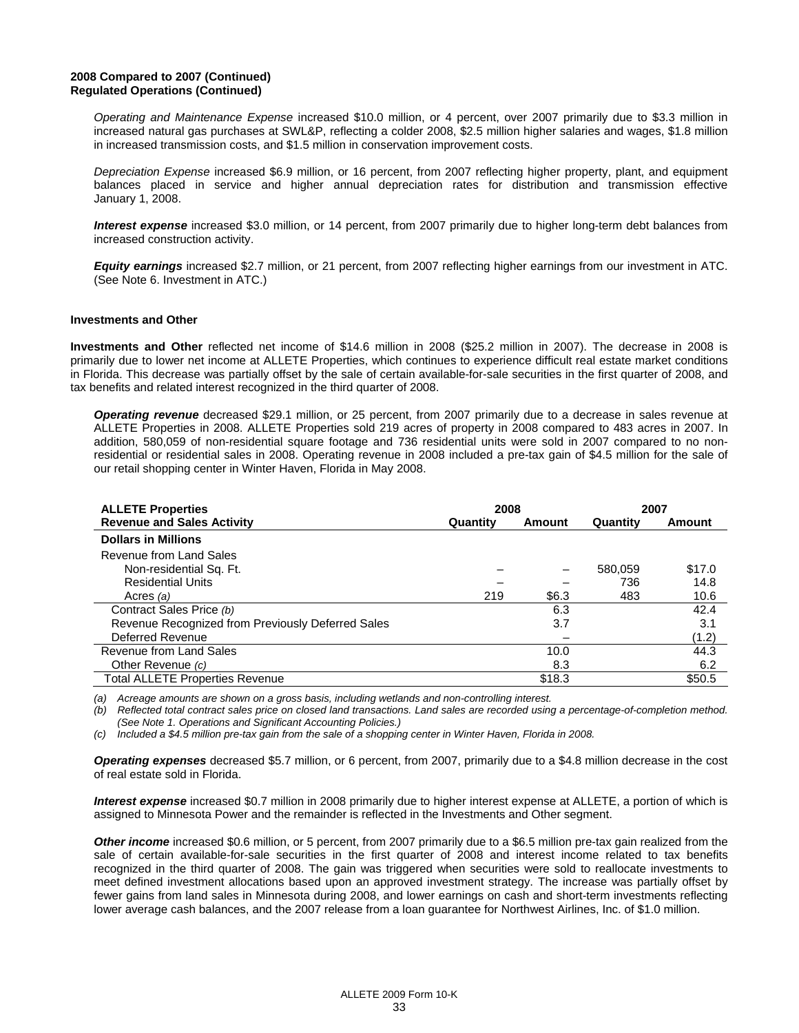## **2008 Compared to 2007 (Continued) Regulated Operations (Continued)**

*Operating and Maintenance Expense* increased \$10.0 million, or 4 percent, over 2007 primarily due to \$3.3 million in increased natural gas purchases at SWL&P, reflecting a colder 2008, \$2.5 million higher salaries and wages, \$1.8 million in increased transmission costs, and \$1.5 million in conservation improvement costs.

*Depreciation Expense* increased \$6.9 million, or 16 percent, from 2007 reflecting higher property, plant, and equipment balances placed in service and higher annual depreciation rates for distribution and transmission effective January 1, 2008.

*Interest expense* increased \$3.0 million, or 14 percent, from 2007 primarily due to higher long-term debt balances from increased construction activity.

*Equity earnings* increased \$2.7 million, or 21 percent, from 2007 reflecting higher earnings from our investment in ATC. (See Note 6. Investment in ATC.)

#### **Investments and Other**

**Investments and Other** reflected net income of \$14.6 million in 2008 (\$25.2 million in 2007). The decrease in 2008 is primarily due to lower net income at ALLETE Properties, which continues to experience difficult real estate market conditions in Florida. This decrease was partially offset by the sale of certain available-for-sale securities in the first quarter of 2008, and tax benefits and related interest recognized in the third quarter of 2008.

*Operating revenue* decreased \$29.1 million, or 25 percent, from 2007 primarily due to a decrease in sales revenue at ALLETE Properties in 2008. ALLETE Properties sold 219 acres of property in 2008 compared to 483 acres in 2007. In addition, 580,059 of non-residential square footage and 736 residential units were sold in 2007 compared to no nonresidential or residential sales in 2008. Operating revenue in 2008 included a pre-tax gain of \$4.5 million for the sale of our retail shopping center in Winter Haven, Florida in May 2008.

| <b>ALLETE Properties</b>                          | 2008     |        | 2007     |        |
|---------------------------------------------------|----------|--------|----------|--------|
| <b>Revenue and Sales Activity</b>                 | Quantity | Amount | Quantity | Amount |
| <b>Dollars in Millions</b>                        |          |        |          |        |
| Revenue from Land Sales                           |          |        |          |        |
| Non-residential Sq. Ft.                           |          |        | 580.059  | \$17.0 |
| <b>Residential Units</b>                          |          |        | 736      | 14.8   |
| Acres (a)                                         | 219      | \$6.3  | 483      | 10.6   |
| Contract Sales Price (b)                          |          | 6.3    |          | 42.4   |
| Revenue Recognized from Previously Deferred Sales |          | 3.7    |          | 3.1    |
| Deferred Revenue                                  |          |        |          | (1.2)  |
| Revenue from Land Sales                           |          | 10.0   |          | 44.3   |
| Other Revenue (c)                                 |          | 8.3    |          | 6.2    |
| <b>Total ALLETE Properties Revenue</b>            |          | \$18.3 |          | \$50.5 |

*(a) Acreage amounts are shown on a gross basis, including wetlands and non-controlling interest.* 

*(b) Reflected total contract sales price on closed land transactions. Land sales are recorded using a percentage-of-completion method. (See Note 1. Operations and Significant Accounting Policies.)* 

*(c) Included a \$4.5 million pre-tax gain from the sale of a shopping center in Winter Haven, Florida in 2008.* 

*Operating expenses* decreased \$5.7 million, or 6 percent, from 2007, primarily due to a \$4.8 million decrease in the cost of real estate sold in Florida.

*Interest expense* increased \$0.7 million in 2008 primarily due to higher interest expense at ALLETE, a portion of which is assigned to Minnesota Power and the remainder is reflected in the Investments and Other segment.

*Other income* increased \$0.6 million, or 5 percent, from 2007 primarily due to a \$6.5 million pre-tax gain realized from the sale of certain available-for-sale securities in the first quarter of 2008 and interest income related to tax benefits recognized in the third quarter of 2008. The gain was triggered when securities were sold to reallocate investments to meet defined investment allocations based upon an approved investment strategy. The increase was partially offset by fewer gains from land sales in Minnesota during 2008, and lower earnings on cash and short-term investments reflecting lower average cash balances, and the 2007 release from a loan guarantee for Northwest Airlines, Inc. of \$1.0 million.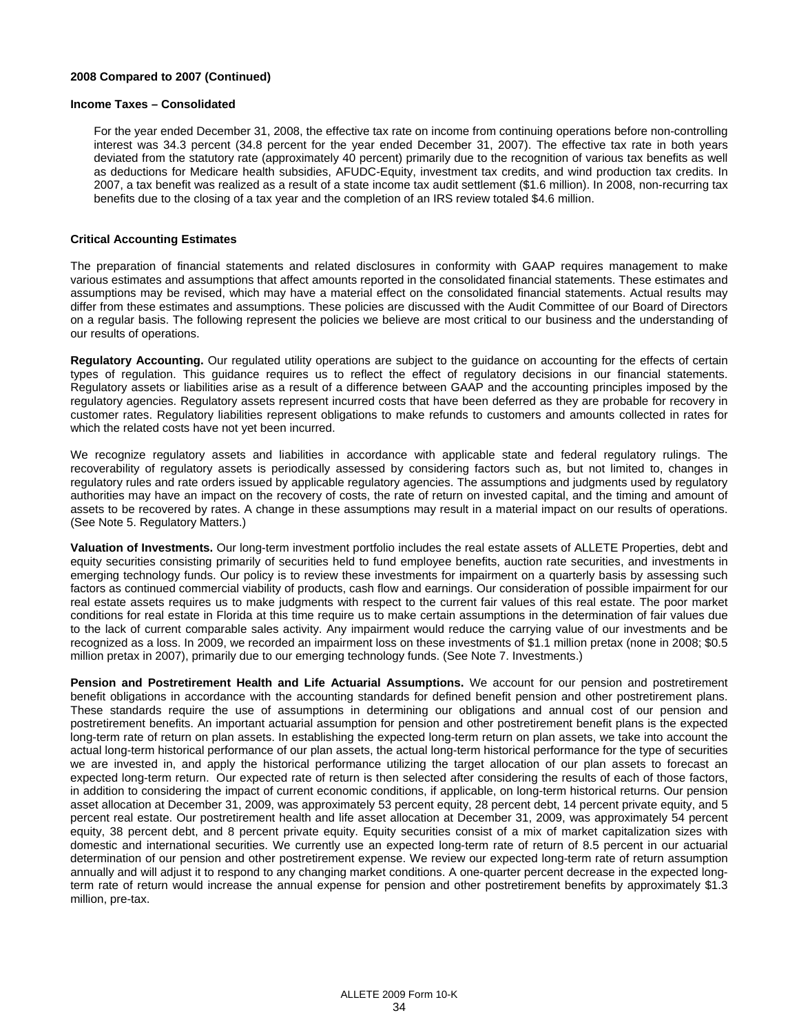## **2008 Compared to 2007 (Continued)**

#### **Income Taxes – Consolidated**

For the year ended December 31, 2008, the effective tax rate on income from continuing operations before non-controlling interest was 34.3 percent (34.8 percent for the year ended December 31, 2007). The effective tax rate in both years deviated from the statutory rate (approximately 40 percent) primarily due to the recognition of various tax benefits as well as deductions for Medicare health subsidies, AFUDC-Equity, investment tax credits, and wind production tax credits. In 2007, a tax benefit was realized as a result of a state income tax audit settlement (\$1.6 million). In 2008, non-recurring tax benefits due to the closing of a tax year and the completion of an IRS review totaled \$4.6 million.

#### **Critical Accounting Estimates**

The preparation of financial statements and related disclosures in conformity with GAAP requires management to make various estimates and assumptions that affect amounts reported in the consolidated financial statements. These estimates and assumptions may be revised, which may have a material effect on the consolidated financial statements. Actual results may differ from these estimates and assumptions. These policies are discussed with the Audit Committee of our Board of Directors on a regular basis. The following represent the policies we believe are most critical to our business and the understanding of our results of operations.

**Regulatory Accounting.** Our regulated utility operations are subject to the guidance on accounting for the effects of certain types of regulation. This guidance requires us to reflect the effect of regulatory decisions in our financial statements. Regulatory assets or liabilities arise as a result of a difference between GAAP and the accounting principles imposed by the regulatory agencies. Regulatory assets represent incurred costs that have been deferred as they are probable for recovery in customer rates. Regulatory liabilities represent obligations to make refunds to customers and amounts collected in rates for which the related costs have not yet been incurred.

We recognize regulatory assets and liabilities in accordance with applicable state and federal regulatory rulings. The recoverability of regulatory assets is periodically assessed by considering factors such as, but not limited to, changes in regulatory rules and rate orders issued by applicable regulatory agencies. The assumptions and judgments used by regulatory authorities may have an impact on the recovery of costs, the rate of return on invested capital, and the timing and amount of assets to be recovered by rates. A change in these assumptions may result in a material impact on our results of operations. (See Note 5. Regulatory Matters.)

**Valuation of Investments.** Our long-term investment portfolio includes the real estate assets of ALLETE Properties, debt and equity securities consisting primarily of securities held to fund employee benefits, auction rate securities, and investments in emerging technology funds. Our policy is to review these investments for impairment on a quarterly basis by assessing such factors as continued commercial viability of products, cash flow and earnings. Our consideration of possible impairment for our real estate assets requires us to make judgments with respect to the current fair values of this real estate. The poor market conditions for real estate in Florida at this time require us to make certain assumptions in the determination of fair values due to the lack of current comparable sales activity. Any impairment would reduce the carrying value of our investments and be recognized as a loss. In 2009, we recorded an impairment loss on these investments of \$1.1 million pretax (none in 2008; \$0.5 million pretax in 2007), primarily due to our emerging technology funds. (See Note 7. Investments.)

**Pension and Postretirement Health and Life Actuarial Assumptions.** We account for our pension and postretirement benefit obligations in accordance with the accounting standards for defined benefit pension and other postretirement plans. These standards require the use of assumptions in determining our obligations and annual cost of our pension and postretirement benefits. An important actuarial assumption for pension and other postretirement benefit plans is the expected long-term rate of return on plan assets. In establishing the expected long-term return on plan assets, we take into account the actual long-term historical performance of our plan assets, the actual long-term historical performance for the type of securities we are invested in, and apply the historical performance utilizing the target allocation of our plan assets to forecast an expected long-term return. Our expected rate of return is then selected after considering the results of each of those factors, in addition to considering the impact of current economic conditions, if applicable, on long-term historical returns. Our pension asset allocation at December 31, 2009, was approximately 53 percent equity, 28 percent debt, 14 percent private equity, and 5 percent real estate. Our postretirement health and life asset allocation at December 31, 2009, was approximately 54 percent equity, 38 percent debt, and 8 percent private equity. Equity securities consist of a mix of market capitalization sizes with domestic and international securities. We currently use an expected long-term rate of return of 8.5 percent in our actuarial determination of our pension and other postretirement expense. We review our expected long-term rate of return assumption annually and will adjust it to respond to any changing market conditions. A one-quarter percent decrease in the expected longterm rate of return would increase the annual expense for pension and other postretirement benefits by approximately \$1.3 million, pre-tax.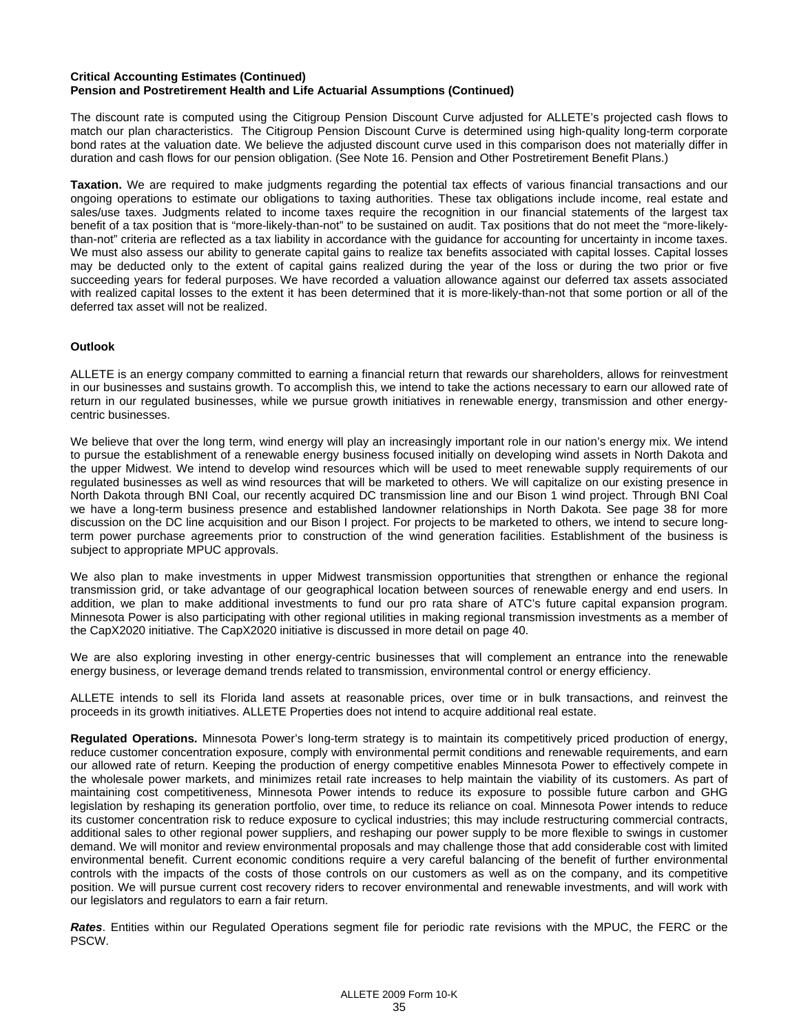#### **Critical Accounting Estimates (Continued) Pension and Postretirement Health and Life Actuarial Assumptions (Continued)**

The discount rate is computed using the Citigroup Pension Discount Curve adjusted for ALLETE's projected cash flows to match our plan characteristics. The Citigroup Pension Discount Curve is determined using high-quality long-term corporate bond rates at the valuation date. We believe the adjusted discount curve used in this comparison does not materially differ in duration and cash flows for our pension obligation. (See Note 16. Pension and Other Postretirement Benefit Plans.)

**Taxation.** We are required to make judgments regarding the potential tax effects of various financial transactions and our ongoing operations to estimate our obligations to taxing authorities. These tax obligations include income, real estate and sales/use taxes. Judgments related to income taxes require the recognition in our financial statements of the largest tax benefit of a tax position that is "more-likely-than-not" to be sustained on audit. Tax positions that do not meet the "more-likelythan-not" criteria are reflected as a tax liability in accordance with the guidance for accounting for uncertainty in income taxes. We must also assess our ability to generate capital gains to realize tax benefits associated with capital losses. Capital losses may be deducted only to the extent of capital gains realized during the year of the loss or during the two prior or five succeeding years for federal purposes. We have recorded a valuation allowance against our deferred tax assets associated with realized capital losses to the extent it has been determined that it is more-likely-than-not that some portion or all of the deferred tax asset will not be realized.

## **Outlook**

ALLETE is an energy company committed to earning a financial return that rewards our shareholders, allows for reinvestment in our businesses and sustains growth. To accomplish this, we intend to take the actions necessary to earn our allowed rate of return in our regulated businesses, while we pursue growth initiatives in renewable energy, transmission and other energycentric businesses.

We believe that over the long term, wind energy will play an increasingly important role in our nation's energy mix. We intend to pursue the establishment of a renewable energy business focused initially on developing wind assets in North Dakota and the upper Midwest. We intend to develop wind resources which will be used to meet renewable supply requirements of our regulated businesses as well as wind resources that will be marketed to others. We will capitalize on our existing presence in North Dakota through BNI Coal, our recently acquired DC transmission line and our Bison 1 wind project. Through BNI Coal we have a long-term business presence and established landowner relationships in North Dakota. See page 38 for more discussion on the DC line acquisition and our Bison I project. For projects to be marketed to others, we intend to secure longterm power purchase agreements prior to construction of the wind generation facilities. Establishment of the business is subject to appropriate MPUC approvals.

We also plan to make investments in upper Midwest transmission opportunities that strengthen or enhance the regional transmission grid, or take advantage of our geographical location between sources of renewable energy and end users. In addition, we plan to make additional investments to fund our pro rata share of ATC's future capital expansion program. Minnesota Power is also participating with other regional utilities in making regional transmission investments as a member of the CapX2020 initiative. The CapX2020 initiative is discussed in more detail on page 40.

We are also exploring investing in other energy-centric businesses that will complement an entrance into the renewable energy business, or leverage demand trends related to transmission, environmental control or energy efficiency.

ALLETE intends to sell its Florida land assets at reasonable prices, over time or in bulk transactions, and reinvest the proceeds in its growth initiatives. ALLETE Properties does not intend to acquire additional real estate.

**Regulated Operations.** Minnesota Power's long-term strategy is to maintain its competitively priced production of energy, reduce customer concentration exposure, comply with environmental permit conditions and renewable requirements, and earn our allowed rate of return. Keeping the production of energy competitive enables Minnesota Power to effectively compete in the wholesale power markets, and minimizes retail rate increases to help maintain the viability of its customers. As part of maintaining cost competitiveness, Minnesota Power intends to reduce its exposure to possible future carbon and GHG legislation by reshaping its generation portfolio, over time, to reduce its reliance on coal. Minnesota Power intends to reduce its customer concentration risk to reduce exposure to cyclical industries; this may include restructuring commercial contracts, additional sales to other regional power suppliers, and reshaping our power supply to be more flexible to swings in customer demand. We will monitor and review environmental proposals and may challenge those that add considerable cost with limited environmental benefit. Current economic conditions require a very careful balancing of the benefit of further environmental controls with the impacts of the costs of those controls on our customers as well as on the company, and its competitive position. We will pursue current cost recovery riders to recover environmental and renewable investments, and will work with our legislators and regulators to earn a fair return.

*Rates*. Entities within our Regulated Operations segment file for periodic rate revisions with the MPUC, the FERC or the PSCW.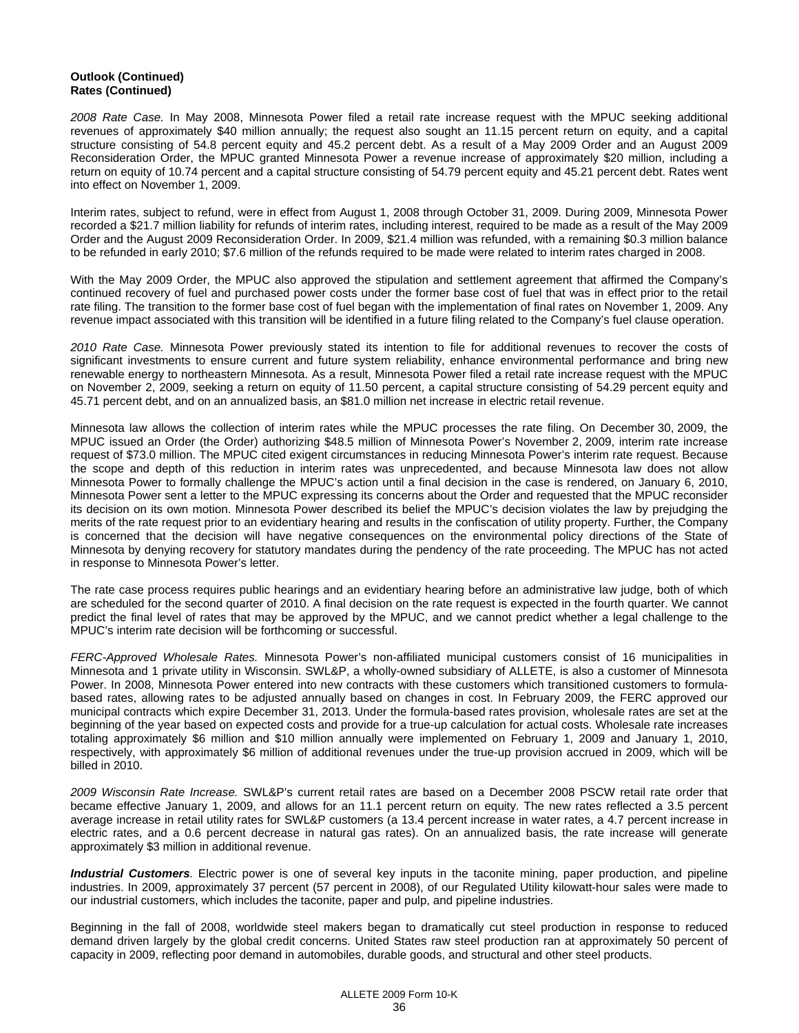## **Outlook (Continued) Rates (Continued)**

*2008 Rate Case.* In May 2008, Minnesota Power filed a retail rate increase request with the MPUC seeking additional revenues of approximately \$40 million annually; the request also sought an 11.15 percent return on equity, and a capital structure consisting of 54.8 percent equity and 45.2 percent debt. As a result of a May 2009 Order and an August 2009 Reconsideration Order, the MPUC granted Minnesota Power a revenue increase of approximately \$20 million, including a return on equity of 10.74 percent and a capital structure consisting of 54.79 percent equity and 45.21 percent debt. Rates went into effect on November 1, 2009.

Interim rates, subject to refund, were in effect from August 1, 2008 through October 31, 2009. During 2009, Minnesota Power recorded a \$21.7 million liability for refunds of interim rates, including interest, required to be made as a result of the May 2009 Order and the August 2009 Reconsideration Order. In 2009, \$21.4 million was refunded, with a remaining \$0.3 million balance to be refunded in early 2010; \$7.6 million of the refunds required to be made were related to interim rates charged in 2008.

With the May 2009 Order, the MPUC also approved the stipulation and settlement agreement that affirmed the Company's continued recovery of fuel and purchased power costs under the former base cost of fuel that was in effect prior to the retail rate filing. The transition to the former base cost of fuel began with the implementation of final rates on November 1, 2009. Any revenue impact associated with this transition will be identified in a future filing related to the Company's fuel clause operation.

*2010 Rate Case.* Minnesota Power previously stated its intention to file for additional revenues to recover the costs of significant investments to ensure current and future system reliability, enhance environmental performance and bring new renewable energy to northeastern Minnesota. As a result, Minnesota Power filed a retail rate increase request with the MPUC on November 2, 2009, seeking a return on equity of 11.50 percent, a capital structure consisting of 54.29 percent equity and 45.71 percent debt, and on an annualized basis, an \$81.0 million net increase in electric retail revenue.

Minnesota law allows the collection of interim rates while the MPUC processes the rate filing. On December 30, 2009, the MPUC issued an Order (the Order) authorizing \$48.5 million of Minnesota Power's November 2, 2009, interim rate increase request of \$73.0 million. The MPUC cited exigent circumstances in reducing Minnesota Power's interim rate request. Because the scope and depth of this reduction in interim rates was unprecedented, and because Minnesota law does not allow Minnesota Power to formally challenge the MPUC's action until a final decision in the case is rendered, on January 6, 2010, Minnesota Power sent a letter to the MPUC expressing its concerns about the Order and requested that the MPUC reconsider its decision on its own motion. Minnesota Power described its belief the MPUC's decision violates the law by prejudging the merits of the rate request prior to an evidentiary hearing and results in the confiscation of utility property. Further, the Company is concerned that the decision will have negative consequences on the environmental policy directions of the State of Minnesota by denying recovery for statutory mandates during the pendency of the rate proceeding. The MPUC has not acted in response to Minnesota Power's letter.

The rate case process requires public hearings and an evidentiary hearing before an administrative law judge, both of which are scheduled for the second quarter of 2010. A final decision on the rate request is expected in the fourth quarter. We cannot predict the final level of rates that may be approved by the MPUC, and we cannot predict whether a legal challenge to the MPUC's interim rate decision will be forthcoming or successful.

*FERC-Approved Wholesale Rates.* Minnesota Power's non-affiliated municipal customers consist of 16 municipalities in Minnesota and 1 private utility in Wisconsin. SWL&P, a wholly-owned subsidiary of ALLETE, is also a customer of Minnesota Power. In 2008, Minnesota Power entered into new contracts with these customers which transitioned customers to formulabased rates, allowing rates to be adjusted annually based on changes in cost. In February 2009, the FERC approved our municipal contracts which expire December 31, 2013. Under the formula-based rates provision, wholesale rates are set at the beginning of the year based on expected costs and provide for a true-up calculation for actual costs. Wholesale rate increases totaling approximately \$6 million and \$10 million annually were implemented on February 1, 2009 and January 1, 2010, respectively, with approximately \$6 million of additional revenues under the true-up provision accrued in 2009, which will be billed in 2010.

*2009 Wisconsin Rate Increase.* SWL&P's current retail rates are based on a December 2008 PSCW retail rate order that became effective January 1, 2009, and allows for an 11.1 percent return on equity. The new rates reflected a 3.5 percent average increase in retail utility rates for SWL&P customers (a 13.4 percent increase in water rates, a 4.7 percent increase in electric rates, and a 0.6 percent decrease in natural gas rates). On an annualized basis, the rate increase will generate approximately \$3 million in additional revenue.

*Industrial Customers.* Electric power is one of several key inputs in the taconite mining, paper production, and pipeline industries. In 2009, approximately 37 percent (57 percent in 2008), of our Regulated Utility kilowatt-hour sales were made to our industrial customers, which includes the taconite, paper and pulp, and pipeline industries.

Beginning in the fall of 2008, worldwide steel makers began to dramatically cut steel production in response to reduced demand driven largely by the global credit concerns. United States raw steel production ran at approximately 50 percent of capacity in 2009, reflecting poor demand in automobiles, durable goods, and structural and other steel products.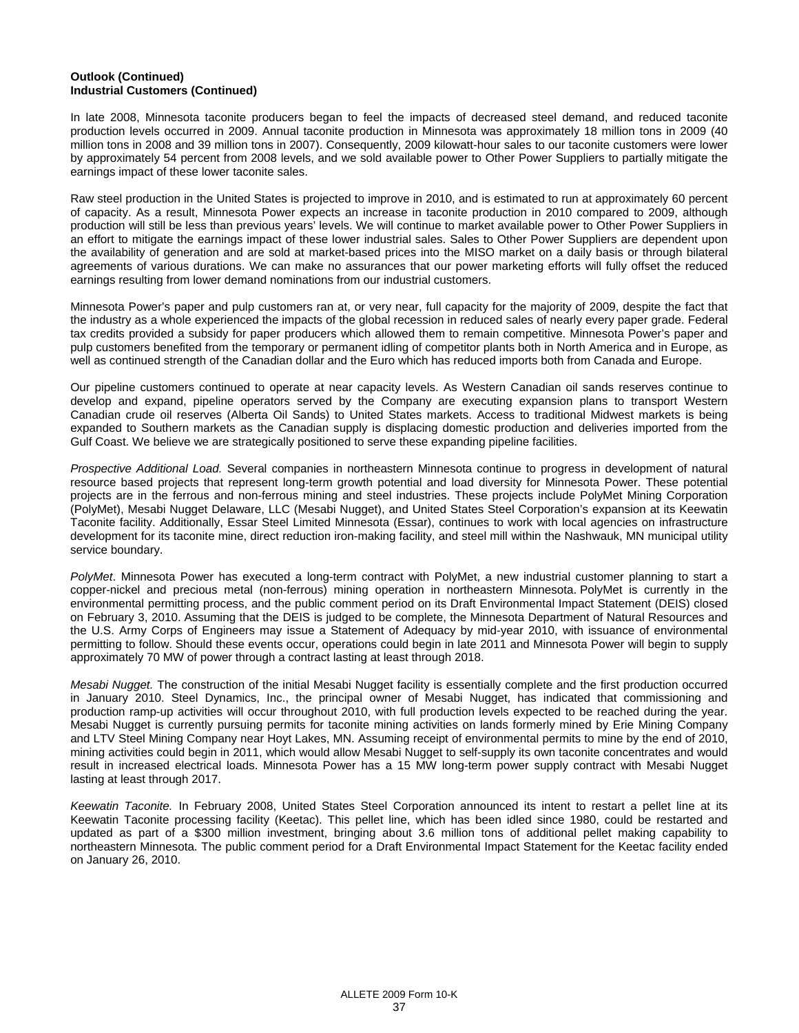# **Outlook (Continued) Industrial Customers (Continued)**

In late 2008, Minnesota taconite producers began to feel the impacts of decreased steel demand, and reduced taconite production levels occurred in 2009. Annual taconite production in Minnesota was approximately 18 million tons in 2009 (40 million tons in 2008 and 39 million tons in 2007). Consequently, 2009 kilowatt-hour sales to our taconite customers were lower by approximately 54 percent from 2008 levels, and we sold available power to Other Power Suppliers to partially mitigate the earnings impact of these lower taconite sales.

Raw steel production in the United States is projected to improve in 2010, and is estimated to run at approximately 60 percent of capacity. As a result, Minnesota Power expects an increase in taconite production in 2010 compared to 2009, although production will still be less than previous years' levels. We will continue to market available power to Other Power Suppliers in an effort to mitigate the earnings impact of these lower industrial sales. Sales to Other Power Suppliers are dependent upon the availability of generation and are sold at market-based prices into the MISO market on a daily basis or through bilateral agreements of various durations. We can make no assurances that our power marketing efforts will fully offset the reduced earnings resulting from lower demand nominations from our industrial customers.

Minnesota Power's paper and pulp customers ran at, or very near, full capacity for the majority of 2009, despite the fact that the industry as a whole experienced the impacts of the global recession in reduced sales of nearly every paper grade. Federal tax credits provided a subsidy for paper producers which allowed them to remain competitive. Minnesota Power's paper and pulp customers benefited from the temporary or permanent idling of competitor plants both in North America and in Europe, as well as continued strength of the Canadian dollar and the Euro which has reduced imports both from Canada and Europe.

Our pipeline customers continued to operate at near capacity levels. As Western Canadian oil sands reserves continue to develop and expand, pipeline operators served by the Company are executing expansion plans to transport Western Canadian crude oil reserves (Alberta Oil Sands) to United States markets. Access to traditional Midwest markets is being expanded to Southern markets as the Canadian supply is displacing domestic production and deliveries imported from the Gulf Coast. We believe we are strategically positioned to serve these expanding pipeline facilities.

*Prospective Additional Load.* Several companies in northeastern Minnesota continue to progress in development of natural resource based projects that represent long-term growth potential and load diversity for Minnesota Power. These potential projects are in the ferrous and non-ferrous mining and steel industries. These projects include PolyMet Mining Corporation (PolyMet), Mesabi Nugget Delaware, LLC (Mesabi Nugget), and United States Steel Corporation's expansion at its Keewatin Taconite facility. Additionally, Essar Steel Limited Minnesota (Essar), continues to work with local agencies on infrastructure development for its taconite mine, direct reduction iron-making facility, and steel mill within the Nashwauk, MN municipal utility service boundary.

*PolyMet*. Minnesota Power has executed a long-term contract with PolyMet, a new industrial customer planning to start a copper-nickel and precious metal (non-ferrous) mining operation in northeastern Minnesota. PolyMet is currently in the environmental permitting process, and the public comment period on its Draft Environmental Impact Statement (DEIS) closed on February 3, 2010. Assuming that the DEIS is judged to be complete, the Minnesota Department of Natural Resources and the U.S. Army Corps of Engineers may issue a Statement of Adequacy by mid-year 2010, with issuance of environmental permitting to follow. Should these events occur, operations could begin in late 2011 and Minnesota Power will begin to supply approximately 70 MW of power through a contract lasting at least through 2018.

*Mesabi Nugget.* The construction of the initial Mesabi Nugget facility is essentially complete and the first production occurred in January 2010. Steel Dynamics, Inc., the principal owner of Mesabi Nugget, has indicated that commissioning and production ramp-up activities will occur throughout 2010, with full production levels expected to be reached during the year. Mesabi Nugget is currently pursuing permits for taconite mining activities on lands formerly mined by Erie Mining Company and LTV Steel Mining Company near Hoyt Lakes, MN. Assuming receipt of environmental permits to mine by the end of 2010, mining activities could begin in 2011, which would allow Mesabi Nugget to self-supply its own taconite concentrates and would result in increased electrical loads. Minnesota Power has a 15 MW long-term power supply contract with Mesabi Nugget lasting at least through 2017.

*Keewatin Taconite.* In February 2008, United States Steel Corporation announced its intent to restart a pellet line at its Keewatin Taconite processing facility (Keetac). This pellet line, which has been idled since 1980, could be restarted and updated as part of a \$300 million investment, bringing about 3.6 million tons of additional pellet making capability to northeastern Minnesota. The public comment period for a Draft Environmental Impact Statement for the Keetac facility ended on January 26, 2010.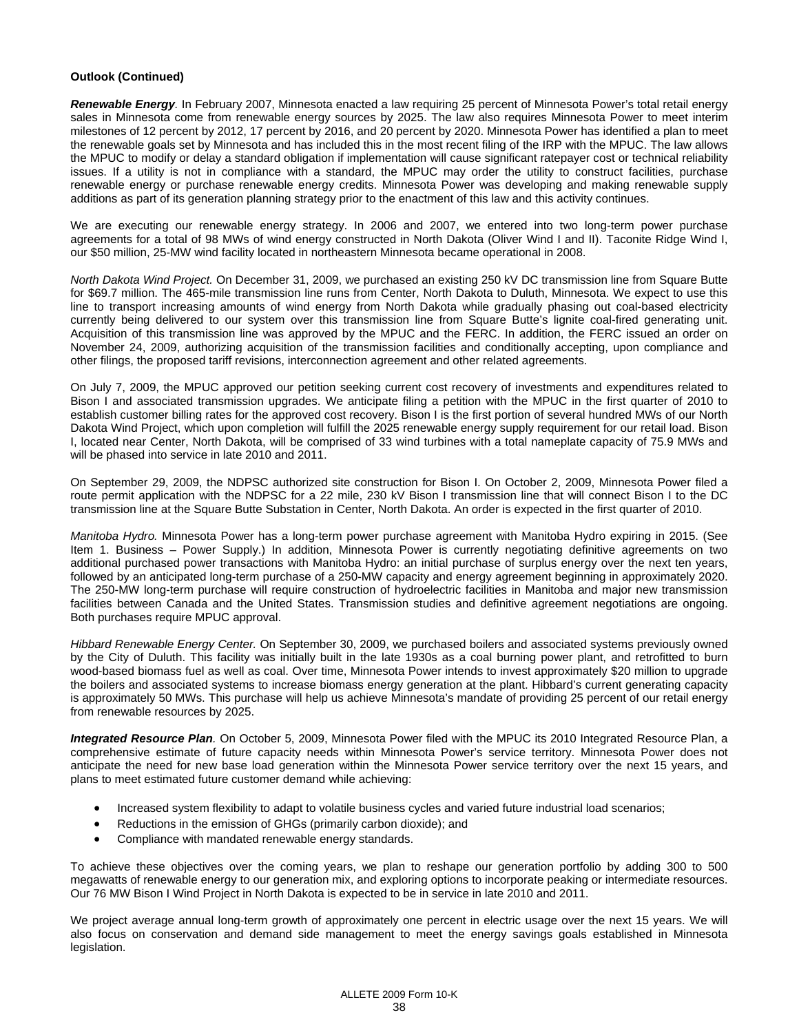# **Outlook (Continued)**

*Renewable Energy.* In February 2007, Minnesota enacted a law requiring 25 percent of Minnesota Power's total retail energy sales in Minnesota come from renewable energy sources by 2025. The law also requires Minnesota Power to meet interim milestones of 12 percent by 2012, 17 percent by 2016, and 20 percent by 2020. Minnesota Power has identified a plan to meet the renewable goals set by Minnesota and has included this in the most recent filing of the IRP with the MPUC. The law allows the MPUC to modify or delay a standard obligation if implementation will cause significant ratepayer cost or technical reliability issues. If a utility is not in compliance with a standard, the MPUC may order the utility to construct facilities, purchase renewable energy or purchase renewable energy credits. Minnesota Power was developing and making renewable supply additions as part of its generation planning strategy prior to the enactment of this law and this activity continues.

We are executing our renewable energy strategy. In 2006 and 2007, we entered into two long-term power purchase agreements for a total of 98 MWs of wind energy constructed in North Dakota (Oliver Wind I and II). Taconite Ridge Wind I, our \$50 million, 25-MW wind facility located in northeastern Minnesota became operational in 2008.

*North Dakota Wind Project.* On December 31, 2009, we purchased an existing 250 kV DC transmission line from Square Butte for \$69.7 million. The 465-mile transmission line runs from Center, North Dakota to Duluth, Minnesota. We expect to use this line to transport increasing amounts of wind energy from North Dakota while gradually phasing out coal-based electricity currently being delivered to our system over this transmission line from Square Butte's lignite coal-fired generating unit. Acquisition of this transmission line was approved by the MPUC and the FERC. In addition, the FERC issued an order on November 24, 2009, authorizing acquisition of the transmission facilities and conditionally accepting, upon compliance and other filings, the proposed tariff revisions, interconnection agreement and other related agreements.

On July 7, 2009, the MPUC approved our petition seeking current cost recovery of investments and expenditures related to Bison I and associated transmission upgrades. We anticipate filing a petition with the MPUC in the first quarter of 2010 to establish customer billing rates for the approved cost recovery. Bison I is the first portion of several hundred MWs of our North Dakota Wind Project, which upon completion will fulfill the 2025 renewable energy supply requirement for our retail load. Bison I, located near Center, North Dakota, will be comprised of 33 wind turbines with a total nameplate capacity of 75.9 MWs and will be phased into service in late 2010 and 2011.

On September 29, 2009, the NDPSC authorized site construction for Bison I. On October 2, 2009, Minnesota Power filed a route permit application with the NDPSC for a 22 mile, 230 kV Bison I transmission line that will connect Bison I to the DC transmission line at the Square Butte Substation in Center, North Dakota. An order is expected in the first quarter of 2010.

*Manitoba Hydro.* Minnesota Power has a long-term power purchase agreement with Manitoba Hydro expiring in 2015. (See Item 1. Business – Power Supply.) In addition, Minnesota Power is currently negotiating definitive agreements on two additional purchased power transactions with Manitoba Hydro: an initial purchase of surplus energy over the next ten years, followed by an anticipated long-term purchase of a 250-MW capacity and energy agreement beginning in approximately 2020. The 250-MW long-term purchase will require construction of hydroelectric facilities in Manitoba and major new transmission facilities between Canada and the United States. Transmission studies and definitive agreement negotiations are ongoing. Both purchases require MPUC approval.

*Hibbard Renewable Energy Center.* On September 30, 2009, we purchased boilers and associated systems previously owned by the City of Duluth. This facility was initially built in the late 1930s as a coal burning power plant, and retrofitted to burn wood-based biomass fuel as well as coal. Over time, Minnesota Power intends to invest approximately \$20 million to upgrade the boilers and associated systems to increase biomass energy generation at the plant. Hibbard's current generating capacity is approximately 50 MWs. This purchase will help us achieve Minnesota's mandate of providing 25 percent of our retail energy from renewable resources by 2025.

*Integrated Resource Plan.* On October 5, 2009, Minnesota Power filed with the MPUC its 2010 Integrated Resource Plan, a comprehensive estimate of future capacity needs within Minnesota Power's service territory. Minnesota Power does not anticipate the need for new base load generation within the Minnesota Power service territory over the next 15 years, and plans to meet estimated future customer demand while achieving:

- Increased system flexibility to adapt to volatile business cycles and varied future industrial load scenarios;
- Reductions in the emission of GHGs (primarily carbon dioxide); and
- Compliance with mandated renewable energy standards.

To achieve these objectives over the coming years, we plan to reshape our generation portfolio by adding 300 to 500 megawatts of renewable energy to our generation mix, and exploring options to incorporate peaking or intermediate resources. Our 76 MW Bison I Wind Project in North Dakota is expected to be in service in late 2010 and 2011.

We project average annual long-term growth of approximately one percent in electric usage over the next 15 years. We will also focus on conservation and demand side management to meet the energy savings goals established in Minnesota legislation.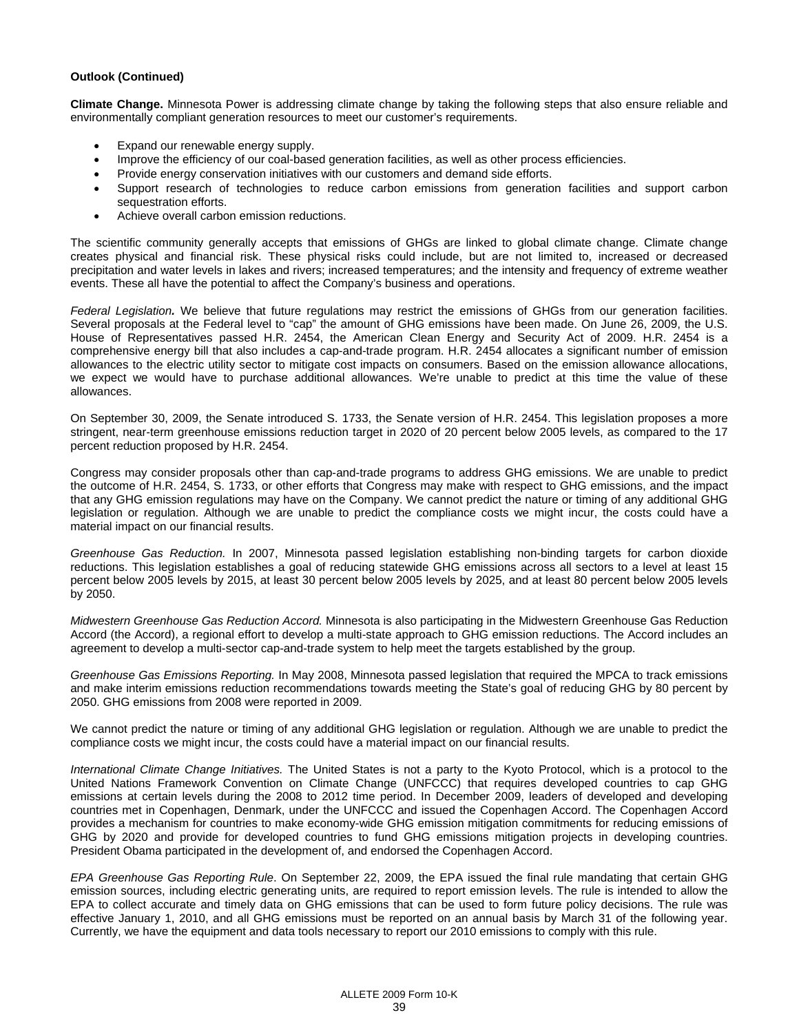# **Outlook (Continued)**

**Climate Change.** Minnesota Power is addressing climate change by taking the following steps that also ensure reliable and environmentally compliant generation resources to meet our customer's requirements.

- Expand our renewable energy supply.
- Improve the efficiency of our coal-based generation facilities, as well as other process efficiencies.
- Provide energy conservation initiatives with our customers and demand side efforts.
- Support research of technologies to reduce carbon emissions from generation facilities and support carbon sequestration efforts.
- Achieve overall carbon emission reductions.

The scientific community generally accepts that emissions of GHGs are linked to global climate change. Climate change creates physical and financial risk. These physical risks could include, but are not limited to, increased or decreased precipitation and water levels in lakes and rivers; increased temperatures; and the intensity and frequency of extreme weather events. These all have the potential to affect the Company's business and operations.

*Federal Legislation.* We believe that future regulations may restrict the emissions of GHGs from our generation facilities. Several proposals at the Federal level to "cap" the amount of GHG emissions have been made. On June 26, 2009, the U.S. House of Representatives passed H.R. 2454, the American Clean Energy and Security Act of 2009. H.R. 2454 is a comprehensive energy bill that also includes a cap-and-trade program. H.R. 2454 allocates a significant number of emission allowances to the electric utility sector to mitigate cost impacts on consumers. Based on the emission allowance allocations, we expect we would have to purchase additional allowances. We're unable to predict at this time the value of these allowances.

On September 30, 2009, the Senate introduced S. 1733, the Senate version of H.R. 2454. This legislation proposes a more stringent, near-term greenhouse emissions reduction target in 2020 of 20 percent below 2005 levels, as compared to the 17 percent reduction proposed by H.R. 2454.

Congress may consider proposals other than cap-and-trade programs to address GHG emissions. We are unable to predict the outcome of H.R. 2454, S. 1733, or other efforts that Congress may make with respect to GHG emissions, and the impact that any GHG emission regulations may have on the Company. We cannot predict the nature or timing of any additional GHG legislation or regulation. Although we are unable to predict the compliance costs we might incur, the costs could have a material impact on our financial results.

*Greenhouse Gas Reduction.* In 2007, Minnesota passed legislation establishing non-binding targets for carbon dioxide reductions. This legislation establishes a goal of reducing statewide GHG emissions across all sectors to a level at least 15 percent below 2005 levels by 2015, at least 30 percent below 2005 levels by 2025, and at least 80 percent below 2005 levels by 2050.

*Midwestern Greenhouse Gas Reduction Accord.* Minnesota is also participating in the Midwestern Greenhouse Gas Reduction Accord (the Accord), a regional effort to develop a multi-state approach to GHG emission reductions. The Accord includes an agreement to develop a multi-sector cap-and-trade system to help meet the targets established by the group.

*Greenhouse Gas Emissions Reporting.* In May 2008, Minnesota passed legislation that required the MPCA to track emissions and make interim emissions reduction recommendations towards meeting the State's goal of reducing GHG by 80 percent by 2050. GHG emissions from 2008 were reported in 2009.

We cannot predict the nature or timing of any additional GHG legislation or regulation. Although we are unable to predict the compliance costs we might incur, the costs could have a material impact on our financial results.

*International Climate Change Initiatives.* The United States is not a party to the Kyoto Protocol, which is a protocol to the United Nations Framework Convention on Climate Change (UNFCCC) that requires developed countries to cap GHG emissions at certain levels during the 2008 to 2012 time period. In December 2009, leaders of developed and developing countries met in Copenhagen, Denmark, under the UNFCCC and issued the Copenhagen Accord. The Copenhagen Accord provides a mechanism for countries to make economy-wide GHG emission mitigation commitments for reducing emissions of GHG by 2020 and provide for developed countries to fund GHG emissions mitigation projects in developing countries. President Obama participated in the development of, and endorsed the Copenhagen Accord.

*EPA Greenhouse Gas Reporting Rule*. On September 22, 2009, the EPA issued the final rule mandating that certain GHG emission sources, including electric generating units, are required to report emission levels. The rule is intended to allow the EPA to collect accurate and timely data on GHG emissions that can be used to form future policy decisions. The rule was effective January 1, 2010, and all GHG emissions must be reported on an annual basis by March 31 of the following year. Currently, we have the equipment and data tools necessary to report our 2010 emissions to comply with this rule.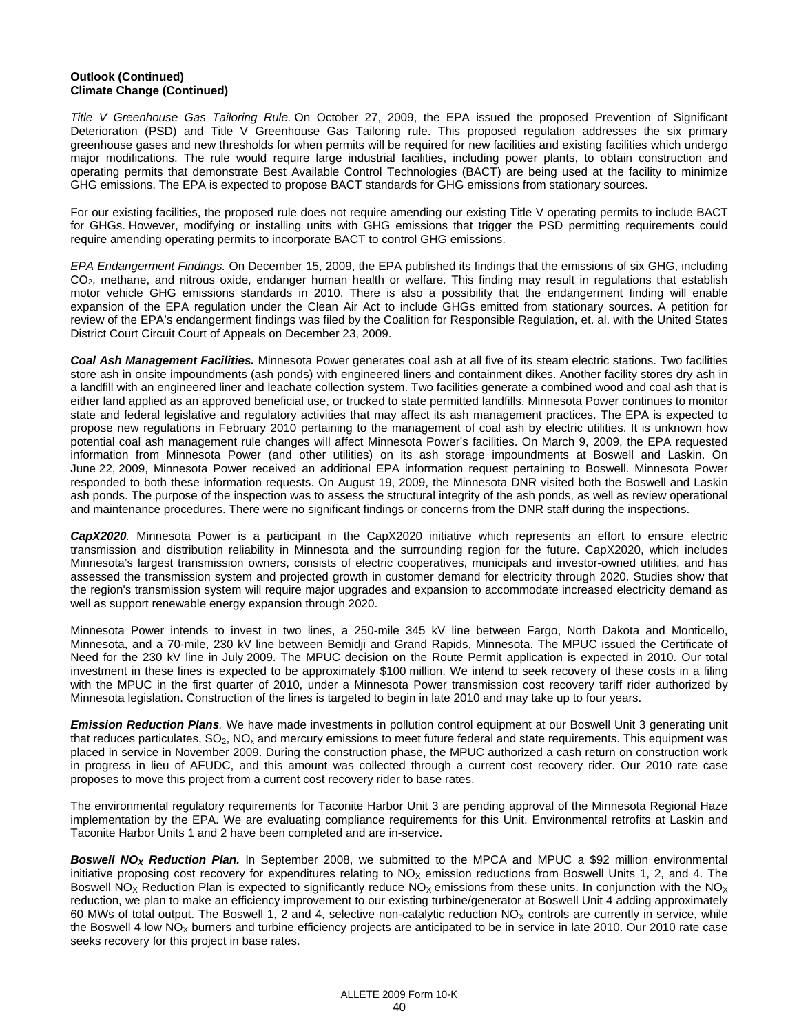# **Outlook (Continued) Climate Change (Continued)**

*Title V Greenhouse Gas Tailoring Rule.* On October 27, 2009, the EPA issued the proposed Prevention of Significant Deterioration (PSD) and Title V Greenhouse Gas Tailoring rule. This proposed regulation addresses the six primary greenhouse gases and new thresholds for when permits will be required for new facilities and existing facilities which undergo major modifications. The rule would require large industrial facilities, including power plants, to obtain construction and operating permits that demonstrate Best Available Control Technologies (BACT) are being used at the facility to minimize GHG emissions. The EPA is expected to propose BACT standards for GHG emissions from stationary sources.

For our existing facilities, the proposed rule does not require amending our existing Title V operating permits to include BACT for GHGs. However, modifying or installing units with GHG emissions that trigger the PSD permitting requirements could require amending operating permits to incorporate BACT to control GHG emissions.

*EPA Endangerment Findings.* On December 15, 2009, the EPA published its findings that the emissions of six GHG, including CO<sub>2</sub>, methane, and nitrous oxide, endanger human health or welfare. This finding may result in regulations that establish motor vehicle GHG emissions standards in 2010. There is also a possibility that the endangerment finding will enable expansion of the EPA regulation under the Clean Air Act to include GHGs emitted from stationary sources. A petition for review of the EPA's endangerment findings was filed by the Coalition for Responsible Regulation, et. al. with the United States District Court Circuit Court of Appeals on December 23, 2009.

*Coal Ash Management Facilities.* Minnesota Power generates coal ash at all five of its steam electric stations. Two facilities store ash in onsite impoundments (ash ponds) with engineered liners and containment dikes. Another facility stores dry ash in a landfill with an engineered liner and leachate collection system. Two facilities generate a combined wood and coal ash that is either land applied as an approved beneficial use, or trucked to state permitted landfills. Minnesota Power continues to monitor state and federal legislative and regulatory activities that may affect its ash management practices. The EPA is expected to propose new regulations in February 2010 pertaining to the management of coal ash by electric utilities. It is unknown how potential coal ash management rule changes will affect Minnesota Power's facilities. On March 9, 2009, the EPA requested information from Minnesota Power (and other utilities) on its ash storage impoundments at Boswell and Laskin. On June 22, 2009, Minnesota Power received an additional EPA information request pertaining to Boswell. Minnesota Power responded to both these information requests. On August 19, 2009, the Minnesota DNR visited both the Boswell and Laskin ash ponds. The purpose of the inspection was to assess the structural integrity of the ash ponds, as well as review operational and maintenance procedures. There were no significant findings or concerns from the DNR staff during the inspections.

*CapX2020.* Minnesota Power is a participant in the CapX2020 initiative which represents an effort to ensure electric transmission and distribution reliability in Minnesota and the surrounding region for the future. CapX2020, which includes Minnesota's largest transmission owners, consists of electric cooperatives, municipals and investor-owned utilities, and has assessed the transmission system and projected growth in customer demand for electricity through 2020. Studies show that the region's transmission system will require major upgrades and expansion to accommodate increased electricity demand as well as support renewable energy expansion through 2020.

Minnesota Power intends to invest in two lines, a 250-mile 345 kV line between Fargo, North Dakota and Monticello, Minnesota, and a 70-mile, 230 kV line between Bemidji and Grand Rapids, Minnesota. The MPUC issued the Certificate of Need for the 230 kV line in July 2009. The MPUC decision on the Route Permit application is expected in 2010. Our total investment in these lines is expected to be approximately \$100 million. We intend to seek recovery of these costs in a filing with the MPUC in the first quarter of 2010, under a Minnesota Power transmission cost recovery tariff rider authorized by Minnesota legislation. Construction of the lines is targeted to begin in late 2010 and may take up to four years.

*Emission Reduction Plans.* We have made investments in pollution control equipment at our Boswell Unit 3 generating unit that reduces particulates,  $SO_2$ ,  $NO_x$  and mercury emissions to meet future federal and state requirements. This equipment was placed in service in November 2009. During the construction phase, the MPUC authorized a cash return on construction work in progress in lieu of AFUDC, and this amount was collected through a current cost recovery rider. Our 2010 rate case proposes to move this project from a current cost recovery rider to base rates.

The environmental regulatory requirements for Taconite Harbor Unit 3 are pending approval of the Minnesota Regional Haze implementation by the EPA. We are evaluating compliance requirements for this Unit. Environmental retrofits at Laskin and Taconite Harbor Units 1 and 2 have been completed and are in-service.

*Boswell NOX Reduction Plan.* In September 2008, we submitted to the MPCA and MPUC a \$92 million environmental initiative proposing cost recovery for expenditures relating to  $NO<sub>x</sub>$  emission reductions from Boswell Units 1, 2, and 4. The Boswell NO<sub>X</sub> Reduction Plan is expected to significantly reduce NO<sub>X</sub> emissions from these units. In conjunction with the NO<sub>X</sub> reduction, we plan to make an efficiency improvement to our existing turbine/generator at Boswell Unit 4 adding approximately 60 MWs of total output. The Boswell 1, 2 and 4, selective non-catalytic reduction  $NO<sub>X</sub>$  controls are currently in service, while the Boswell 4 low  $NO<sub>X</sub>$  burners and turbine efficiency projects are anticipated to be in service in late 2010. Our 2010 rate case seeks recovery for this project in base rates.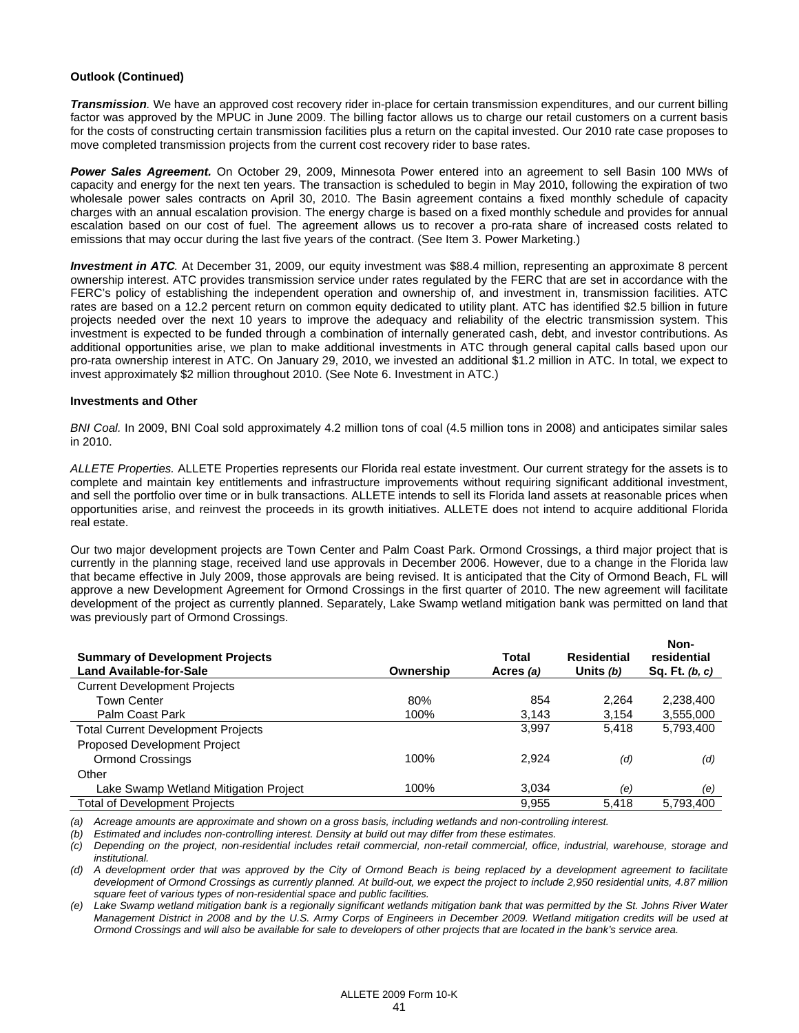# **Outlook (Continued)**

*Transmission.* We have an approved cost recovery rider in-place for certain transmission expenditures, and our current billing factor was approved by the MPUC in June 2009. The billing factor allows us to charge our retail customers on a current basis for the costs of constructing certain transmission facilities plus a return on the capital invested. Our 2010 rate case proposes to move completed transmission projects from the current cost recovery rider to base rates.

*Power Sales Agreement.* On October 29, 2009, Minnesota Power entered into an agreement to sell Basin 100 MWs of capacity and energy for the next ten years. The transaction is scheduled to begin in May 2010, following the expiration of two wholesale power sales contracts on April 30, 2010. The Basin agreement contains a fixed monthly schedule of capacity charges with an annual escalation provision. The energy charge is based on a fixed monthly schedule and provides for annual escalation based on our cost of fuel. The agreement allows us to recover a pro-rata share of increased costs related to emissions that may occur during the last five years of the contract. (See Item 3. Power Marketing.)

*Investment in ATC.* At December 31, 2009, our equity investment was \$88.4 million, representing an approximate 8 percent ownership interest. ATC provides transmission service under rates regulated by the FERC that are set in accordance with the FERC's policy of establishing the independent operation and ownership of, and investment in, transmission facilities. ATC rates are based on a 12.2 percent return on common equity dedicated to utility plant. ATC has identified \$2.5 billion in future projects needed over the next 10 years to improve the adequacy and reliability of the electric transmission system. This investment is expected to be funded through a combination of internally generated cash, debt, and investor contributions. As additional opportunities arise, we plan to make additional investments in ATC through general capital calls based upon our pro-rata ownership interest in ATC. On January 29, 2010, we invested an additional \$1.2 million in ATC. In total, we expect to invest approximately \$2 million throughout 2010. (See Note 6. Investment in ATC.)

# **Investments and Other**

*BNI Coal.* In 2009, BNI Coal sold approximately 4.2 million tons of coal (4.5 million tons in 2008) and anticipates similar sales in 2010.

*ALLETE Properties.* ALLETE Properties represents our Florida real estate investment. Our current strategy for the assets is to complete and maintain key entitlements and infrastructure improvements without requiring significant additional investment, and sell the portfolio over time or in bulk transactions. ALLETE intends to sell its Florida land assets at reasonable prices when opportunities arise, and reinvest the proceeds in its growth initiatives. ALLETE does not intend to acquire additional Florida real estate.

Our two major development projects are Town Center and Palm Coast Park. Ormond Crossings, a third major project that is currently in the planning stage, received land use approvals in December 2006. However, due to a change in the Florida law that became effective in July 2009, those approvals are being revised. It is anticipated that the City of Ormond Beach, FL will approve a new Development Agreement for Ormond Crossings in the first quarter of 2010. The new agreement will facilitate development of the project as currently planned. Separately, Lake Swamp wetland mitigation bank was permitted on land that was previously part of Ormond Crossings.

| <b>Summary of Development Projects</b><br><b>Land Available-for-Sale</b> | Ownership | Total<br>Acres (a) | <b>Residential</b><br>Units $(b)$ | Non-<br>residential<br>Sq. Ft. $(b, c)$ |
|--------------------------------------------------------------------------|-----------|--------------------|-----------------------------------|-----------------------------------------|
| <b>Current Development Projects</b>                                      |           |                    |                                   |                                         |
| Town Center                                                              | 80%       | 854                | 2.264                             | 2,238,400                               |
| Palm Coast Park                                                          | 100%      | 3.143              | 3.154                             | 3,555,000                               |
| <b>Total Current Development Projects</b>                                |           | 3,997              | 5.418                             | 5,793,400                               |
| <b>Proposed Development Project</b>                                      |           |                    |                                   |                                         |
| <b>Ormond Crossings</b>                                                  | 100%      | 2.924              | (d)                               | (d)                                     |
| Other                                                                    |           |                    |                                   |                                         |
| Lake Swamp Wetland Mitigation Project                                    | 100%      | 3.034              | (e)                               | (e)                                     |
| <b>Total of Development Projects</b>                                     |           | 9.955              | 5.418                             | 5.793.400                               |

*(a) Acreage amounts are approximate and shown on a gross basis, including wetlands and non-controlling interest.* 

*(b) Estimated and includes non-controlling interest. Density at build out may differ from these estimates.* 

*(c) Depending on the project, non-residential includes retail commercial, non-retail commercial, office, industrial, warehouse, storage and institutional.* 

*(d) A development order that was approved by the City of Ormond Beach is being replaced by a development agreement to facilitate development of Ormond Crossings as currently planned. At build-out, we expect the project to include 2,950 residential units, 4.87 million square feet of various types of non-residential space and public facilities.* 

*(e) Lake Swamp wetland mitigation bank is a regionally significant wetlands mitigation bank that was permitted by the St. Johns River Water Management District in 2008 and by the U.S. Army Corps of Engineers in December 2009. Wetland mitigation credits will be used at Ormond Crossings and will also be available for sale to developers of other projects that are located in the bank's service area.*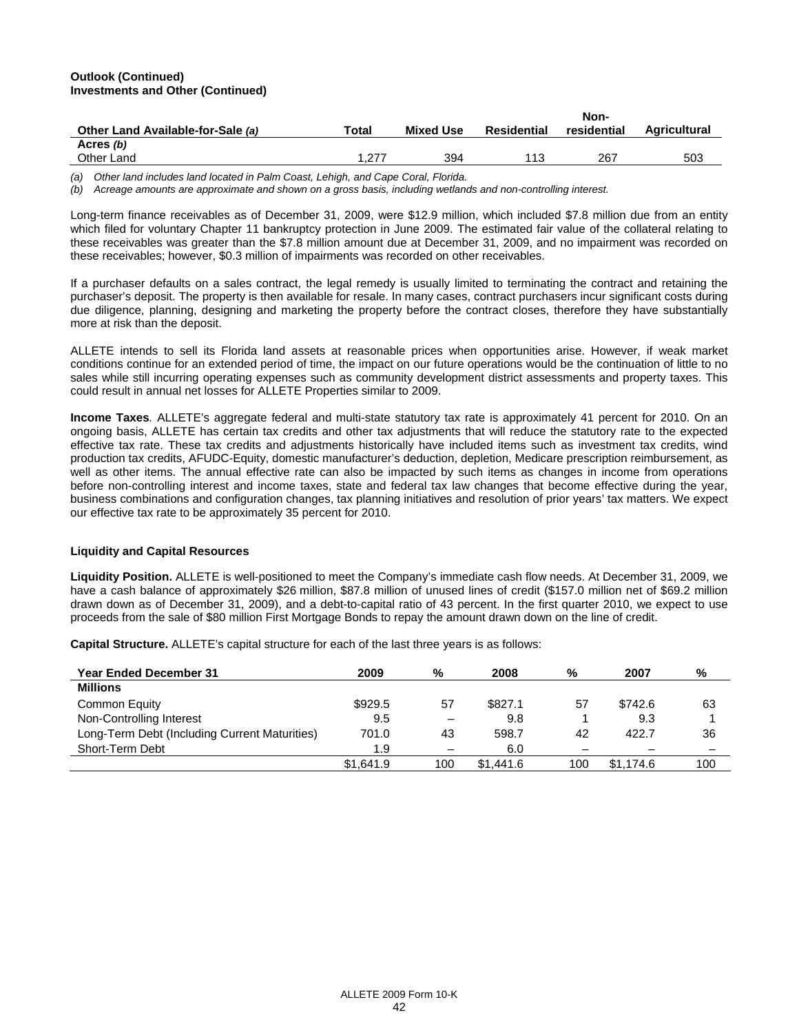# **Outlook (Continued) Investments and Other (Continued)**

|                                   |       |                  |             | Non-        |              |
|-----------------------------------|-------|------------------|-------------|-------------|--------------|
| Other Land Available-for-Sale (a) | Total | <b>Mixed Use</b> | Residential | residential | Agricultural |
| Acres (b)                         |       |                  |             |             |              |
| Other Land                        | 1.277 | 394              | 113         | 267         | 503          |
|                                   |       |                  |             |             |              |

*(a) Other land includes land located in Palm Coast, Lehigh, and Cape Coral, Florida.* 

*(b) Acreage amounts are approximate and shown on a gross basis, including wetlands and non-controlling interest.* 

Long-term finance receivables as of December 31, 2009, were \$12.9 million, which included \$7.8 million due from an entity which filed for voluntary Chapter 11 bankruptcy protection in June 2009. The estimated fair value of the collateral relating to these receivables was greater than the \$7.8 million amount due at December 31, 2009, and no impairment was recorded on these receivables; however, \$0.3 million of impairments was recorded on other receivables.

If a purchaser defaults on a sales contract, the legal remedy is usually limited to terminating the contract and retaining the purchaser's deposit. The property is then available for resale. In many cases, contract purchasers incur significant costs during due diligence, planning, designing and marketing the property before the contract closes, therefore they have substantially more at risk than the deposit.

ALLETE intends to sell its Florida land assets at reasonable prices when opportunities arise. However, if weak market conditions continue for an extended period of time, the impact on our future operations would be the continuation of little to no sales while still incurring operating expenses such as community development district assessments and property taxes. This could result in annual net losses for ALLETE Properties similar to 2009.

**Income Taxes***.* ALLETE's aggregate federal and multi-state statutory tax rate is approximately 41 percent for 2010. On an ongoing basis, ALLETE has certain tax credits and other tax adjustments that will reduce the statutory rate to the expected effective tax rate. These tax credits and adjustments historically have included items such as investment tax credits, wind production tax credits, AFUDC-Equity, domestic manufacturer's deduction, depletion, Medicare prescription reimbursement, as well as other items. The annual effective rate can also be impacted by such items as changes in income from operations before non-controlling interest and income taxes, state and federal tax law changes that become effective during the year, business combinations and configuration changes, tax planning initiatives and resolution of prior years' tax matters. We expect our effective tax rate to be approximately 35 percent for 2010.

# **Liquidity and Capital Resources**

**Liquidity Position.** ALLETE is well-positioned to meet the Company's immediate cash flow needs. At December 31, 2009, we have a cash balance of approximately \$26 million, \$87.8 million of unused lines of credit (\$157.0 million net of \$69.2 million drawn down as of December 31, 2009), and a debt-to-capital ratio of 43 percent. In the first quarter 2010, we expect to use proceeds from the sale of \$80 million First Mortgage Bonds to repay the amount drawn down on the line of credit.

**Capital Structure.** ALLETE's capital structure for each of the last three years is as follows:

| <b>Year Ended December 31</b>                 | 2009      | %   | 2008      | %   | 2007      | %   |
|-----------------------------------------------|-----------|-----|-----------|-----|-----------|-----|
| <b>Millions</b>                               |           |     |           |     |           |     |
| Common Equity                                 | \$929.5   | 57  | \$827.1   | 57  | \$742.6   | 63  |
| Non-Controlling Interest                      | 9.5       |     | 9.8       |     | 9.3       |     |
| Long-Term Debt (Including Current Maturities) | 701.0     | 43  | 598.7     | 42  | 422.7     | 36  |
| Short-Term Debt                               | 1.9       |     | 6.0       |     |           |     |
|                                               | \$1.641.9 | 100 | \$1,441.6 | 100 | \$1.174.6 | 100 |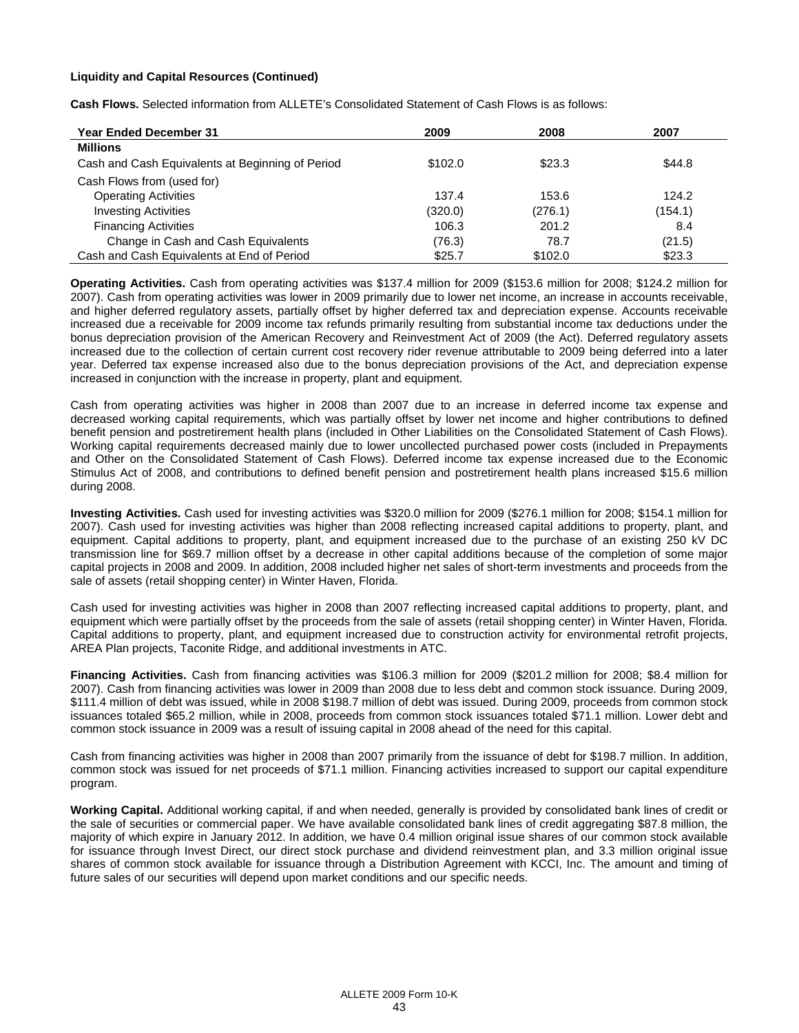#### **Liquidity and Capital Resources (Continued)**

**Cash Flows.** Selected information from ALLETE's Consolidated Statement of Cash Flows is as follows:

| <b>Year Ended December 31</b>                    | 2009    | 2008    | 2007    |
|--------------------------------------------------|---------|---------|---------|
| <b>Millions</b>                                  |         |         |         |
| Cash and Cash Equivalents at Beginning of Period | \$102.0 | \$23.3  | \$44.8  |
| Cash Flows from (used for)                       |         |         |         |
| <b>Operating Activities</b>                      | 137.4   | 153.6   | 124.2   |
| <b>Investing Activities</b>                      | (320.0) | (276.1) | (154.1) |
| <b>Financing Activities</b>                      | 106.3   | 201.2   | 8.4     |
| Change in Cash and Cash Equivalents              | (76.3)  | 78.7    | (21.5)  |
| Cash and Cash Equivalents at End of Period       | \$25.7  | \$102.0 | \$23.3  |

**Operating Activities.** Cash from operating activities was \$137.4 million for 2009 (\$153.6 million for 2008; \$124.2 million for 2007). Cash from operating activities was lower in 2009 primarily due to lower net income, an increase in accounts receivable, and higher deferred regulatory assets, partially offset by higher deferred tax and depreciation expense. Accounts receivable increased due a receivable for 2009 income tax refunds primarily resulting from substantial income tax deductions under the bonus depreciation provision of the American Recovery and Reinvestment Act of 2009 (the Act). Deferred regulatory assets increased due to the collection of certain current cost recovery rider revenue attributable to 2009 being deferred into a later year. Deferred tax expense increased also due to the bonus depreciation provisions of the Act, and depreciation expense increased in conjunction with the increase in property, plant and equipment.

Cash from operating activities was higher in 2008 than 2007 due to an increase in deferred income tax expense and decreased working capital requirements, which was partially offset by lower net income and higher contributions to defined benefit pension and postretirement health plans (included in Other Liabilities on the Consolidated Statement of Cash Flows). Working capital requirements decreased mainly due to lower uncollected purchased power costs (included in Prepayments and Other on the Consolidated Statement of Cash Flows). Deferred income tax expense increased due to the Economic Stimulus Act of 2008, and contributions to defined benefit pension and postretirement health plans increased \$15.6 million during 2008.

**Investing Activities.** Cash used for investing activities was \$320.0 million for 2009 (\$276.1 million for 2008; \$154.1 million for 2007). Cash used for investing activities was higher than 2008 reflecting increased capital additions to property, plant, and equipment. Capital additions to property, plant, and equipment increased due to the purchase of an existing 250 kV DC transmission line for \$69.7 million offset by a decrease in other capital additions because of the completion of some major capital projects in 2008 and 2009. In addition, 2008 included higher net sales of short-term investments and proceeds from the sale of assets (retail shopping center) in Winter Haven, Florida.

Cash used for investing activities was higher in 2008 than 2007 reflecting increased capital additions to property, plant, and equipment which were partially offset by the proceeds from the sale of assets (retail shopping center) in Winter Haven, Florida. Capital additions to property, plant, and equipment increased due to construction activity for environmental retrofit projects, AREA Plan projects, Taconite Ridge, and additional investments in ATC.

**Financing Activities.** Cash from financing activities was \$106.3 million for 2009 (\$201.2 million for 2008; \$8.4 million for 2007). Cash from financing activities was lower in 2009 than 2008 due to less debt and common stock issuance. During 2009, \$111.4 million of debt was issued, while in 2008 \$198.7 million of debt was issued. During 2009, proceeds from common stock issuances totaled \$65.2 million, while in 2008, proceeds from common stock issuances totaled \$71.1 million. Lower debt and common stock issuance in 2009 was a result of issuing capital in 2008 ahead of the need for this capital.

Cash from financing activities was higher in 2008 than 2007 primarily from the issuance of debt for \$198.7 million. In addition, common stock was issued for net proceeds of \$71.1 million. Financing activities increased to support our capital expenditure program.

**Working Capital.** Additional working capital, if and when needed, generally is provided by consolidated bank lines of credit or the sale of securities or commercial paper. We have available consolidated bank lines of credit aggregating \$87.8 million, the majority of which expire in January 2012. In addition, we have 0.4 million original issue shares of our common stock available for issuance through Invest Direct, our direct stock purchase and dividend reinvestment plan, and 3.3 million original issue shares of common stock available for issuance through a Distribution Agreement with KCCI, Inc. The amount and timing of future sales of our securities will depend upon market conditions and our specific needs.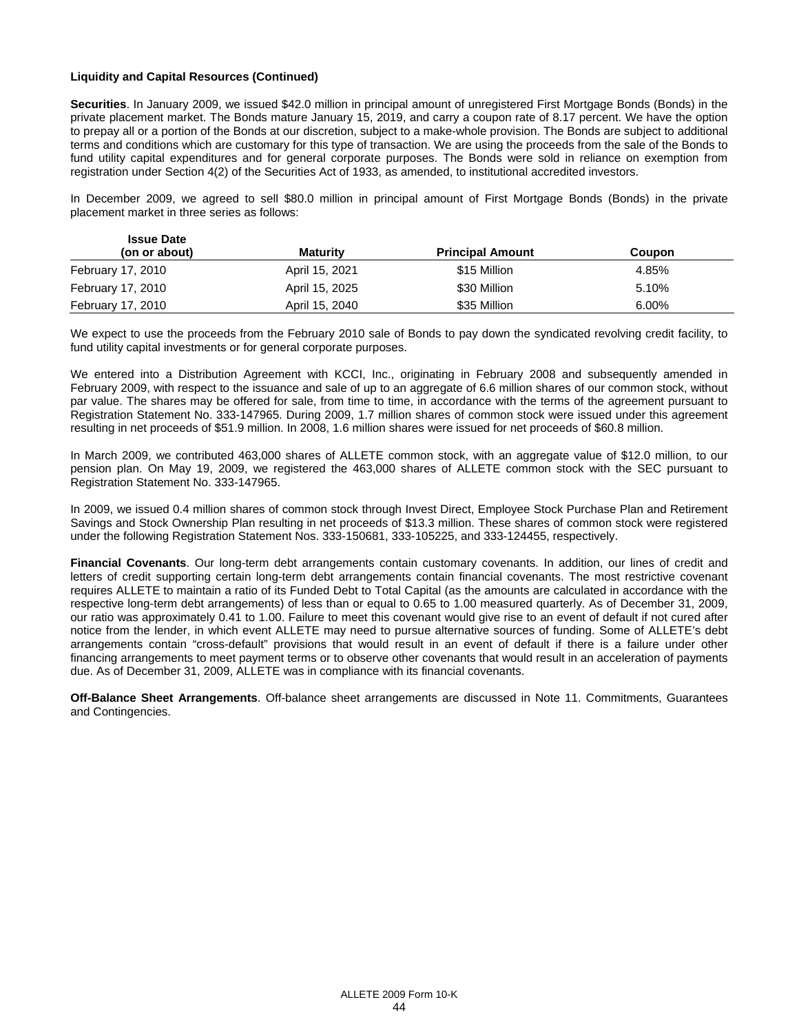## **Liquidity and Capital Resources (Continued)**

**Issue Date** 

**Securities**. In January 2009, we issued \$42.0 million in principal amount of unregistered First Mortgage Bonds (Bonds) in the private placement market. The Bonds mature January 15, 2019, and carry a coupon rate of 8.17 percent. We have the option to prepay all or a portion of the Bonds at our discretion, subject to a make-whole provision. The Bonds are subject to additional terms and conditions which are customary for this type of transaction. We are using the proceeds from the sale of the Bonds to fund utility capital expenditures and for general corporate purposes. The Bonds were sold in reliance on exemption from registration under Section 4(2) of the Securities Act of 1933, as amended, to institutional accredited investors.

In December 2009, we agreed to sell \$80.0 million in principal amount of First Mortgage Bonds (Bonds) in the private placement market in three series as follows:

| ISSUE DAIE        |                |                         |               |  |
|-------------------|----------------|-------------------------|---------------|--|
| (on or about)     | Maturity       | <b>Principal Amount</b> | <b>Coupon</b> |  |
| February 17, 2010 | April 15, 2021 | \$15 Million            | 4.85%         |  |
| February 17, 2010 | April 15, 2025 | \$30 Million            | 5.10%         |  |
| February 17, 2010 | April 15, 2040 | \$35 Million            | 6.00%         |  |

We expect to use the proceeds from the February 2010 sale of Bonds to pay down the syndicated revolving credit facility, to fund utility capital investments or for general corporate purposes.

We entered into a Distribution Agreement with KCCI, Inc., originating in February 2008 and subsequently amended in February 2009, with respect to the issuance and sale of up to an aggregate of 6.6 million shares of our common stock, without par value. The shares may be offered for sale, from time to time, in accordance with the terms of the agreement pursuant to Registration Statement No. 333-147965. During 2009, 1.7 million shares of common stock were issued under this agreement resulting in net proceeds of \$51.9 million. In 2008, 1.6 million shares were issued for net proceeds of \$60.8 million.

In March 2009, we contributed 463,000 shares of ALLETE common stock, with an aggregate value of \$12.0 million, to our pension plan. On May 19, 2009, we registered the 463,000 shares of ALLETE common stock with the SEC pursuant to Registration Statement No. 333-147965.

In 2009, we issued 0.4 million shares of common stock through Invest Direct, Employee Stock Purchase Plan and Retirement Savings and Stock Ownership Plan resulting in net proceeds of \$13.3 million. These shares of common stock were registered under the following Registration Statement Nos. 333-150681, 333-105225, and 333-124455, respectively.

**Financial Covenants**. Our long-term debt arrangements contain customary covenants. In addition, our lines of credit and letters of credit supporting certain long-term debt arrangements contain financial covenants. The most restrictive covenant requires ALLETE to maintain a ratio of its Funded Debt to Total Capital (as the amounts are calculated in accordance with the respective long-term debt arrangements) of less than or equal to 0.65 to 1.00 measured quarterly. As of December 31, 2009, our ratio was approximately 0.41 to 1.00. Failure to meet this covenant would give rise to an event of default if not cured after notice from the lender, in which event ALLETE may need to pursue alternative sources of funding. Some of ALLETE's debt arrangements contain "cross-default" provisions that would result in an event of default if there is a failure under other financing arrangements to meet payment terms or to observe other covenants that would result in an acceleration of payments due. As of December 31, 2009, ALLETE was in compliance with its financial covenants.

**Off-Balance Sheet Arrangements**. Off-balance sheet arrangements are discussed in Note 11. Commitments, Guarantees and Contingencies.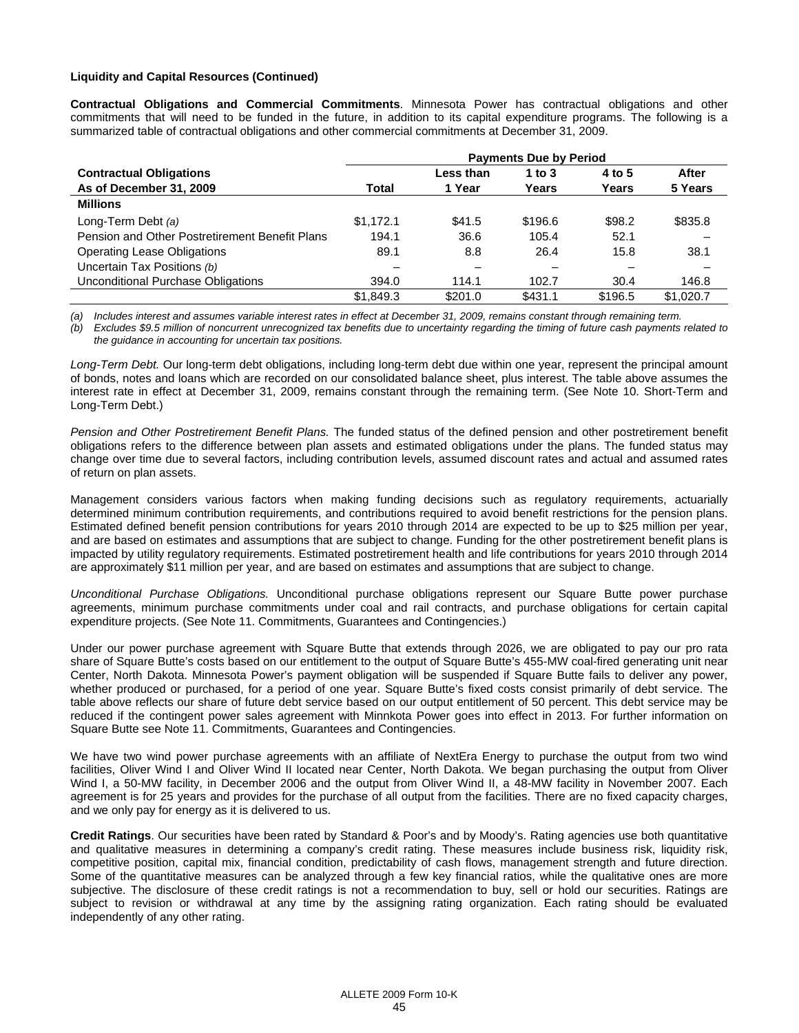## **Liquidity and Capital Resources (Continued)**

**Contractual Obligations and Commercial Commitments**. Minnesota Power has contractual obligations and other commitments that will need to be funded in the future, in addition to its capital expenditure programs. The following is a summarized table of contractual obligations and other commercial commitments at December 31, 2009.

|                                                | <b>Payments Due by Period</b> |           |          |         |           |  |
|------------------------------------------------|-------------------------------|-----------|----------|---------|-----------|--|
| <b>Contractual Obligations</b>                 |                               | Less than | 1 to $3$ | 4 to 5  | After     |  |
| As of December 31, 2009                        | Total                         | 1 Year    | Years    | Years   | 5 Years   |  |
| <b>Millions</b>                                |                               |           |          |         |           |  |
| Long-Term Debt $(a)$                           | \$1.172.1                     | \$41.5    | \$196.6  | \$98.2  | \$835.8   |  |
| Pension and Other Postretirement Benefit Plans | 194.1                         | 36.6      | 105.4    | 52.1    |           |  |
| <b>Operating Lease Obligations</b>             | 89.1                          | 8.8       | 26.4     | 15.8    | 38.1      |  |
| Uncertain Tax Positions (b)                    |                               |           |          |         |           |  |
| <b>Unconditional Purchase Obligations</b>      | 394.0                         | 114.1     | 102.7    | 30.4    | 146.8     |  |
|                                                | \$1.849.3                     | \$201.0   | \$431.1  | \$196.5 | \$1,020.7 |  |

*(a) Includes interest and assumes variable interest rates in effect at December 31, 2009, remains constant through remaining term.* 

*(b) Excludes \$9.5 million of noncurrent unrecognized tax benefits due to uncertainty regarding the timing of future cash payments related to the guidance in accounting for uncertain tax positions.* 

*Long-Term Debt.* Our long-term debt obligations, including long-term debt due within one year, represent the principal amount of bonds, notes and loans which are recorded on our consolidated balance sheet, plus interest. The table above assumes the interest rate in effect at December 31, 2009, remains constant through the remaining term. (See Note 10. Short-Term and Long-Term Debt.)

*Pension and Other Postretirement Benefit Plans.* The funded status of the defined pension and other postretirement benefit obligations refers to the difference between plan assets and estimated obligations under the plans. The funded status may change over time due to several factors, including contribution levels, assumed discount rates and actual and assumed rates of return on plan assets.

Management considers various factors when making funding decisions such as regulatory requirements, actuarially determined minimum contribution requirements, and contributions required to avoid benefit restrictions for the pension plans. Estimated defined benefit pension contributions for years 2010 through 2014 are expected to be up to \$25 million per year, and are based on estimates and assumptions that are subject to change. Funding for the other postretirement benefit plans is impacted by utility regulatory requirements. Estimated postretirement health and life contributions for years 2010 through 2014 are approximately \$11 million per year, and are based on estimates and assumptions that are subject to change.

*Unconditional Purchase Obligations.* Unconditional purchase obligations represent our Square Butte power purchase agreements, minimum purchase commitments under coal and rail contracts, and purchase obligations for certain capital expenditure projects. (See Note 11. Commitments, Guarantees and Contingencies.)

Under our power purchase agreement with Square Butte that extends through 2026, we are obligated to pay our pro rata share of Square Butte's costs based on our entitlement to the output of Square Butte's 455-MW coal-fired generating unit near Center, North Dakota. Minnesota Power's payment obligation will be suspended if Square Butte fails to deliver any power, whether produced or purchased, for a period of one year. Square Butte's fixed costs consist primarily of debt service. The table above reflects our share of future debt service based on our output entitlement of 50 percent. This debt service may be reduced if the contingent power sales agreement with Minnkota Power goes into effect in 2013. For further information on Square Butte see Note 11. Commitments, Guarantees and Contingencies.

We have two wind power purchase agreements with an affiliate of NextEra Energy to purchase the output from two wind facilities, Oliver Wind I and Oliver Wind II located near Center, North Dakota. We began purchasing the output from Oliver Wind I, a 50-MW facility, in December 2006 and the output from Oliver Wind II, a 48-MW facility in November 2007. Each agreement is for 25 years and provides for the purchase of all output from the facilities. There are no fixed capacity charges, and we only pay for energy as it is delivered to us.

**Credit Ratings**. Our securities have been rated by Standard & Poor's and by Moody's. Rating agencies use both quantitative and qualitative measures in determining a company's credit rating. These measures include business risk, liquidity risk, competitive position, capital mix, financial condition, predictability of cash flows, management strength and future direction. Some of the quantitative measures can be analyzed through a few key financial ratios, while the qualitative ones are more subjective. The disclosure of these credit ratings is not a recommendation to buy, sell or hold our securities. Ratings are subject to revision or withdrawal at any time by the assigning rating organization. Each rating should be evaluated independently of any other rating.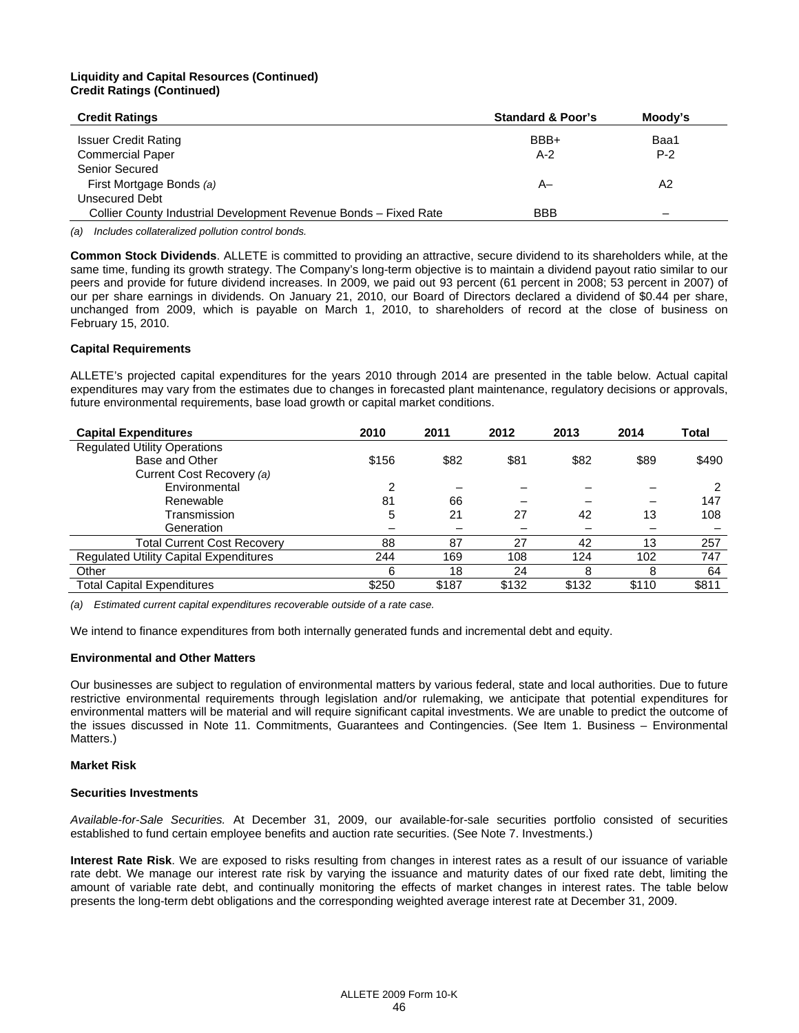# **Liquidity and Capital Resources (Continued) Credit Ratings (Continued)**

| <b>Credit Ratings</b>                                            | <b>Standard &amp; Poor's</b> | Moody's |
|------------------------------------------------------------------|------------------------------|---------|
| <b>Issuer Credit Rating</b>                                      | BBB+                         | Baa1    |
| <b>Commercial Paper</b>                                          | $A-2$                        | $P-2$   |
| Senior Secured                                                   |                              |         |
| First Mortgage Bonds (a)                                         | A–                           | A2      |
| <b>Unsecured Debt</b>                                            |                              |         |
| Collier County Industrial Development Revenue Bonds - Fixed Rate | BBB                          |         |

*(a) Includes collateralized pollution control bonds.*

**Common Stock Dividends**. ALLETE is committed to providing an attractive, secure dividend to its shareholders while, at the same time, funding its growth strategy. The Company's long-term objective is to maintain a dividend payout ratio similar to our peers and provide for future dividend increases. In 2009, we paid out 93 percent (61 percent in 2008; 53 percent in 2007) of our per share earnings in dividends. On January 21, 2010, our Board of Directors declared a dividend of \$0.44 per share, unchanged from 2009, which is payable on March 1, 2010, to shareholders of record at the close of business on February 15, 2010.

# **Capital Requirements**

ALLETE's projected capital expenditures for the years 2010 through 2014 are presented in the table below. Actual capital expenditures may vary from the estimates due to changes in forecasted plant maintenance, regulatory decisions or approvals, future environmental requirements, base load growth or capital market conditions.

| <b>Capital Expenditures</b>                   | 2010  | 2011  | 2012  | 2013  | 2014  | Total |
|-----------------------------------------------|-------|-------|-------|-------|-------|-------|
| <b>Regulated Utility Operations</b>           |       |       |       |       |       |       |
| Base and Other                                | \$156 | \$82  | \$81  | \$82  | \$89  | \$490 |
| Current Cost Recovery (a)                     |       |       |       |       |       |       |
| Environmental                                 | 2     |       |       |       |       | っ     |
| Renewable                                     | 81    | 66    | -     |       | -     | 147   |
| Transmission                                  | 5     | 21    | 27    | 42    | 13    | 108   |
| Generation                                    |       |       |       |       |       |       |
| <b>Total Current Cost Recovery</b>            | 88    | 87    | 27    | 42    | 13    | 257   |
| <b>Regulated Utility Capital Expenditures</b> | 244   | 169   | 108   | 124   | 102   | 747   |
| Other                                         | 6     | 18    | 24    | 8     | 8     | 64    |
| <b>Total Capital Expenditures</b>             | \$250 | \$187 | \$132 | \$132 | \$110 | \$811 |

*(a) Estimated current capital expenditures recoverable outside of a rate case.*

We intend to finance expenditures from both internally generated funds and incremental debt and equity.

# **Environmental and Other Matters**

Our businesses are subject to regulation of environmental matters by various federal, state and local authorities. Due to future restrictive environmental requirements through legislation and/or rulemaking, we anticipate that potential expenditures for environmental matters will be material and will require significant capital investments. We are unable to predict the outcome of the issues discussed in Note 11. Commitments, Guarantees and Contingencies. (See Item 1. Business – Environmental Matters.)

# **Market Risk**

# **Securities Investments**

*Available-for-Sale Securities.* At December 31, 2009, our available-for-sale securities portfolio consisted of securities established to fund certain employee benefits and auction rate securities. (See Note 7. Investments.)

**Interest Rate Risk**. We are exposed to risks resulting from changes in interest rates as a result of our issuance of variable rate debt. We manage our interest rate risk by varying the issuance and maturity dates of our fixed rate debt, limiting the amount of variable rate debt, and continually monitoring the effects of market changes in interest rates. The table below presents the long-term debt obligations and the corresponding weighted average interest rate at December 31, 2009.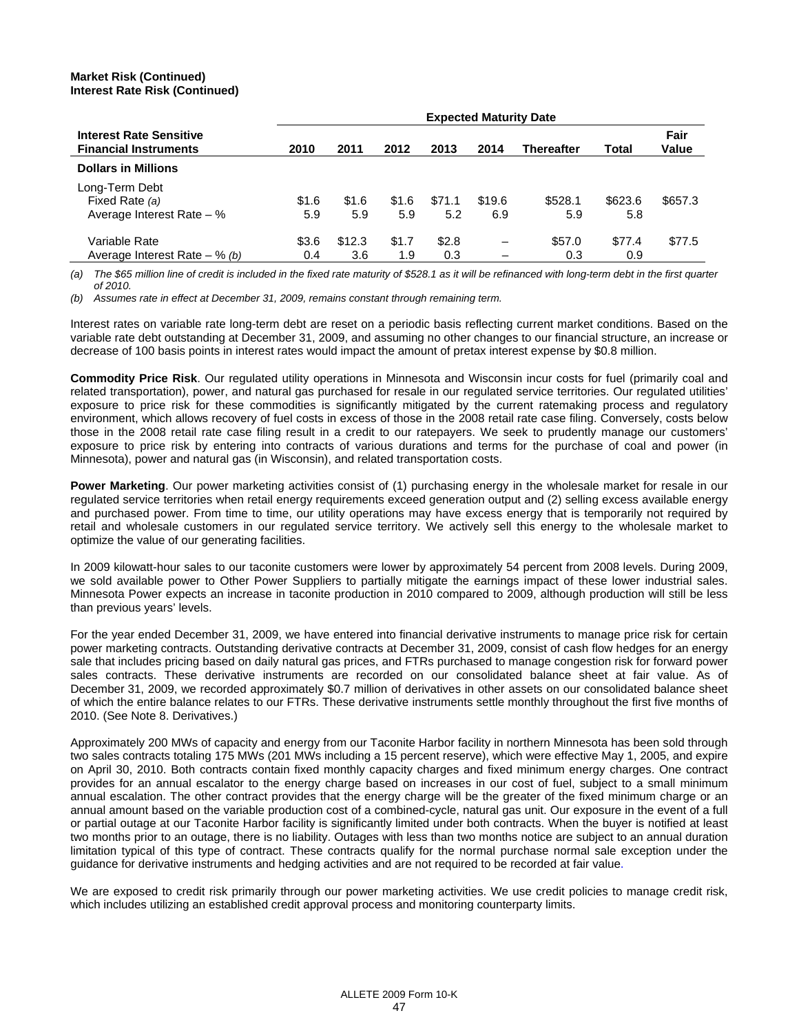# **Market Risk (Continued) Interest Rate Risk (Continued)**

|                                                                | <b>Expected Maturity Date</b> |        |       |        |        |            |         |               |
|----------------------------------------------------------------|-------------------------------|--------|-------|--------|--------|------------|---------|---------------|
| <b>Interest Rate Sensitive</b><br><b>Financial Instruments</b> | 2010                          | 2011   | 2012  | 2013   | 2014   | Thereafter | Total   | Fair<br>Value |
| <b>Dollars in Millions</b>                                     |                               |        |       |        |        |            |         |               |
| Long-Term Debt                                                 |                               |        |       |        |        |            |         |               |
| Fixed Rate (a)                                                 | \$1.6                         | \$1.6  | \$1.6 | \$71.1 | \$19.6 | \$528.1    | \$623.6 | \$657.3       |
| Average Interest Rate $-$ %                                    | 5.9                           | 5.9    | 5.9   | 5.2    | 6.9    | 5.9        | 5.8     |               |
| Variable Rate                                                  | \$3.6                         | \$12.3 | \$1.7 | \$2.8  | —      | \$57.0     | \$77.4  | \$77.5        |
| Average Interest Rate $-$ % (b)                                | 0.4                           | 3.6    | 1.9   | 0.3    |        | 0.3        | 0.9     |               |

*(a) The \$65 million line of credit is included in the fixed rate maturity of \$528.1 as it will be refinanced with long-term debt in the first quarter of 2010.* 

*(b) Assumes rate in effect at December 31, 2009, remains constant through remaining term.* 

Interest rates on variable rate long-term debt are reset on a periodic basis reflecting current market conditions. Based on the variable rate debt outstanding at December 31, 2009, and assuming no other changes to our financial structure, an increase or decrease of 100 basis points in interest rates would impact the amount of pretax interest expense by \$0.8 million.

**Commodity Price Risk**. Our regulated utility operations in Minnesota and Wisconsin incur costs for fuel (primarily coal and related transportation), power, and natural gas purchased for resale in our regulated service territories. Our regulated utilities' exposure to price risk for these commodities is significantly mitigated by the current ratemaking process and regulatory environment, which allows recovery of fuel costs in excess of those in the 2008 retail rate case filing. Conversely, costs below those in the 2008 retail rate case filing result in a credit to our ratepayers. We seek to prudently manage our customers' exposure to price risk by entering into contracts of various durations and terms for the purchase of coal and power (in Minnesota), power and natural gas (in Wisconsin), and related transportation costs.

**Power Marketing**. Our power marketing activities consist of (1) purchasing energy in the wholesale market for resale in our regulated service territories when retail energy requirements exceed generation output and (2) selling excess available energy and purchased power. From time to time, our utility operations may have excess energy that is temporarily not required by retail and wholesale customers in our regulated service territory. We actively sell this energy to the wholesale market to optimize the value of our generating facilities.

In 2009 kilowatt-hour sales to our taconite customers were lower by approximately 54 percent from 2008 levels. During 2009, we sold available power to Other Power Suppliers to partially mitigate the earnings impact of these lower industrial sales. Minnesota Power expects an increase in taconite production in 2010 compared to 2009, although production will still be less than previous years' levels.

For the year ended December 31, 2009, we have entered into financial derivative instruments to manage price risk for certain power marketing contracts. Outstanding derivative contracts at December 31, 2009, consist of cash flow hedges for an energy sale that includes pricing based on daily natural gas prices, and FTRs purchased to manage congestion risk for forward power sales contracts. These derivative instruments are recorded on our consolidated balance sheet at fair value. As of December 31, 2009, we recorded approximately \$0.7 million of derivatives in other assets on our consolidated balance sheet of which the entire balance relates to our FTRs. These derivative instruments settle monthly throughout the first five months of 2010. (See Note 8. Derivatives.)

Approximately 200 MWs of capacity and energy from our Taconite Harbor facility in northern Minnesota has been sold through two sales contracts totaling 175 MWs (201 MWs including a 15 percent reserve), which were effective May 1, 2005, and expire on April 30, 2010. Both contracts contain fixed monthly capacity charges and fixed minimum energy charges. One contract provides for an annual escalator to the energy charge based on increases in our cost of fuel, subject to a small minimum annual escalation. The other contract provides that the energy charge will be the greater of the fixed minimum charge or an annual amount based on the variable production cost of a combined-cycle, natural gas unit. Our exposure in the event of a full or partial outage at our Taconite Harbor facility is significantly limited under both contracts. When the buyer is notified at least two months prior to an outage, there is no liability. Outages with less than two months notice are subject to an annual duration limitation typical of this type of contract. These contracts qualify for the normal purchase normal sale exception under the guidance for derivative instruments and hedging activities and are not required to be recorded at fair value.

We are exposed to credit risk primarily through our power marketing activities. We use credit policies to manage credit risk, which includes utilizing an established credit approval process and monitoring counterparty limits.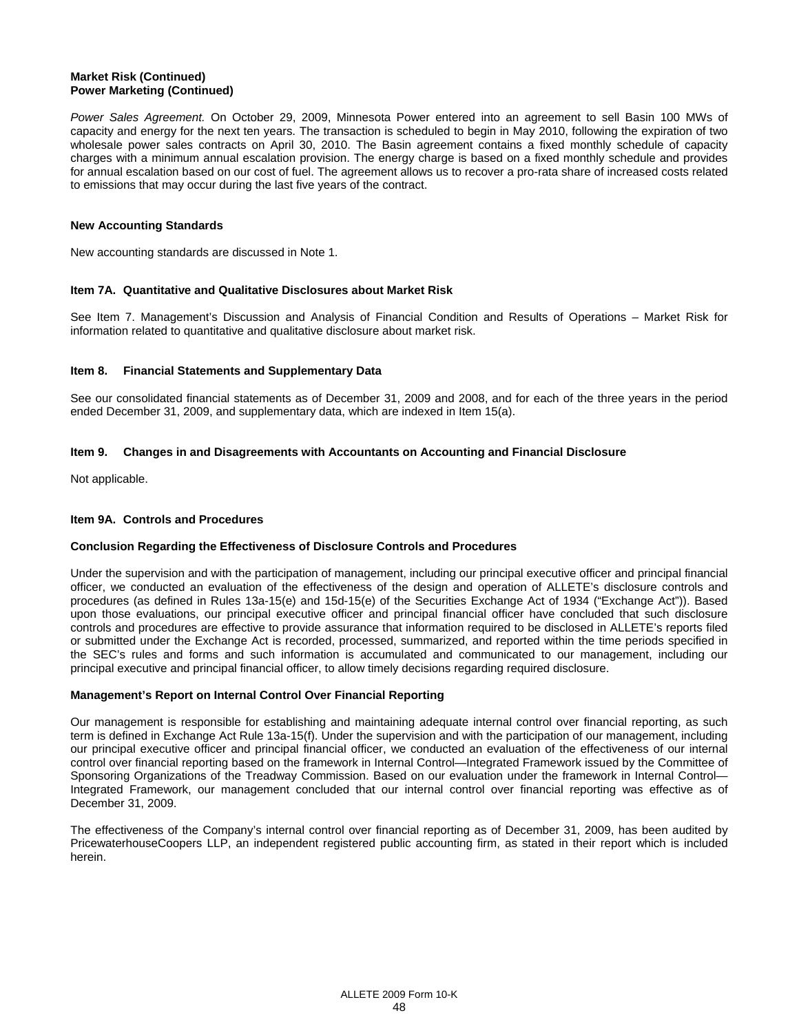# **Market Risk (Continued) Power Marketing (Continued)**

*Power Sales Agreement.* On October 29, 2009, Minnesota Power entered into an agreement to sell Basin 100 MWs of capacity and energy for the next ten years. The transaction is scheduled to begin in May 2010, following the expiration of two wholesale power sales contracts on April 30, 2010. The Basin agreement contains a fixed monthly schedule of capacity charges with a minimum annual escalation provision. The energy charge is based on a fixed monthly schedule and provides for annual escalation based on our cost of fuel. The agreement allows us to recover a pro-rata share of increased costs related to emissions that may occur during the last five years of the contract.

# **New Accounting Standards**

New accounting standards are discussed in Note 1.

# **Item 7A. Quantitative and Qualitative Disclosures about Market Risk**

See Item 7. Management's Discussion and Analysis of Financial Condition and Results of Operations – Market Risk for information related to quantitative and qualitative disclosure about market risk.

# **Item 8. Financial Statements and Supplementary Data**

See our consolidated financial statements as of December 31, 2009 and 2008, and for each of the three years in the period ended December 31, 2009, and supplementary data, which are indexed in Item 15(a).

# **Item 9. Changes in and Disagreements with Accountants on Accounting and Financial Disclosure**

Not applicable.

# **Item 9A. Controls and Procedures**

# **Conclusion Regarding the Effectiveness of Disclosure Controls and Procedures**

Under the supervision and with the participation of management, including our principal executive officer and principal financial officer, we conducted an evaluation of the effectiveness of the design and operation of ALLETE's disclosure controls and procedures (as defined in Rules 13a-15(e) and 15d-15(e) of the Securities Exchange Act of 1934 ("Exchange Act")). Based upon those evaluations, our principal executive officer and principal financial officer have concluded that such disclosure controls and procedures are effective to provide assurance that information required to be disclosed in ALLETE's reports filed or submitted under the Exchange Act is recorded, processed, summarized, and reported within the time periods specified in the SEC's rules and forms and such information is accumulated and communicated to our management, including our principal executive and principal financial officer, to allow timely decisions regarding required disclosure.

# **Management's Report on Internal Control Over Financial Reporting**

Our management is responsible for establishing and maintaining adequate internal control over financial reporting, as such term is defined in Exchange Act Rule 13a-15(f). Under the supervision and with the participation of our management, including our principal executive officer and principal financial officer, we conducted an evaluation of the effectiveness of our internal control over financial reporting based on the framework in Internal Control—Integrated Framework issued by the Committee of Sponsoring Organizations of the Treadway Commission. Based on our evaluation under the framework in Internal Control— Integrated Framework, our management concluded that our internal control over financial reporting was effective as of December 31, 2009.

The effectiveness of the Company's internal control over financial reporting as of December 31, 2009, has been audited by PricewaterhouseCoopers LLP, an independent registered public accounting firm, as stated in their report which is included herein.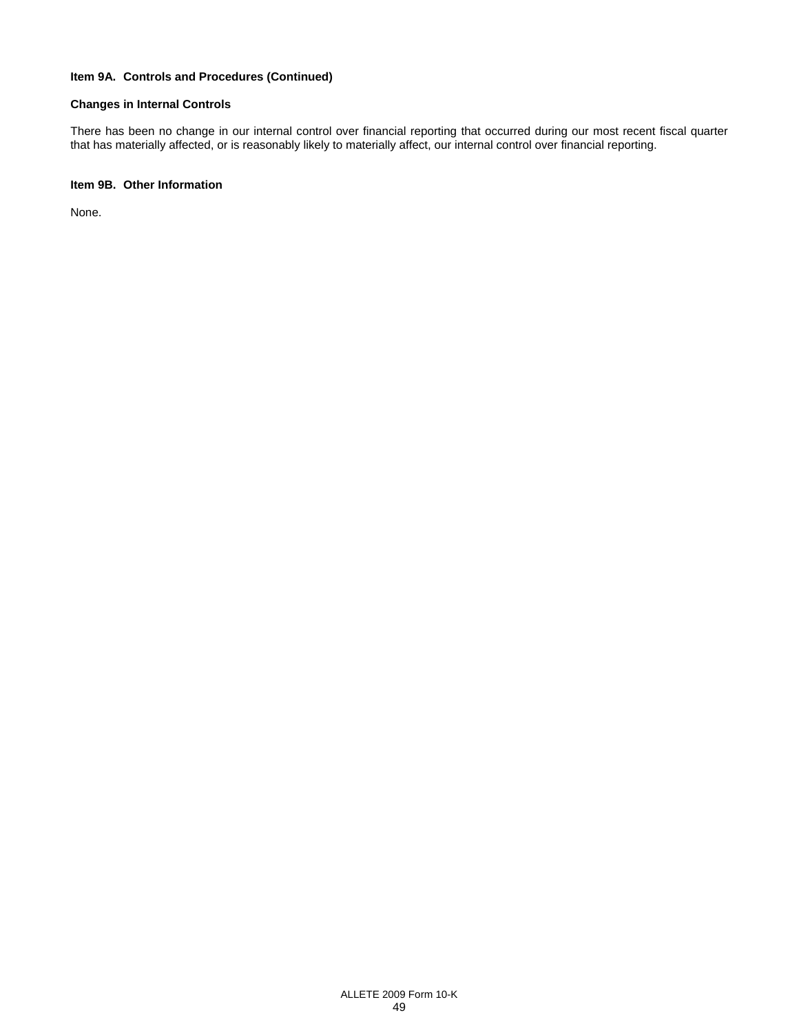# **Item 9A. Controls and Procedures (Continued)**

# **Changes in Internal Controls**

There has been no change in our internal control over financial reporting that occurred during our most recent fiscal quarter that has materially affected, or is reasonably likely to materially affect, our internal control over financial reporting.

# **Item 9B. Other Information**

None.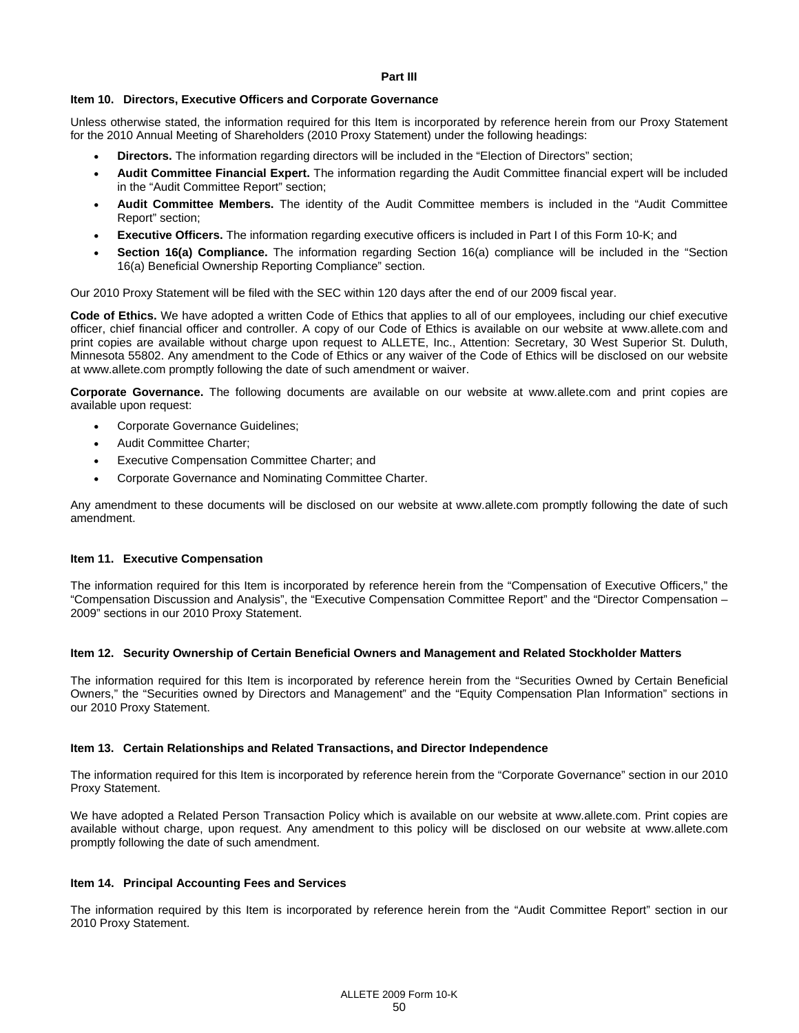#### **Part III**

## **Item 10. Directors, Executive Officers and Corporate Governance**

Unless otherwise stated, the information required for this Item is incorporated by reference herein from our Proxy Statement for the 2010 Annual Meeting of Shareholders (2010 Proxy Statement) under the following headings:

- **Directors.** The information regarding directors will be included in the "Election of Directors" section;
- **Audit Committee Financial Expert.** The information regarding the Audit Committee financial expert will be included in the "Audit Committee Report" section;
- **Audit Committee Members.** The identity of the Audit Committee members is included in the "Audit Committee Report" section;
- **Executive Officers.** The information regarding executive officers is included in Part I of this Form 10-K; and
- **Section 16(a) Compliance.** The information regarding Section 16(a) compliance will be included in the "Section 16(a) Beneficial Ownership Reporting Compliance" section.

Our 2010 Proxy Statement will be filed with the SEC within 120 days after the end of our 2009 fiscal year.

**Code of Ethics.** We have adopted a written Code of Ethics that applies to all of our employees, including our chief executive officer, chief financial officer and controller. A copy of our Code of Ethics is available on our website at www.allete.com and print copies are available without charge upon request to ALLETE, Inc., Attention: Secretary, 30 West Superior St. Duluth, Minnesota 55802. Any amendment to the Code of Ethics or any waiver of the Code of Ethics will be disclosed on our website at www.allete.com promptly following the date of such amendment or waiver.

**Corporate Governance.** The following documents are available on our website at www.allete.com and print copies are available upon request:

- Corporate Governance Guidelines;
- Audit Committee Charter;
- Executive Compensation Committee Charter; and
- Corporate Governance and Nominating Committee Charter.

Any amendment to these documents will be disclosed on our website at www.allete.com promptly following the date of such amendment.

#### **Item 11. Executive Compensation**

The information required for this Item is incorporated by reference herein from the "Compensation of Executive Officers," the "Compensation Discussion and Analysis", the "Executive Compensation Committee Report" and the "Director Compensation – 2009" sections in our 2010 Proxy Statement.

#### **Item 12. Security Ownership of Certain Beneficial Owners and Management and Related Stockholder Matters**

The information required for this Item is incorporated by reference herein from the "Securities Owned by Certain Beneficial Owners," the "Securities owned by Directors and Management" and the "Equity Compensation Plan Information" sections in our 2010 Proxy Statement.

#### **Item 13. Certain Relationships and Related Transactions, and Director Independence**

The information required for this Item is incorporated by reference herein from the "Corporate Governance" section in our 2010 Proxy Statement.

We have adopted a Related Person Transaction Policy which is available on our website at [www.allete.com.](http://www.allete.com/) Print copies are available without charge, upon request. Any amendment to this policy will be disclosed on our website at www.allete.com promptly following the date of such amendment.

#### **Item 14. Principal Accounting Fees and Services**

The information required by this Item is incorporated by reference herein from the "Audit Committee Report" section in our 2010 Proxy Statement.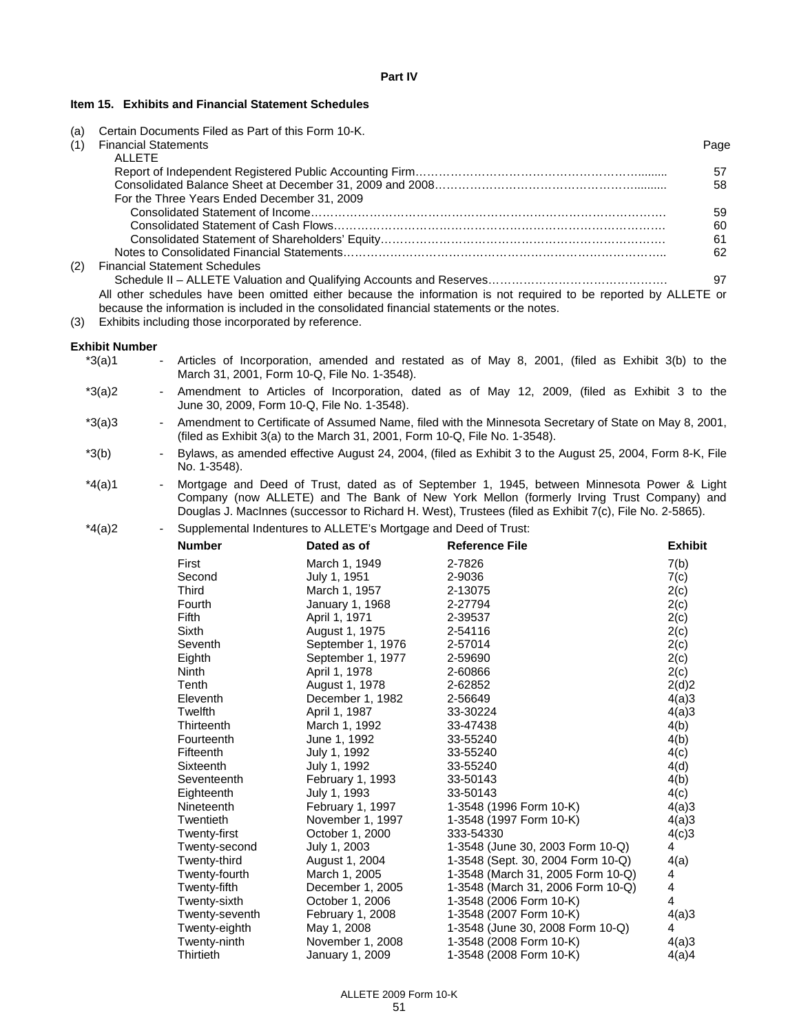#### **Item 15. Exhibits and Financial Statement Schedules**

(a) Certain Documents Filed as Part of this Form 10-K.

| (1) | <b>Financial Statements</b>                                                                                                                                                                                    | Page |
|-----|----------------------------------------------------------------------------------------------------------------------------------------------------------------------------------------------------------------|------|
|     | ALLETE                                                                                                                                                                                                         |      |
|     |                                                                                                                                                                                                                | 57   |
|     |                                                                                                                                                                                                                | 58   |
|     | For the Three Years Ended December 31, 2009                                                                                                                                                                    |      |
|     |                                                                                                                                                                                                                | 59   |
|     |                                                                                                                                                                                                                | 60   |
|     |                                                                                                                                                                                                                | 61   |
|     |                                                                                                                                                                                                                | 62   |
| (2) | <b>Financial Statement Schedules</b>                                                                                                                                                                           |      |
|     |                                                                                                                                                                                                                | 97   |
|     | All other schedules have been omitted either because the information is not required to be reported by ALLETE or<br>because the information is included in the consolidated financial statements or the notes. |      |

(3) Exhibits including those incorporated by reference.

#### **Exhibit Number**

- $*3(a)1$  Articles of Incorporation, amended and restated as of May 8, 2001, (filed as Exhibit 3(b) to the March 31, 2001, Form 10-Q, File No. 1-3548).
- \*3(a)2 Amendment to Articles of Incorporation, dated as of May 12, 2009, (filed as Exhibit 3 to the June 30, 2009, Form 10-Q, File No. 1-3548).
- \*3(a)3 Amendment to Certificate of Assumed Name, filed with the Minnesota Secretary of State on May 8, 2001, (filed as Exhibit 3(a) to the March 31, 2001, Form 10-Q, File No. 1-3548).
- \*3(b) Bylaws, as amended effective August 24, 2004, (filed as Exhibit 3 to the August 25, 2004, Form 8-K, File No. 1-3548).
- \*4(a)1 Mortgage and Deed of Trust, dated as of September 1, 1945, between Minnesota Power & Light Company (now ALLETE) and The Bank of New York Mellon (formerly Irving Trust Company) and Douglas J. MacInnes (successor to Richard H. West), Trustees (filed as Exhibit 7(c), File No. 2-5865).
- \*4(a)2 Supplemental Indentures to ALLETE's Mortgage and Deed of Trust:

| <b>Number</b>  | Dated as of       | <b>Reference File</b>             | <b>Exhibit</b> |
|----------------|-------------------|-----------------------------------|----------------|
| First          | March 1, 1949     | 2-7826                            | 7(b)           |
| Second         | July 1, 1951      | 2-9036                            | 7(c)           |
| <b>Third</b>   | March 1, 1957     | 2-13075                           | 2(c)           |
| Fourth         | January 1, 1968   | 2-27794                           | 2(c)           |
| Fifth          | April 1, 1971     | 2-39537                           | 2(c)           |
| <b>Sixth</b>   | August 1, 1975    | 2-54116                           | 2(c)           |
| Seventh        | September 1, 1976 | 2-57014                           | 2(c)           |
| Eighth         | September 1, 1977 | 2-59690                           | 2(c)           |
| <b>Ninth</b>   | April 1, 1978     | 2-60866                           | 2(c)           |
| Tenth          | August 1, 1978    | 2-62852                           | 2(d)2          |
| Eleventh       | December 1, 1982  | 2-56649                           | 4(a)3          |
| Twelfth        | April 1, 1987     | 33-30224                          | 4(a)3          |
| Thirteenth     | March 1, 1992     | 33-47438                          | 4(b)           |
| Fourteenth     | June 1, 1992      | 33-55240                          | 4(b)           |
| Fifteenth      | July 1, 1992      | 33-55240                          | 4(c)           |
| Sixteenth      | July 1, 1992      | 33-55240                          | 4(d)           |
| Seventeenth    | February 1, 1993  | 33-50143                          | 4(b)           |
| Eighteenth     | July 1, 1993      | 33-50143                          | 4(c)           |
| Nineteenth     | February 1, 1997  | 1-3548 (1996 Form 10-K)           | 4(a)3          |
| Twentieth      | November 1, 1997  | 1-3548 (1997 Form 10-K)           | 4(a)3          |
| Twenty-first   | October 1, 2000   | 333-54330                         | 4(c)3          |
| Twenty-second  | July 1, 2003      | 1-3548 (June 30, 2003 Form 10-Q)  | 4              |
| Twenty-third   | August 1, 2004    | 1-3548 (Sept. 30, 2004 Form 10-Q) | 4(a)           |
| Twenty-fourth  | March 1, 2005     | 1-3548 (March 31, 2005 Form 10-Q) | 4              |
| Twenty-fifth   | December 1, 2005  | 1-3548 (March 31, 2006 Form 10-Q) | 4              |
| Twenty-sixth   | October 1, 2006   | 1-3548 (2006 Form 10-K)           | 4              |
| Twenty-seventh | February 1, 2008  | 1-3548 (2007 Form 10-K)           | 4(a)3          |
| Twenty-eighth  | May 1, 2008       | 1-3548 (June 30, 2008 Form 10-Q)  | 4              |
| Twenty-ninth   | November 1, 2008  | 1-3548 (2008 Form 10-K)           | 4(a)3          |
| Thirtieth      | January 1, 2009   | 1-3548 (2008 Form 10-K)           | 4(a)4          |
|                |                   |                                   |                |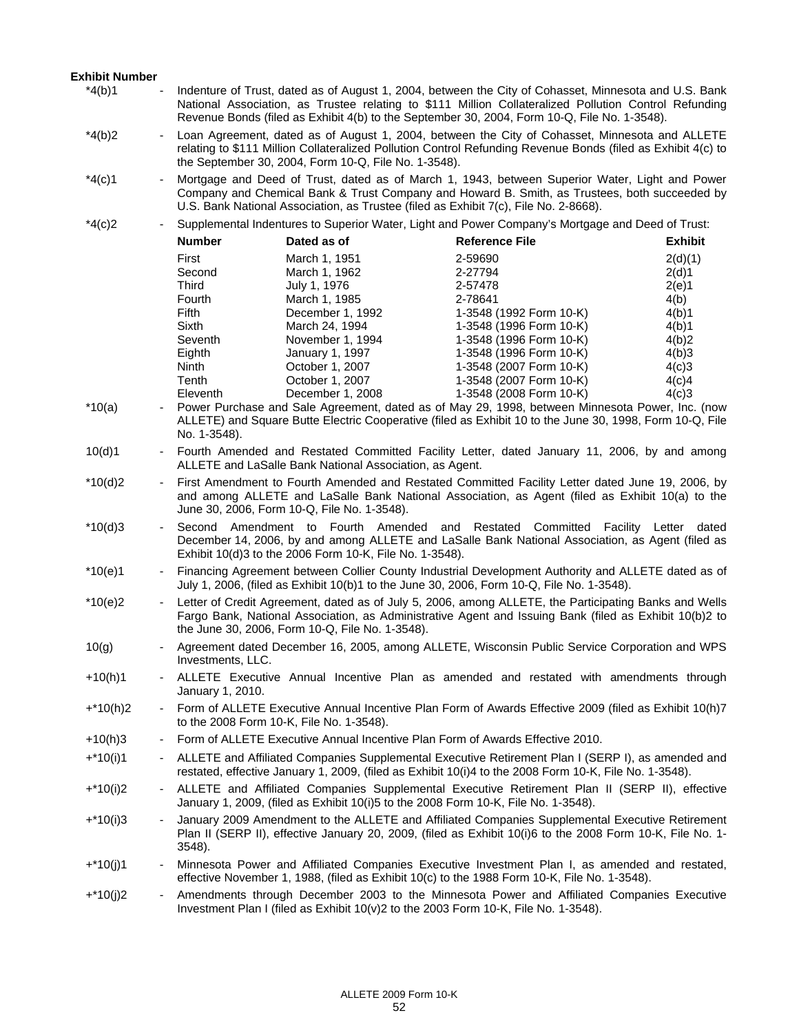| <b>Exhibit Number</b> |   |                                                                                             |                                                                                                                                                                                                             |                                                                                                                                                                                                                                                                                                                |                                                                                         |  |  |  |
|-----------------------|---|---------------------------------------------------------------------------------------------|-------------------------------------------------------------------------------------------------------------------------------------------------------------------------------------------------------------|----------------------------------------------------------------------------------------------------------------------------------------------------------------------------------------------------------------------------------------------------------------------------------------------------------------|-----------------------------------------------------------------------------------------|--|--|--|
| $*4(b)1$              |   |                                                                                             |                                                                                                                                                                                                             | Indenture of Trust, dated as of August 1, 2004, between the City of Cohasset, Minnesota and U.S. Bank<br>National Association, as Trustee relating to \$111 Million Collateralized Pollution Control Refunding<br>Revenue Bonds (filed as Exhibit 4(b) to the September 30, 2004, Form 10-Q, File No. 1-3548). |                                                                                         |  |  |  |
| $*4(b)2$              |   |                                                                                             | the September 30, 2004, Form 10-Q, File No. 1-3548).                                                                                                                                                        | Loan Agreement, dated as of August 1, 2004, between the City of Cohasset, Minnesota and ALLETE<br>relating to \$111 Million Collateralized Pollution Control Refunding Revenue Bonds (filed as Exhibit 4(c) to                                                                                                 |                                                                                         |  |  |  |
| $*4(c)1$              |   |                                                                                             |                                                                                                                                                                                                             | Mortgage and Deed of Trust, dated as of March 1, 1943, between Superior Water, Light and Power<br>Company and Chemical Bank & Trust Company and Howard B. Smith, as Trustees, both succeeded by<br>U.S. Bank National Association, as Trustee (filed as Exhibit 7(c), File No. 2-8668).                        |                                                                                         |  |  |  |
| $*4(c)2$              | ٠ |                                                                                             |                                                                                                                                                                                                             | Supplemental Indentures to Superior Water, Light and Power Company's Mortgage and Deed of Trust:                                                                                                                                                                                                               |                                                                                         |  |  |  |
|                       |   | <b>Number</b>                                                                               | Dated as of                                                                                                                                                                                                 | <b>Reference File</b>                                                                                                                                                                                                                                                                                          | <b>Exhibit</b>                                                                          |  |  |  |
|                       |   | First<br>Second<br>Third<br>Fourth<br>Fifth<br>Sixth<br>Seventh<br>Eighth<br>Ninth<br>Tenth | March 1, 1951<br>March 1, 1962<br>July 1, 1976<br>March 1, 1985<br>December 1, 1992<br>March 24, 1994<br>November 1, 1994<br>January 1, 1997<br>October 1, 2007<br>October 1, 2007                          | 2-59690<br>2-27794<br>2-57478<br>2-78641<br>1-3548 (1992 Form 10-K)<br>1-3548 (1996 Form 10-K)<br>1-3548 (1996 Form 10-K)<br>1-3548 (1996 Form 10-K)<br>1-3548 (2007 Form 10-K)<br>1-3548 (2007 Form 10-K)                                                                                                     | 2(d)(1)<br>2(d)1<br>2(e)1<br>4(b)<br>4(b)1<br>4(b)1<br>4(b)2<br>4(b)3<br>4(c)3<br>4(c)4 |  |  |  |
| *10(a)                |   | Eleventh<br>No. 1-3548).                                                                    | December 1, 2008                                                                                                                                                                                            | 1-3548 (2008 Form 10-K)<br>Power Purchase and Sale Agreement, dated as of May 29, 1998, between Minnesota Power, Inc. (now<br>ALLETE) and Square Butte Electric Cooperative (filed as Exhibit 10 to the June 30, 1998, Form 10-Q, File                                                                         | 4(c)3                                                                                   |  |  |  |
| 10(d)1                |   |                                                                                             | ALLETE and LaSalle Bank National Association, as Agent.                                                                                                                                                     | Fourth Amended and Restated Committed Facility Letter, dated January 11, 2006, by and among                                                                                                                                                                                                                    |                                                                                         |  |  |  |
| $*10(d)2$             |   |                                                                                             | June 30, 2006, Form 10-Q, File No. 1-3548).                                                                                                                                                                 | First Amendment to Fourth Amended and Restated Committed Facility Letter dated June 19, 2006, by<br>and among ALLETE and LaSalle Bank National Association, as Agent (filed as Exhibit 10(a) to the                                                                                                            |                                                                                         |  |  |  |
| $*10(d)3$             |   |                                                                                             | Second Amendment to Fourth Amended and<br>Exhibit 10(d)3 to the 2006 Form 10-K, File No. 1-3548).                                                                                                           | Restated<br>Committed<br>December 14, 2006, by and among ALLETE and LaSalle Bank National Association, as Agent (filed as                                                                                                                                                                                      | Facility<br>Letter<br>dated                                                             |  |  |  |
| $*10(e)1$             |   |                                                                                             |                                                                                                                                                                                                             | Financing Agreement between Collier County Industrial Development Authority and ALLETE dated as of<br>July 1, 2006, (filed as Exhibit 10(b)1 to the June 30, 2006, Form 10-Q, File No. 1-3548).                                                                                                                |                                                                                         |  |  |  |
| $*10(e)2$             |   |                                                                                             | the June 30, 2006, Form 10-Q, File No. 1-3548).                                                                                                                                                             | Letter of Credit Agreement, dated as of July 5, 2006, among ALLETE, the Participating Banks and Wells<br>Fargo Bank, National Association, as Administrative Agent and Issuing Bank (filed as Exhibit 10(b)2 to                                                                                                |                                                                                         |  |  |  |
| 10(g)                 |   | Investments, LLC.                                                                           |                                                                                                                                                                                                             | Agreement dated December 16, 2005, among ALLETE, Wisconsin Public Service Corporation and WPS                                                                                                                                                                                                                  |                                                                                         |  |  |  |
| $+10(h)1$             |   | January 1, 2010.                                                                            |                                                                                                                                                                                                             | ALLETE Executive Annual Incentive Plan as amended and restated with amendments through                                                                                                                                                                                                                         |                                                                                         |  |  |  |
| $+*10(h)2$            |   |                                                                                             | to the 2008 Form 10-K, File No. 1-3548).                                                                                                                                                                    | Form of ALLETE Executive Annual Incentive Plan Form of Awards Effective 2009 (filed as Exhibit 10(h)7                                                                                                                                                                                                          |                                                                                         |  |  |  |
| $+10(h)3$             |   |                                                                                             |                                                                                                                                                                                                             | Form of ALLETE Executive Annual Incentive Plan Form of Awards Effective 2010.                                                                                                                                                                                                                                  |                                                                                         |  |  |  |
| $+*10(i)1$            |   |                                                                                             | ALLETE and Affiliated Companies Supplemental Executive Retirement Plan I (SERP I), as amended and<br>restated, effective January 1, 2009, (filed as Exhibit 10(i)4 to the 2008 Form 10-K, File No. 1-3548). |                                                                                                                                                                                                                                                                                                                |                                                                                         |  |  |  |
| $+*10(i)2$            |   |                                                                                             |                                                                                                                                                                                                             | ALLETE and Affiliated Companies Supplemental Executive Retirement Plan II (SERP II), effective<br>January 1, 2009, (filed as Exhibit 10(i)5 to the 2008 Form 10-K, File No. 1-3548).                                                                                                                           |                                                                                         |  |  |  |
| $+*10(i)3$            |   | 3548).                                                                                      |                                                                                                                                                                                                             | January 2009 Amendment to the ALLETE and Affiliated Companies Supplemental Executive Retirement<br>Plan II (SERP II), effective January 20, 2009, (filed as Exhibit 10(i)6 to the 2008 Form 10-K, File No. 1-                                                                                                  |                                                                                         |  |  |  |
| $+*10(j)1$            |   |                                                                                             |                                                                                                                                                                                                             | Minnesota Power and Affiliated Companies Executive Investment Plan I, as amended and restated,<br>effective November 1, 1988, (filed as Exhibit 10(c) to the 1988 Form 10-K, File No. 1-3548).                                                                                                                 |                                                                                         |  |  |  |
| $+*10(j)2$            |   |                                                                                             |                                                                                                                                                                                                             | Amendments through December 2003 to the Minnesota Power and Affiliated Companies Executive<br>Investment Plan I (filed as Exhibit $10(v)2$ to the 2003 Form $10$ -K, File No. 1-3548).                                                                                                                         |                                                                                         |  |  |  |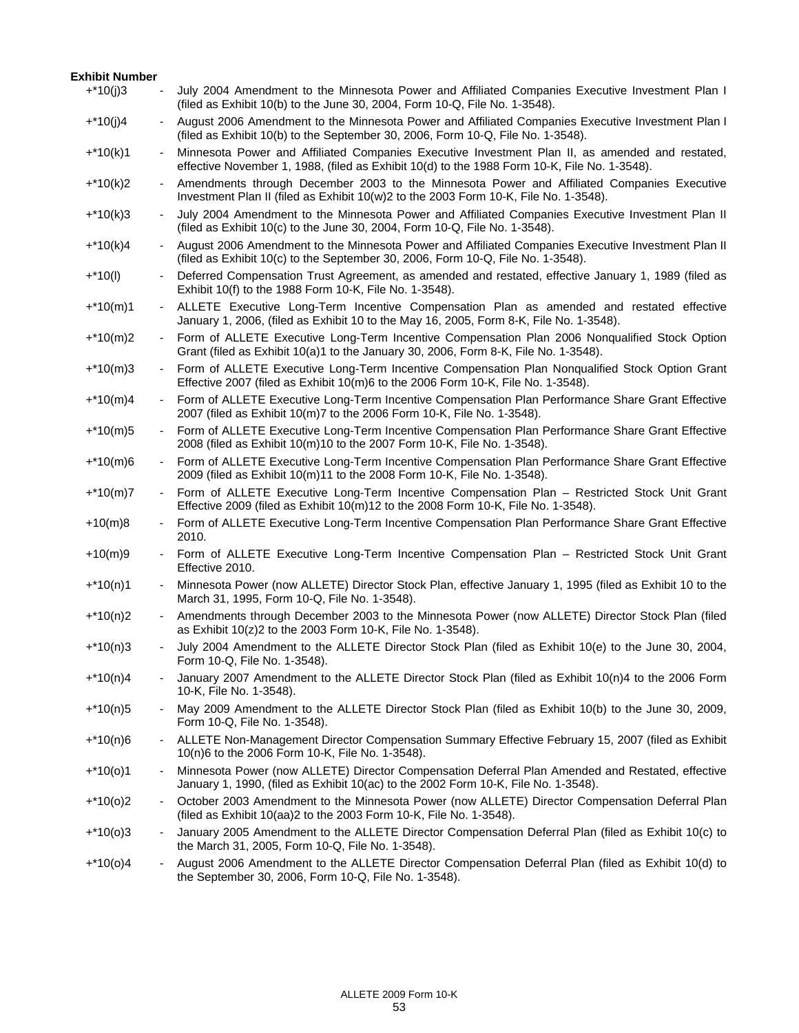# **Exhibit Number**

| $+*10(j)3$ |                | July 2004 Amendment to the Minnesota Power and Affiliated Companies Executive Investment Plan I<br>(filed as Exhibit 10(b) to the June 30, 2004, Form 10-Q, File No. 1-3548).                   |
|------------|----------------|-------------------------------------------------------------------------------------------------------------------------------------------------------------------------------------------------|
| $+*10(j)4$ |                | August 2006 Amendment to the Minnesota Power and Affiliated Companies Executive Investment Plan I<br>(filed as Exhibit 10(b) to the September 30, 2006, Form 10-Q, File No. 1-3548).            |
| $+*10(k)1$ |                | Minnesota Power and Affiliated Companies Executive Investment Plan II, as amended and restated,<br>effective November 1, 1988, (filed as Exhibit 10(d) to the 1988 Form 10-K, File No. 1-3548). |
| $+*10(k)2$ |                | Amendments through December 2003 to the Minnesota Power and Affiliated Companies Executive<br>Investment Plan II (filed as Exhibit 10(w)2 to the 2003 Form 10-K, File No. 1-3548).              |
| $+*10(k)3$ |                | July 2004 Amendment to the Minnesota Power and Affiliated Companies Executive Investment Plan II<br>(filed as Exhibit 10(c) to the June 30, 2004, Form 10-Q, File No. 1-3548).                  |
| $+*10(k)4$ |                | August 2006 Amendment to the Minnesota Power and Affiliated Companies Executive Investment Plan II<br>(filed as Exhibit 10(c) to the September 30, 2006, Form 10-Q, File No. 1-3548).           |
| $+*10(l)$  |                | Deferred Compensation Trust Agreement, as amended and restated, effective January 1, 1989 (filed as<br>Exhibit 10(f) to the 1988 Form 10-K, File No. 1-3548).                                   |
| $+*10(m)1$ |                | ALLETE Executive Long-Term Incentive Compensation Plan as amended and restated effective<br>January 1, 2006, (filed as Exhibit 10 to the May 16, 2005, Form 8-K, File No. 1-3548).              |
| $+*10(m)2$ |                | Form of ALLETE Executive Long-Term Incentive Compensation Plan 2006 Nonqualified Stock Option<br>Grant (filed as Exhibit 10(a)1 to the January 30, 2006, Form 8-K, File No. 1-3548).            |
| $+*10(m)3$ |                | Form of ALLETE Executive Long-Term Incentive Compensation Plan Nonqualified Stock Option Grant<br>Effective 2007 (filed as Exhibit 10(m)6 to the 2006 Form 10-K, File No. 1-3548).              |
| $+*10(m)4$ |                | Form of ALLETE Executive Long-Term Incentive Compensation Plan Performance Share Grant Effective<br>2007 (filed as Exhibit 10(m)7 to the 2006 Form 10-K, File No. 1-3548).                      |
| $+*10(m)5$ |                | Form of ALLETE Executive Long-Term Incentive Compensation Plan Performance Share Grant Effective<br>2008 (filed as Exhibit 10(m)10 to the 2007 Form 10-K, File No. 1-3548).                     |
| $+*10(m)6$ | $\blacksquare$ | Form of ALLETE Executive Long-Term Incentive Compensation Plan Performance Share Grant Effective<br>2009 (filed as Exhibit 10(m)11 to the 2008 Form 10-K, File No. 1-3548).                     |
| $+*10(m)7$ | $\blacksquare$ | Form of ALLETE Executive Long-Term Incentive Compensation Plan - Restricted Stock Unit Grant<br>Effective 2009 (filed as Exhibit 10(m)12 to the 2008 Form 10-K, File No. 1-3548).               |
| $+10(m)8$  |                | Form of ALLETE Executive Long-Term Incentive Compensation Plan Performance Share Grant Effective<br>2010.                                                                                       |
| $+10(m)9$  |                | Form of ALLETE Executive Long-Term Incentive Compensation Plan - Restricted Stock Unit Grant<br>Effective 2010.                                                                                 |
| $+*10(n)1$ |                | Minnesota Power (now ALLETE) Director Stock Plan, effective January 1, 1995 (filed as Exhibit 10 to the<br>March 31, 1995, Form 10-Q, File No. 1-3548).                                         |
| $+*10(n)2$ |                | Amendments through December 2003 to the Minnesota Power (now ALLETE) Director Stock Plan (filed<br>as Exhibit 10(z)2 to the 2003 Form 10-K, File No. 1-3548).                                   |
| $+*10(n)3$ |                | July 2004 Amendment to the ALLETE Director Stock Plan (filed as Exhibit 10(e) to the June 30, 2004,<br>Form 10-Q, File No. 1-3548).                                                             |
| $+*10(n)4$ |                | January 2007 Amendment to the ALLETE Director Stock Plan (filed as Exhibit 10(n)4 to the 2006 Form<br>10-K, File No. 1-3548).                                                                   |
| $+*10(n)5$ |                | May 2009 Amendment to the ALLETE Director Stock Plan (filed as Exhibit 10(b) to the June 30, 2009,<br>Form 10-Q, File No. 1-3548).                                                              |
| $+*10(n)6$ |                | ALLETE Non-Management Director Compensation Summary Effective February 15, 2007 (filed as Exhibit<br>10(n)6 to the 2006 Form 10-K, File No. 1-3548).                                            |
| $+*10(0)1$ |                | Minnesota Power (now ALLETE) Director Compensation Deferral Plan Amended and Restated, effective<br>January 1, 1990, (filed as Exhibit 10(ac) to the 2002 Form 10-K, File No. 1-3548).          |
| $+*10(0)2$ |                | October 2003 Amendment to the Minnesota Power (now ALLETE) Director Compensation Deferral Plan<br>(filed as Exhibit 10(aa)2 to the 2003 Form 10-K, File No. 1-3548).                            |
| $+*10(0)3$ |                | January 2005 Amendment to the ALLETE Director Compensation Deferral Plan (filed as Exhibit 10(c) to<br>the March 31, 2005, Form 10-Q, File No. 1-3548).                                         |
| $+10(0)4$  |                | August 2006 Amendment to the ALLETE Director Compensation Deferral Plan (filed as Exhibit 10(d) to<br>the September 30, 2006, Form 10-Q, File No. 1-3548).                                      |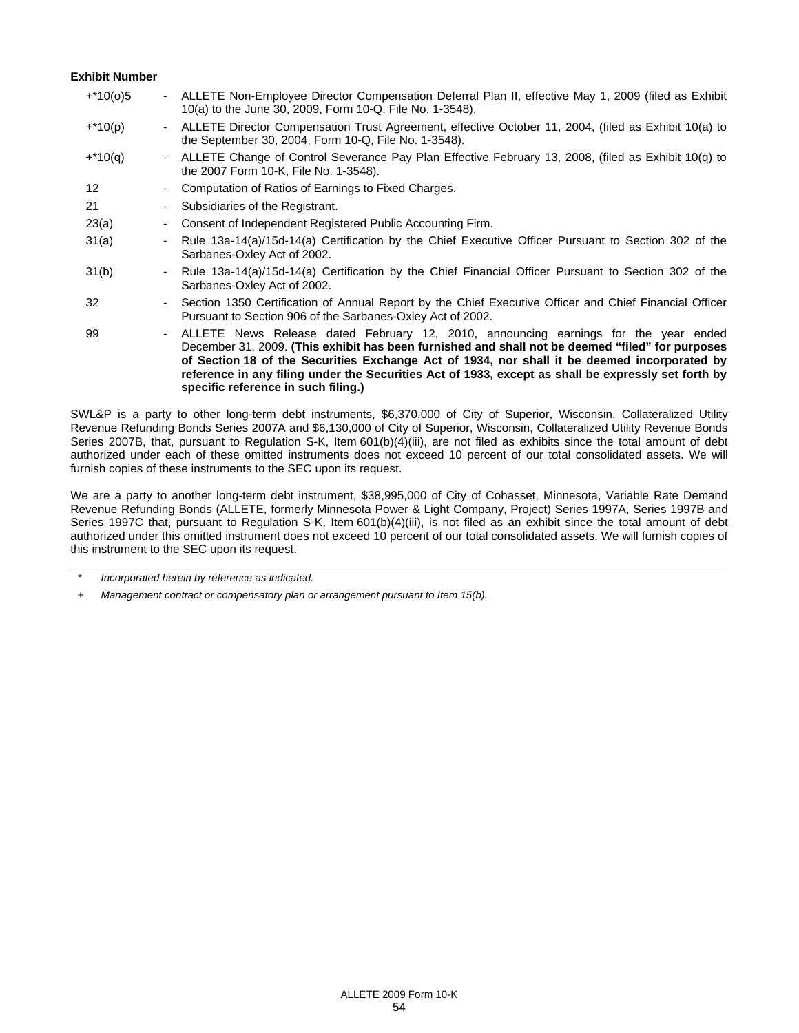#### **Exhibit Number**

| $+*10(0)5$ |                                                     | ALLETE Non-Employee Director Compensation Deferral Plan II, effective May 1, 2009 (filed as Exhibit                                                                                                                                                                                                                                                                                            |
|------------|-----------------------------------------------------|------------------------------------------------------------------------------------------------------------------------------------------------------------------------------------------------------------------------------------------------------------------------------------------------------------------------------------------------------------------------------------------------|
|            |                                                     | 10(a) to the June 30, 2009, Form 10-Q, File No. 1-3548).                                                                                                                                                                                                                                                                                                                                       |
| $+*10(p)$  |                                                     | ALLETE Director Compensation Trust Agreement, effective October 11, 2004, (filed as Exhibit 10(a) to<br>the September 30, 2004, Form 10-Q, File No. 1-3548).                                                                                                                                                                                                                                   |
| $+*10(q)$  | the 2007 Form 10-K, File No. 1-3548).               | ALLETE Change of Control Severance Pay Plan Effective February 13, 2008, (filed as Exhibit 10(q) to                                                                                                                                                                                                                                                                                            |
| 12         | Computation of Ratios of Earnings to Fixed Charges. |                                                                                                                                                                                                                                                                                                                                                                                                |
| 21         | Subsidiaries of the Registrant.                     |                                                                                                                                                                                                                                                                                                                                                                                                |
| 23(a)      |                                                     | Consent of Independent Registered Public Accounting Firm.                                                                                                                                                                                                                                                                                                                                      |
| 31(a)      | Sarbanes-Oxley Act of 2002.                         | Rule 13a-14(a)/15d-14(a) Certification by the Chief Executive Officer Pursuant to Section 302 of the                                                                                                                                                                                                                                                                                           |
| 31(b)      | Sarbanes-Oxley Act of 2002.                         | Rule 13a-14(a)/15d-14(a) Certification by the Chief Financial Officer Pursuant to Section 302 of the                                                                                                                                                                                                                                                                                           |
| 32         |                                                     | Section 1350 Certification of Annual Report by the Chief Executive Officer and Chief Financial Officer<br>Pursuant to Section 906 of the Sarbanes-Oxley Act of 2002.                                                                                                                                                                                                                           |
| 99         | specific reference in such filing.)                 | ALLETE News Release dated February 12, 2010, announcing earnings for the year ended<br>December 31, 2009. (This exhibit has been furnished and shall not be deemed "filed" for purposes<br>of Section 18 of the Securities Exchange Act of 1934, nor shall it be deemed incorporated by<br>reference in any filing under the Securities Act of 1933, except as shall be expressly set forth by |

SWL&P is a party to other long-term debt instruments, \$6,370,000 of City of Superior, Wisconsin, Collateralized Utility Revenue Refunding Bonds Series 2007A and \$6,130,000 of City of Superior, Wisconsin, Collateralized Utility Revenue Bonds Series 2007B, that, pursuant to Regulation S-K, Item 601(b)(4)(iii), are not filed as exhibits since the total amount of debt authorized under each of these omitted instruments does not exceed 10 percent of our total consolidated assets. We will furnish copies of these instruments to the SEC upon its request.

We are a party to another long-term debt instrument, \$38,995,000 of City of Cohasset, Minnesota, Variable Rate Demand Revenue Refunding Bonds (ALLETE, formerly Minnesota Power & Light Company, Project) Series 1997A, Series 1997B and Series 1997C that, pursuant to Regulation S-K, Item 601(b)(4)(iii), is not filed as an exhibit since the total amount of debt authorized under this omitted instrument does not exceed 10 percent of our total consolidated assets. We will furnish copies of this instrument to the SEC upon its request.

*<sup>\*</sup> Incorporated herein by reference as indicated.* 

*<sup>+</sup> Management contract or compensatory plan or arrangement pursuant to Item 15(b).*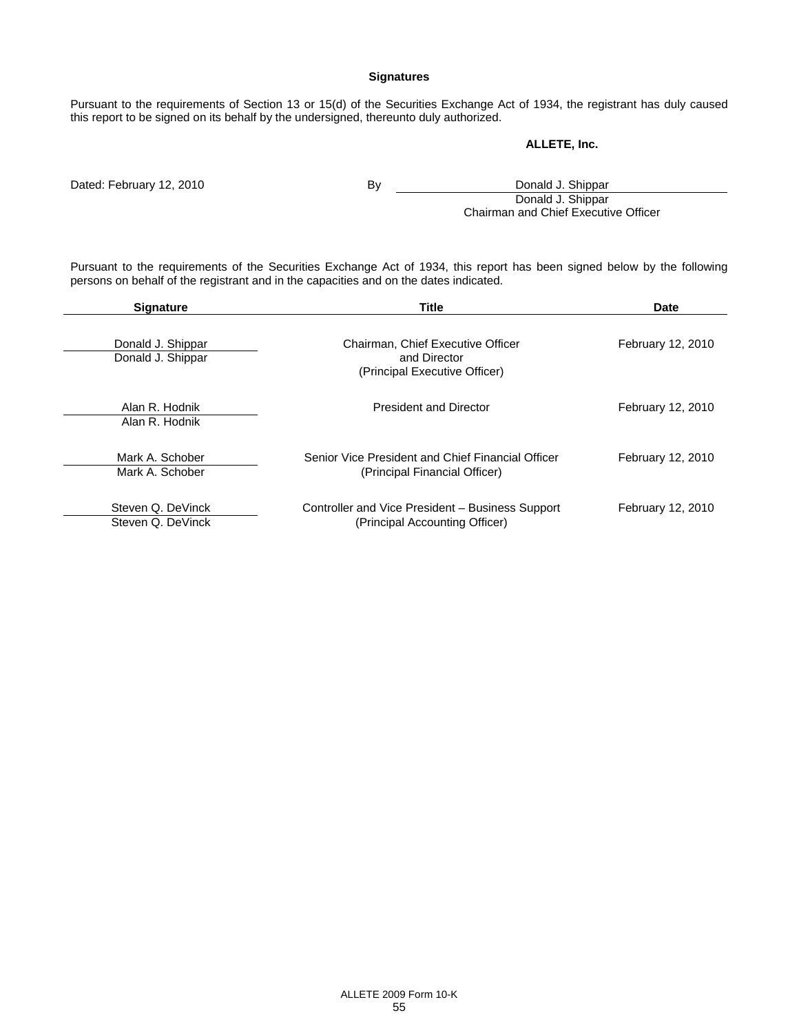# **Signatures**

Pursuant to the requirements of Section 13 or 15(d) of the Securities Exchange Act of 1934, the registrant has duly caused this report to be signed on its behalf by the undersigned, thereunto duly authorized.

# **ALLETE, Inc.**

Dated: February 12, 2010 By

Donald J. Shippar<br>Donald J. Shippar Chairman and Chief Executive Officer

Pursuant to the requirements of the Securities Exchange Act of 1934, this report has been signed below by the following persons on behalf of the registrant and in the capacities and on the dates indicated.

| <b>Signature</b>                       | <b>Title</b>                                                                       | <b>Date</b>       |
|----------------------------------------|------------------------------------------------------------------------------------|-------------------|
| Donald J. Shippar<br>Donald J. Shippar | Chairman, Chief Executive Officer<br>and Director<br>(Principal Executive Officer) | February 12, 2010 |
| Alan R. Hodnik<br>Alan R. Hodnik       | <b>President and Director</b>                                                      | February 12, 2010 |
| Mark A. Schober<br>Mark A. Schober     | Senior Vice President and Chief Financial Officer<br>(Principal Financial Officer) | February 12, 2010 |
| Steven Q. DeVinck<br>Steven Q. DeVinck | Controller and Vice President – Business Support<br>(Principal Accounting Officer) | February 12, 2010 |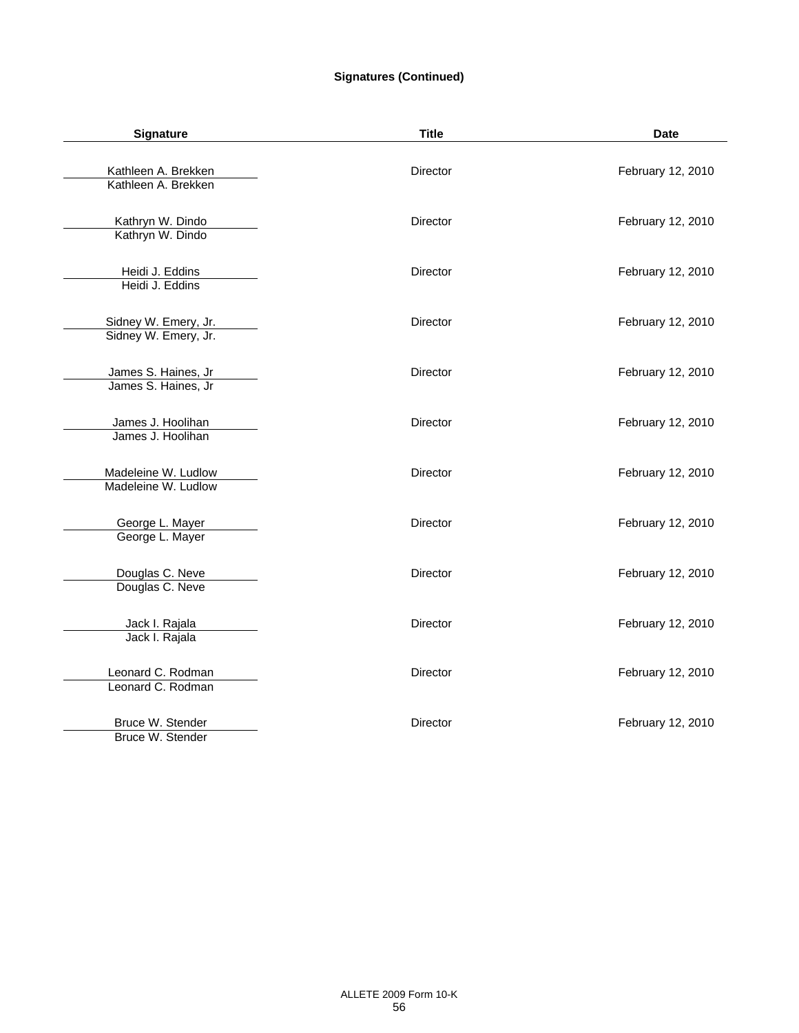# **Signatures (Continued)**

| Signature                                    | <b>Title</b>    | <b>Date</b>       |
|----------------------------------------------|-----------------|-------------------|
| Kathleen A. Brekken<br>Kathleen A. Brekken   | <b>Director</b> | February 12, 2010 |
| Kathryn W. Dindo<br>Kathryn W. Dindo         | <b>Director</b> | February 12, 2010 |
| Heidi J. Eddins<br>Heidi J. Eddins           | Director        | February 12, 2010 |
| Sidney W. Emery, Jr.<br>Sidney W. Emery, Jr. | Director        | February 12, 2010 |
| James S. Haines, Jr<br>James S. Haines, Jr   | Director        | February 12, 2010 |
| James J. Hoolihan<br>James J. Hoolihan       | Director        | February 12, 2010 |
| Madeleine W. Ludlow<br>Madeleine W. Ludlow   | Director        | February 12, 2010 |
| George L. Mayer<br>George L. Mayer           | Director        | February 12, 2010 |
| Douglas C. Neve<br>Douglas C. Neve           | Director        | February 12, 2010 |
| Jack I. Rajala<br>Jack I. Rajala             | Director        | February 12, 2010 |
| Leonard C. Rodman<br>Leonard C. Rodman       | Director        | February 12, 2010 |
| Bruce W. Stender<br>Bruce W. Stender         | Director        | February 12, 2010 |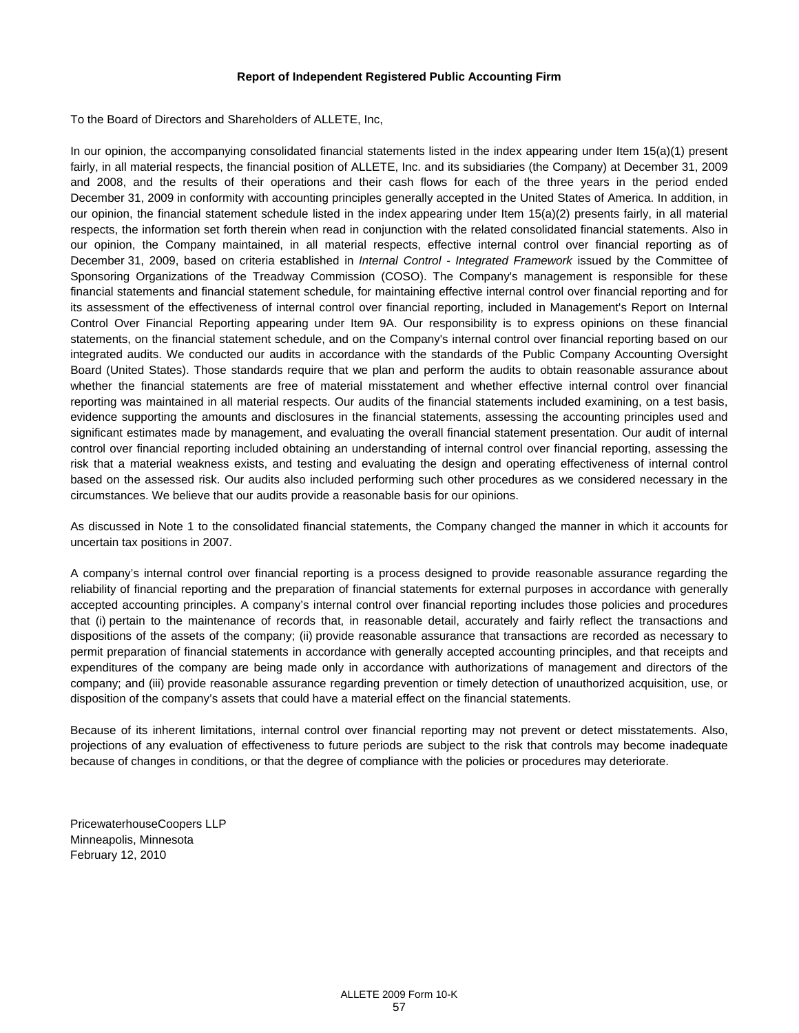#### **Report of Independent Registered Public Accounting Firm**

To the Board of Directors and Shareholders of ALLETE, Inc,

In our opinion, the accompanying consolidated financial statements listed in the index appearing under Item  $15(a)(1)$  present fairly, in all material respects, the financial position of ALLETE, Inc. and its subsidiaries (the Company) at December 31, 2009 and 2008, and the results of their operations and their cash flows for each of the three years in the period ended December 31, 2009 in conformity with accounting principles generally accepted in the United States of America. In addition, in our opinion, the financial statement schedule listed in the index appearing under Item 15(a)(2) presents fairly, in all material respects, the information set forth therein when read in conjunction with the related consolidated financial statements. Also in our opinion, the Company maintained, in all material respects, effective internal control over financial reporting as of December 31, 2009, based on criteria established in *Internal Control - Integrated Framework* issued by the Committee of Sponsoring Organizations of the Treadway Commission (COSO). The Company's management is responsible for these financial statements and financial statement schedule, for maintaining effective internal control over financial reporting and for its assessment of the effectiveness of internal control over financial reporting, included in Management's Report on Internal Control Over Financial Reporting appearing under Item 9A. Our responsibility is to express opinions on these financial statements, on the financial statement schedule, and on the Company's internal control over financial reporting based on our integrated audits. We conducted our audits in accordance with the standards of the Public Company Accounting Oversight Board (United States). Those standards require that we plan and perform the audits to obtain reasonable assurance about whether the financial statements are free of material misstatement and whether effective internal control over financial reporting was maintained in all material respects. Our audits of the financial statements included examining, on a test basis, evidence supporting the amounts and disclosures in the financial statements, assessing the accounting principles used and significant estimates made by management, and evaluating the overall financial statement presentation. Our audit of internal control over financial reporting included obtaining an understanding of internal control over financial reporting, assessing the risk that a material weakness exists, and testing and evaluating the design and operating effectiveness of internal control based on the assessed risk. Our audits also included performing such other procedures as we considered necessary in the circumstances. We believe that our audits provide a reasonable basis for our opinions.

As discussed in Note 1 to the consolidated financial statements, the Company changed the manner in which it accounts for uncertain tax positions in 2007.

A company's internal control over financial reporting is a process designed to provide reasonable assurance regarding the reliability of financial reporting and the preparation of financial statements for external purposes in accordance with generally accepted accounting principles. A company's internal control over financial reporting includes those policies and procedures that (i) pertain to the maintenance of records that, in reasonable detail, accurately and fairly reflect the transactions and dispositions of the assets of the company; (ii) provide reasonable assurance that transactions are recorded as necessary to permit preparation of financial statements in accordance with generally accepted accounting principles, and that receipts and expenditures of the company are being made only in accordance with authorizations of management and directors of the company; and (iii) provide reasonable assurance regarding prevention or timely detection of unauthorized acquisition, use, or disposition of the company's assets that could have a material effect on the financial statements.

Because of its inherent limitations, internal control over financial reporting may not prevent or detect misstatements. Also, projections of any evaluation of effectiveness to future periods are subject to the risk that controls may become inadequate because of changes in conditions, or that the degree of compliance with the policies or procedures may deteriorate.

PricewaterhouseCoopers LLP Minneapolis, Minnesota February 12, 2010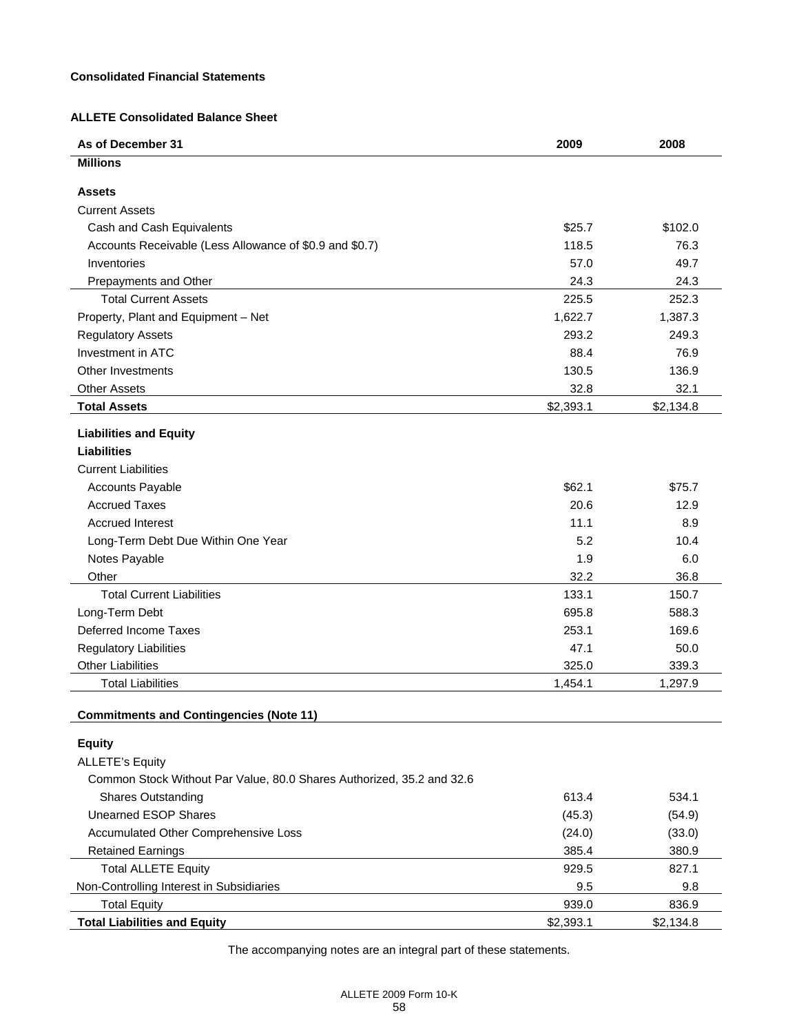# **Consolidated Financial Statements**

**ALLETE Consolidated Balance Sheet** 

| As of December 31                                                     | 2009      | 2008      |
|-----------------------------------------------------------------------|-----------|-----------|
| <b>Millions</b>                                                       |           |           |
| <b>Assets</b>                                                         |           |           |
| <b>Current Assets</b>                                                 |           |           |
| Cash and Cash Equivalents                                             | \$25.7    | \$102.0   |
| Accounts Receivable (Less Allowance of \$0.9 and \$0.7)               | 118.5     | 76.3      |
| Inventories                                                           | 57.0      | 49.7      |
| Prepayments and Other                                                 | 24.3      | 24.3      |
| <b>Total Current Assets</b>                                           | 225.5     | 252.3     |
| Property, Plant and Equipment - Net                                   | 1,622.7   | 1,387.3   |
| <b>Regulatory Assets</b>                                              | 293.2     | 249.3     |
| Investment in ATC                                                     | 88.4      | 76.9      |
| <b>Other Investments</b>                                              | 130.5     | 136.9     |
| <b>Other Assets</b>                                                   | 32.8      | 32.1      |
| <b>Total Assets</b>                                                   | \$2,393.1 | \$2,134.8 |
| <b>Liabilities and Equity</b>                                         |           |           |
| <b>Liabilities</b>                                                    |           |           |
| <b>Current Liabilities</b>                                            |           |           |
| <b>Accounts Payable</b>                                               | \$62.1    | \$75.7    |
| <b>Accrued Taxes</b>                                                  | 20.6      | 12.9      |
| <b>Accrued Interest</b>                                               | 11.1      | 8.9       |
| Long-Term Debt Due Within One Year                                    | 5.2       | 10.4      |
| Notes Payable                                                         | 1.9       | 6.0       |
| Other                                                                 | 32.2      | 36.8      |
| <b>Total Current Liabilities</b>                                      | 133.1     | 150.7     |
| Long-Term Debt                                                        | 695.8     | 588.3     |
| Deferred Income Taxes                                                 | 253.1     | 169.6     |
| <b>Regulatory Liabilities</b>                                         | 47.1      | 50.0      |
| <b>Other Liabilities</b>                                              | 325.0     | 339.3     |
| <b>Total Liabilities</b>                                              | 1,454.1   | 1,297.9   |
| <b>Commitments and Contingencies (Note 11)</b>                        |           |           |
| <b>Equity</b>                                                         |           |           |
| <b>ALLETE's Equity</b>                                                |           |           |
| Common Stock Without Par Value, 80.0 Shares Authorized, 35.2 and 32.6 |           |           |
| <b>Shares Outstanding</b>                                             | 613.4     | 534.1     |
| <b>Unearned ESOP Shares</b>                                           | (45.3)    | (54.9)    |
| Accumulated Other Comprehensive Loss                                  | (24.0)    | (33.0)    |
| <b>Retained Earnings</b>                                              | 385.4     | 380.9     |
| <b>Total ALLETE Equity</b>                                            | 929.5     | 827.1     |
| Non-Controlling Interest in Subsidiaries                              | 9.5       | 9.8       |
| <b>Total Equity</b>                                                   | 939.0     | 836.9     |
| <b>Total Liabilities and Equity</b>                                   | \$2,393.1 | \$2,134.8 |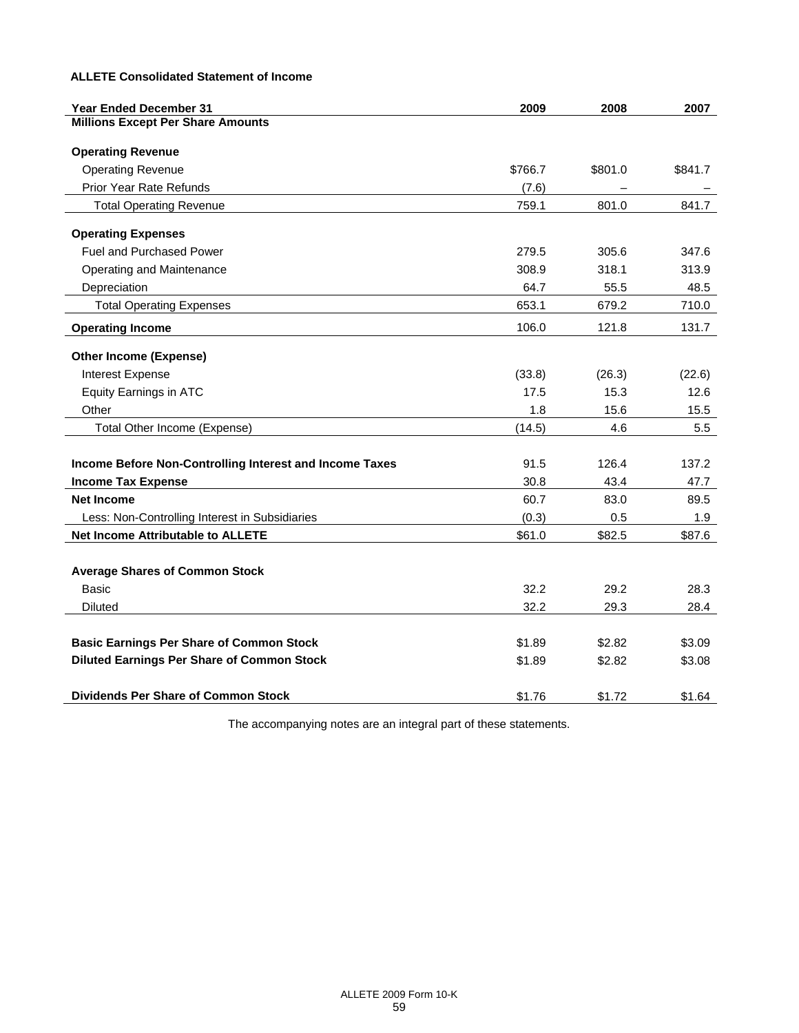# **ALLETE Consolidated Statement of Income**

| <b>Year Ended December 31</b>                           | 2009    | 2008    | 2007    |
|---------------------------------------------------------|---------|---------|---------|
| <b>Millions Except Per Share Amounts</b>                |         |         |         |
| <b>Operating Revenue</b>                                |         |         |         |
| <b>Operating Revenue</b>                                | \$766.7 | \$801.0 | \$841.7 |
| Prior Year Rate Refunds                                 | (7.6)   |         |         |
| <b>Total Operating Revenue</b>                          | 759.1   | 801.0   | 841.7   |
| <b>Operating Expenses</b>                               |         |         |         |
| Fuel and Purchased Power                                | 279.5   | 305.6   | 347.6   |
| Operating and Maintenance                               | 308.9   | 318.1   | 313.9   |
| Depreciation                                            | 64.7    | 55.5    | 48.5    |
| <b>Total Operating Expenses</b>                         | 653.1   | 679.2   | 710.0   |
| <b>Operating Income</b>                                 | 106.0   | 121.8   | 131.7   |
| <b>Other Income (Expense)</b>                           |         |         |         |
| <b>Interest Expense</b>                                 | (33.8)  | (26.3)  | (22.6)  |
| <b>Equity Earnings in ATC</b>                           | 17.5    | 15.3    | 12.6    |
| Other                                                   | 1.8     | 15.6    | 15.5    |
| Total Other Income (Expense)                            | (14.5)  | 4.6     | 5.5     |
|                                                         |         |         |         |
| Income Before Non-Controlling Interest and Income Taxes | 91.5    | 126.4   | 137.2   |
| <b>Income Tax Expense</b>                               | 30.8    | 43.4    | 47.7    |
| <b>Net Income</b>                                       | 60.7    | 83.0    | 89.5    |
| Less: Non-Controlling Interest in Subsidiaries          | (0.3)   | 0.5     | 1.9     |
| <b>Net Income Attributable to ALLETE</b>                | \$61.0  | \$82.5  | \$87.6  |
|                                                         |         |         |         |
| <b>Average Shares of Common Stock</b>                   |         |         |         |
| <b>Basic</b>                                            | 32.2    | 29.2    | 28.3    |
| <b>Diluted</b>                                          | 32.2    | 29.3    | 28.4    |
|                                                         |         |         |         |
| <b>Basic Earnings Per Share of Common Stock</b>         | \$1.89  | \$2.82  | \$3.09  |
| <b>Diluted Earnings Per Share of Common Stock</b>       | \$1.89  | \$2.82  | \$3.08  |
| <b>Dividends Per Share of Common Stock</b>              | \$1.76  | \$1.72  | \$1.64  |
|                                                         |         |         |         |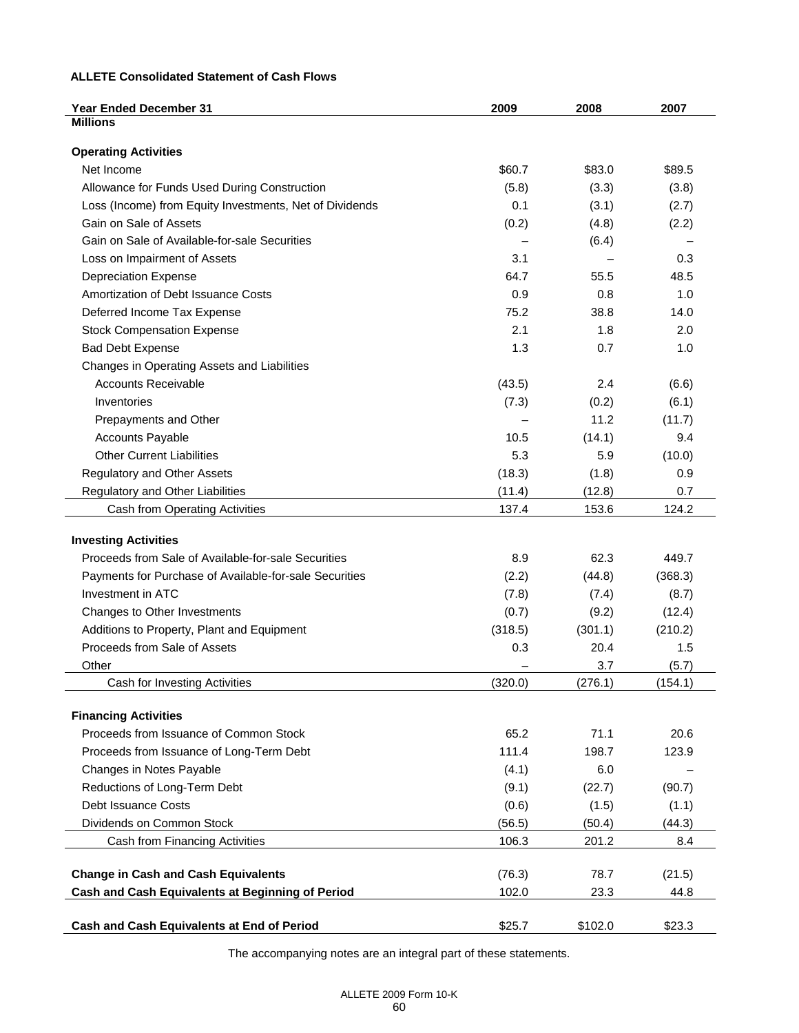# **ALLETE Consolidated Statement of Cash Flows**

| <b>Year Ended December 31</b>                           | 2009            | 2008            | 2007          |
|---------------------------------------------------------|-----------------|-----------------|---------------|
| <b>Millions</b>                                         |                 |                 |               |
| <b>Operating Activities</b>                             |                 |                 |               |
| Net Income                                              | \$60.7          | \$83.0          | \$89.5        |
| Allowance for Funds Used During Construction            | (5.8)           | (3.3)           | (3.8)         |
| Loss (Income) from Equity Investments, Net of Dividends | 0.1             | (3.1)           | (2.7)         |
| Gain on Sale of Assets                                  | (0.2)           | (4.8)           | (2.2)         |
| Gain on Sale of Available-for-sale Securities           |                 | (6.4)           |               |
| Loss on Impairment of Assets                            | 3.1             |                 | 0.3           |
| <b>Depreciation Expense</b>                             | 64.7            | 55.5            | 48.5          |
| Amortization of Debt Issuance Costs                     | 0.9             | 0.8             | 1.0           |
| Deferred Income Tax Expense                             | 75.2            | 38.8            | 14.0          |
| <b>Stock Compensation Expense</b>                       | 2.1             | 1.8             | 2.0           |
| <b>Bad Debt Expense</b>                                 | 1.3             | 0.7             | 1.0           |
| Changes in Operating Assets and Liabilities             |                 |                 |               |
| <b>Accounts Receivable</b>                              | (43.5)          | 2.4             | (6.6)         |
| Inventories                                             | (7.3)           | (0.2)           | (6.1)         |
|                                                         |                 | 11.2            |               |
| Prepayments and Other<br><b>Accounts Payable</b>        | 10.5            |                 | (11.7)<br>9.4 |
| <b>Other Current Liabilities</b>                        | 5.3             | (14.1)<br>5.9   |               |
| <b>Regulatory and Other Assets</b>                      |                 |                 | (10.0)<br>0.9 |
|                                                         | (18.3)          | (1.8)           |               |
| Regulatory and Other Liabilities                        | (11.4)<br>137.4 | (12.8)<br>153.6 | 0.7<br>124.2  |
| Cash from Operating Activities                          |                 |                 |               |
| <b>Investing Activities</b>                             |                 |                 |               |
| Proceeds from Sale of Available-for-sale Securities     | 8.9             | 62.3            | 449.7         |
| Payments for Purchase of Available-for-sale Securities  | (2.2)           | (44.8)          | (368.3)       |
| Investment in ATC                                       | (7.8)           | (7.4)           | (8.7)         |
| Changes to Other Investments                            | (0.7)           | (9.2)           | (12.4)        |
| Additions to Property, Plant and Equipment              | (318.5)         | (301.1)         | (210.2)       |
| Proceeds from Sale of Assets                            | 0.3             | 20.4            | 1.5           |
| Other                                                   |                 | 3.7             | (5.7)         |
| Cash for Investing Activities                           | (320.0)         | (276.1)         | (154.1)       |
|                                                         |                 |                 |               |
| <b>Financing Activities</b>                             |                 |                 |               |
| Proceeds from Issuance of Common Stock                  | 65.2            | 71.1            | 20.6          |
| Proceeds from Issuance of Long-Term Debt                | 111.4           | 198.7           | 123.9         |
| Changes in Notes Payable                                | (4.1)           | 6.0             |               |
| Reductions of Long-Term Debt                            | (9.1)           | (22.7)          | (90.7)        |
| Debt Issuance Costs                                     | (0.6)           | (1.5)           | (1.1)         |
| Dividends on Common Stock                               | (56.5)          | (50.4)          | (44.3)        |
| Cash from Financing Activities                          | 106.3           | 201.2           | 8.4           |
|                                                         |                 |                 |               |
| <b>Change in Cash and Cash Equivalents</b>              | (76.3)          | 78.7            | (21.5)        |
| Cash and Cash Equivalents at Beginning of Period        | 102.0           | 23.3            | 44.8          |
|                                                         |                 |                 |               |
| Cash and Cash Equivalents at End of Period              | \$25.7          | \$102.0         | \$23.3        |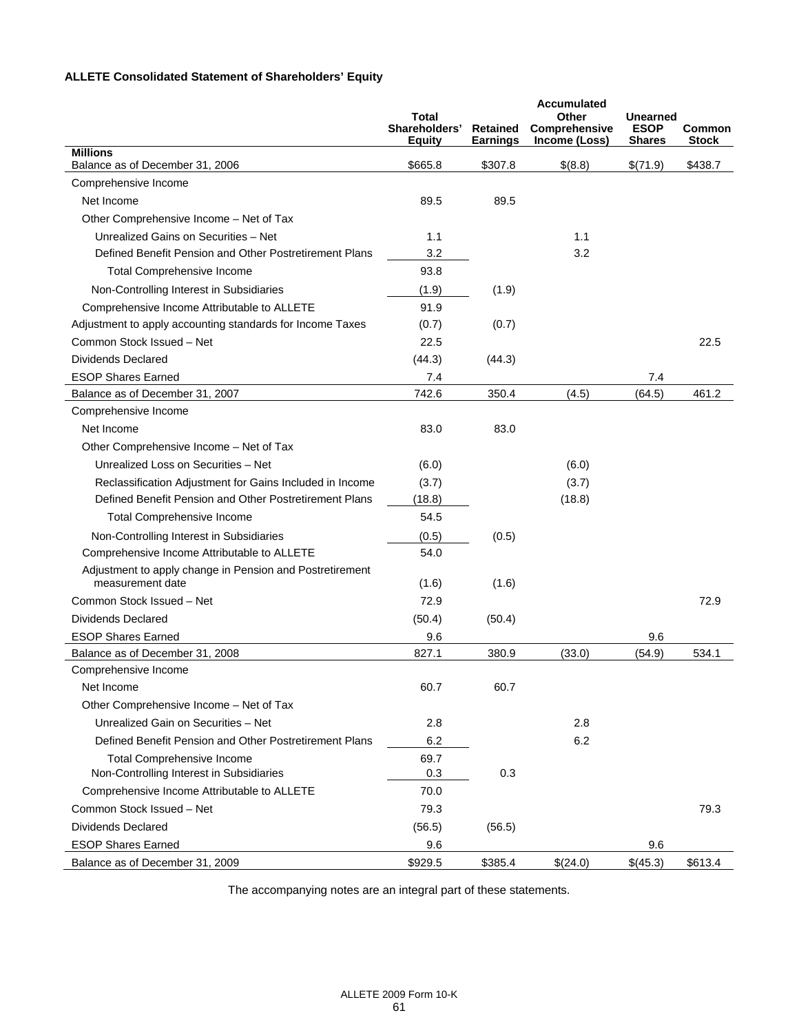# **ALLETE Consolidated Statement of Shareholders' Equity**

|                                                                              | Total                          |                                    | <b>Accumulated</b><br>Other    | <b>Unearned</b>              |                        |
|------------------------------------------------------------------------------|--------------------------------|------------------------------------|--------------------------------|------------------------------|------------------------|
|                                                                              | Shareholders'<br><b>Equity</b> | <b>Retained</b><br><b>Earnings</b> | Comprehensive<br>Income (Loss) | <b>ESOP</b><br><b>Shares</b> | Common<br><b>Stock</b> |
| <b>Millions</b>                                                              |                                |                                    |                                |                              |                        |
| Balance as of December 31, 2006                                              | \$665.8                        | \$307.8                            | \$(8.8)                        | \$(71.9)                     | \$438.7                |
| Comprehensive Income                                                         |                                |                                    |                                |                              |                        |
| Net Income                                                                   | 89.5                           | 89.5                               |                                |                              |                        |
| Other Comprehensive Income - Net of Tax                                      |                                |                                    |                                |                              |                        |
| Unrealized Gains on Securities - Net                                         | 1.1                            |                                    | 1.1                            |                              |                        |
| Defined Benefit Pension and Other Postretirement Plans                       | 3.2                            |                                    | 3.2                            |                              |                        |
| <b>Total Comprehensive Income</b>                                            | 93.8                           |                                    |                                |                              |                        |
| Non-Controlling Interest in Subsidiaries                                     | (1.9)                          | (1.9)                              |                                |                              |                        |
| Comprehensive Income Attributable to ALLETE                                  | 91.9                           |                                    |                                |                              |                        |
| Adjustment to apply accounting standards for Income Taxes                    | (0.7)                          | (0.7)                              |                                |                              |                        |
| Common Stock Issued - Net                                                    | 22.5                           |                                    |                                |                              | 22.5                   |
| Dividends Declared                                                           | (44.3)                         | (44.3)                             |                                |                              |                        |
| <b>ESOP Shares Earned</b>                                                    | 7.4                            |                                    |                                | 7.4                          |                        |
| Balance as of December 31, 2007                                              | 742.6                          | 350.4                              | (4.5)                          | (64.5)                       | 461.2                  |
| Comprehensive Income                                                         |                                |                                    |                                |                              |                        |
| Net Income                                                                   | 83.0                           | 83.0                               |                                |                              |                        |
| Other Comprehensive Income - Net of Tax                                      |                                |                                    |                                |                              |                        |
| Unrealized Loss on Securities - Net                                          | (6.0)                          |                                    | (6.0)                          |                              |                        |
| Reclassification Adjustment for Gains Included in Income                     | (3.7)                          |                                    | (3.7)                          |                              |                        |
| Defined Benefit Pension and Other Postretirement Plans                       | (18.8)                         |                                    | (18.8)                         |                              |                        |
| <b>Total Comprehensive Income</b>                                            | 54.5                           |                                    |                                |                              |                        |
| Non-Controlling Interest in Subsidiaries                                     | (0.5)                          | (0.5)                              |                                |                              |                        |
| Comprehensive Income Attributable to ALLETE                                  | 54.0                           |                                    |                                |                              |                        |
| Adjustment to apply change in Pension and Postretirement<br>measurement date | (1.6)                          | (1.6)                              |                                |                              |                        |
| Common Stock Issued - Net                                                    | 72.9                           |                                    |                                |                              | 72.9                   |
| <b>Dividends Declared</b>                                                    | (50.4)                         | (50.4)                             |                                |                              |                        |
| <b>ESOP Shares Earned</b>                                                    | 9.6                            |                                    |                                | 9.6                          |                        |
| Balance as of December 31, 2008                                              | 827.1                          | 380.9                              | (33.0)                         | (54.9)                       | 534.1                  |
| Comprehensive Income                                                         |                                |                                    |                                |                              |                        |
| Net Income                                                                   | 60.7                           | 60.7                               |                                |                              |                        |
| Other Comprehensive Income - Net of Tax                                      |                                |                                    |                                |                              |                        |
| Unrealized Gain on Securities - Net                                          | 2.8                            |                                    | 2.8                            |                              |                        |
| Defined Benefit Pension and Other Postretirement Plans                       | 6.2                            |                                    | 6.2                            |                              |                        |
| <b>Total Comprehensive Income</b>                                            | 69.7                           |                                    |                                |                              |                        |
| Non-Controlling Interest in Subsidiaries                                     | 0.3                            | 0.3                                |                                |                              |                        |
| Comprehensive Income Attributable to ALLETE                                  | 70.0                           |                                    |                                |                              |                        |
| Common Stock Issued - Net                                                    | 79.3                           |                                    |                                |                              | 79.3                   |
| <b>Dividends Declared</b>                                                    | (56.5)                         | (56.5)                             |                                |                              |                        |
| <b>ESOP Shares Earned</b>                                                    | 9.6                            |                                    |                                | 9.6                          |                        |
| Balance as of December 31, 2009                                              | \$929.5                        | \$385.4                            | \$(24.0)                       | \$(45.3)                     | \$613.4                |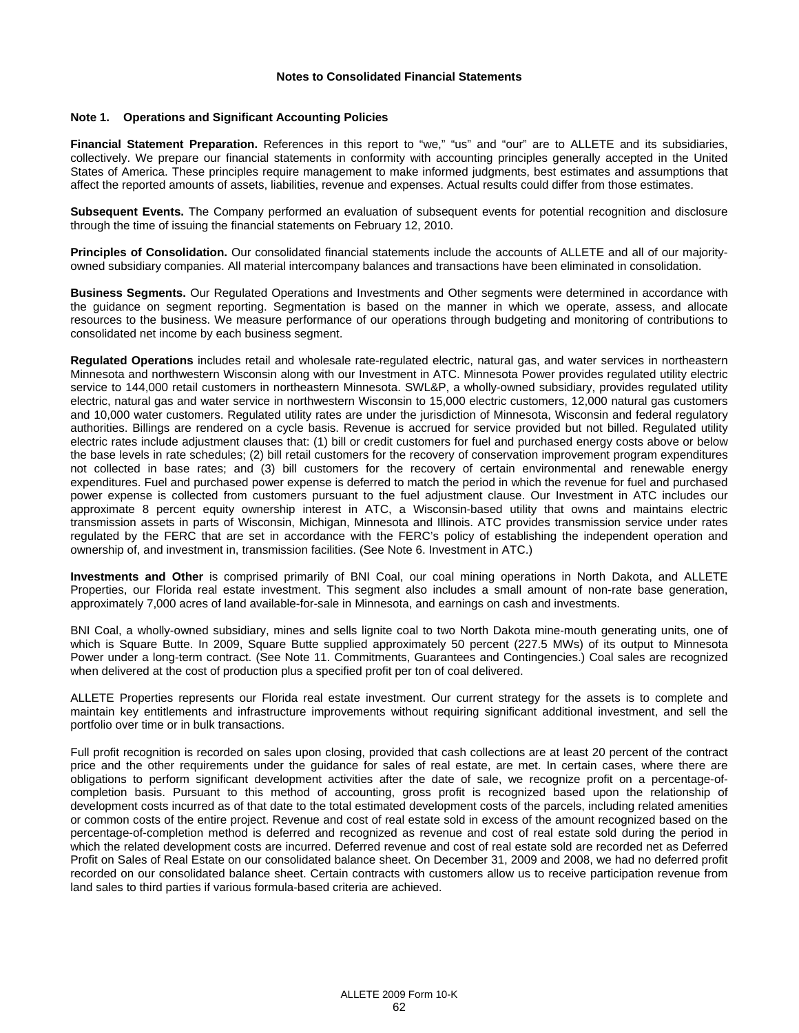#### **Notes to Consolidated Financial Statements**

#### **Note 1. Operations and Significant Accounting Policies**

**Financial Statement Preparation.** References in this report to "we," "us" and "our" are to ALLETE and its subsidiaries, collectively. We prepare our financial statements in conformity with accounting principles generally accepted in the United States of America. These principles require management to make informed judgments, best estimates and assumptions that affect the reported amounts of assets, liabilities, revenue and expenses. Actual results could differ from those estimates.

**Subsequent Events.** The Company performed an evaluation of subsequent events for potential recognition and disclosure through the time of issuing the financial statements on February 12, 2010.

**Principles of Consolidation.** Our consolidated financial statements include the accounts of ALLETE and all of our majorityowned subsidiary companies. All material intercompany balances and transactions have been eliminated in consolidation.

**Business Segments.** Our Regulated Operations and Investments and Other segments were determined in accordance with the guidance on segment reporting. Segmentation is based on the manner in which we operate, assess, and allocate resources to the business. We measure performance of our operations through budgeting and monitoring of contributions to consolidated net income by each business segment.

**Regulated Operations** includes retail and wholesale rate-regulated electric, natural gas, and water services in northeastern Minnesota and northwestern Wisconsin along with our Investment in ATC. Minnesota Power provides regulated utility electric service to 144,000 retail customers in northeastern Minnesota. SWL&P, a wholly-owned subsidiary, provides regulated utility electric, natural gas and water service in northwestern Wisconsin to 15,000 electric customers, 12,000 natural gas customers and 10,000 water customers. Regulated utility rates are under the jurisdiction of Minnesota, Wisconsin and federal regulatory authorities. Billings are rendered on a cycle basis. Revenue is accrued for service provided but not billed. Regulated utility electric rates include adjustment clauses that: (1) bill or credit customers for fuel and purchased energy costs above or below the base levels in rate schedules; (2) bill retail customers for the recovery of conservation improvement program expenditures not collected in base rates; and (3) bill customers for the recovery of certain environmental and renewable energy expenditures. Fuel and purchased power expense is deferred to match the period in which the revenue for fuel and purchased power expense is collected from customers pursuant to the fuel adjustment clause. Our Investment in ATC includes our approximate 8 percent equity ownership interest in ATC, a Wisconsin-based utility that owns and maintains electric transmission assets in parts of Wisconsin, Michigan, Minnesota and Illinois. ATC provides transmission service under rates regulated by the FERC that are set in accordance with the FERC's policy of establishing the independent operation and ownership of, and investment in, transmission facilities. (See Note 6. Investment in ATC.)

**Investments and Other** is comprised primarily of BNI Coal, our coal mining operations in North Dakota, and ALLETE Properties, our Florida real estate investment. This segment also includes a small amount of non-rate base generation, approximately 7,000 acres of land available-for-sale in Minnesota, and earnings on cash and investments.

BNI Coal, a wholly-owned subsidiary, mines and sells lignite coal to two North Dakota mine-mouth generating units, one of which is Square Butte. In 2009, Square Butte supplied approximately 50 percent (227.5 MWs) of its output to Minnesota Power under a long-term contract. (See Note 11. Commitments, Guarantees and Contingencies.) Coal sales are recognized when delivered at the cost of production plus a specified profit per ton of coal delivered.

ALLETE Properties represents our Florida real estate investment. Our current strategy for the assets is to complete and maintain key entitlements and infrastructure improvements without requiring significant additional investment, and sell the portfolio over time or in bulk transactions.

Full profit recognition is recorded on sales upon closing, provided that cash collections are at least 20 percent of the contract price and the other requirements under the guidance for sales of real estate, are met. In certain cases, where there are obligations to perform significant development activities after the date of sale, we recognize profit on a percentage-ofcompletion basis. Pursuant to this method of accounting, gross profit is recognized based upon the relationship of development costs incurred as of that date to the total estimated development costs of the parcels, including related amenities or common costs of the entire project. Revenue and cost of real estate sold in excess of the amount recognized based on the percentage-of-completion method is deferred and recognized as revenue and cost of real estate sold during the period in which the related development costs are incurred. Deferred revenue and cost of real estate sold are recorded net as Deferred Profit on Sales of Real Estate on our consolidated balance sheet. On December 31, 2009 and 2008, we had no deferred profit recorded on our consolidated balance sheet. Certain contracts with customers allow us to receive participation revenue from land sales to third parties if various formula-based criteria are achieved.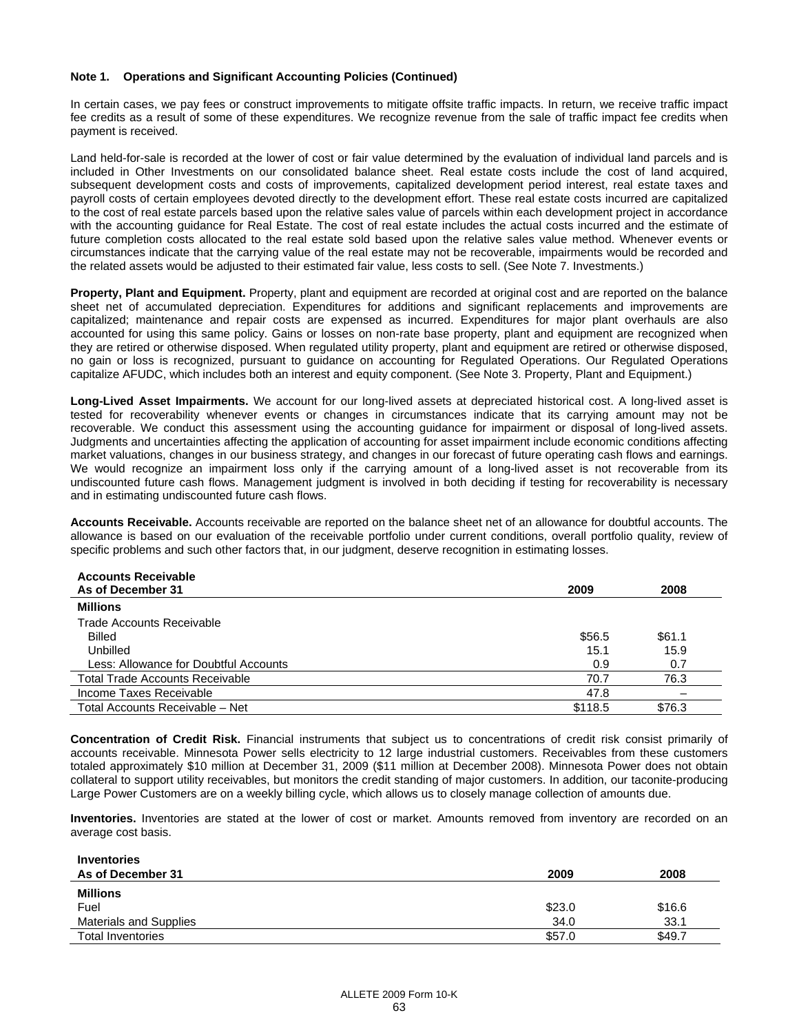In certain cases, we pay fees or construct improvements to mitigate offsite traffic impacts. In return, we receive traffic impact fee credits as a result of some of these expenditures. We recognize revenue from the sale of traffic impact fee credits when payment is received.

Land held-for-sale is recorded at the lower of cost or fair value determined by the evaluation of individual land parcels and is included in Other Investments on our consolidated balance sheet. Real estate costs include the cost of land acquired, subsequent development costs and costs of improvements, capitalized development period interest, real estate taxes and payroll costs of certain employees devoted directly to the development effort. These real estate costs incurred are capitalized to the cost of real estate parcels based upon the relative sales value of parcels within each development project in accordance with the accounting guidance for Real Estate. The cost of real estate includes the actual costs incurred and the estimate of future completion costs allocated to the real estate sold based upon the relative sales value method. Whenever events or circumstances indicate that the carrying value of the real estate may not be recoverable, impairments would be recorded and the related assets would be adjusted to their estimated fair value, less costs to sell. (See Note 7. Investments.)

**Property, Plant and Equipment.** Property, plant and equipment are recorded at original cost and are reported on the balance sheet net of accumulated depreciation. Expenditures for additions and significant replacements and improvements are capitalized; maintenance and repair costs are expensed as incurred. Expenditures for major plant overhauls are also accounted for using this same policy. Gains or losses on non-rate base property, plant and equipment are recognized when they are retired or otherwise disposed. When regulated utility property, plant and equipment are retired or otherwise disposed, no gain or loss is recognized, pursuant to guidance on accounting for Regulated Operations. Our Regulated Operations capitalize AFUDC, which includes both an interest and equity component. (See Note 3. Property, Plant and Equipment.)

**Long-Lived Asset Impairments.** We account for our long-lived assets at depreciated historical cost. A long-lived asset is tested for recoverability whenever events or changes in circumstances indicate that its carrying amount may not be recoverable. We conduct this assessment using the accounting guidance for impairment or disposal of long-lived assets. Judgments and uncertainties affecting the application of accounting for asset impairment include economic conditions affecting market valuations, changes in our business strategy, and changes in our forecast of future operating cash flows and earnings. We would recognize an impairment loss only if the carrying amount of a long-lived asset is not recoverable from its undiscounted future cash flows. Management judgment is involved in both deciding if testing for recoverability is necessary and in estimating undiscounted future cash flows.

**Accounts Receivable.** Accounts receivable are reported on the balance sheet net of an allowance for doubtful accounts. The allowance is based on our evaluation of the receivable portfolio under current conditions, overall portfolio quality, review of specific problems and such other factors that, in our judgment, deserve recognition in estimating losses.

| <b>Accounts Receivable</b>             |         |        |
|----------------------------------------|---------|--------|
| As of December 31                      | 2009    | 2008   |
| <b>Millions</b>                        |         |        |
| <b>Trade Accounts Receivable</b>       |         |        |
| <b>Billed</b>                          | \$56.5  | \$61.1 |
| Unbilled                               | 15.1    | 15.9   |
| Less: Allowance for Doubtful Accounts  | 0.9     | 0.7    |
| <b>Total Trade Accounts Receivable</b> | 70.7    | 76.3   |
| Income Taxes Receivable                | 47.8    |        |
| Total Accounts Receivable - Net        | \$118.5 | \$76.3 |

**Concentration of Credit Risk.** Financial instruments that subject us to concentrations of credit risk consist primarily of accounts receivable. Minnesota Power sells electricity to 12 large industrial customers. Receivables from these customers totaled approximately \$10 million at December 31, 2009 (\$11 million at December 2008). Minnesota Power does not obtain collateral to support utility receivables, but monitors the credit standing of major customers. In addition, our taconite-producing Large Power Customers are on a weekly billing cycle, which allows us to closely manage collection of amounts due.

**Inventories.** Inventories are stated at the lower of cost or market. Amounts removed from inventory are recorded on an average cost basis.

| <b>Inventories</b>            |        |        |
|-------------------------------|--------|--------|
| As of December 31             | 2009   | 2008   |
| <b>Millions</b>               |        |        |
| Fuel                          | \$23.0 | \$16.6 |
| <b>Materials and Supplies</b> | 34.0   | 33.1   |
| <b>Total Inventories</b>      | \$57.0 | \$49.7 |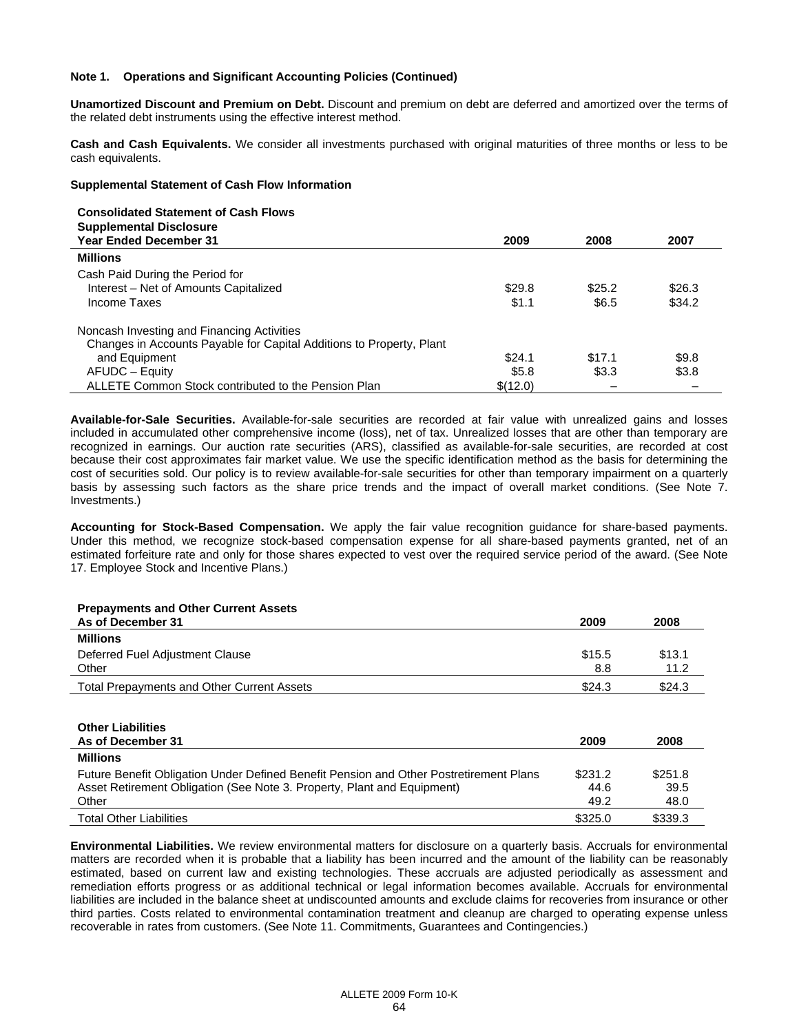**Unamortized Discount and Premium on Debt.** Discount and premium on debt are deferred and amortized over the terms of the related debt instruments using the effective interest method.

**Cash and Cash Equivalents.** We consider all investments purchased with original maturities of three months or less to be cash equivalents.

#### **Supplemental Statement of Cash Flow Information**

# **Consolidated Statement of Cash Flows**

| <b>Supplemental Disclosure</b>                                       |          |        |        |
|----------------------------------------------------------------------|----------|--------|--------|
| <b>Year Ended December 31</b>                                        | 2009     | 2008   | 2007   |
| <b>Millions</b>                                                      |          |        |        |
| Cash Paid During the Period for                                      |          |        |        |
| Interest – Net of Amounts Capitalized                                | \$29.8   | \$25.2 | \$26.3 |
| Income Taxes                                                         | \$1.1    | \$6.5  | \$34.2 |
| Noncash Investing and Financing Activities                           |          |        |        |
| Changes in Accounts Payable for Capital Additions to Property, Plant |          |        |        |
| and Equipment                                                        | \$24.1   | \$17.1 | \$9.8  |
| AFUDC - Equity                                                       | \$5.8    | \$3.3  | \$3.8  |
| ALLETE Common Stock contributed to the Pension Plan                  | \$(12.0) |        |        |

**Available-for-Sale Securities.** Available-for-sale securities are recorded at fair value with unrealized gains and losses included in accumulated other comprehensive income (loss), net of tax. Unrealized losses that are other than temporary are recognized in earnings. Our auction rate securities (ARS), classified as available-for-sale securities, are recorded at cost because their cost approximates fair market value. We use the specific identification method as the basis for determining the cost of securities sold. Our policy is to review available-for-sale securities for other than temporary impairment on a quarterly basis by assessing such factors as the share price trends and the impact of overall market conditions. (See Note 7. Investments.)

**Accounting for Stock-Based Compensation.** We apply the fair value recognition guidance for share-based payments. Under this method, we recognize stock-based compensation expense for all share-based payments granted, net of an estimated forfeiture rate and only for those shares expected to vest over the required service period of the award. (See Note 17. Employee Stock and Incentive Plans.)

#### **Prepayments and Other Current Assets**

| As of December 31                          | 2009   | 2008   |
|--------------------------------------------|--------|--------|
| <b>Millions</b>                            |        |        |
| Deferred Fuel Adjustment Clause            | \$15.5 | \$13.1 |
| Other                                      | 8.8    | 11.2   |
| Total Prepayments and Other Current Assets | \$24.3 | \$24.3 |

| <b>Other Liabilities</b>                                                               |         |         |
|----------------------------------------------------------------------------------------|---------|---------|
| As of December 31                                                                      | 2009    | 2008    |
| <b>Millions</b>                                                                        |         |         |
| Future Benefit Obligation Under Defined Benefit Pension and Other Postretirement Plans | \$231.2 | \$251.8 |
| Asset Retirement Obligation (See Note 3. Property, Plant and Equipment)                | 44.6    | 39.5    |
| Other                                                                                  | 49.2    | 48.0    |
| Total Other Liabilities                                                                | \$325.0 | \$339.3 |

**Environmental Liabilities.** We review environmental matters for disclosure on a quarterly basis. Accruals for environmental matters are recorded when it is probable that a liability has been incurred and the amount of the liability can be reasonably estimated, based on current law and existing technologies. These accruals are adjusted periodically as assessment and remediation efforts progress or as additional technical or legal information becomes available. Accruals for environmental liabilities are included in the balance sheet at undiscounted amounts and exclude claims for recoveries from insurance or other third parties. Costs related to environmental contamination treatment and cleanup are charged to operating expense unless recoverable in rates from customers. (See Note 11. Commitments, Guarantees and Contingencies.)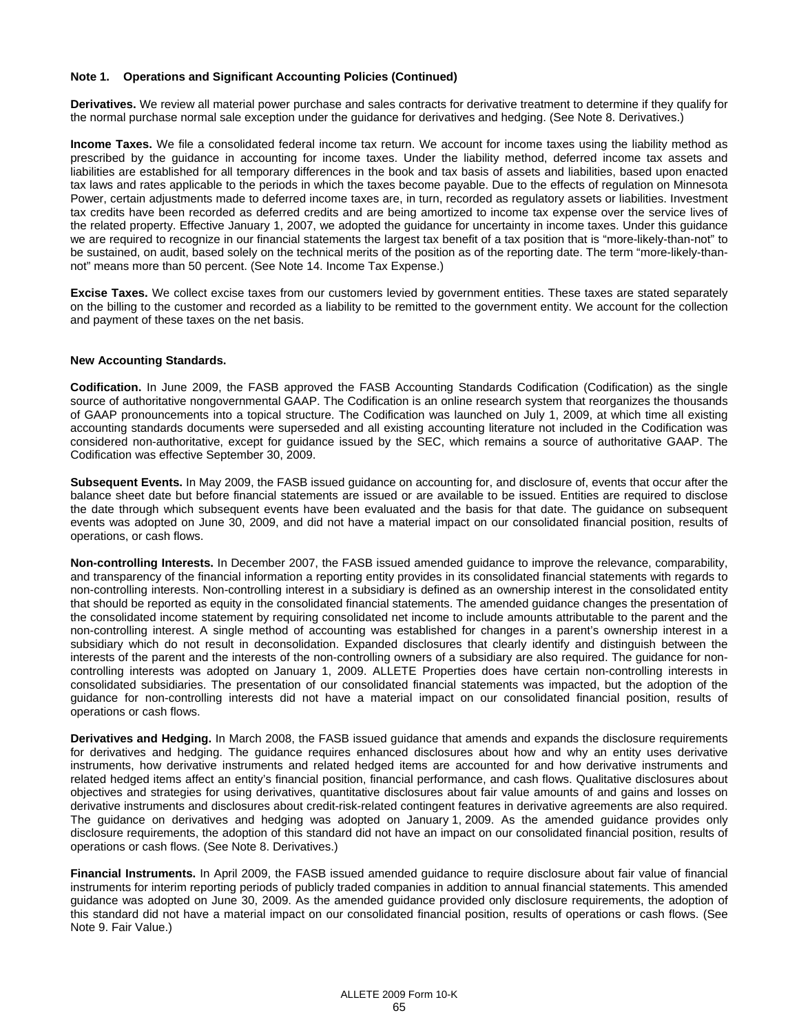**Derivatives.** We review all material power purchase and sales contracts for derivative treatment to determine if they qualify for the normal purchase normal sale exception under the guidance for derivatives and hedging. (See Note 8. Derivatives.)

**Income Taxes.** We file a consolidated federal income tax return. We account for income taxes using the liability method as prescribed by the guidance in accounting for income taxes. Under the liability method, deferred income tax assets and liabilities are established for all temporary differences in the book and tax basis of assets and liabilities, based upon enacted tax laws and rates applicable to the periods in which the taxes become payable. Due to the effects of regulation on Minnesota Power, certain adjustments made to deferred income taxes are, in turn, recorded as regulatory assets or liabilities. Investment tax credits have been recorded as deferred credits and are being amortized to income tax expense over the service lives of the related property. Effective January 1, 2007, we adopted the guidance for uncertainty in income taxes. Under this guidance we are required to recognize in our financial statements the largest tax benefit of a tax position that is "more-likely-than-not" to be sustained, on audit, based solely on the technical merits of the position as of the reporting date. The term "more-likely-thannot" means more than 50 percent. (See Note 14. Income Tax Expense.)

**Excise Taxes.** We collect excise taxes from our customers levied by government entities. These taxes are stated separately on the billing to the customer and recorded as a liability to be remitted to the government entity. We account for the collection and payment of these taxes on the net basis.

#### **New Accounting Standards.**

**Codification.** In June 2009, the FASB approved the FASB Accounting Standards Codification (Codification) as the single source of authoritative nongovernmental GAAP. The Codification is an online research system that reorganizes the thousands of GAAP pronouncements into a topical structure. The Codification was launched on July 1, 2009, at which time all existing accounting standards documents were superseded and all existing accounting literature not included in the Codification was considered non-authoritative, except for guidance issued by the SEC, which remains a source of authoritative GAAP. The Codification was effective September 30, 2009.

**Subsequent Events.** In May 2009, the FASB issued guidance on accounting for, and disclosure of, events that occur after the balance sheet date but before financial statements are issued or are available to be issued. Entities are required to disclose the date through which subsequent events have been evaluated and the basis for that date. The guidance on subsequent events was adopted on June 30, 2009, and did not have a material impact on our consolidated financial position, results of operations, or cash flows.

**Non-controlling Interests.** In December 2007, the FASB issued amended guidance to improve the relevance, comparability, and transparency of the financial information a reporting entity provides in its consolidated financial statements with regards to non-controlling interests. Non-controlling interest in a subsidiary is defined as an ownership interest in the consolidated entity that should be reported as equity in the consolidated financial statements. The amended guidance changes the presentation of the consolidated income statement by requiring consolidated net income to include amounts attributable to the parent and the non-controlling interest. A single method of accounting was established for changes in a parent's ownership interest in a subsidiary which do not result in deconsolidation. Expanded disclosures that clearly identify and distinguish between the interests of the parent and the interests of the non-controlling owners of a subsidiary are also required. The guidance for noncontrolling interests was adopted on January 1, 2009. ALLETE Properties does have certain non-controlling interests in consolidated subsidiaries. The presentation of our consolidated financial statements was impacted, but the adoption of the guidance for non-controlling interests did not have a material impact on our consolidated financial position, results of operations or cash flows.

**Derivatives and Hedging.** In March 2008, the FASB issued guidance that amends and expands the disclosure requirements for derivatives and hedging. The guidance requires enhanced disclosures about how and why an entity uses derivative instruments, how derivative instruments and related hedged items are accounted for and how derivative instruments and related hedged items affect an entity's financial position, financial performance, and cash flows. Qualitative disclosures about objectives and strategies for using derivatives, quantitative disclosures about fair value amounts of and gains and losses on derivative instruments and disclosures about credit-risk-related contingent features in derivative agreements are also required. The guidance on derivatives and hedging was adopted on January 1, 2009. As the amended guidance provides only disclosure requirements, the adoption of this standard did not have an impact on our consolidated financial position, results of operations or cash flows. (See Note 8. Derivatives.)

**Financial Instruments.** In April 2009, the FASB issued amended guidance to require disclosure about fair value of financial instruments for interim reporting periods of publicly traded companies in addition to annual financial statements. This amended guidance was adopted on June 30, 2009. As the amended guidance provided only disclosure requirements, the adoption of this standard did not have a material impact on our consolidated financial position, results of operations or cash flows. (See Note 9. Fair Value.)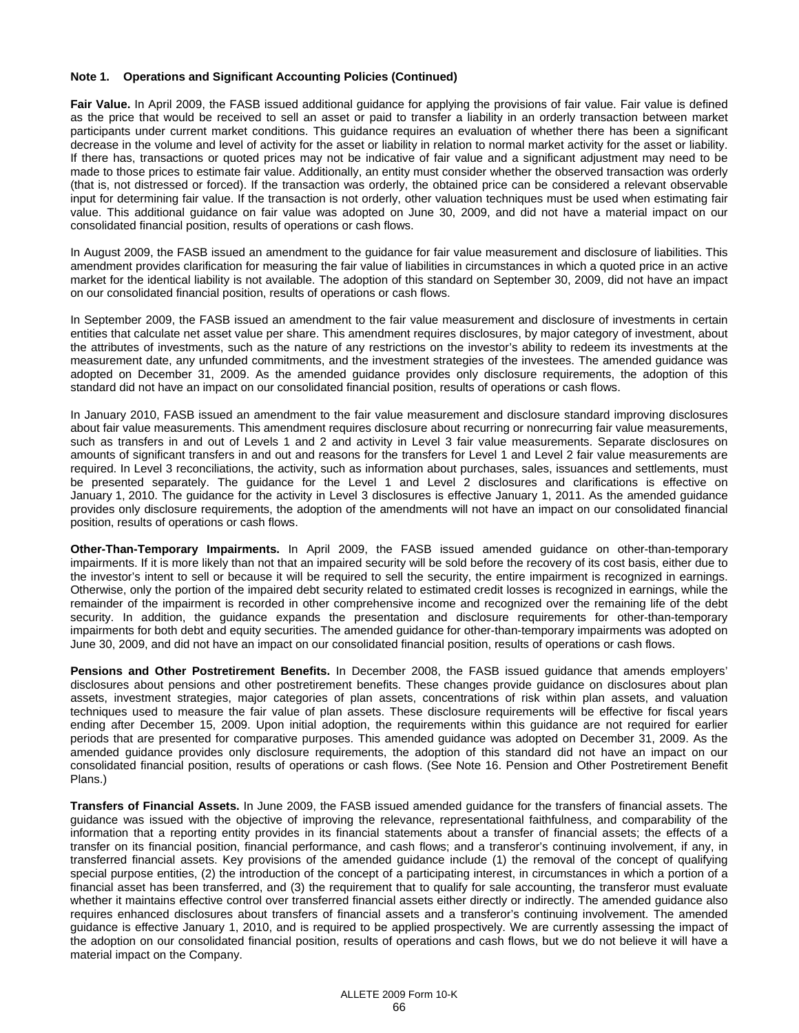**Fair Value.** In April 2009, the FASB issued additional guidance for applying the provisions of fair value. Fair value is defined as the price that would be received to sell an asset or paid to transfer a liability in an orderly transaction between market participants under current market conditions. This guidance requires an evaluation of whether there has been a significant decrease in the volume and level of activity for the asset or liability in relation to normal market activity for the asset or liability. If there has, transactions or quoted prices may not be indicative of fair value and a significant adjustment may need to be made to those prices to estimate fair value. Additionally, an entity must consider whether the observed transaction was orderly (that is, not distressed or forced). If the transaction was orderly, the obtained price can be considered a relevant observable input for determining fair value. If the transaction is not orderly, other valuation techniques must be used when estimating fair value. This additional guidance on fair value was adopted on June 30, 2009, and did not have a material impact on our consolidated financial position, results of operations or cash flows.

In August 2009, the FASB issued an amendment to the guidance for fair value measurement and disclosure of liabilities. This amendment provides clarification for measuring the fair value of liabilities in circumstances in which a quoted price in an active market for the identical liability is not available. The adoption of this standard on September 30, 2009, did not have an impact on our consolidated financial position, results of operations or cash flows.

In September 2009, the FASB issued an amendment to the fair value measurement and disclosure of investments in certain entities that calculate net asset value per share. This amendment requires disclosures, by major category of investment, about the attributes of investments, such as the nature of any restrictions on the investor's ability to redeem its investments at the measurement date, any unfunded commitments, and the investment strategies of the investees. The amended guidance was adopted on December 31, 2009. As the amended guidance provides only disclosure requirements, the adoption of this standard did not have an impact on our consolidated financial position, results of operations or cash flows.

In January 2010, FASB issued an amendment to the fair value measurement and disclosure standard improving disclosures about fair value measurements. This amendment requires disclosure about recurring or nonrecurring fair value measurements, such as transfers in and out of Levels 1 and 2 and activity in Level 3 fair value measurements. Separate disclosures on amounts of significant transfers in and out and reasons for the transfers for Level 1 and Level 2 fair value measurements are required. In Level 3 reconciliations, the activity, such as information about purchases, sales, issuances and settlements, must be presented separately. The guidance for the Level 1 and Level 2 disclosures and clarifications is effective on January 1, 2010. The guidance for the activity in Level 3 disclosures is effective January 1, 2011. As the amended guidance provides only disclosure requirements, the adoption of the amendments will not have an impact on our consolidated financial position, results of operations or cash flows.

**Other-Than-Temporary Impairments.** In April 2009, the FASB issued amended guidance on other-than-temporary impairments. If it is more likely than not that an impaired security will be sold before the recovery of its cost basis, either due to the investor's intent to sell or because it will be required to sell the security, the entire impairment is recognized in earnings. Otherwise, only the portion of the impaired debt security related to estimated credit losses is recognized in earnings, while the remainder of the impairment is recorded in other comprehensive income and recognized over the remaining life of the debt security. In addition, the guidance expands the presentation and disclosure requirements for other-than-temporary impairments for both debt and equity securities. The amended guidance for other-than-temporary impairments was adopted on June 30, 2009, and did not have an impact on our consolidated financial position, results of operations or cash flows.

**Pensions and Other Postretirement Benefits.** In December 2008, the FASB issued guidance that amends employers' disclosures about pensions and other postretirement benefits. These changes provide guidance on disclosures about plan assets, investment strategies, major categories of plan assets, concentrations of risk within plan assets, and valuation techniques used to measure the fair value of plan assets. These disclosure requirements will be effective for fiscal years ending after December 15, 2009. Upon initial adoption, the requirements within this guidance are not required for earlier periods that are presented for comparative purposes. This amended guidance was adopted on December 31, 2009. As the amended guidance provides only disclosure requirements, the adoption of this standard did not have an impact on our consolidated financial position, results of operations or cash flows. (See Note 16. Pension and Other Postretirement Benefit Plans.)

**Transfers of Financial Assets.** In June 2009, the FASB issued amended guidance for the transfers of financial assets. The guidance was issued with the objective of improving the relevance, representational faithfulness, and comparability of the information that a reporting entity provides in its financial statements about a transfer of financial assets; the effects of a transfer on its financial position, financial performance, and cash flows; and a transferor's continuing involvement, if any, in transferred financial assets. Key provisions of the amended guidance include (1) the removal of the concept of qualifying special purpose entities, (2) the introduction of the concept of a participating interest, in circumstances in which a portion of a financial asset has been transferred, and (3) the requirement that to qualify for sale accounting, the transferor must evaluate whether it maintains effective control over transferred financial assets either directly or indirectly. The amended guidance also requires enhanced disclosures about transfers of financial assets and a transferor's continuing involvement. The amended guidance is effective January 1, 2010, and is required to be applied prospectively. We are currently assessing the impact of the adoption on our consolidated financial position, results of operations and cash flows, but we do not believe it will have a material impact on the Company.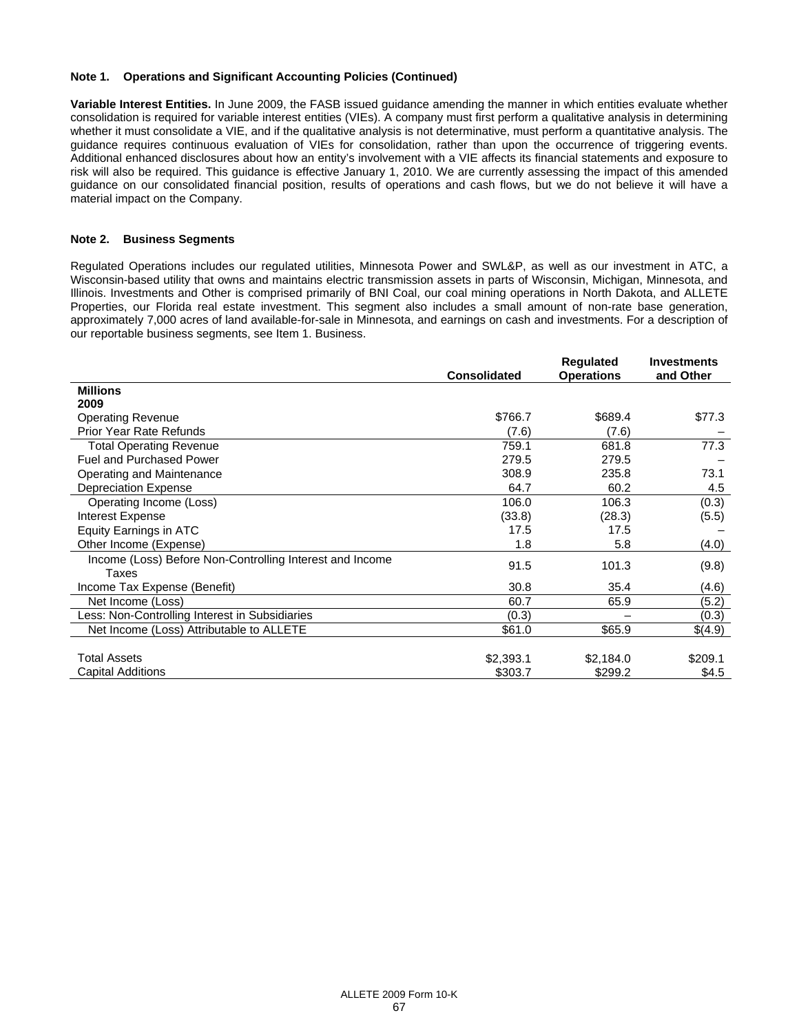**Variable Interest Entities.** In June 2009, the FASB issued guidance amending the manner in which entities evaluate whether consolidation is required for variable interest entities (VIEs). A company must first perform a qualitative analysis in determining whether it must consolidate a VIE, and if the qualitative analysis is not determinative, must perform a quantitative analysis. The guidance requires continuous evaluation of VIEs for consolidation, rather than upon the occurrence of triggering events. Additional enhanced disclosures about how an entity's involvement with a VIE affects its financial statements and exposure to risk will also be required. This guidance is effective January 1, 2010. We are currently assessing the impact of this amended guidance on our consolidated financial position, results of operations and cash flows, but we do not believe it will have a material impact on the Company.

# **Note 2. Business Segments**

Regulated Operations includes our regulated utilities, Minnesota Power and SWL&P, as well as our investment in ATC, a Wisconsin-based utility that owns and maintains electric transmission assets in parts of Wisconsin, Michigan, Minnesota, and Illinois. Investments and Other is comprised primarily of BNI Coal, our coal mining operations in North Dakota, and ALLETE Properties, our Florida real estate investment. This segment also includes a small amount of non-rate base generation, approximately 7,000 acres of land available-for-sale in Minnesota, and earnings on cash and investments. For a description of our reportable business segments, see Item 1. Business.

|                                                          |                     | <b>Regulated</b>  | <b>Investments</b> |
|----------------------------------------------------------|---------------------|-------------------|--------------------|
|                                                          | <b>Consolidated</b> | <b>Operations</b> | and Other          |
| <b>Millions</b>                                          |                     |                   |                    |
| 2009                                                     |                     |                   |                    |
| <b>Operating Revenue</b>                                 | \$766.7             | \$689.4           | \$77.3             |
| <b>Prior Year Rate Refunds</b>                           | (7.6)               | (7.6)             |                    |
| <b>Total Operating Revenue</b>                           | 759.1               | 681.8             | 77.3               |
| <b>Fuel and Purchased Power</b>                          | 279.5               | 279.5             |                    |
| Operating and Maintenance                                | 308.9               | 235.8             | 73.1               |
| <b>Depreciation Expense</b>                              | 64.7                | 60.2              | 4.5                |
| Operating Income (Loss)                                  | 106.0               | 106.3             | (0.3)              |
| Interest Expense                                         | (33.8)              | (28.3)            | (5.5)              |
| Equity Earnings in ATC                                   | 17.5                | 17.5              |                    |
| Other Income (Expense)                                   | 1.8                 | 5.8               | (4.0)              |
| Income (Loss) Before Non-Controlling Interest and Income | 91.5                | 101.3             | (9.8)              |
| Taxes                                                    |                     |                   |                    |
| Income Tax Expense (Benefit)                             | 30.8                | 35.4              | (4.6)              |
| Net Income (Loss)                                        | 60.7                | 65.9              | (5.2)              |
| Less: Non-Controlling Interest in Subsidiaries           | (0.3)               |                   | (0.3)              |
| Net Income (Loss) Attributable to ALLETE                 | \$61.0              | \$65.9            | \$(4.9)            |
|                                                          |                     |                   |                    |
| <b>Total Assets</b>                                      | \$2,393.1           | \$2,184.0         | \$209.1            |
| <b>Capital Additions</b>                                 | \$303.7             | \$299.2           | \$4.5              |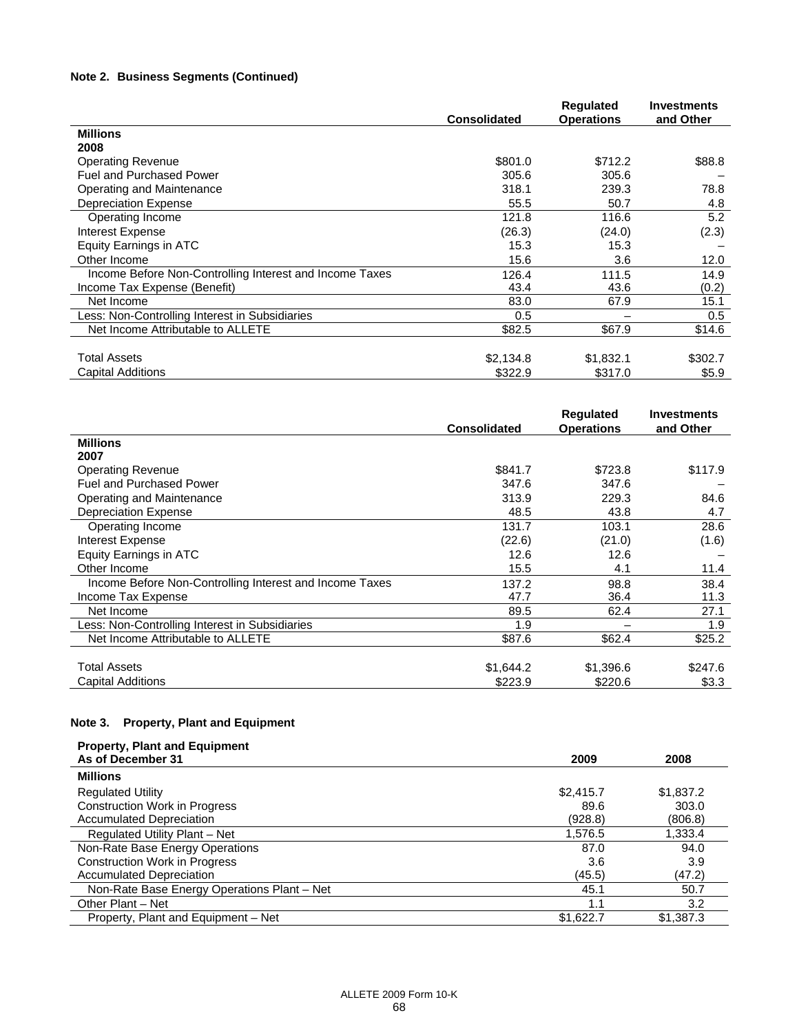# **Note 2. Business Segments (Continued)**

|                                                         | <b>Consolidated</b> | <b>Regulated</b><br><b>Operations</b> | <b>Investments</b><br>and Other |
|---------------------------------------------------------|---------------------|---------------------------------------|---------------------------------|
| <b>Millions</b>                                         |                     |                                       |                                 |
| 2008                                                    |                     |                                       |                                 |
| <b>Operating Revenue</b>                                | \$801.0             | \$712.2                               | \$88.8                          |
| <b>Fuel and Purchased Power</b>                         | 305.6               | 305.6                                 |                                 |
| Operating and Maintenance                               | 318.1               | 239.3                                 | 78.8                            |
| <b>Depreciation Expense</b>                             | 55.5                | 50.7                                  | 4.8                             |
| Operating Income                                        | 121.8               | 116.6                                 | 5.2                             |
| Interest Expense                                        | (26.3)              | (24.0)                                | (2.3)                           |
| Equity Earnings in ATC                                  | 15.3                | 15.3                                  |                                 |
| Other Income                                            | 15.6                | 3.6                                   | 12.0                            |
| Income Before Non-Controlling Interest and Income Taxes | 126.4               | 111.5                                 | 14.9                            |
| Income Tax Expense (Benefit)                            | 43.4                | 43.6                                  | (0.2)                           |
| Net Income                                              | 83.0                | 67.9                                  | 15.1                            |
| Less: Non-Controlling Interest in Subsidiaries          | 0.5                 |                                       | 0.5                             |
| Net Income Attributable to ALLETE                       | \$82.5              | \$67.9                                | \$14.6                          |
|                                                         |                     |                                       |                                 |
| <b>Total Assets</b>                                     | \$2,134.8           | \$1,832.1                             | \$302.7                         |
| <b>Capital Additions</b>                                | \$322.9             | \$317.0                               | \$5.9                           |

|                                                         |                     | <b>Regulated</b>  | <b>Investments</b> |
|---------------------------------------------------------|---------------------|-------------------|--------------------|
|                                                         | <b>Consolidated</b> | <b>Operations</b> | and Other          |
| <b>Millions</b>                                         |                     |                   |                    |
| 2007                                                    |                     |                   |                    |
| <b>Operating Revenue</b>                                | \$841.7             | \$723.8           | \$117.9            |
| <b>Fuel and Purchased Power</b>                         | 347.6               | 347.6             |                    |
| Operating and Maintenance                               | 313.9               | 229.3             | 84.6               |
| <b>Depreciation Expense</b>                             | 48.5                | 43.8              | 4.7                |
| Operating Income                                        | 131.7               | 103.1             | 28.6               |
| <b>Interest Expense</b>                                 | (22.6)              | (21.0)            | (1.6)              |
| Equity Earnings in ATC                                  | 12.6                | 12.6              |                    |
| Other Income                                            | 15.5                | 4.1               | 11.4               |
| Income Before Non-Controlling Interest and Income Taxes | 137.2               | 98.8              | 38.4               |
| Income Tax Expense                                      | 47.7                | 36.4              | 11.3               |
| Net Income                                              | 89.5                | 62.4              | 27.1               |
| Less: Non-Controlling Interest in Subsidiaries          | 1.9                 |                   | 1.9                |
| Net Income Attributable to ALLETE                       | \$87.6              | \$62.4            | \$25.2             |
|                                                         |                     |                   |                    |
| <b>Total Assets</b>                                     | \$1,644.2           | \$1,396.6         | \$247.6            |
| <b>Capital Additions</b>                                | \$223.9             | \$220.6           | \$3.3              |

# **Note 3. Property, Plant and Equipment**

# **Property, Plant and Equipment**

| As of December 31                           | 2009      | 2008      |
|---------------------------------------------|-----------|-----------|
| <b>Millions</b>                             |           |           |
| <b>Regulated Utility</b>                    | \$2,415.7 | \$1,837.2 |
| <b>Construction Work in Progress</b>        | 89.6      | 303.0     |
| <b>Accumulated Depreciation</b>             | (928.8)   | (806.8)   |
| Regulated Utility Plant - Net               | 1,576.5   | 1,333.4   |
| Non-Rate Base Energy Operations             | 87.0      | 94.0      |
| <b>Construction Work in Progress</b>        | 3.6       | 3.9       |
| <b>Accumulated Depreciation</b>             | (45.5)    | (47.2)    |
| Non-Rate Base Energy Operations Plant - Net | 45.1      | 50.7      |
| Other Plant - Net                           | 1.1       | 3.2       |
| Property, Plant and Equipment - Net         | \$1,622.7 | \$1,387.3 |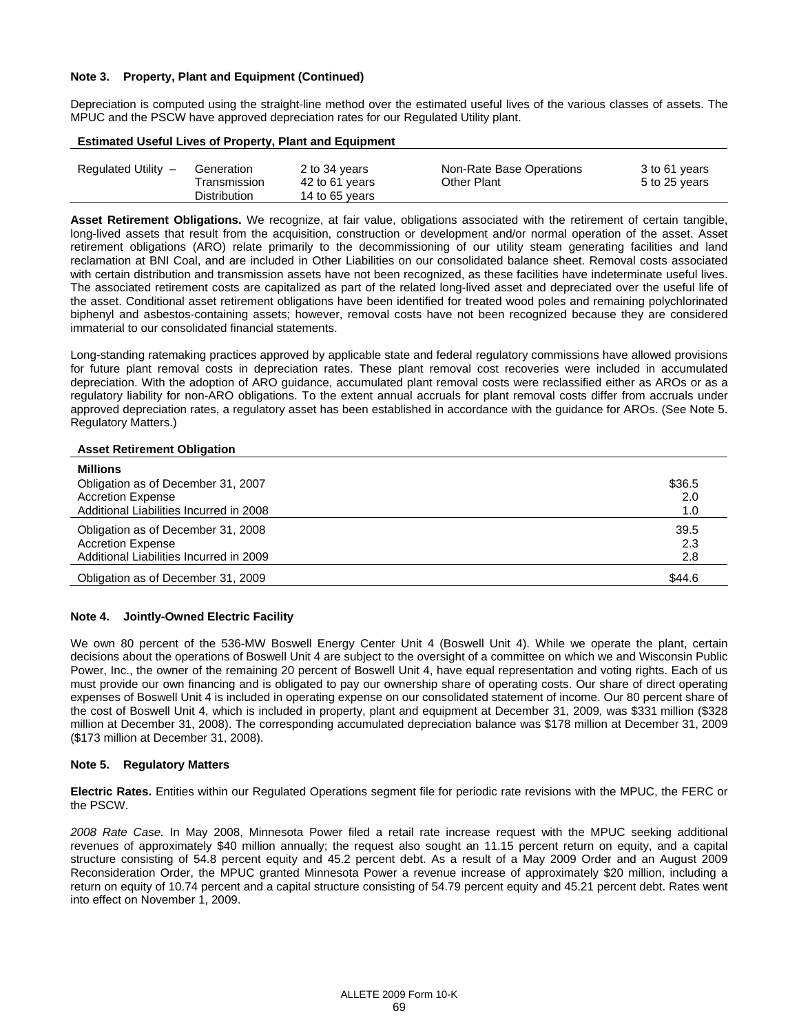# **Note 3. Property, Plant and Equipment (Continued)**

Depreciation is computed using the straight-line method over the estimated useful lives of the various classes of assets. The MPUC and the PSCW have approved depreciation rates for our Regulated Utility plant.

| Regulated Utility $-$ | Generation<br>Transmission<br><b>Distribution</b> | 2 to 34 years<br>42 to 61 years<br>14 to 65 years | Non-Rate Base Operations<br>Other Plant | 3 to 61 years<br>5 to 25 years |
|-----------------------|---------------------------------------------------|---------------------------------------------------|-----------------------------------------|--------------------------------|
|-----------------------|---------------------------------------------------|---------------------------------------------------|-----------------------------------------|--------------------------------|

**Asset Retirement Obligations.** We recognize, at fair value, obligations associated with the retirement of certain tangible, long-lived assets that result from the acquisition, construction or development and/or normal operation of the asset. Asset retirement obligations (ARO) relate primarily to the decommissioning of our utility steam generating facilities and land reclamation at BNI Coal, and are included in Other Liabilities on our consolidated balance sheet. Removal costs associated with certain distribution and transmission assets have not been recognized, as these facilities have indeterminate useful lives. The associated retirement costs are capitalized as part of the related long-lived asset and depreciated over the useful life of the asset. Conditional asset retirement obligations have been identified for treated wood poles and remaining polychlorinated biphenyl and asbestos-containing assets; however, removal costs have not been recognized because they are considered immaterial to our consolidated financial statements.

Long-standing ratemaking practices approved by applicable state and federal regulatory commissions have allowed provisions for future plant removal costs in depreciation rates. These plant removal cost recoveries were included in accumulated depreciation. With the adoption of ARO guidance, accumulated plant removal costs were reclassified either as AROs or as a regulatory liability for non-ARO obligations. To the extent annual accruals for plant removal costs differ from accruals under approved depreciation rates, a regulatory asset has been established in accordance with the guidance for AROs. (See Note 5. Regulatory Matters.)

#### **Asset Retirement Obligation**

| <b>Millions</b>                         |        |
|-----------------------------------------|--------|
| Obligation as of December 31, 2007      | \$36.5 |
| <b>Accretion Expense</b>                | 2.0    |
| Additional Liabilities Incurred in 2008 | 1.0    |
| Obligation as of December 31, 2008      | 39.5   |
| <b>Accretion Expense</b>                | 2.3    |
| Additional Liabilities Incurred in 2009 | 2.8    |
| Obligation as of December 31, 2009      | \$44.6 |

#### **Note 4. Jointly-Owned Electric Facility**

We own 80 percent of the 536-MW Boswell Energy Center Unit 4 (Boswell Unit 4). While we operate the plant, certain decisions about the operations of Boswell Unit 4 are subject to the oversight of a committee on which we and Wisconsin Public Power, Inc., the owner of the remaining 20 percent of Boswell Unit 4, have equal representation and voting rights. Each of us must provide our own financing and is obligated to pay our ownership share of operating costs. Our share of direct operating expenses of Boswell Unit 4 is included in operating expense on our consolidated statement of income. Our 80 percent share of the cost of Boswell Unit 4, which is included in property, plant and equipment at December 31, 2009, was \$331 million (\$328 million at December 31, 2008). The corresponding accumulated depreciation balance was \$178 million at December 31, 2009 (\$173 million at December 31, 2008).

#### **Note 5. Regulatory Matters**

**Electric Rates.** Entities within our Regulated Operations segment file for periodic rate revisions with the MPUC, the FERC or the PSCW.

*2008 Rate Case.* In May 2008, Minnesota Power filed a retail rate increase request with the MPUC seeking additional revenues of approximately \$40 million annually; the request also sought an 11.15 percent return on equity, and a capital structure consisting of 54.8 percent equity and 45.2 percent debt. As a result of a May 2009 Order and an August 2009 Reconsideration Order, the MPUC granted Minnesota Power a revenue increase of approximately \$20 million, including a return on equity of 10.74 percent and a capital structure consisting of 54.79 percent equity and 45.21 percent debt. Rates went into effect on November 1, 2009.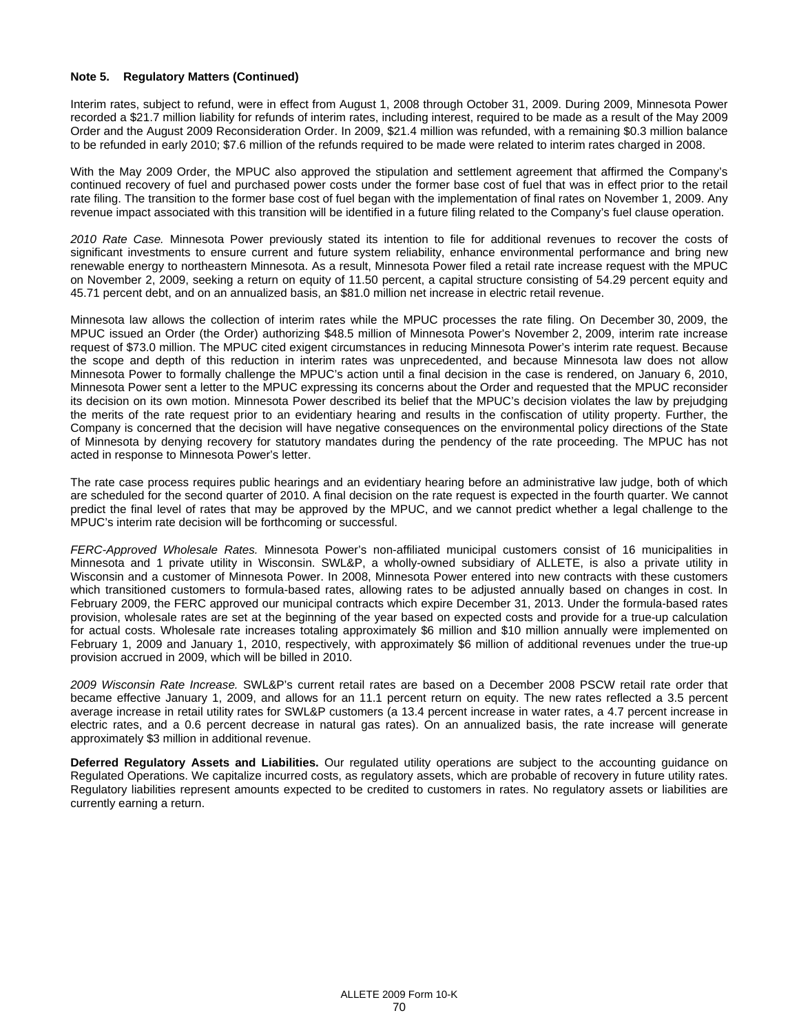#### **Note 5. Regulatory Matters (Continued)**

Interim rates, subject to refund, were in effect from August 1, 2008 through October 31, 2009. During 2009, Minnesota Power recorded a \$21.7 million liability for refunds of interim rates, including interest, required to be made as a result of the May 2009 Order and the August 2009 Reconsideration Order. In 2009, \$21.4 million was refunded, with a remaining \$0.3 million balance to be refunded in early 2010; \$7.6 million of the refunds required to be made were related to interim rates charged in 2008.

With the May 2009 Order, the MPUC also approved the stipulation and settlement agreement that affirmed the Company's continued recovery of fuel and purchased power costs under the former base cost of fuel that was in effect prior to the retail rate filing. The transition to the former base cost of fuel began with the implementation of final rates on November 1, 2009. Any revenue impact associated with this transition will be identified in a future filing related to the Company's fuel clause operation.

*2010 Rate Case.* Minnesota Power previously stated its intention to file for additional revenues to recover the costs of significant investments to ensure current and future system reliability, enhance environmental performance and bring new renewable energy to northeastern Minnesota. As a result, Minnesota Power filed a retail rate increase request with the MPUC on November 2, 2009, seeking a return on equity of 11.50 percent, a capital structure consisting of 54.29 percent equity and 45.71 percent debt, and on an annualized basis, an \$81.0 million net increase in electric retail revenue.

Minnesota law allows the collection of interim rates while the MPUC processes the rate filing. On December 30, 2009, the MPUC issued an Order (the Order) authorizing \$48.5 million of Minnesota Power's November 2, 2009, interim rate increase request of \$73.0 million. The MPUC cited exigent circumstances in reducing Minnesota Power's interim rate request. Because the scope and depth of this reduction in interim rates was unprecedented, and because Minnesota law does not allow Minnesota Power to formally challenge the MPUC's action until a final decision in the case is rendered, on January 6, 2010, Minnesota Power sent a letter to the MPUC expressing its concerns about the Order and requested that the MPUC reconsider its decision on its own motion. Minnesota Power described its belief that the MPUC's decision violates the law by prejudging the merits of the rate request prior to an evidentiary hearing and results in the confiscation of utility property. Further, the Company is concerned that the decision will have negative consequences on the environmental policy directions of the State of Minnesota by denying recovery for statutory mandates during the pendency of the rate proceeding. The MPUC has not acted in response to Minnesota Power's letter.

The rate case process requires public hearings and an evidentiary hearing before an administrative law judge, both of which are scheduled for the second quarter of 2010. A final decision on the rate request is expected in the fourth quarter. We cannot predict the final level of rates that may be approved by the MPUC, and we cannot predict whether a legal challenge to the MPUC's interim rate decision will be forthcoming or successful.

*FERC-Approved Wholesale Rates.* Minnesota Power's non-affiliated municipal customers consist of 16 municipalities in Minnesota and 1 private utility in Wisconsin. SWL&P, a wholly-owned subsidiary of ALLETE, is also a private utility in Wisconsin and a customer of Minnesota Power. In 2008, Minnesota Power entered into new contracts with these customers which transitioned customers to formula-based rates, allowing rates to be adjusted annually based on changes in cost. In February 2009, the FERC approved our municipal contracts which expire December 31, 2013. Under the formula-based rates provision, wholesale rates are set at the beginning of the year based on expected costs and provide for a true-up calculation for actual costs. Wholesale rate increases totaling approximately \$6 million and \$10 million annually were implemented on February 1, 2009 and January 1, 2010, respectively, with approximately \$6 million of additional revenues under the true-up provision accrued in 2009, which will be billed in 2010.

*2009 Wisconsin Rate Increase.* SWL&P's current retail rates are based on a December 2008 PSCW retail rate order that became effective January 1, 2009, and allows for an 11.1 percent return on equity. The new rates reflected a 3.5 percent average increase in retail utility rates for SWL&P customers (a 13.4 percent increase in water rates, a 4.7 percent increase in electric rates, and a 0.6 percent decrease in natural gas rates). On an annualized basis, the rate increase will generate approximately \$3 million in additional revenue.

**Deferred Regulatory Assets and Liabilities.** Our regulated utility operations are subject to the accounting guidance on Regulated Operations. We capitalize incurred costs, as regulatory assets, which are probable of recovery in future utility rates. Regulatory liabilities represent amounts expected to be credited to customers in rates. No regulatory assets or liabilities are currently earning a return.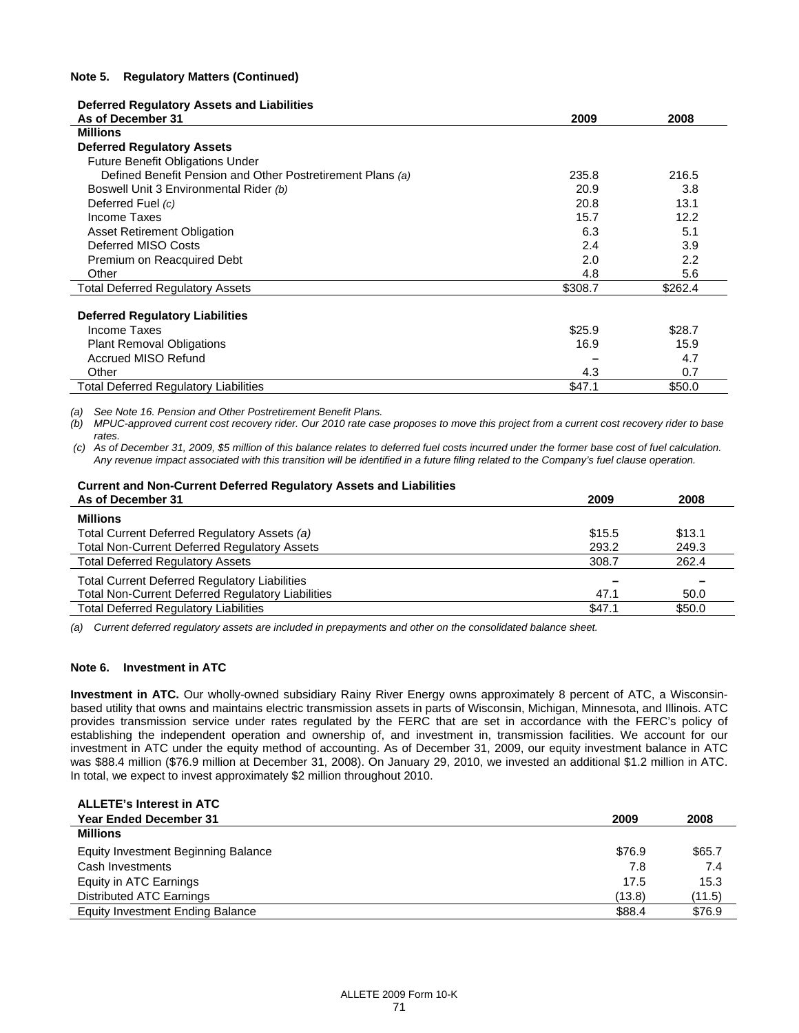#### **Note 5. Regulatory Matters (Continued)**

# **Deferred Regulatory Assets and Liabilities**

| Delerred Requiatory Assets and Liabilities                 |         |         |
|------------------------------------------------------------|---------|---------|
| As of December 31                                          | 2009    | 2008    |
| <b>Millions</b>                                            |         |         |
| <b>Deferred Regulatory Assets</b>                          |         |         |
| <b>Future Benefit Obligations Under</b>                    |         |         |
| Defined Benefit Pension and Other Postretirement Plans (a) | 235.8   | 216.5   |
| Boswell Unit 3 Environmental Rider (b)                     | 20.9    | 3.8     |
| Deferred Fuel (c)                                          | 20.8    | 13.1    |
| Income Taxes                                               | 15.7    | 12.2    |
| <b>Asset Retirement Obligation</b>                         | 6.3     | 5.1     |
| Deferred MISO Costs                                        | 2.4     | 3.9     |
| Premium on Reacquired Debt                                 | 2.0     | 2.2     |
| Other                                                      | 4.8     | 5.6     |
| <b>Total Deferred Regulatory Assets</b>                    | \$308.7 | \$262.4 |
| <b>Deferred Regulatory Liabilities</b>                     |         |         |
| Income Taxes                                               | \$25.9  | \$28.7  |
| <b>Plant Removal Obligations</b>                           | 16.9    | 15.9    |
| <b>Accrued MISO Refund</b>                                 |         | 4.7     |
| Other                                                      | 4.3     | 0.7     |
| <b>Total Deferred Regulatory Liabilities</b>               | \$47.1  | \$50.0  |

*(a) See Note 16. Pension and Other Postretirement Benefit Plans.* 

*(b) MPUC-approved current cost recovery rider. Our 2010 rate case proposes to move this project from a current cost recovery rider to base rates.* 

 *(c) As of December 31, 2009, \$5 million of this balance relates to deferred fuel costs incurred under the former base cost of fuel calculation. Any revenue impact associated with this transition will be identified in a future filing related to the Company's fuel clause operation.* 

## **Current and Non-Current Deferred Regulatory Assets and Liabilities As of December 31 2009 2008**

| AS OF DUCCHING TO I                                      | ∼∪∪    | ∼∪∪    |
|----------------------------------------------------------|--------|--------|
| <b>Millions</b>                                          |        |        |
| Total Current Deferred Regulatory Assets (a)             | \$15.5 | \$13.1 |
| <b>Total Non-Current Deferred Regulatory Assets</b>      | 293.2  | 249.3  |
| <b>Total Deferred Regulatory Assets</b>                  | 308.7  | 262.4  |
| <b>Total Current Deferred Regulatory Liabilities</b>     |        |        |
| <b>Total Non-Current Deferred Regulatory Liabilities</b> | 47.1   | 50.0   |
| <b>Total Deferred Regulatory Liabilities</b>             | \$47.1 | \$50.0 |

*(a) Current deferred regulatory assets are included in prepayments and other on the consolidated balance sheet.* 

# **Note 6. Investment in ATC**

**Investment in ATC.** Our wholly-owned subsidiary Rainy River Energy owns approximately 8 percent of ATC, a Wisconsinbased utility that owns and maintains electric transmission assets in parts of Wisconsin, Michigan, Minnesota, and Illinois. ATC provides transmission service under rates regulated by the FERC that are set in accordance with the FERC's policy of establishing the independent operation and ownership of, and investment in, transmission facilities. We account for our investment in ATC under the equity method of accounting. As of December 31, 2009, our equity investment balance in ATC was \$88.4 million (\$76.9 million at December 31, 2008). On January 29, 2010, we invested an additional \$1.2 million in ATC. In total, we expect to invest approximately \$2 million throughout 2010.

| <b>ALLETE's Interest in ATC</b>         |        |        |
|-----------------------------------------|--------|--------|
| <b>Year Ended December 31</b>           | 2009   | 2008   |
| <b>Millions</b>                         |        |        |
| Equity Investment Beginning Balance     | \$76.9 | \$65.7 |
| Cash Investments                        | 7.8    | 7.4    |
| Equity in ATC Earnings                  | 17.5   | 15.3   |
| Distributed ATC Earnings                | (13.8) | (11.5) |
| <b>Equity Investment Ending Balance</b> | \$88.4 | \$76.9 |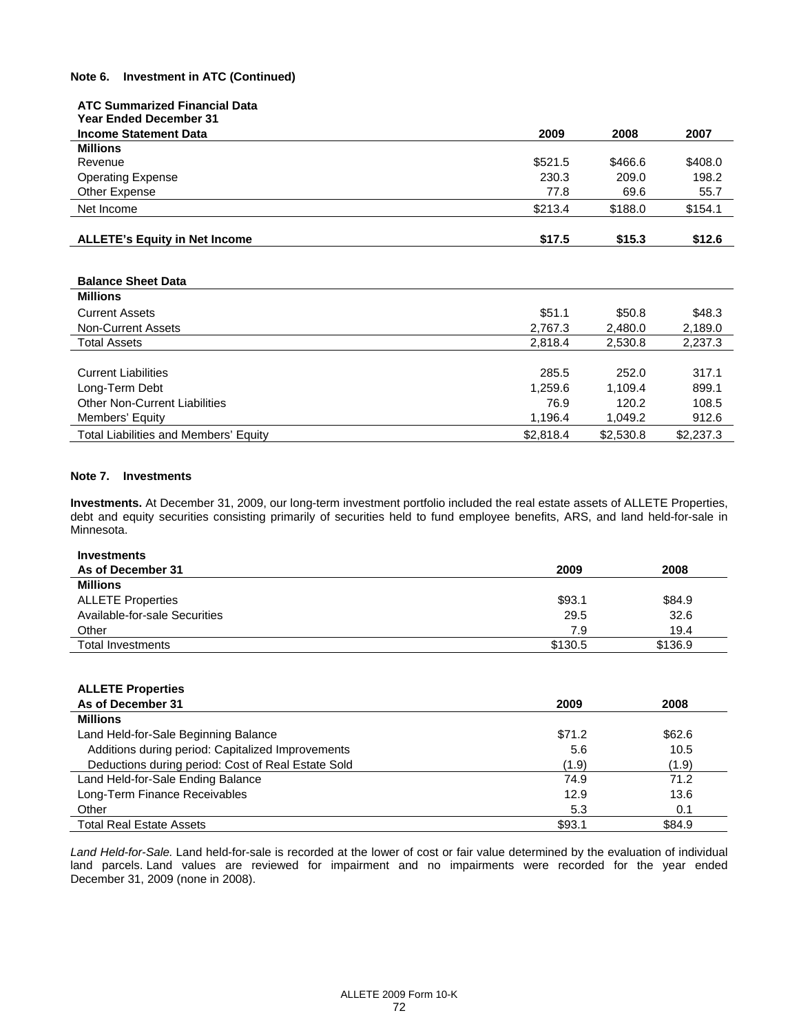## **Note 6. Investment in ATC (Continued)**

# **ATC Summarized Financial Data**

| <b>Year Ended December 31</b> |         |         |         |
|-------------------------------|---------|---------|---------|
| <b>Income Statement Data</b>  | 2009    | 2008    | 2007    |
| <b>Millions</b>               |         |         |         |
| Revenue                       | \$521.5 | \$466.6 | \$408.0 |
| <b>Operating Expense</b>      | 230.3   | 209.0   | 198.2   |
| Other Expense                 | 77.8    | 69.6    | 55.7    |
| Net Income                    | \$213.4 | \$188.0 | \$154.1 |
|                               |         |         |         |

#### **ALLETE's Equity in Net Income \$17.5 \$15.3 \$12.6**

| <b>Balance Sheet Data</b>                    |           |           |           |
|----------------------------------------------|-----------|-----------|-----------|
| <b>Millions</b>                              |           |           |           |
| <b>Current Assets</b>                        | \$51.1    | \$50.8    | \$48.3    |
| Non-Current Assets                           | 2,767.3   | 2,480.0   | 2,189.0   |
| <b>Total Assets</b>                          | 2,818.4   | 2,530.8   | 2,237.3   |
|                                              |           |           |           |
| <b>Current Liabilities</b>                   | 285.5     | 252.0     | 317.1     |
| Long-Term Debt                               | 1,259.6   | 1.109.4   | 899.1     |
| <b>Other Non-Current Liabilities</b>         | 76.9      | 120.2     | 108.5     |
| Members' Equity                              | 1,196.4   | 1,049.2   | 912.6     |
| <b>Total Liabilities and Members' Equity</b> | \$2.818.4 | \$2,530.8 | \$2,237.3 |

# **Note 7. Investments**

**Investments.** At December 31, 2009, our long-term investment portfolio included the real estate assets of ALLETE Properties, debt and equity securities consisting primarily of securities held to fund employee benefits, ARS, and land held-for-sale in Minnesota.

| <b>Investments</b>            |         |         |
|-------------------------------|---------|---------|
| As of December 31             | 2009    | 2008    |
| <b>Millions</b>               |         |         |
| <b>ALLETE Properties</b>      | \$93.1  | \$84.9  |
| Available-for-sale Securities | 29.5    | 32.6    |
| Other                         | 7.9     | 19.4    |
| Total Investments             | \$130.5 | \$136.9 |

# **ALLETE Properties As of December 31 2009 2008 Millions**  Land Held-for-Sale Beginning Balance \$62.6 Additions during period: Capitalized Improvements 5.6 10.5 Deductions during period: Cost of Real Estate Sold (1.9) (1.9) Land Held-for-Sale Ending Balance 74.9 71.2 Long-Term Finance Receivables 12.9 13.6 Other 5.3 0.1 Total Real Estate Assets  $$84.9$

*Land Held-for-Sale.* Land held-for-sale is recorded at the lower of cost or fair value determined by the evaluation of individual land parcels. Land values are reviewed for impairment and no impairments were recorded for the year ended December 31, 2009 (none in 2008).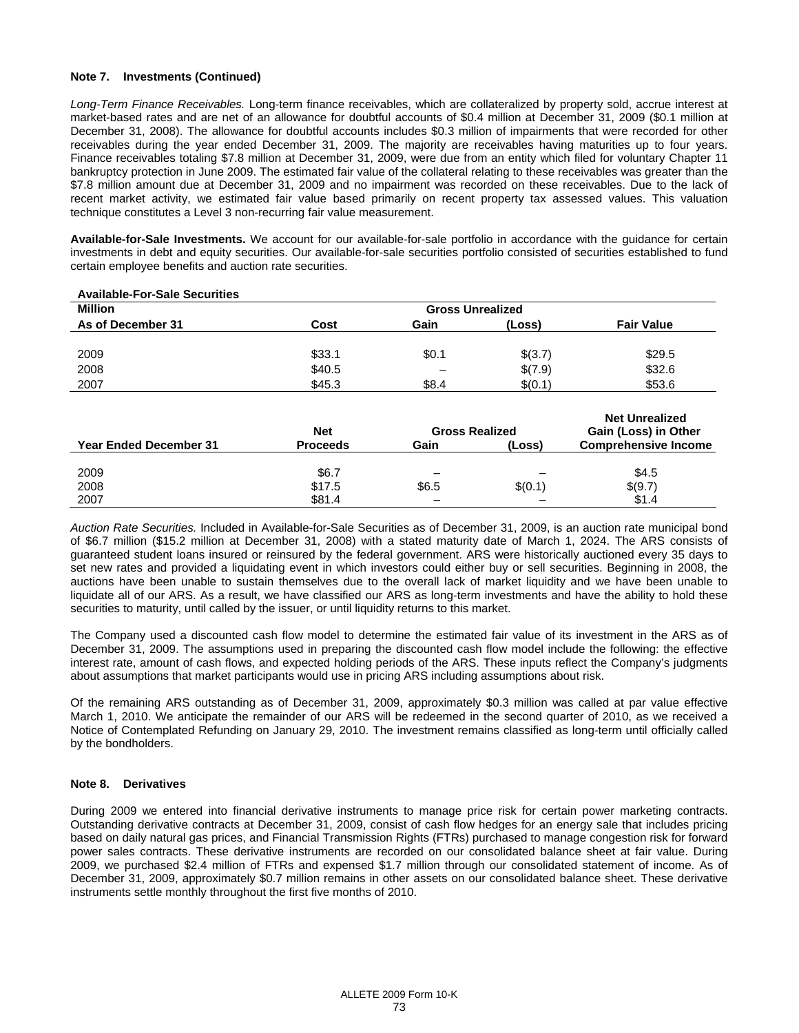#### **Note 7. Investments (Continued)**

**Available-For-Sale Securities** 

*Long-Term Finance Receivables.* Long-term finance receivables, which are collateralized by property sold, accrue interest at market-based rates and are net of an allowance for doubtful accounts of \$0.4 million at December 31, 2009 (\$0.1 million at December 31, 2008). The allowance for doubtful accounts includes \$0.3 million of impairments that were recorded for other receivables during the year ended December 31, 2009. The majority are receivables having maturities up to four years. Finance receivables totaling \$7.8 million at December 31, 2009, were due from an entity which filed for voluntary Chapter 11 bankruptcy protection in June 2009. The estimated fair value of the collateral relating to these receivables was greater than the \$7.8 million amount due at December 31, 2009 and no impairment was recorded on these receivables. Due to the lack of recent market activity, we estimated fair value based primarily on recent property tax assessed values. This valuation technique constitutes a Level 3 non-recurring fair value measurement.

**Available-for-Sale Investments.** We account for our available-for-sale portfolio in accordance with the guidance for certain investments in debt and equity securities. Our available-for-sale securities portfolio consisted of securities established to fund certain employee benefits and auction rate securities.

| <b>Million</b>    |        | <b>Gross Unrealized</b> |         |                   |
|-------------------|--------|-------------------------|---------|-------------------|
| As of December 31 | Cost   | Gain                    | (Loss)  | <b>Fair Value</b> |
|                   |        |                         |         |                   |
| 2009              | \$33.1 | \$0.1                   | \$(3.7) | \$29.5            |
| 2008              | \$40.5 |                         | \$(7.9) | \$32.6            |
| 2007              | \$45.3 | \$8.4                   | \$(0.1) | \$53.6            |

|                               | <b>Net</b>      | <b>Gross Realized</b> |         | <b>Net Unrealized</b><br>Gain (Loss) in Other |
|-------------------------------|-----------------|-----------------------|---------|-----------------------------------------------|
| <b>Year Ended December 31</b> | <b>Proceeds</b> | Gain                  | (Loss)  | <b>Comprehensive Income</b>                   |
|                               |                 |                       |         |                                               |
| 2009                          | \$6.7           |                       |         | \$4.5                                         |
| 2008                          | \$17.5          | \$6.5                 | \$(0.1) | \$(9.7)                                       |
| 2007                          | \$81.4          |                       |         | \$1.4                                         |

*Auction Rate Securities.* Included in Available-for-Sale Securities as of December 31, 2009, is an auction rate municipal bond of \$6.7 million (\$15.2 million at December 31, 2008) with a stated maturity date of March 1, 2024. The ARS consists of guaranteed student loans insured or reinsured by the federal government. ARS were historically auctioned every 35 days to set new rates and provided a liquidating event in which investors could either buy or sell securities. Beginning in 2008, the auctions have been unable to sustain themselves due to the overall lack of market liquidity and we have been unable to liquidate all of our ARS. As a result, we have classified our ARS as long-term investments and have the ability to hold these securities to maturity, until called by the issuer, or until liquidity returns to this market.

The Company used a discounted cash flow model to determine the estimated fair value of its investment in the ARS as of December 31, 2009. The assumptions used in preparing the discounted cash flow model include the following: the effective interest rate, amount of cash flows, and expected holding periods of the ARS. These inputs reflect the Company's judgments about assumptions that market participants would use in pricing ARS including assumptions about risk.

Of the remaining ARS outstanding as of December 31, 2009, approximately \$0.3 million was called at par value effective March 1, 2010. We anticipate the remainder of our ARS will be redeemed in the second quarter of 2010, as we received a Notice of Contemplated Refunding on January 29, 2010. The investment remains classified as long-term until officially called by the bondholders.

## **Note 8. Derivatives**

During 2009 we entered into financial derivative instruments to manage price risk for certain power marketing contracts. Outstanding derivative contracts at December 31, 2009, consist of cash flow hedges for an energy sale that includes pricing based on daily natural gas prices, and Financial Transmission Rights (FTRs) purchased to manage congestion risk for forward power sales contracts. These derivative instruments are recorded on our consolidated balance sheet at fair value. During 2009, we purchased \$2.4 million of FTRs and expensed \$1.7 million through our consolidated statement of income. As of December 31, 2009, approximately \$0.7 million remains in other assets on our consolidated balance sheet. These derivative instruments settle monthly throughout the first five months of 2010.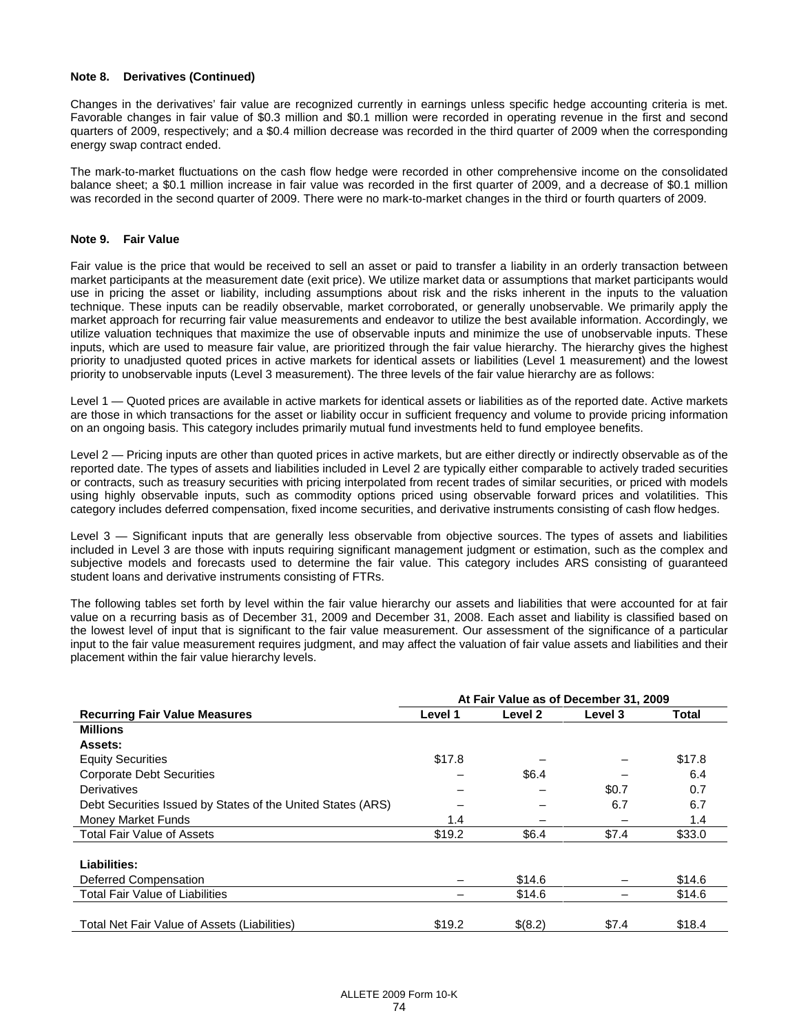#### **Note 8. Derivatives (Continued)**

Changes in the derivatives' fair value are recognized currently in earnings unless specific hedge accounting criteria is met. Favorable changes in fair value of \$0.3 million and \$0.1 million were recorded in operating revenue in the first and second quarters of 2009, respectively; and a \$0.4 million decrease was recorded in the third quarter of 2009 when the corresponding energy swap contract ended.

The mark-to-market fluctuations on the cash flow hedge were recorded in other comprehensive income on the consolidated balance sheet; a \$0.1 million increase in fair value was recorded in the first quarter of 2009, and a decrease of \$0.1 million was recorded in the second quarter of 2009. There were no mark-to-market changes in the third or fourth quarters of 2009.

## **Note 9. Fair Value**

Fair value is the price that would be received to sell an asset or paid to transfer a liability in an orderly transaction between market participants at the measurement date (exit price). We utilize market data or assumptions that market participants would use in pricing the asset or liability, including assumptions about risk and the risks inherent in the inputs to the valuation technique. These inputs can be readily observable, market corroborated, or generally unobservable. We primarily apply the market approach for recurring fair value measurements and endeavor to utilize the best available information. Accordingly, we utilize valuation techniques that maximize the use of observable inputs and minimize the use of unobservable inputs. These inputs, which are used to measure fair value, are prioritized through the fair value hierarchy. The hierarchy gives the highest priority to unadjusted quoted prices in active markets for identical assets or liabilities (Level 1 measurement) and the lowest priority to unobservable inputs (Level 3 measurement). The three levels of the fair value hierarchy are as follows:

Level 1 — Quoted prices are available in active markets for identical assets or liabilities as of the reported date. Active markets are those in which transactions for the asset or liability occur in sufficient frequency and volume to provide pricing information on an ongoing basis. This category includes primarily mutual fund investments held to fund employee benefits.

Level 2 — Pricing inputs are other than quoted prices in active markets, but are either directly or indirectly observable as of the reported date. The types of assets and liabilities included in Level 2 are typically either comparable to actively traded securities or contracts, such as treasury securities with pricing interpolated from recent trades of similar securities, or priced with models using highly observable inputs, such as commodity options priced using observable forward prices and volatilities. This category includes deferred compensation, fixed income securities, and derivative instruments consisting of cash flow hedges.

Level 3 — Significant inputs that are generally less observable from objective sources. The types of assets and liabilities included in Level 3 are those with inputs requiring significant management judgment or estimation, such as the complex and subjective models and forecasts used to determine the fair value. This category includes ARS consisting of guaranteed student loans and derivative instruments consisting of FTRs.

The following tables set forth by level within the fair value hierarchy our assets and liabilities that were accounted for at fair value on a recurring basis as of December 31, 2009 and December 31, 2008. Each asset and liability is classified based on the lowest level of input that is significant to the fair value measurement. Our assessment of the significance of a particular input to the fair value measurement requires judgment, and may affect the valuation of fair value assets and liabilities and their placement within the fair value hierarchy levels.

|                                                             |         |         | At Fair Value as of December 31, 2009 |        |
|-------------------------------------------------------------|---------|---------|---------------------------------------|--------|
| <b>Recurring Fair Value Measures</b>                        | Level 1 | Level 2 | Level 3                               | Total  |
| <b>Millions</b>                                             |         |         |                                       |        |
| Assets:                                                     |         |         |                                       |        |
| <b>Equity Securities</b>                                    | \$17.8  |         |                                       | \$17.8 |
| <b>Corporate Debt Securities</b>                            |         | \$6.4   |                                       | 6.4    |
| Derivatives                                                 |         |         | \$0.7                                 | 0.7    |
| Debt Securities Issued by States of the United States (ARS) |         |         | 6.7                                   | 6.7    |
| Money Market Funds                                          | 1.4     |         |                                       | 1.4    |
| <b>Total Fair Value of Assets</b>                           | \$19.2  | \$6.4   | \$7.4                                 | \$33.0 |
| Liabilities:                                                |         |         |                                       |        |
| Deferred Compensation                                       |         | \$14.6  |                                       | \$14.6 |
| <b>Total Fair Value of Liabilities</b>                      |         | \$14.6  |                                       | \$14.6 |
| Total Net Fair Value of Assets (Liabilities)                | \$19.2  | \$(8.2) | \$7.4                                 | \$18.4 |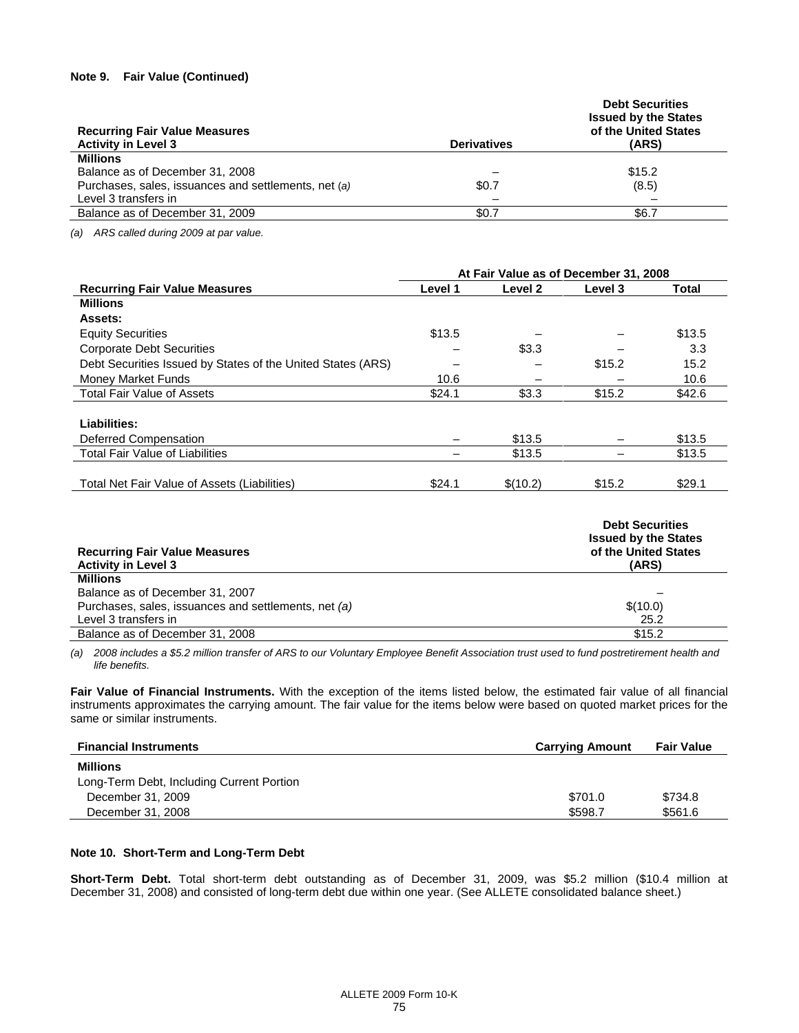## **Note 9. Fair Value (Continued)**

|                    | <b>Debt Securities</b><br><b>Issued by the States</b> |
|--------------------|-------------------------------------------------------|
|                    | of the United States                                  |
| <b>Derivatives</b> | (ARS)                                                 |
|                    |                                                       |
|                    | \$15.2                                                |
| \$0.7              | (8.5)                                                 |
|                    |                                                       |
| \$0.7              | \$6.7                                                 |
|                    |                                                       |

*(a) ARS called during 2009 at par value.* 

|                                                             | At Fair Value as of December 31, 2008 |          |         |        |
|-------------------------------------------------------------|---------------------------------------|----------|---------|--------|
| <b>Recurring Fair Value Measures</b>                        | Level 1                               | Level 2  | Level 3 | Total  |
| <b>Millions</b>                                             |                                       |          |         |        |
| <b>Assets:</b>                                              |                                       |          |         |        |
| <b>Equity Securities</b>                                    | \$13.5                                |          |         | \$13.5 |
| <b>Corporate Debt Securities</b>                            |                                       | \$3.3    |         | 3.3    |
| Debt Securities Issued by States of the United States (ARS) |                                       |          | \$15.2  | 15.2   |
| Money Market Funds                                          | 10.6                                  |          |         | 10.6   |
| <b>Total Fair Value of Assets</b>                           | \$24.1                                | \$3.3    | \$15.2  | \$42.6 |
|                                                             |                                       |          |         |        |
| Liabilities:                                                |                                       |          |         |        |
| Deferred Compensation                                       |                                       | \$13.5   |         | \$13.5 |
| <b>Total Fair Value of Liabilities</b>                      |                                       | \$13.5   |         | \$13.5 |
|                                                             |                                       |          |         |        |
| Total Net Fair Value of Assets (Liabilities)                | \$24.1                                | \$(10.2) | \$15.2  | \$29.1 |
|                                                             |                                       |          |         |        |

|                                                      | <b>Debt Securities</b><br><b>Issued by the States</b> |
|------------------------------------------------------|-------------------------------------------------------|
| <b>Recurring Fair Value Measures</b>                 | of the United States                                  |
| <b>Activity in Level 3</b>                           | (ARS)                                                 |
| <b>Millions</b>                                      |                                                       |
| Balance as of December 31, 2007                      |                                                       |
| Purchases, sales, issuances and settlements, net (a) | \$(10.0)                                              |
| Level 3 transfers in                                 | 25.2                                                  |
| Balance as of December 31, 2008                      | \$15.2                                                |

*(a) 2008 includes a \$5.2 million transfer of ARS to our Voluntary Employee Benefit Association trust used to fund postretirement health and life benefits.* 

**Fair Value of Financial Instruments.** With the exception of the items listed below, the estimated fair value of all financial instruments approximates the carrying amount. The fair value for the items below were based on quoted market prices for the same or similar instruments.

| <b>Financial Instruments</b>              | <b>Carrying Amount</b><br><b>Fair Value</b> |         |
|-------------------------------------------|---------------------------------------------|---------|
| <b>Millions</b>                           |                                             |         |
| Long-Term Debt, Including Current Portion |                                             |         |
| December 31, 2009                         | \$701.0                                     | \$734.8 |
| December 31, 2008                         | \$598.7                                     | \$561.6 |

## **Note 10. Short-Term and Long-Term Debt**

**Short-Term Debt.** Total short-term debt outstanding as of December 31, 2009, was \$5.2 million (\$10.4 million at December 31, 2008) and consisted of long-term debt due within one year. (See ALLETE consolidated balance sheet.)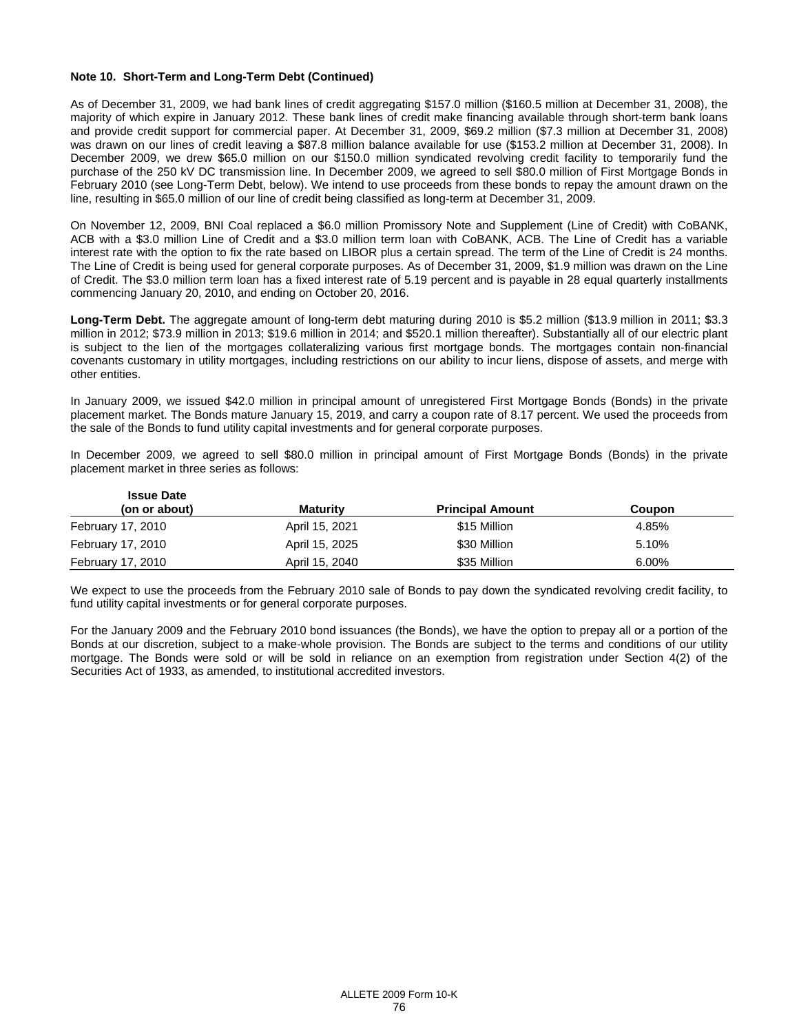#### **Note 10. Short-Term and Long-Term Debt (Continued)**

As of December 31, 2009, we had bank lines of credit aggregating \$157.0 million (\$160.5 million at December 31, 2008), the majority of which expire in January 2012. These bank lines of credit make financing available through short-term bank loans and provide credit support for commercial paper. At December 31, 2009, \$69.2 million (\$7.3 million at December 31, 2008) was drawn on our lines of credit leaving a \$87.8 million balance available for use (\$153.2 million at December 31, 2008). In December 2009, we drew \$65.0 million on our \$150.0 million syndicated revolving credit facility to temporarily fund the purchase of the 250 kV DC transmission line. In December 2009, we agreed to sell \$80.0 million of First Mortgage Bonds in February 2010 (see Long-Term Debt, below). We intend to use proceeds from these bonds to repay the amount drawn on the line, resulting in \$65.0 million of our line of credit being classified as long-term at December 31, 2009.

On November 12, 2009, BNI Coal replaced a \$6.0 million Promissory Note and Supplement (Line of Credit) with CoBANK, ACB with a \$3.0 million Line of Credit and a \$3.0 million term loan with CoBANK, ACB. The Line of Credit has a variable interest rate with the option to fix the rate based on LIBOR plus a certain spread. The term of the Line of Credit is 24 months. The Line of Credit is being used for general corporate purposes. As of December 31, 2009, \$1.9 million was drawn on the Line of Credit. The \$3.0 million term loan has a fixed interest rate of 5.19 percent and is payable in 28 equal quarterly installments commencing January 20, 2010, and ending on October 20, 2016.

**Long-Term Debt.** The aggregate amount of long-term debt maturing during 2010 is \$5.2 million (\$13.9 million in 2011; \$3.3 million in 2012; \$73.9 million in 2013; \$19.6 million in 2014; and \$520.1 million thereafter). Substantially all of our electric plant is subject to the lien of the mortgages collateralizing various first mortgage bonds. The mortgages contain non-financial covenants customary in utility mortgages, including restrictions on our ability to incur liens, dispose of assets, and merge with other entities.

In January 2009, we issued \$42.0 million in principal amount of unregistered First Mortgage Bonds (Bonds) in the private placement market. The Bonds mature January 15, 2019, and carry a coupon rate of 8.17 percent. We used the proceeds from the sale of the Bonds to fund utility capital investments and for general corporate purposes.

In December 2009, we agreed to sell \$80.0 million in principal amount of First Mortgage Bonds (Bonds) in the private placement market in three series as follows:

| <b>Issue Date</b><br>(on or about) | <b>Maturity</b> | <b>Principal Amount</b> | Coupon |
|------------------------------------|-----------------|-------------------------|--------|
| February 17, 2010                  | April 15, 2021  | \$15 Million            | 4.85%  |
| February 17, 2010                  | April 15, 2025  | \$30 Million            | 5.10%  |
| February 17, 2010                  | April 15, 2040  | \$35 Million            | 6.00%  |

We expect to use the proceeds from the February 2010 sale of Bonds to pay down the syndicated revolving credit facility, to fund utility capital investments or for general corporate purposes.

For the January 2009 and the February 2010 bond issuances (the Bonds), we have the option to prepay all or a portion of the Bonds at our discretion, subject to a make-whole provision. The Bonds are subject to the terms and conditions of our utility mortgage. The Bonds were sold or will be sold in reliance on an exemption from registration under Section 4(2) of the Securities Act of 1933, as amended, to institutional accredited investors.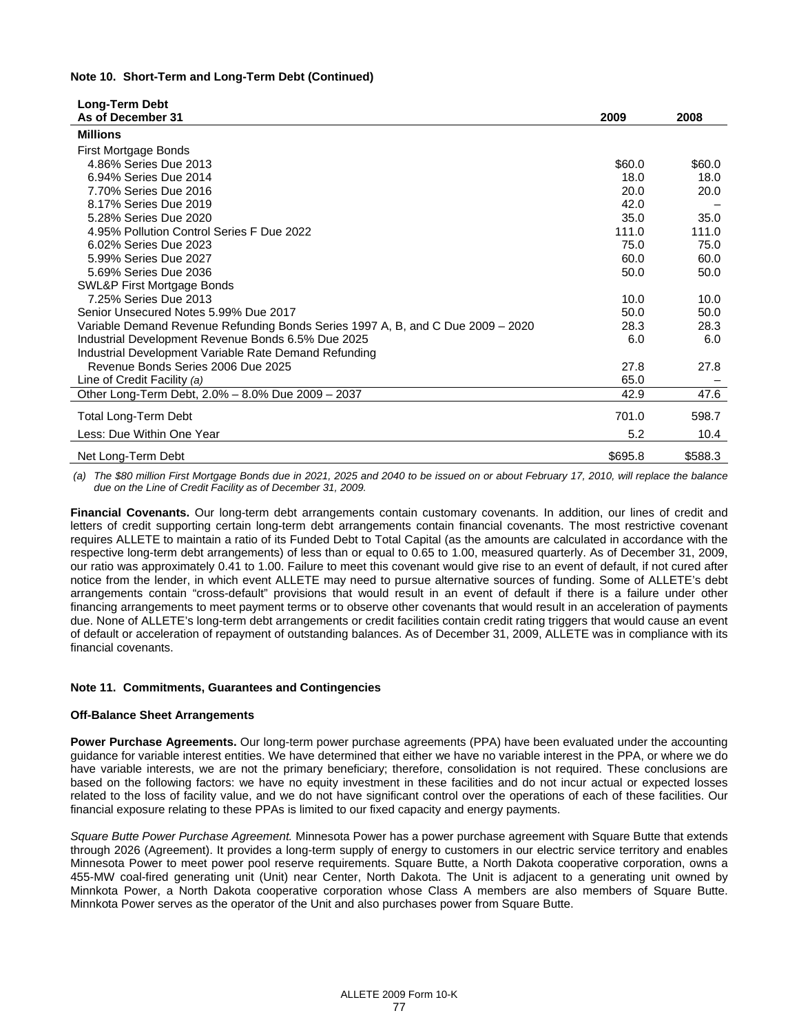#### **Note 10. Short-Term and Long-Term Debt (Continued)**

| <b>Long-Term Debt</b>                                                           |         |         |
|---------------------------------------------------------------------------------|---------|---------|
| As of December 31                                                               | 2009    | 2008    |
| <b>Millions</b>                                                                 |         |         |
| First Mortgage Bonds                                                            |         |         |
| 4.86% Series Due 2013                                                           | \$60.0  | \$60.0  |
| 6.94% Series Due 2014                                                           | 18.0    | 18.0    |
| 7.70% Series Due 2016                                                           | 20.0    | 20.0    |
| 8.17% Series Due 2019                                                           | 42.0    |         |
| 5.28% Series Due 2020                                                           | 35.0    | 35.0    |
| 4.95% Pollution Control Series F Due 2022                                       | 111.0   | 111.0   |
| 6.02% Series Due 2023                                                           | 75.0    | 75.0    |
| 5.99% Series Due 2027                                                           | 60.0    | 60.0    |
| 5.69% Series Due 2036                                                           | 50.0    | 50.0    |
| SWL&P First Mortgage Bonds                                                      |         |         |
| 7.25% Series Due 2013                                                           | 10.0    | 10.0    |
| Senior Unsecured Notes 5.99% Due 2017                                           | 50.0    | 50.0    |
| Variable Demand Revenue Refunding Bonds Series 1997 A, B, and C Due 2009 – 2020 | 28.3    | 28.3    |
| Industrial Development Revenue Bonds 6.5% Due 2025                              | 6.0     | 6.0     |
| Industrial Development Variable Rate Demand Refunding                           |         |         |
| Revenue Bonds Series 2006 Due 2025                                              | 27.8    | 27.8    |
| Line of Credit Facility (a)                                                     | 65.0    |         |
| Other Long-Term Debt, 2.0% - 8.0% Due 2009 - 2037                               | 42.9    | 47.6    |
| <b>Total Long-Term Debt</b>                                                     | 701.0   | 598.7   |
| Less: Due Within One Year                                                       | 5.2     | 10.4    |
| Net Long-Term Debt                                                              | \$695.8 | \$588.3 |

 *(a) The \$80 million First Mortgage Bonds due in 2021, 2025 and 2040 to be issued on or about February 17, 2010, will replace the balance due on the Line of Credit Facility as of December 31, 2009.* 

**Financial Covenants.** Our long-term debt arrangements contain customary covenants. In addition, our lines of credit and letters of credit supporting certain long-term debt arrangements contain financial covenants. The most restrictive covenant requires ALLETE to maintain a ratio of its Funded Debt to Total Capital (as the amounts are calculated in accordance with the respective long-term debt arrangements) of less than or equal to 0.65 to 1.00, measured quarterly. As of December 31, 2009, our ratio was approximately 0.41 to 1.00. Failure to meet this covenant would give rise to an event of default, if not cured after notice from the lender, in which event ALLETE may need to pursue alternative sources of funding. Some of ALLETE's debt arrangements contain "cross-default" provisions that would result in an event of default if there is a failure under other financing arrangements to meet payment terms or to observe other covenants that would result in an acceleration of payments due. None of ALLETE's long-term debt arrangements or credit facilities contain credit rating triggers that would cause an event of default or acceleration of repayment of outstanding balances. As of December 31, 2009, ALLETE was in compliance with its financial covenants.

## **Note 11. Commitments, Guarantees and Contingencies**

## **Off-Balance Sheet Arrangements**

**Power Purchase Agreements.** Our long-term power purchase agreements (PPA) have been evaluated under the accounting guidance for variable interest entities. We have determined that either we have no variable interest in the PPA, or where we do have variable interests, we are not the primary beneficiary; therefore, consolidation is not required. These conclusions are based on the following factors: we have no equity investment in these facilities and do not incur actual or expected losses related to the loss of facility value, and we do not have significant control over the operations of each of these facilities. Our financial exposure relating to these PPAs is limited to our fixed capacity and energy payments.

*Square Butte Power Purchase Agreement.* Minnesota Power has a power purchase agreement with Square Butte that extends through 2026 (Agreement). It provides a long-term supply of energy to customers in our electric service territory and enables Minnesota Power to meet power pool reserve requirements. Square Butte, a North Dakota cooperative corporation, owns a 455-MW coal-fired generating unit (Unit) near Center, North Dakota. The Unit is adjacent to a generating unit owned by Minnkota Power, a North Dakota cooperative corporation whose Class A members are also members of Square Butte. Minnkota Power serves as the operator of the Unit and also purchases power from Square Butte.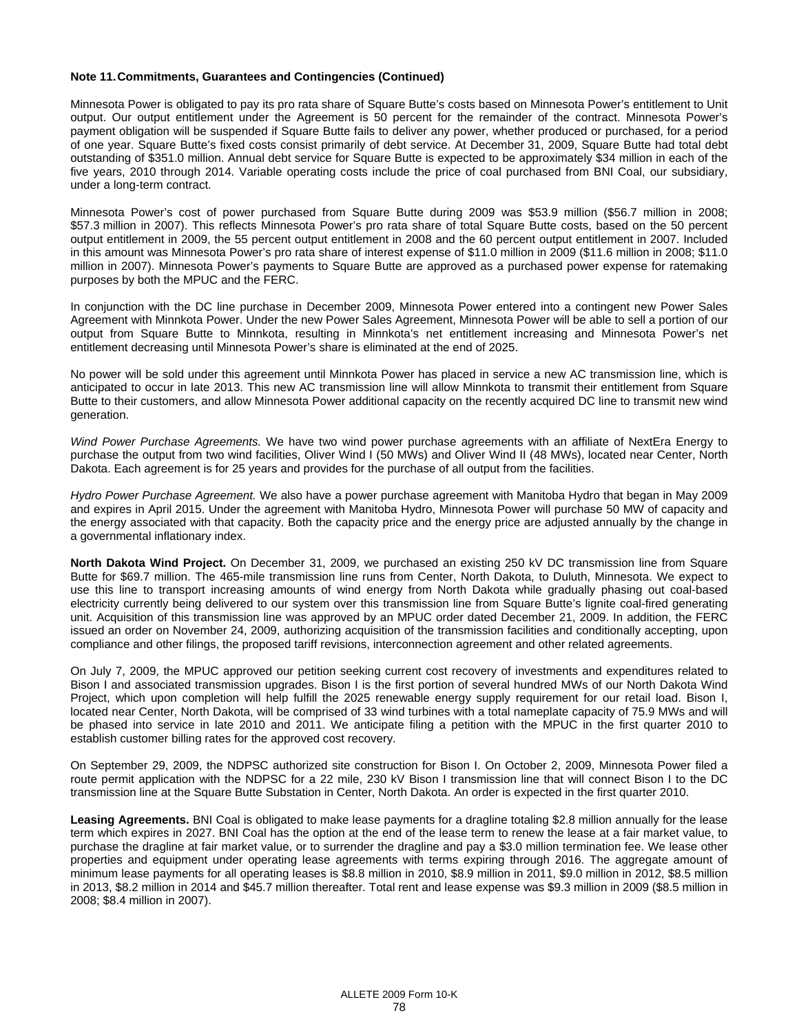#### **Note 11. Commitments, Guarantees and Contingencies (Continued)**

Minnesota Power is obligated to pay its pro rata share of Square Butte's costs based on Minnesota Power's entitlement to Unit output. Our output entitlement under the Agreement is 50 percent for the remainder of the contract. Minnesota Power's payment obligation will be suspended if Square Butte fails to deliver any power, whether produced or purchased, for a period of one year. Square Butte's fixed costs consist primarily of debt service. At December 31, 2009, Square Butte had total debt outstanding of \$351.0 million. Annual debt service for Square Butte is expected to be approximately \$34 million in each of the five years, 2010 through 2014. Variable operating costs include the price of coal purchased from BNI Coal, our subsidiary, under a long-term contract.

Minnesota Power's cost of power purchased from Square Butte during 2009 was \$53.9 million (\$56.7 million in 2008; \$57.3 million in 2007). This reflects Minnesota Power's pro rata share of total Square Butte costs, based on the 50 percent output entitlement in 2009, the 55 percent output entitlement in 2008 and the 60 percent output entitlement in 2007. Included in this amount was Minnesota Power's pro rata share of interest expense of \$11.0 million in 2009 (\$11.6 million in 2008; \$11.0 million in 2007). Minnesota Power's payments to Square Butte are approved as a purchased power expense for ratemaking purposes by both the MPUC and the FERC.

In conjunction with the DC line purchase in December 2009, Minnesota Power entered into a contingent new Power Sales Agreement with Minnkota Power. Under the new Power Sales Agreement, Minnesota Power will be able to sell a portion of our output from Square Butte to Minnkota, resulting in Minnkota's net entitlement increasing and Minnesota Power's net entitlement decreasing until Minnesota Power's share is eliminated at the end of 2025.

No power will be sold under this agreement until Minnkota Power has placed in service a new AC transmission line, which is anticipated to occur in late 2013. This new AC transmission line will allow Minnkota to transmit their entitlement from Square Butte to their customers, and allow Minnesota Power additional capacity on the recently acquired DC line to transmit new wind generation.

*Wind Power Purchase Agreements.* We have two wind power purchase agreements with an affiliate of NextEra Energy to purchase the output from two wind facilities, Oliver Wind I (50 MWs) and Oliver Wind II (48 MWs), located near Center, North Dakota. Each agreement is for 25 years and provides for the purchase of all output from the facilities.

*Hydro Power Purchase Agreement.* We also have a power purchase agreement with Manitoba Hydro that began in May 2009 and expires in April 2015. Under the agreement with Manitoba Hydro, Minnesota Power will purchase 50 MW of capacity and the energy associated with that capacity. Both the capacity price and the energy price are adjusted annually by the change in a governmental inflationary index.

**North Dakota Wind Project.** On December 31, 2009, we purchased an existing 250 kV DC transmission line from Square Butte for \$69.7 million. The 465-mile transmission line runs from Center, North Dakota, to Duluth, Minnesota. We expect to use this line to transport increasing amounts of wind energy from North Dakota while gradually phasing out coal-based electricity currently being delivered to our system over this transmission line from Square Butte's lignite coal-fired generating unit. Acquisition of this transmission line was approved by an MPUC order dated December 21, 2009. In addition, the FERC issued an order on November 24, 2009, authorizing acquisition of the transmission facilities and conditionally accepting, upon compliance and other filings, the proposed tariff revisions, interconnection agreement and other related agreements.

On July 7, 2009, the MPUC approved our petition seeking current cost recovery of investments and expenditures related to Bison I and associated transmission upgrades. Bison I is the first portion of several hundred MWs of our North Dakota Wind Project, which upon completion will help fulfill the 2025 renewable energy supply requirement for our retail load. Bison I, located near Center, North Dakota, will be comprised of 33 wind turbines with a total nameplate capacity of 75.9 MWs and will be phased into service in late 2010 and 2011. We anticipate filing a petition with the MPUC in the first quarter 2010 to establish customer billing rates for the approved cost recovery.

On September 29, 2009, the NDPSC authorized site construction for Bison I. On October 2, 2009, Minnesota Power filed a route permit application with the NDPSC for a 22 mile, 230 kV Bison I transmission line that will connect Bison I to the DC transmission line at the Square Butte Substation in Center, North Dakota. An order is expected in the first quarter 2010.

**Leasing Agreements.** BNI Coal is obligated to make lease payments for a dragline totaling \$2.8 million annually for the lease term which expires in 2027. BNI Coal has the option at the end of the lease term to renew the lease at a fair market value, to purchase the dragline at fair market value, or to surrender the dragline and pay a \$3.0 million termination fee. We lease other properties and equipment under operating lease agreements with terms expiring through 2016. The aggregate amount of minimum lease payments for all operating leases is \$8.8 million in 2010, \$8.9 million in 2011, \$9.0 million in 2012, \$8.5 million in 2013, \$8.2 million in 2014 and \$45.7 million thereafter. Total rent and lease expense was \$9.3 million in 2009 (\$8.5 million in 2008; \$8.4 million in 2007).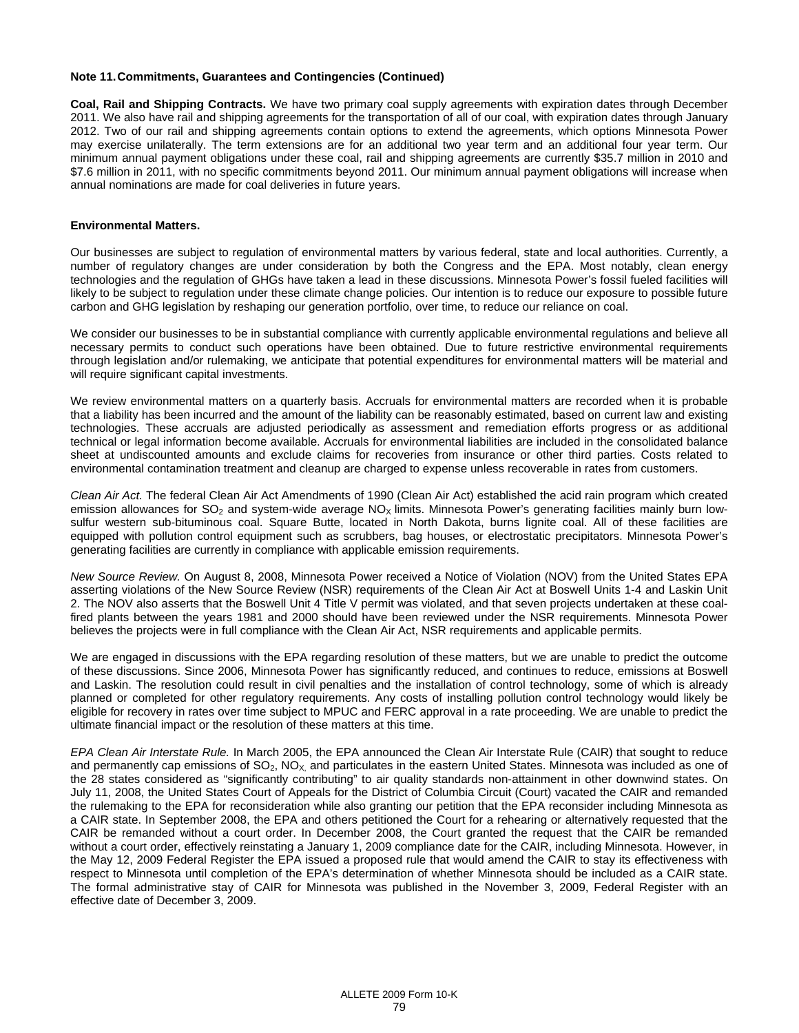#### **Note 11. Commitments, Guarantees and Contingencies (Continued)**

**Coal, Rail and Shipping Contracts.** We have two primary coal supply agreements with expiration dates through December 2011. We also have rail and shipping agreements for the transportation of all of our coal, with expiration dates through January 2012. Two of our rail and shipping agreements contain options to extend the agreements, which options Minnesota Power may exercise unilaterally. The term extensions are for an additional two year term and an additional four year term. Our minimum annual payment obligations under these coal, rail and shipping agreements are currently \$35.7 million in 2010 and \$7.6 million in 2011, with no specific commitments beyond 2011. Our minimum annual payment obligations will increase when annual nominations are made for coal deliveries in future years.

#### **Environmental Matters.**

Our businesses are subject to regulation of environmental matters by various federal, state and local authorities. Currently, a number of regulatory changes are under consideration by both the Congress and the EPA. Most notably, clean energy technologies and the regulation of GHGs have taken a lead in these discussions. Minnesota Power's fossil fueled facilities will likely to be subject to regulation under these climate change policies. Our intention is to reduce our exposure to possible future carbon and GHG legislation by reshaping our generation portfolio, over time, to reduce our reliance on coal.

We consider our businesses to be in substantial compliance with currently applicable environmental regulations and believe all necessary permits to conduct such operations have been obtained. Due to future restrictive environmental requirements through legislation and/or rulemaking, we anticipate that potential expenditures for environmental matters will be material and will require significant capital investments.

We review environmental matters on a quarterly basis. Accruals for environmental matters are recorded when it is probable that a liability has been incurred and the amount of the liability can be reasonably estimated, based on current law and existing technologies. These accruals are adjusted periodically as assessment and remediation efforts progress or as additional technical or legal information become available. Accruals for environmental liabilities are included in the consolidated balance sheet at undiscounted amounts and exclude claims for recoveries from insurance or other third parties. Costs related to environmental contamination treatment and cleanup are charged to expense unless recoverable in rates from customers.

*Clean Air Act.* The federal Clean Air Act Amendments of 1990 (Clean Air Act) established the acid rain program which created emission allowances for  $SO_2$  and system-wide average  $NO<sub>X</sub>$  limits. Minnesota Power's generating facilities mainly burn lowsulfur western sub-bituminous coal. Square Butte, located in North Dakota, burns lignite coal. All of these facilities are equipped with pollution control equipment such as scrubbers, bag houses, or electrostatic precipitators. Minnesota Power's generating facilities are currently in compliance with applicable emission requirements.

*New Source Review.* On August 8, 2008, Minnesota Power received a Notice of Violation (NOV) from the United States EPA asserting violations of the New Source Review (NSR) requirements of the Clean Air Act at Boswell Units 1-4 and Laskin Unit 2. The NOV also asserts that the Boswell Unit 4 Title V permit was violated, and that seven projects undertaken at these coalfired plants between the years 1981 and 2000 should have been reviewed under the NSR requirements. Minnesota Power believes the projects were in full compliance with the Clean Air Act, NSR requirements and applicable permits.

We are engaged in discussions with the EPA regarding resolution of these matters, but we are unable to predict the outcome of these discussions. Since 2006, Minnesota Power has significantly reduced, and continues to reduce, emissions at Boswell and Laskin. The resolution could result in civil penalties and the installation of control technology, some of which is already planned or completed for other regulatory requirements. Any costs of installing pollution control technology would likely be eligible for recovery in rates over time subject to MPUC and FERC approval in a rate proceeding. We are unable to predict the ultimate financial impact or the resolution of these matters at this time.

*EPA Clean Air Interstate Rule.* In March 2005, the EPA announced the Clean Air Interstate Rule (CAIR) that sought to reduce and permanently cap emissions of  $SO_2$ ,  $NO_X$  and particulates in the eastern United States. Minnesota was included as one of the 28 states considered as "significantly contributing" to air quality standards non-attainment in other downwind states. On July 11, 2008, the United States Court of Appeals for the District of Columbia Circuit (Court) vacated the CAIR and remanded the rulemaking to the EPA for reconsideration while also granting our petition that the EPA reconsider including Minnesota as a CAIR state. In September 2008, the EPA and others petitioned the Court for a rehearing or alternatively requested that the CAIR be remanded without a court order. In December 2008, the Court granted the request that the CAIR be remanded without a court order, effectively reinstating a January 1, 2009 compliance date for the CAIR, including Minnesota. However, in the May 12, 2009 Federal Register the EPA issued a proposed rule that would amend the CAIR to stay its effectiveness with respect to Minnesota until completion of the EPA's determination of whether Minnesota should be included as a CAIR state. The formal administrative stay of CAIR for Minnesota was published in the November 3, 2009, Federal Register with an effective date of December 3, 2009.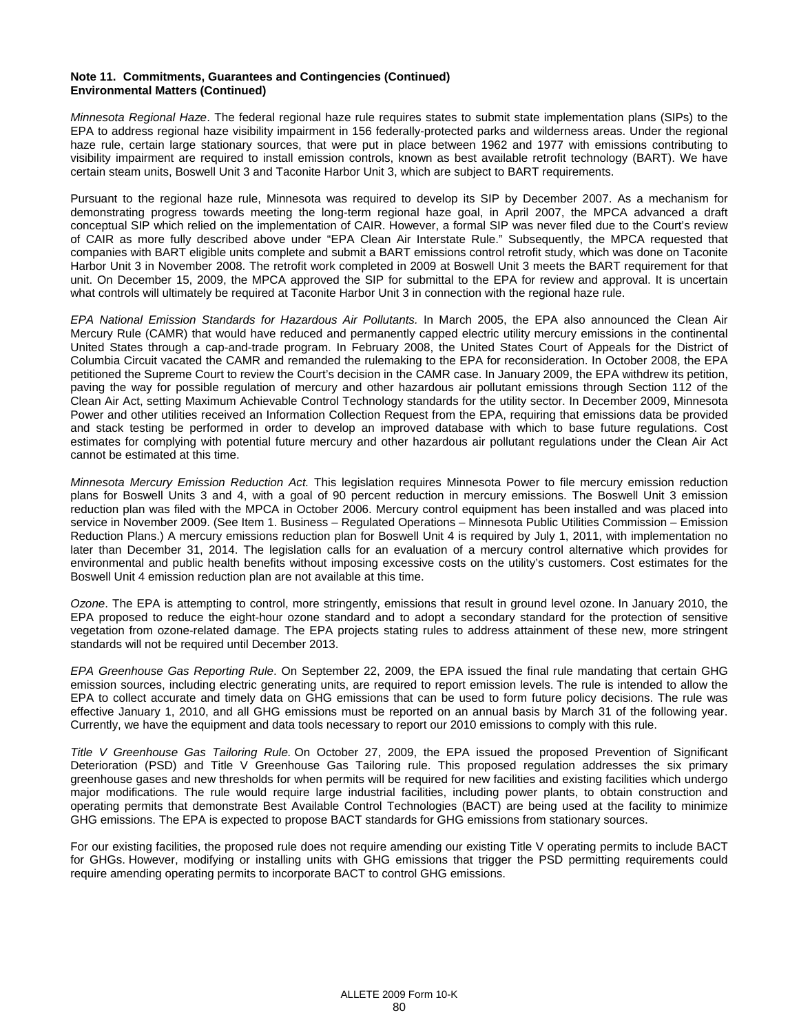#### **Note 11. Commitments, Guarantees and Contingencies (Continued) Environmental Matters (Continued)**

*Minnesota Regional Haze*. The federal regional haze rule requires states to submit state implementation plans (SIPs) to the EPA to address regional haze visibility impairment in 156 federally-protected parks and wilderness areas. Under the regional haze rule, certain large stationary sources, that were put in place between 1962 and 1977 with emissions contributing to visibility impairment are required to install emission controls, known as best available retrofit technology (BART). We have certain steam units, Boswell Unit 3 and Taconite Harbor Unit 3, which are subject to BART requirements.

Pursuant to the regional haze rule, Minnesota was required to develop its SIP by December 2007. As a mechanism for demonstrating progress towards meeting the long-term regional haze goal, in April 2007, the MPCA advanced a draft conceptual SIP which relied on the implementation of CAIR. However, a formal SIP was never filed due to the Court's review of CAIR as more fully described above under "EPA Clean Air Interstate Rule." Subsequently, the MPCA requested that companies with BART eligible units complete and submit a BART emissions control retrofit study, which was done on Taconite Harbor Unit 3 in November 2008. The retrofit work completed in 2009 at Boswell Unit 3 meets the BART requirement for that unit. On December 15, 2009, the MPCA approved the SIP for submittal to the EPA for review and approval. It is uncertain what controls will ultimately be required at Taconite Harbor Unit 3 in connection with the regional haze rule.

*EPA National Emission Standards for Hazardous Air Pollutants.* In March 2005, the EPA also announced the Clean Air Mercury Rule (CAMR) that would have reduced and permanently capped electric utility mercury emissions in the continental United States through a cap-and-trade program. In February 2008, the United States Court of Appeals for the District of Columbia Circuit vacated the CAMR and remanded the rulemaking to the EPA for reconsideration. In October 2008, the EPA petitioned the Supreme Court to review the Court's decision in the CAMR case. In January 2009, the EPA withdrew its petition, paving the way for possible regulation of mercury and other hazardous air pollutant emissions through Section 112 of the Clean Air Act, setting Maximum Achievable Control Technology standards for the utility sector. In December 2009, Minnesota Power and other utilities received an Information Collection Request from the EPA, requiring that emissions data be provided and stack testing be performed in order to develop an improved database with which to base future regulations. Cost estimates for complying with potential future mercury and other hazardous air pollutant regulations under the Clean Air Act cannot be estimated at this time.

*Minnesota Mercury Emission Reduction Act.* This legislation requires Minnesota Power to file mercury emission reduction plans for Boswell Units 3 and 4, with a goal of 90 percent reduction in mercury emissions. The Boswell Unit 3 emission reduction plan was filed with the MPCA in October 2006. Mercury control equipment has been installed and was placed into service in November 2009. (See Item 1. Business – Regulated Operations – Minnesota Public Utilities Commission – Emission Reduction Plans.) A mercury emissions reduction plan for Boswell Unit 4 is required by July 1, 2011, with implementation no later than December 31, 2014. The legislation calls for an evaluation of a mercury control alternative which provides for environmental and public health benefits without imposing excessive costs on the utility's customers. Cost estimates for the Boswell Unit 4 emission reduction plan are not available at this time.

*Ozone*. The EPA is attempting to control, more stringently, emissions that result in ground level ozone. In January 2010, the EPA proposed to reduce the eight-hour ozone standard and to adopt a secondary standard for the protection of sensitive vegetation from ozone-related damage. The EPA projects stating rules to address attainment of these new, more stringent standards will not be required until December 2013.

*EPA Greenhouse Gas Reporting Rule*. On September 22, 2009, the EPA issued the final rule mandating that certain GHG emission sources, including electric generating units, are required to report emission levels. The rule is intended to allow the EPA to collect accurate and timely data on GHG emissions that can be used to form future policy decisions. The rule was effective January 1, 2010, and all GHG emissions must be reported on an annual basis by March 31 of the following year. Currently, we have the equipment and data tools necessary to report our 2010 emissions to comply with this rule.

*Title V Greenhouse Gas Tailoring Rule.* On October 27, 2009, the EPA issued the proposed Prevention of Significant Deterioration (PSD) and Title V Greenhouse Gas Tailoring rule. This proposed regulation addresses the six primary greenhouse gases and new thresholds for when permits will be required for new facilities and existing facilities which undergo major modifications. The rule would require large industrial facilities, including power plants, to obtain construction and operating permits that demonstrate Best Available Control Technologies (BACT) are being used at the facility to minimize GHG emissions. The EPA is expected to propose BACT standards for GHG emissions from stationary sources.

For our existing facilities, the proposed rule does not require amending our existing Title V operating permits to include BACT for GHGs. However, modifying or installing units with GHG emissions that trigger the PSD permitting requirements could require amending operating permits to incorporate BACT to control GHG emissions.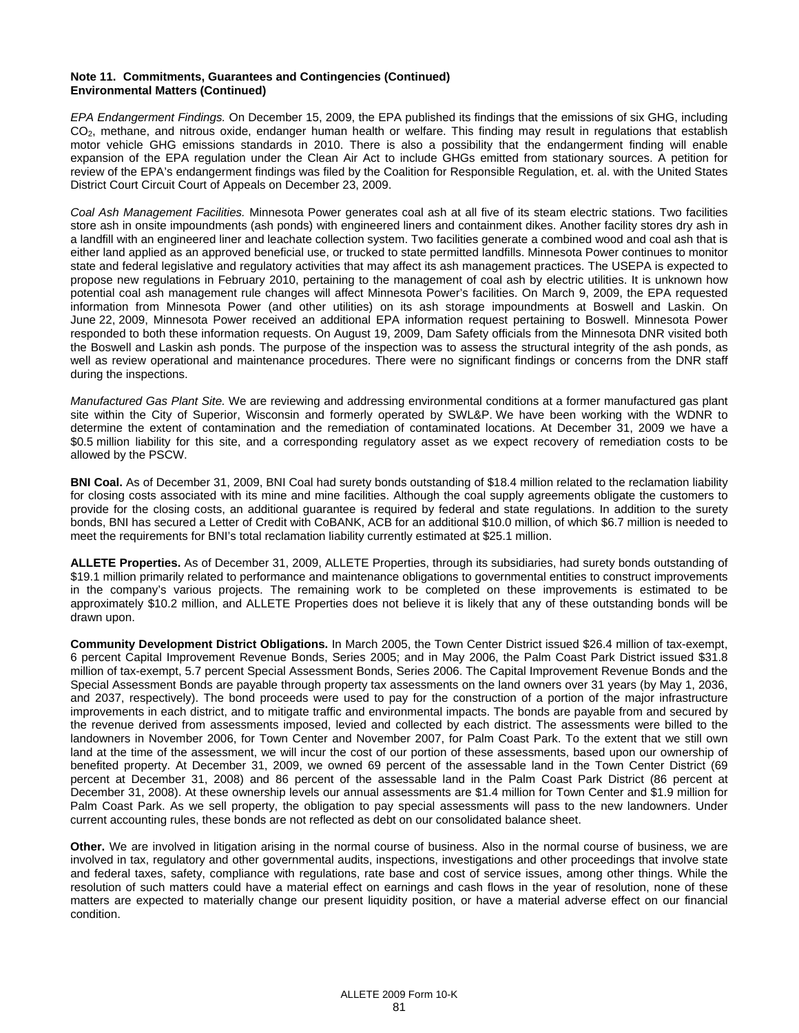#### **Note 11. Commitments, Guarantees and Contingencies (Continued) Environmental Matters (Continued)**

*EPA Endangerment Findings.* On December 15, 2009, the EPA published its findings that the emissions of six GHG, including CO2, methane, and nitrous oxide, endanger human health or welfare. This finding may result in regulations that establish motor vehicle GHG emissions standards in 2010. There is also a possibility that the endangerment finding will enable expansion of the EPA regulation under the Clean Air Act to include GHGs emitted from stationary sources. A petition for review of the EPA's endangerment findings was filed by the Coalition for Responsible Regulation, et. al. with the United States District Court Circuit Court of Appeals on December 23, 2009.

*Coal Ash Management Facilities.* Minnesota Power generates coal ash at all five of its steam electric stations. Two facilities store ash in onsite impoundments (ash ponds) with engineered liners and containment dikes. Another facility stores dry ash in a landfill with an engineered liner and leachate collection system. Two facilities generate a combined wood and coal ash that is either land applied as an approved beneficial use, or trucked to state permitted landfills. Minnesota Power continues to monitor state and federal legislative and regulatory activities that may affect its ash management practices. The USEPA is expected to propose new regulations in February 2010, pertaining to the management of coal ash by electric utilities. It is unknown how potential coal ash management rule changes will affect Minnesota Power's facilities. On March 9, 2009, the EPA requested information from Minnesota Power (and other utilities) on its ash storage impoundments at Boswell and Laskin. On June 22, 2009, Minnesota Power received an additional EPA information request pertaining to Boswell. Minnesota Power responded to both these information requests. On August 19, 2009, Dam Safety officials from the Minnesota DNR visited both the Boswell and Laskin ash ponds. The purpose of the inspection was to assess the structural integrity of the ash ponds, as well as review operational and maintenance procedures. There were no significant findings or concerns from the DNR staff during the inspections.

*Manufactured Gas Plant Site.* We are reviewing and addressing environmental conditions at a former manufactured gas plant site within the City of Superior, Wisconsin and formerly operated by SWL&P. We have been working with the WDNR to determine the extent of contamination and the remediation of contaminated locations. At December 31, 2009 we have a \$0.5 million liability for this site, and a corresponding regulatory asset as we expect recovery of remediation costs to be allowed by the PSCW.

**BNI Coal.** As of December 31, 2009, BNI Coal had surety bonds outstanding of \$18.4 million related to the reclamation liability for closing costs associated with its mine and mine facilities. Although the coal supply agreements obligate the customers to provide for the closing costs, an additional guarantee is required by federal and state regulations. In addition to the surety bonds, BNI has secured a Letter of Credit with CoBANK, ACB for an additional \$10.0 million, of which \$6.7 million is needed to meet the requirements for BNI's total reclamation liability currently estimated at \$25.1 million.

**ALLETE Properties.** As of December 31, 2009, ALLETE Properties, through its subsidiaries, had surety bonds outstanding of \$19.1 million primarily related to performance and maintenance obligations to governmental entities to construct improvements in the company's various projects. The remaining work to be completed on these improvements is estimated to be approximately \$10.2 million, and ALLETE Properties does not believe it is likely that any of these outstanding bonds will be drawn upon.

**Community Development District Obligations.** In March 2005, the Town Center District issued \$26.4 million of tax-exempt, 6 percent Capital Improvement Revenue Bonds, Series 2005; and in May 2006, the Palm Coast Park District issued \$31.8 million of tax-exempt, 5.7 percent Special Assessment Bonds, Series 2006. The Capital Improvement Revenue Bonds and the Special Assessment Bonds are payable through property tax assessments on the land owners over 31 years (by May 1, 2036, and 2037, respectively). The bond proceeds were used to pay for the construction of a portion of the major infrastructure improvements in each district, and to mitigate traffic and environmental impacts. The bonds are payable from and secured by the revenue derived from assessments imposed, levied and collected by each district. The assessments were billed to the landowners in November 2006, for Town Center and November 2007, for Palm Coast Park. To the extent that we still own land at the time of the assessment, we will incur the cost of our portion of these assessments, based upon our ownership of benefited property. At December 31, 2009, we owned 69 percent of the assessable land in the Town Center District (69 percent at December 31, 2008) and 86 percent of the assessable land in the Palm Coast Park District (86 percent at December 31, 2008). At these ownership levels our annual assessments are \$1.4 million for Town Center and \$1.9 million for Palm Coast Park. As we sell property, the obligation to pay special assessments will pass to the new landowners. Under current accounting rules, these bonds are not reflected as debt on our consolidated balance sheet.

**Other.** We are involved in litigation arising in the normal course of business. Also in the normal course of business, we are involved in tax, regulatory and other governmental audits, inspections, investigations and other proceedings that involve state and federal taxes, safety, compliance with regulations, rate base and cost of service issues, among other things. While the resolution of such matters could have a material effect on earnings and cash flows in the year of resolution, none of these matters are expected to materially change our present liquidity position, or have a material adverse effect on our financial condition.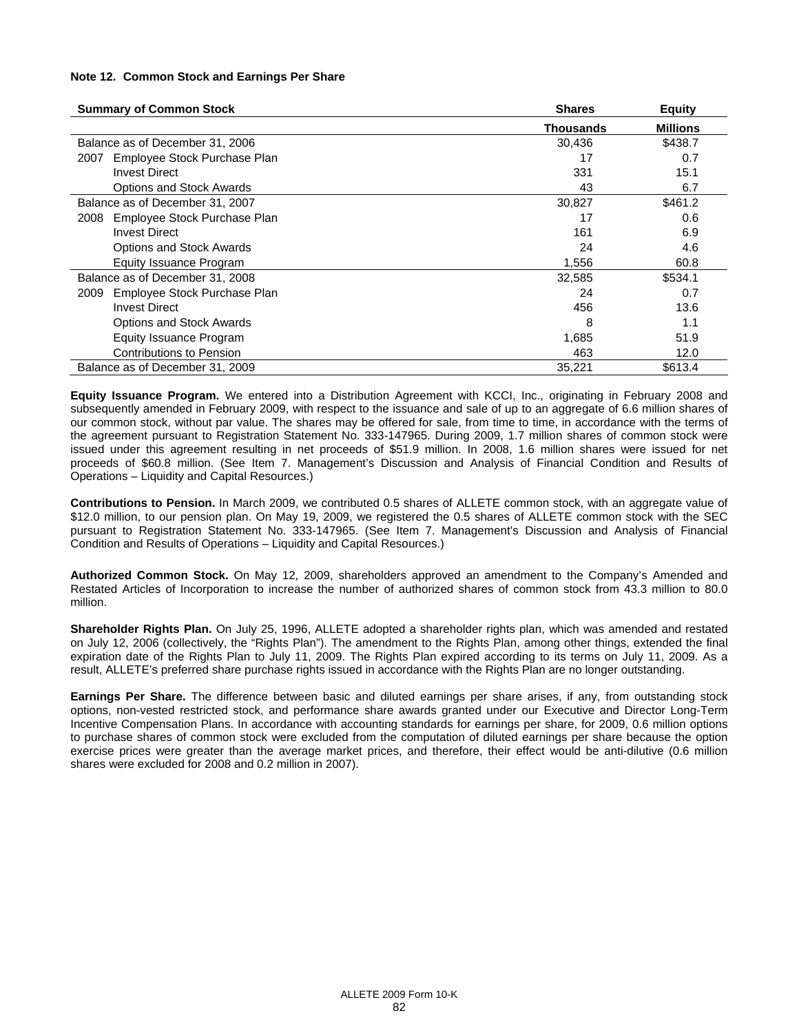#### **Note 12. Common Stock and Earnings Per Share**

| <b>Summary of Common Stock</b>       | <b>Shares</b>    |                 |
|--------------------------------------|------------------|-----------------|
|                                      | <b>Thousands</b> | <b>Millions</b> |
| Balance as of December 31, 2006      | 30.436           | \$438.7         |
| Employee Stock Purchase Plan<br>2007 | 17               | 0.7             |
| <b>Invest Direct</b>                 | 331              | 15.1            |
| <b>Options and Stock Awards</b>      | 43               | 6.7             |
| Balance as of December 31, 2007      | 30,827           | \$461.2         |
| Employee Stock Purchase Plan<br>2008 | 17               | 0.6             |
| <b>Invest Direct</b>                 | 161              | 6.9             |
| <b>Options and Stock Awards</b>      | 24               | 4.6             |
| Equity Issuance Program              | 1,556            | 60.8            |
| Balance as of December 31, 2008      | 32,585           | \$534.1         |
| Employee Stock Purchase Plan<br>2009 | 24               | 0.7             |
| <b>Invest Direct</b>                 | 456              | 13.6            |
| <b>Options and Stock Awards</b>      | 8                | 1.1             |
| Equity Issuance Program              | 1,685            | 51.9            |
| Contributions to Pension             | 463              | 12.0            |
| Balance as of December 31, 2009      | 35,221           | \$613.4         |

**Equity Issuance Program.** We entered into a Distribution Agreement with KCCI, Inc., originating in February 2008 and subsequently amended in February 2009, with respect to the issuance and sale of up to an aggregate of 6.6 million shares of our common stock, without par value. The shares may be offered for sale, from time to time, in accordance with the terms of the agreement pursuant to Registration Statement No. 333-147965. During 2009, 1.7 million shares of common stock were issued under this agreement resulting in net proceeds of \$51.9 million. In 2008, 1.6 million shares were issued for net proceeds of \$60.8 million. (See Item 7. Management's Discussion and Analysis of Financial Condition and Results of Operations – Liquidity and Capital Resources.)

**Contributions to Pension.** In March 2009, we contributed 0.5 shares of ALLETE common stock, with an aggregate value of \$12.0 million, to our pension plan. On May 19, 2009, we registered the 0.5 shares of ALLETE common stock with the SEC pursuant to Registration Statement No. 333-147965. (See Item 7. Management's Discussion and Analysis of Financial Condition and Results of Operations – Liquidity and Capital Resources.)

**Authorized Common Stock.** On May 12, 2009, shareholders approved an amendment to the Company's Amended and Restated Articles of Incorporation to increase the number of authorized shares of common stock from 43.3 million to 80.0 million.

**Shareholder Rights Plan.** On July 25, 1996, ALLETE adopted a shareholder rights plan, which was amended and restated on July 12, 2006 (collectively, the "Rights Plan"). The amendment to the Rights Plan, among other things, extended the final expiration date of the Rights Plan to July 11, 2009. The Rights Plan expired according to its terms on July 11, 2009. As a result, ALLETE's preferred share purchase rights issued in accordance with the Rights Plan are no longer outstanding.

**Earnings Per Share.** The difference between basic and diluted earnings per share arises, if any, from outstanding stock options, non-vested restricted stock, and performance share awards granted under our Executive and Director Long-Term Incentive Compensation Plans. In accordance with accounting standards for earnings per share, for 2009, 0.6 million options to purchase shares of common stock were excluded from the computation of diluted earnings per share because the option exercise prices were greater than the average market prices, and therefore, their effect would be anti-dilutive (0.6 million shares were excluded for 2008 and 0.2 million in 2007).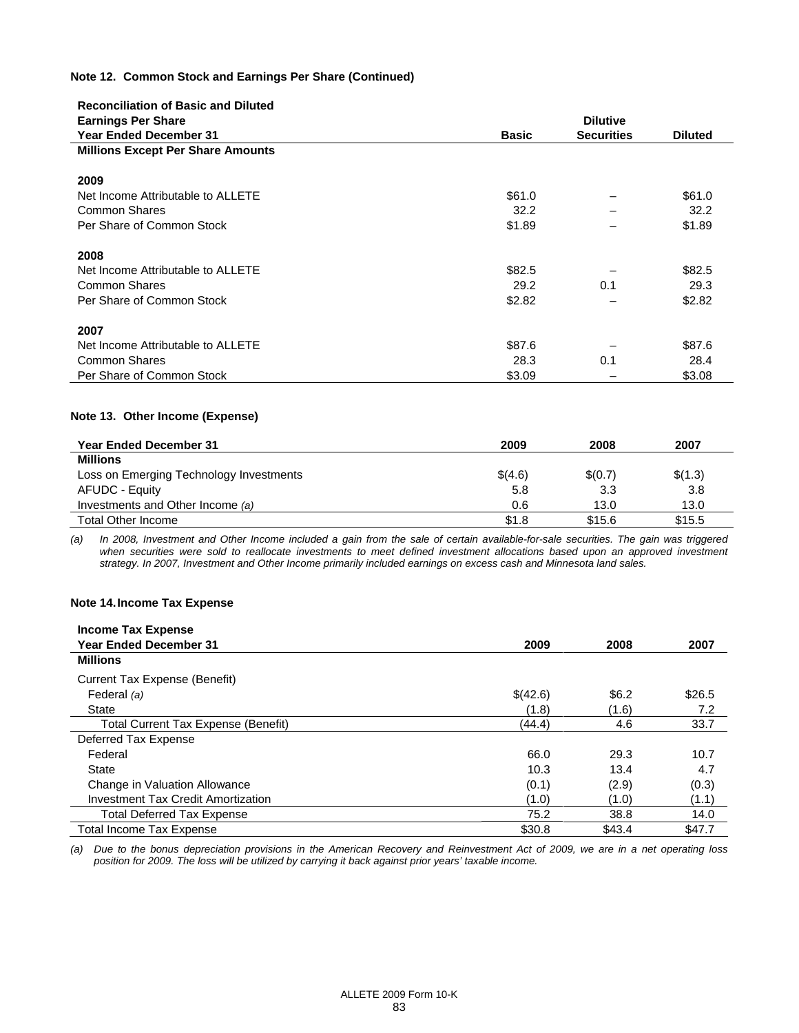## **Note 12. Common Stock and Earnings Per Share (Continued)**

| <b>Reconciliation of Basic and Diluted</b> |                 |                   |                |
|--------------------------------------------|-----------------|-------------------|----------------|
| <b>Earnings Per Share</b>                  | <b>Dilutive</b> |                   |                |
| <b>Year Ended December 31</b>              | Basic           | <b>Securities</b> | <b>Diluted</b> |
| <b>Millions Except Per Share Amounts</b>   |                 |                   |                |
| 2009                                       |                 |                   |                |
|                                            |                 |                   |                |
| Net Income Attributable to ALLETE          | \$61.0          |                   | \$61.0         |
| <b>Common Shares</b>                       | 32.2            |                   | 32.2           |
| Per Share of Common Stock                  | \$1.89          |                   | \$1.89         |
| 2008                                       |                 |                   |                |
| Net Income Attributable to ALLETE          | \$82.5          |                   | \$82.5         |
| <b>Common Shares</b>                       | 29.2            | 0.1               | 29.3           |
| Per Share of Common Stock                  | \$2.82          |                   | \$2.82         |
| 2007                                       |                 |                   |                |
| Net Income Attributable to ALLETE          | \$87.6          |                   | \$87.6         |
| <b>Common Shares</b>                       | 28.3            | 0.1               | 28.4           |
| Per Share of Common Stock                  | \$3.09          |                   | \$3.08         |

#### **Note 13. Other Income (Expense)**

| <b>Year Ended December 31</b>           | 2009    | 2008    | 2007    |
|-----------------------------------------|---------|---------|---------|
| <b>Millions</b>                         |         |         |         |
| Loss on Emerging Technology Investments | \$(4.6) | \$(0.7) | \$(1.3) |
| AFUDC - Equity                          | 5.8     | 3.3     | 3.8     |
| Investments and Other Income (a)        | 0.6     | 13.0    | 13.0    |
| <b>Total Other Income</b>               | \$1.8   | \$15.6  | \$15.5  |

*(a) In 2008, Investment and Other Income included a gain from the sale of certain available-for-sale securities. The gain was triggered*  when securities were sold to reallocate investments to meet defined investment allocations based upon an approved investment *strategy. In 2007, Investment and Other Income primarily included earnings on excess cash and Minnesota land sales.* 

## **Note 14. Income Tax Expense**

| <b>Income Tax Expense</b>                 |          |        |        |
|-------------------------------------------|----------|--------|--------|
| <b>Year Ended December 31</b>             | 2009     | 2008   | 2007   |
| <b>Millions</b>                           |          |        |        |
| Current Tax Expense (Benefit)             |          |        |        |
| Federal (a)                               | \$(42.6) | \$6.2  | \$26.5 |
| <b>State</b>                              | (1.8)    | (1.6)  | 7.2    |
| Total Current Tax Expense (Benefit)       | (44.4)   | 4.6    | 33.7   |
| Deferred Tax Expense                      |          |        |        |
| Federal                                   | 66.0     | 29.3   | 10.7   |
| <b>State</b>                              | 10.3     | 13.4   | 4.7    |
| Change in Valuation Allowance             | (0.1)    | (2.9)  | (0.3)  |
| <b>Investment Tax Credit Amortization</b> | (1.0)    | (1.0)  | (1.1)  |
| Total Deferred Tax Expense                | 75.2     | 38.8   | 14.0   |
| <b>Total Income Tax Expense</b>           | \$30.8   | \$43.4 | \$47.7 |

*(a) Due to the bonus depreciation provisions in the American Recovery and Reinvestment Act of 2009, we are in a net operating loss position for 2009. The loss will be utilized by carrying it back against prior years' taxable income.*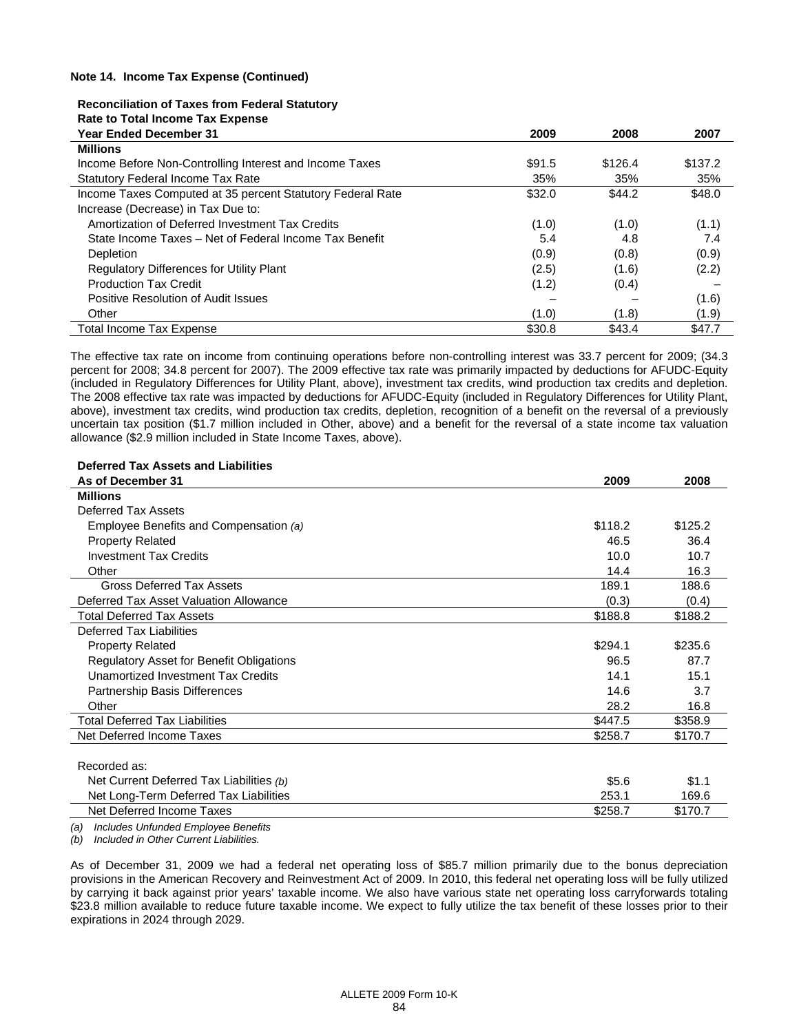#### **Note 14. Income Tax Expense (Continued)**

#### **Reconciliation of Taxes from Federal Statutory Rate to Total Income Tax Expense**

| <b>Nate to Total Intollie Tax Expense</b>                  |        |         |         |
|------------------------------------------------------------|--------|---------|---------|
| <b>Year Ended December 31</b>                              | 2009   | 2008    | 2007    |
| <b>Millions</b>                                            |        |         |         |
| Income Before Non-Controlling Interest and Income Taxes    | \$91.5 | \$126.4 | \$137.2 |
| <b>Statutory Federal Income Tax Rate</b>                   | 35%    | 35%     | 35%     |
| Income Taxes Computed at 35 percent Statutory Federal Rate | \$32.0 | \$44.2  | \$48.0  |
| Increase (Decrease) in Tax Due to:                         |        |         |         |
| Amortization of Deferred Investment Tax Credits            | (1.0)  | (1.0)   | (1.1)   |
| State Income Taxes - Net of Federal Income Tax Benefit     | 5.4    | 4.8     | 7.4     |
| Depletion                                                  | (0.9)  | (0.8)   | (0.9)   |
| Regulatory Differences for Utility Plant                   | (2.5)  | (1.6)   | (2.2)   |
| <b>Production Tax Credit</b>                               | (1.2)  | (0.4)   |         |
| Positive Resolution of Audit Issues                        |        |         | (1.6)   |
| Other                                                      | (1.0)  | (1.8)   | (1.9)   |
| <b>Total Income Tax Expense</b>                            | \$30.8 | \$43.4  | \$47.7  |

The effective tax rate on income from continuing operations before non-controlling interest was 33.7 percent for 2009; (34.3 percent for 2008; 34.8 percent for 2007). The 2009 effective tax rate was primarily impacted by deductions for AFUDC-Equity (included in Regulatory Differences for Utility Plant, above), investment tax credits, wind production tax credits and depletion. The 2008 effective tax rate was impacted by deductions for AFUDC-Equity (included in Regulatory Differences for Utility Plant, above), investment tax credits, wind production tax credits, depletion, recognition of a benefit on the reversal of a previously uncertain tax position (\$1.7 million included in Other, above) and a benefit for the reversal of a state income tax valuation allowance (\$2.9 million included in State Income Taxes, above).

## **Deferred Tax Assets and Liabilities**

| As of December 31                               | 2009    | 2008    |
|-------------------------------------------------|---------|---------|
| <b>Millions</b>                                 |         |         |
| <b>Deferred Tax Assets</b>                      |         |         |
| Employee Benefits and Compensation (a)          | \$118.2 | \$125.2 |
| <b>Property Related</b>                         | 46.5    | 36.4    |
| <b>Investment Tax Credits</b>                   | 10.0    | 10.7    |
| Other                                           | 14.4    | 16.3    |
| <b>Gross Deferred Tax Assets</b>                | 189.1   | 188.6   |
| Deferred Tax Asset Valuation Allowance          | (0.3)   | (0.4)   |
| Total Deferred Tax Assets                       | \$188.8 | \$188.2 |
| Deferred Tax Liabilities                        |         |         |
| <b>Property Related</b>                         | \$294.1 | \$235.6 |
| <b>Regulatory Asset for Benefit Obligations</b> | 96.5    | 87.7    |
| Unamortized Investment Tax Credits              | 14.1    | 15.1    |
| Partnership Basis Differences                   | 14.6    | 3.7     |
| Other                                           | 28.2    | 16.8    |
| <b>Total Deferred Tax Liabilities</b>           | \$447.5 | \$358.9 |
| Net Deferred Income Taxes                       | \$258.7 | \$170.7 |
| Recorded as:                                    |         |         |
| Net Current Deferred Tax Liabilities (b)        | \$5.6   | \$1.1   |

Net Deferred Income Taxes \$258.7 \$170.7 *(a) Includes Unfunded Employee Benefits* 

*(b) Included in Other Current Liabilities.* 

As of December 31, 2009 we had a federal net operating loss of \$85.7 million primarily due to the bonus depreciation provisions in the American Recovery and Reinvestment Act of 2009. In 2010, this federal net operating loss will be fully utilized by carrying it back against prior years' taxable income. We also have various state net operating loss carryforwards totaling \$23.8 million available to reduce future taxable income. We expect to fully utilize the tax benefit of these losses prior to their expirations in 2024 through 2029.

Net Long-Term Deferred Tax Liabilities 253.1 169.6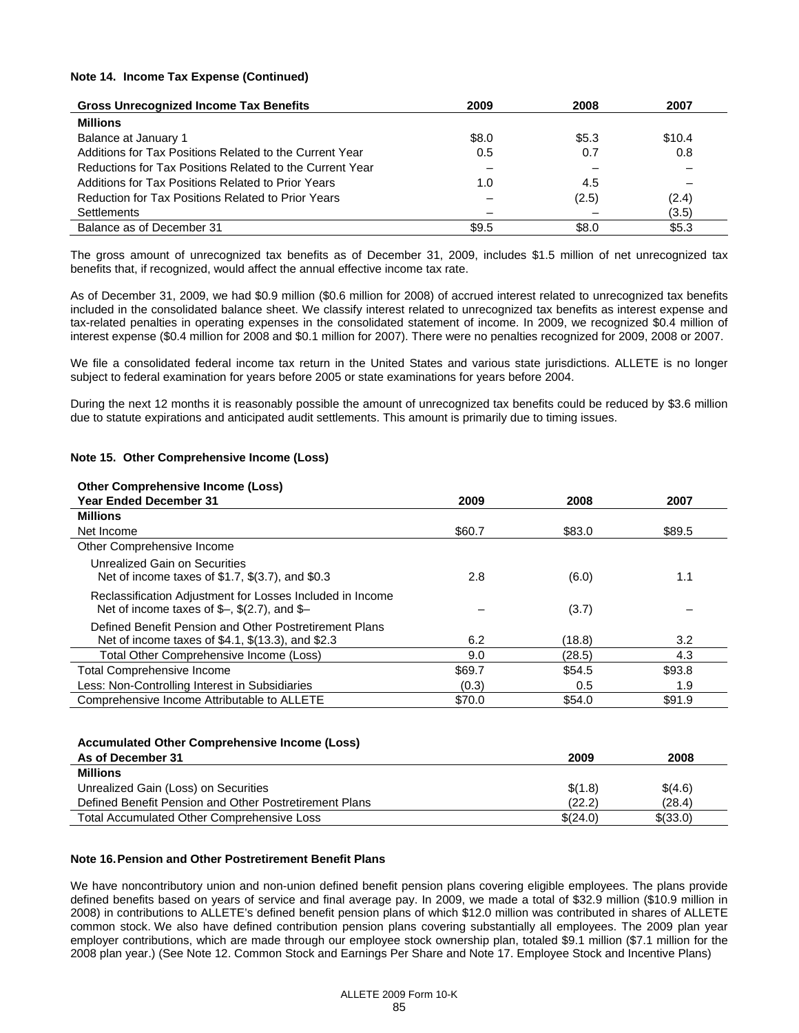## **Note 14. Income Tax Expense (Continued)**

| <b>Gross Unrecognized Income Tax Benefits</b>            | 2009  | 2008  | 2007   |
|----------------------------------------------------------|-------|-------|--------|
| <b>Millions</b>                                          |       |       |        |
| Balance at January 1                                     | \$8.0 | \$5.3 | \$10.4 |
| Additions for Tax Positions Related to the Current Year  | 0.5   | 0.7   | 0.8    |
| Reductions for Tax Positions Related to the Current Year |       |       |        |
| Additions for Tax Positions Related to Prior Years       | 1.0   | 4.5   |        |
| Reduction for Tax Positions Related to Prior Years       |       | (2.5) | (2.4)  |
| Settlements                                              |       |       | (3.5)  |
| Balance as of December 31                                | \$9.5 | \$8.0 | \$5.3  |

The gross amount of unrecognized tax benefits as of December 31, 2009, includes \$1.5 million of net unrecognized tax benefits that, if recognized, would affect the annual effective income tax rate.

As of December 31, 2009, we had \$0.9 million (\$0.6 million for 2008) of accrued interest related to unrecognized tax benefits included in the consolidated balance sheet. We classify interest related to unrecognized tax benefits as interest expense and tax-related penalties in operating expenses in the consolidated statement of income. In 2009, we recognized \$0.4 million of interest expense (\$0.4 million for 2008 and \$0.1 million for 2007). There were no penalties recognized for 2009, 2008 or 2007.

We file a consolidated federal income tax return in the United States and various state jurisdictions. ALLETE is no longer subject to federal examination for years before 2005 or state examinations for years before 2004.

During the next 12 months it is reasonably possible the amount of unrecognized tax benefits could be reduced by \$3.6 million due to statute expirations and anticipated audit settlements. This amount is primarily due to timing issues.

| <b>Other Comprehensive income (LOSS)</b>                                                                             |        |        |        |
|----------------------------------------------------------------------------------------------------------------------|--------|--------|--------|
| <b>Year Ended December 31</b>                                                                                        | 2009   | 2008   | 2007   |
| <b>Millions</b>                                                                                                      |        |        |        |
| Net Income                                                                                                           | \$60.7 | \$83.0 | \$89.5 |
| Other Comprehensive Income                                                                                           |        |        |        |
| Unrealized Gain on Securities<br>Net of income taxes of $$1.7, $(3.7)$ , and $$0.3$                                  | 2.8    | (6.0)  | 1.1    |
| Reclassification Adjustment for Losses Included in Income<br>Net of income taxes of $\frac{6}{3}$ , \$(2.7), and \$– |        | (3.7)  |        |
| Defined Benefit Pension and Other Postretirement Plans<br>Net of income taxes of \$4.1, \$(13.3), and \$2.3          | 6.2    | (18.8) | 3.2    |
| Total Other Comprehensive Income (Loss)                                                                              | 9.0    | (28.5) | 4.3    |
| <b>Total Comprehensive Income</b>                                                                                    | \$69.7 | \$54.5 | \$93.8 |
| Less: Non-Controlling Interest in Subsidiaries                                                                       | (0.3)  | 0.5    | 1.9    |
| Comprehensive Income Attributable to ALLETE                                                                          | \$70.0 | \$54.0 | \$91.9 |

## **Note 15. Other Comprehensive Income (Loss)**

**Other Comprehensive Income (Loss)** 

| Accumulated Other Comprehensive Income (Loss)          |          |          |
|--------------------------------------------------------|----------|----------|
| As of December 31                                      | 2009     | 2008     |
| <b>Millions</b>                                        |          |          |
| Unrealized Gain (Loss) on Securities                   | \$(1.8)  | \$(4.6)  |
| Defined Benefit Pension and Other Postretirement Plans | (22.2)   | (28.4)   |
| <b>Total Accumulated Other Comprehensive Loss</b>      | \$(24.0) | \$(33.0) |

## **Note 16. Pension and Other Postretirement Benefit Plans**

We have noncontributory union and non-union defined benefit pension plans covering eligible employees. The plans provide defined benefits based on years of service and final average pay. In 2009, we made a total of \$32.9 million (\$10.9 million in 2008) in contributions to ALLETE's defined benefit pension plans of which \$12.0 million was contributed in shares of ALLETE common stock. We also have defined contribution pension plans covering substantially all employees. The 2009 plan year employer contributions, which are made through our employee stock ownership plan, totaled \$9.1 million (\$7.1 million for the 2008 plan year.) (See Note 12. Common Stock and Earnings Per Share and Note 17. Employee Stock and Incentive Plans)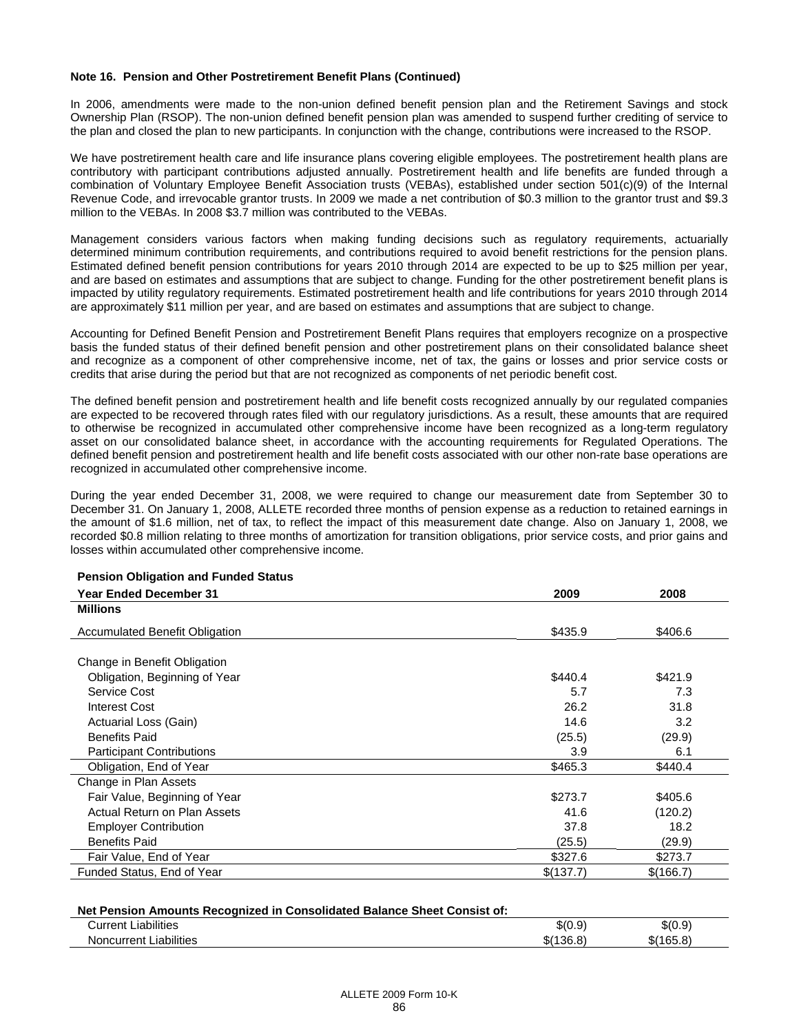In 2006, amendments were made to the non-union defined benefit pension plan and the Retirement Savings and stock Ownership Plan (RSOP). The non-union defined benefit pension plan was amended to suspend further crediting of service to the plan and closed the plan to new participants. In conjunction with the change, contributions were increased to the RSOP.

We have postretirement health care and life insurance plans covering eligible employees. The postretirement health plans are contributory with participant contributions adjusted annually. Postretirement health and life benefits are funded through a combination of Voluntary Employee Benefit Association trusts (VEBAs), established under section 501(c)(9) of the Internal Revenue Code, and irrevocable grantor trusts. In 2009 we made a net contribution of \$0.3 million to the grantor trust and \$9.3 million to the VEBAs. In 2008 \$3.7 million was contributed to the VEBAs.

Management considers various factors when making funding decisions such as regulatory requirements, actuarially determined minimum contribution requirements, and contributions required to avoid benefit restrictions for the pension plans. Estimated defined benefit pension contributions for years 2010 through 2014 are expected to be up to \$25 million per year, and are based on estimates and assumptions that are subject to change. Funding for the other postretirement benefit plans is impacted by utility regulatory requirements. Estimated postretirement health and life contributions for years 2010 through 2014 are approximately \$11 million per year, and are based on estimates and assumptions that are subject to change.

Accounting for Defined Benefit Pension and Postretirement Benefit Plans requires that employers recognize on a prospective basis the funded status of their defined benefit pension and other postretirement plans on their consolidated balance sheet and recognize as a component of other comprehensive income, net of tax, the gains or losses and prior service costs or credits that arise during the period but that are not recognized as components of net periodic benefit cost.

The defined benefit pension and postretirement health and life benefit costs recognized annually by our regulated companies are expected to be recovered through rates filed with our regulatory jurisdictions. As a result, these amounts that are required to otherwise be recognized in accumulated other comprehensive income have been recognized as a long-term regulatory asset on our consolidated balance sheet, in accordance with the accounting requirements for Regulated Operations. The defined benefit pension and postretirement health and life benefit costs associated with our other non-rate base operations are recognized in accumulated other comprehensive income.

During the year ended December 31, 2008, we were required to change our measurement date from September 30 to December 31. On January 1, 2008, ALLETE recorded three months of pension expense as a reduction to retained earnings in the amount of \$1.6 million, net of tax, to reflect the impact of this measurement date change. Also on January 1, 2008, we recorded \$0.8 million relating to three months of amortization for transition obligations, prior service costs, and prior gains and losses within accumulated other comprehensive income.

## **Pension Obligation and Funded Status**

| <b>Year Ended December 31</b>         | 2009      | 2008      |
|---------------------------------------|-----------|-----------|
| <b>Millions</b>                       |           |           |
| <b>Accumulated Benefit Obligation</b> | \$435.9   | \$406.6   |
| Change in Benefit Obligation          |           |           |
| Obligation, Beginning of Year         | \$440.4   | \$421.9   |
| Service Cost                          | 5.7       | 7.3       |
| <b>Interest Cost</b>                  | 26.2      | 31.8      |
| Actuarial Loss (Gain)                 | 14.6      | 3.2       |
| <b>Benefits Paid</b>                  | (25.5)    | (29.9)    |
| <b>Participant Contributions</b>      | 3.9       | 6.1       |
| Obligation, End of Year               | \$465.3   | \$440.4   |
| Change in Plan Assets                 |           |           |
| Fair Value, Beginning of Year         | \$273.7   | \$405.6   |
| Actual Return on Plan Assets          | 41.6      | (120.2)   |
| <b>Employer Contribution</b>          | 37.8      | 18.2      |
| <b>Benefits Paid</b>                  | (25.5)    | (29.9)    |
| Fair Value, End of Year               | \$327.6   | \$273.7   |
| Funded Status, End of Year            | \$(137.7) | \$(166.7) |
|                                       |           |           |

| Net Pension Amounts Recognized in Consolidated Balance Sheet Consist of: |           |           |
|--------------------------------------------------------------------------|-----------|-----------|
| <b>Current Liabilities</b>                                               | \$(0.9)   | \$(0.9)   |
| Noncurrent Liabilities                                                   | \$(136.8) | \$(165.8) |
|                                                                          |           |           |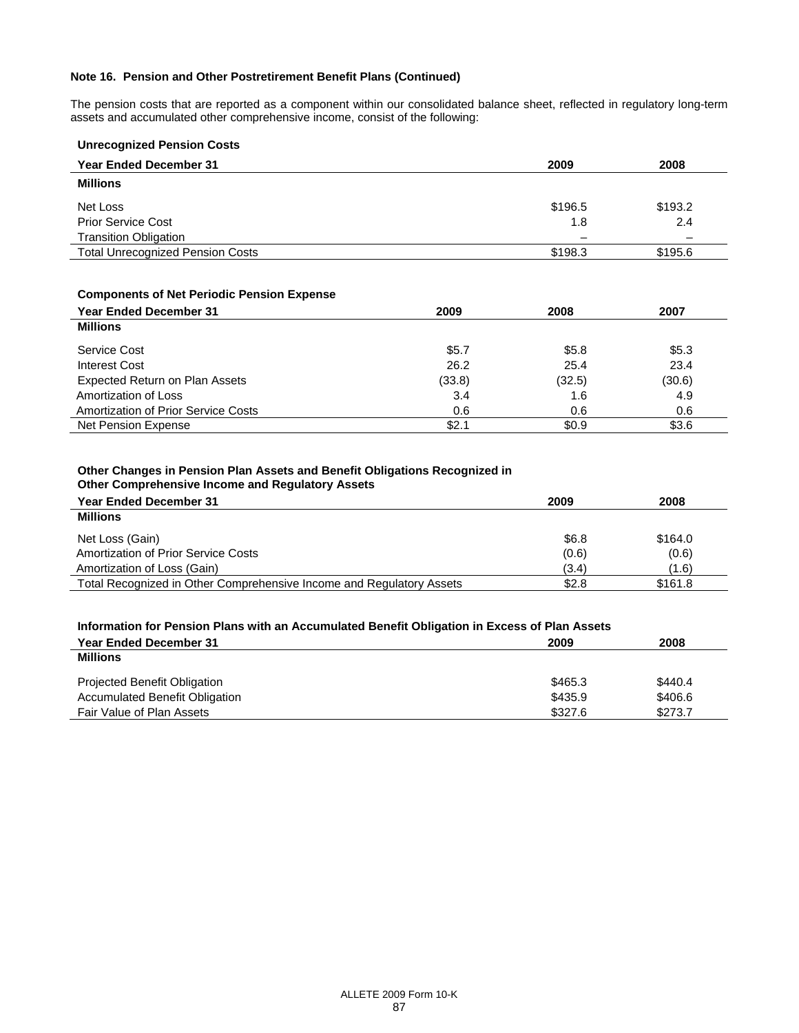The pension costs that are reported as a component within our consolidated balance sheet, reflected in regulatory long-term assets and accumulated other comprehensive income, consist of the following:

### **Unrecognized Pension Costs**

| <b>Year Ended December 31</b>           | 2009    | 2008    |
|-----------------------------------------|---------|---------|
| <b>Millions</b>                         |         |         |
| Net Loss                                | \$196.5 | \$193.2 |
| <b>Prior Service Cost</b>               | 1.8     | 2.4     |
| <b>Transition Obligation</b>            | -       | -       |
| <b>Total Unrecognized Pension Costs</b> | \$198.3 | \$195.6 |

# **Components of Net Periodic Pension Expense**

| <b>Year Ended December 31</b>         | 2009   | 2008   | 2007   |
|---------------------------------------|--------|--------|--------|
| <b>Millions</b>                       |        |        |        |
| Service Cost                          | \$5.7  | \$5.8  | \$5.3  |
| Interest Cost                         | 26.2   | 25.4   | 23.4   |
| <b>Expected Return on Plan Assets</b> | (33.8) | (32.5) | (30.6) |
| Amortization of Loss                  | 3.4    | 1.6    | 4.9    |
| Amortization of Prior Service Costs   | 0.6    | 0.6    | 0.6    |
| Net Pension Expense                   | \$2.1  | \$0.9  | \$3.6  |

## **Other Changes in Pension Plan Assets and Benefit Obligations Recognized in Other Comprehensive Income and Regulatory Assets**

| <b>Year Ended December 31</b>                                        | 2009  | 2008    |
|----------------------------------------------------------------------|-------|---------|
| <b>Millions</b>                                                      |       |         |
| Net Loss (Gain)                                                      | \$6.8 | \$164.0 |
| Amortization of Prior Service Costs                                  | (0.6) | (0.6)   |
| Amortization of Loss (Gain)                                          | (3.4) | (1.6)   |
| Total Recognized in Other Comprehensive Income and Regulatory Assets | \$2.8 | \$161.8 |

# **Information for Pension Plans with an Accumulated Benefit Obligation in Excess of Plan Assets Year Ended December 31 2009 2008 Millions**

| Projected Benefit Obligation   | \$465.3 | \$440.4 |
|--------------------------------|---------|---------|
| Accumulated Benefit Obligation | \$435.9 | \$406.6 |
| Fair Value of Plan Assets      | \$327.6 | \$273.7 |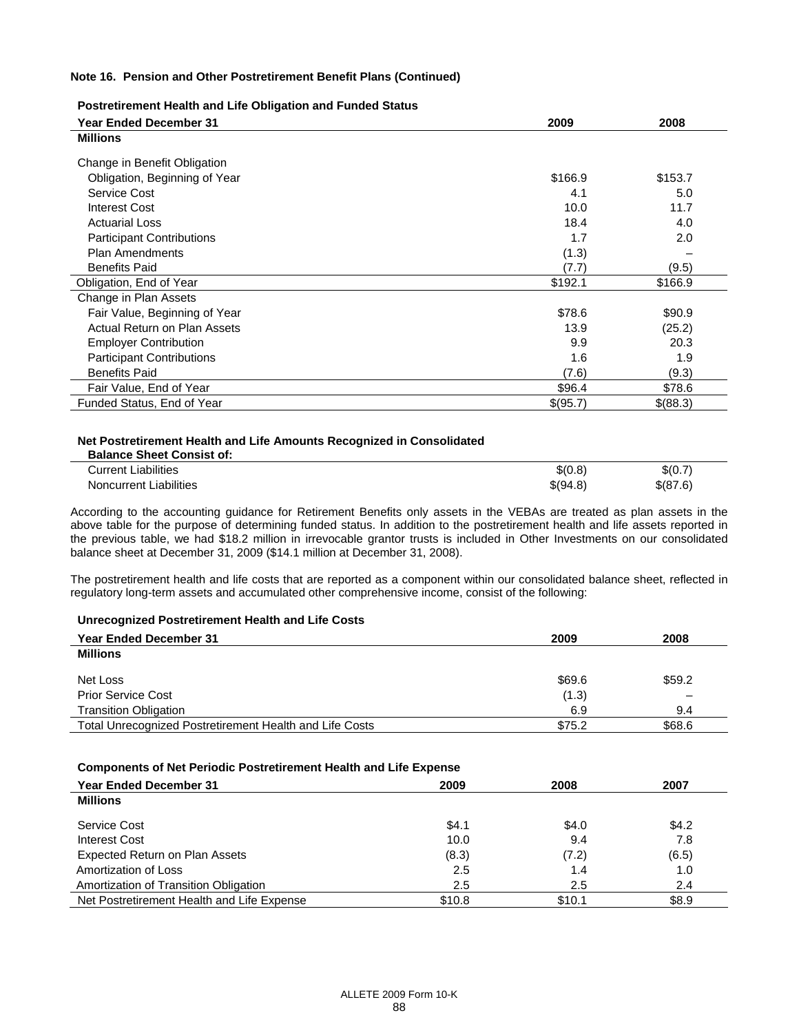#### **Postretirement Health and Life Obligation and Funded Status**

| <b>Year Ended December 31</b>    | 2009     | 2008     |
|----------------------------------|----------|----------|
| <b>Millions</b>                  |          |          |
| Change in Benefit Obligation     |          |          |
| Obligation, Beginning of Year    | \$166.9  | \$153.7  |
| Service Cost                     | 4.1      | 5.0      |
| <b>Interest Cost</b>             | 10.0     | 11.7     |
| <b>Actuarial Loss</b>            | 18.4     | 4.0      |
| <b>Participant Contributions</b> | 1.7      | 2.0      |
| Plan Amendments                  | (1.3)    |          |
| <b>Benefits Paid</b>             | (7.7)    | (9.5)    |
| Obligation, End of Year          | \$192.1  | \$166.9  |
| Change in Plan Assets            |          |          |
| Fair Value, Beginning of Year    | \$78.6   | \$90.9   |
| Actual Return on Plan Assets     | 13.9     | (25.2)   |
| <b>Employer Contribution</b>     | 9.9      | 20.3     |
| <b>Participant Contributions</b> | 1.6      | 1.9      |
| <b>Benefits Paid</b>             | (7.6)    | (9.3)    |
| Fair Value, End of Year          | \$96.4   | \$78.6   |
| Funded Status, End of Year       | \$(95.7) | \$(88.3) |

#### **Net Postretirement Health and Life Amounts Recognized in Consolidated**

| <b>Balance Sheet Consist of:</b> |          |          |
|----------------------------------|----------|----------|
| <b>Current Liabilities</b>       | \$(0.8)  | \$(0.7)  |
| Noncurrent Liabilities           | \$(94.8) | \$(87.6) |

According to the accounting guidance for Retirement Benefits only assets in the VEBAs are treated as plan assets in the above table for the purpose of determining funded status. In addition to the postretirement health and life assets reported in the previous table, we had \$18.2 million in irrevocable grantor trusts is included in Other Investments on our consolidated balance sheet at December 31, 2009 (\$14.1 million at December 31, 2008).

The postretirement health and life costs that are reported as a component within our consolidated balance sheet, reflected in regulatory long-term assets and accumulated other comprehensive income, consist of the following:

#### **Unrecognized Postretirement Health and Life Costs**

| <b>Year Ended December 31</b>                           | 2009   | 2008   |
|---------------------------------------------------------|--------|--------|
| <b>Millions</b>                                         |        |        |
| Net Loss                                                | \$69.6 | \$59.2 |
| <b>Prior Service Cost</b>                               | (1.3)  | -      |
| <b>Transition Obligation</b>                            | 6.9    | 9.4    |
| Total Unrecognized Postretirement Health and Life Costs | \$75.2 | \$68.6 |

## **Components of Net Periodic Postretirement Health and Life Expense**

| <b>Year Ended December 31</b>              | 2009   | 2008   | 2007  |
|--------------------------------------------|--------|--------|-------|
| <b>Millions</b>                            |        |        |       |
| Service Cost                               | \$4.1  | \$4.0  | \$4.2 |
| Interest Cost                              | 10.0   | 9.4    | 7.8   |
| <b>Expected Return on Plan Assets</b>      | (8.3)  | (7.2)  | (6.5) |
| Amortization of Loss                       | 2.5    | 1.4    | 1.0   |
| Amortization of Transition Obligation      | 2.5    | 2.5    | 2.4   |
| Net Postretirement Health and Life Expense | \$10.8 | \$10.1 | \$8.9 |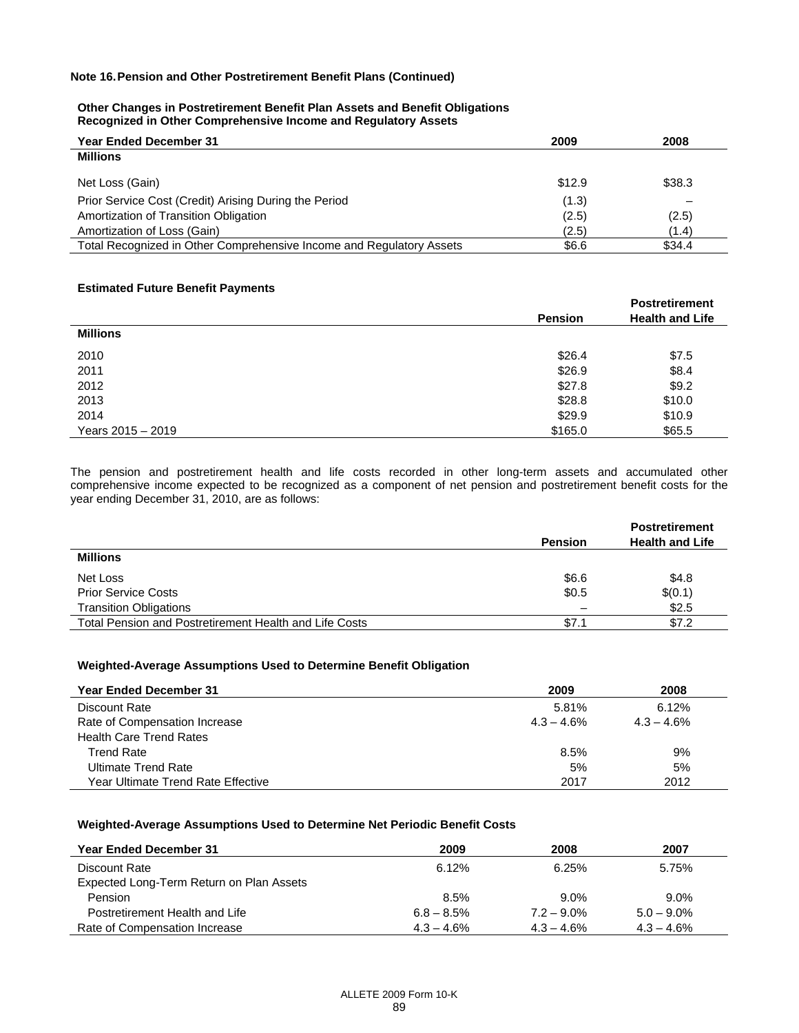#### **Other Changes in Postretirement Benefit Plan Assets and Benefit Obligations Recognized in Other Comprehensive Income and Regulatory Assets**

| <b>Year Ended December 31</b>                                        | 2009   | 2008   |
|----------------------------------------------------------------------|--------|--------|
| <b>Millions</b>                                                      |        |        |
| Net Loss (Gain)                                                      | \$12.9 | \$38.3 |
| Prior Service Cost (Credit) Arising During the Period                | (1.3)  |        |
| Amortization of Transition Obligation                                | (2.5)  | (2.5)  |
| Amortization of Loss (Gain)                                          | (2.5)  | (1.4)  |
| Total Recognized in Other Comprehensive Income and Regulatory Assets | \$6.6  | \$34.4 |

#### **Estimated Future Benefit Payments**

|                   |                | <b>Postretirement</b>  |
|-------------------|----------------|------------------------|
|                   | <b>Pension</b> | <b>Health and Life</b> |
| Millions          |                |                        |
| 2010              | \$26.4         | \$7.5                  |
| 2011              | \$26.9         | \$8.4                  |
| 2012              | \$27.8         | \$9.2                  |
| 2013              | \$28.8         | \$10.0                 |
| 2014              | \$29.9         | \$10.9                 |
| Years 2015 - 2019 | \$165.0        | \$65.5                 |

The pension and postretirement health and life costs recorded in other long-term assets and accumulated other comprehensive income expected to be recognized as a component of net pension and postretirement benefit costs for the year ending December 31, 2010, are as follows:

|                                                        |                | <b>Postretirement</b>  |
|--------------------------------------------------------|----------------|------------------------|
|                                                        | <b>Pension</b> | <b>Health and Life</b> |
| <b>Millions</b>                                        |                |                        |
| Net Loss                                               | \$6.6          | \$4.8                  |
| <b>Prior Service Costs</b>                             | \$0.5          | \$(0.1)                |
| <b>Transition Obligations</b>                          |                | \$2.5                  |
| Total Pension and Postretirement Health and Life Costs | \$7.1          | \$7.2                  |

#### **Weighted-Average Assumptions Used to Determine Benefit Obligation**

| <b>Year Ended December 31</b>      | 2009          | 2008         |
|------------------------------------|---------------|--------------|
| Discount Rate                      | 5.81%         | 6.12%        |
| Rate of Compensation Increase      | $4.3 - 4.6\%$ | $4.3 - 4.6%$ |
| <b>Health Care Trend Rates</b>     |               |              |
| <b>Trend Rate</b>                  | 8.5%          | 9%           |
| Ultimate Trend Rate                | 5%            | 5%           |
| Year Ultimate Trend Rate Effective | 2017          | 2012         |

# **Weighted-Average Assumptions Used to Determine Net Periodic Benefit Costs**

| <b>Year Ended December 31</b>            | 2009          | 2008          | 2007          |
|------------------------------------------|---------------|---------------|---------------|
| Discount Rate                            | 6.12%         | 6.25%         | 5.75%         |
| Expected Long-Term Return on Plan Assets |               |               |               |
| Pension                                  | 8.5%          | $9.0\%$       | $9.0\%$       |
| Postretirement Health and Life           | $6.8 - 8.5\%$ | $7.2 - 9.0\%$ | $5.0 - 9.0\%$ |
| Rate of Compensation Increase            | $4.3 - 4.6\%$ | $4.3 - 4.6%$  | $4.3 - 4.6\%$ |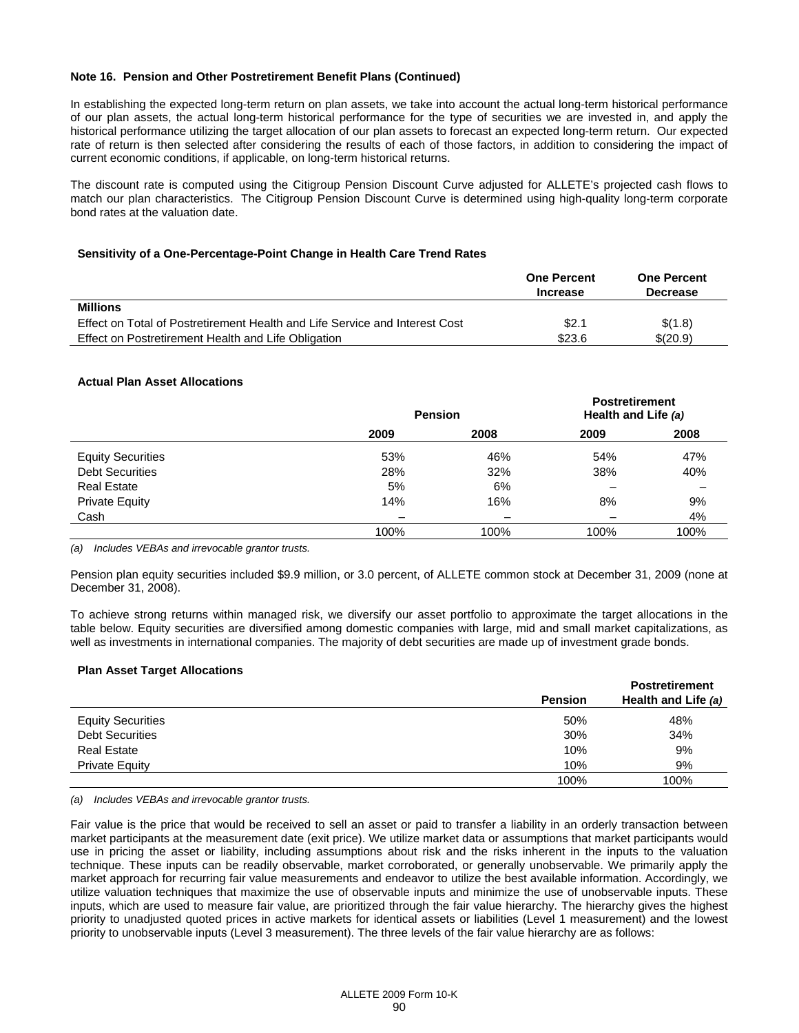In establishing the expected long-term return on plan assets, we take into account the actual long-term historical performance of our plan assets, the actual long-term historical performance for the type of securities we are invested in, and apply the historical performance utilizing the target allocation of our plan assets to forecast an expected long-term return. Our expected rate of return is then selected after considering the results of each of those factors, in addition to considering the impact of current economic conditions, if applicable, on long-term historical returns.

The discount rate is computed using the Citigroup Pension Discount Curve adjusted for ALLETE's projected cash flows to match our plan characteristics. The Citigroup Pension Discount Curve is determined using high-quality long-term corporate bond rates at the valuation date.

### **Sensitivity of a One-Percentage-Point Change in Health Care Trend Rates**

|                                                                             | <b>One Percent</b> | <b>One Percent</b> |
|-----------------------------------------------------------------------------|--------------------|--------------------|
|                                                                             | <b>Increase</b>    | <b>Decrease</b>    |
| <b>Millions</b>                                                             |                    |                    |
| Effect on Total of Postretirement Health and Life Service and Interest Cost | \$2.1              | \$(1.8)            |
| Effect on Postretirement Health and Life Obligation                         | \$23.6             | \$(20.9)           |

#### **Actual Plan Asset Allocations**

|                          | <b>Pension</b> |      | <b>Postretirement</b><br>Health and Life (a) |      |
|--------------------------|----------------|------|----------------------------------------------|------|
|                          | 2009           | 2008 | 2009                                         | 2008 |
| <b>Equity Securities</b> | 53%            | 46%  | 54%                                          | 47%  |
| <b>Debt Securities</b>   | 28%            | 32%  | 38%                                          | 40%  |
| <b>Real Estate</b>       | 5%             | 6%   |                                              |      |
| <b>Private Equity</b>    | 14%            | 16%  | 8%                                           | 9%   |
| Cash                     | -              | -    | -                                            | 4%   |
|                          | 100%           | 100% | 100%                                         | 100% |

*(a) Includes VEBAs and irrevocable grantor trusts.* 

Pension plan equity securities included \$9.9 million, or 3.0 percent, of ALLETE common stock at December 31, 2009 (none at December 31, 2008).

To achieve strong returns within managed risk, we diversify our asset portfolio to approximate the target allocations in the table below. Equity securities are diversified among domestic companies with large, mid and small market capitalizations, as well as investments in international companies. The majority of debt securities are made up of investment grade bonds.

#### **Plan Asset Target Allocations**

|                          |                | <b>Postretirement</b> |
|--------------------------|----------------|-----------------------|
|                          | <b>Pension</b> | Health and Life (a)   |
| <b>Equity Securities</b> | 50%            | 48%                   |
| <b>Debt Securities</b>   | 30%            | 34%                   |
| <b>Real Estate</b>       | 10%            | 9%                    |
| <b>Private Equity</b>    | 10%            | 9%                    |
|                          | 100%           | 100%                  |

*(a) Includes VEBAs and irrevocable grantor trusts.* 

Fair value is the price that would be received to sell an asset or paid to transfer a liability in an orderly transaction between market participants at the measurement date (exit price). We utilize market data or assumptions that market participants would use in pricing the asset or liability, including assumptions about risk and the risks inherent in the inputs to the valuation technique. These inputs can be readily observable, market corroborated, or generally unobservable. We primarily apply the market approach for recurring fair value measurements and endeavor to utilize the best available information. Accordingly, we utilize valuation techniques that maximize the use of observable inputs and minimize the use of unobservable inputs. These inputs, which are used to measure fair value, are prioritized through the fair value hierarchy. The hierarchy gives the highest priority to unadjusted quoted prices in active markets for identical assets or liabilities (Level 1 measurement) and the lowest priority to unobservable inputs (Level 3 measurement). The three levels of the fair value hierarchy are as follows: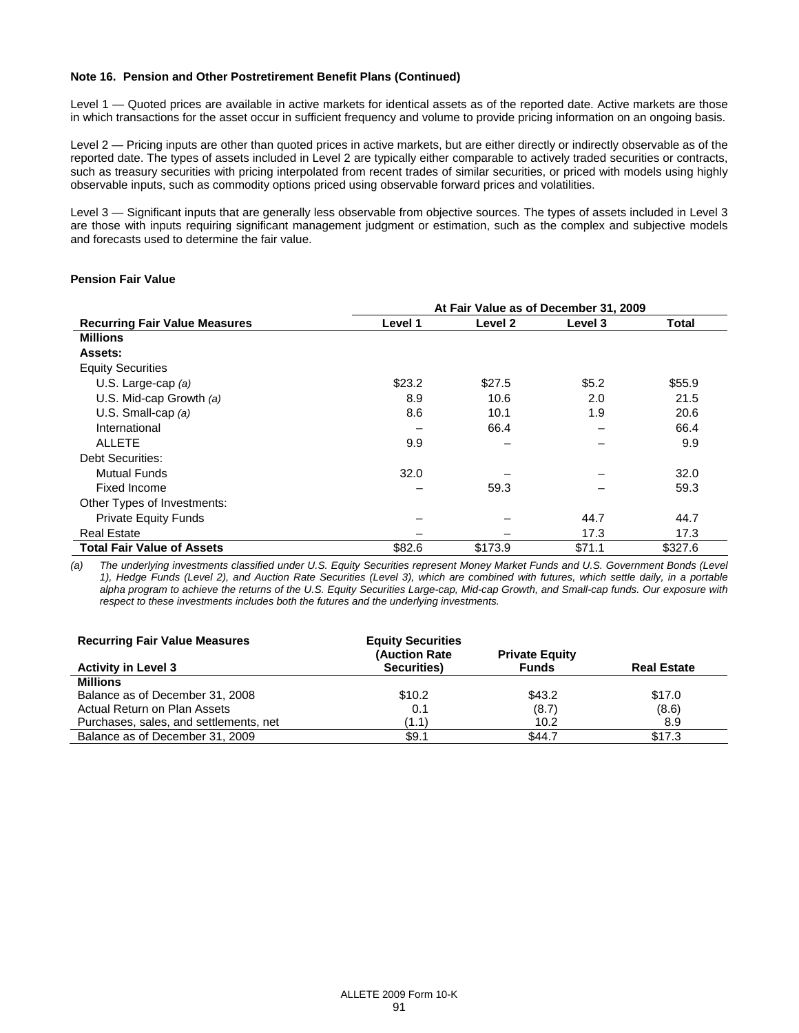Level 1 — Quoted prices are available in active markets for identical assets as of the reported date. Active markets are those in which transactions for the asset occur in sufficient frequency and volume to provide pricing information on an ongoing basis.

Level 2 — Pricing inputs are other than quoted prices in active markets, but are either directly or indirectly observable as of the reported date. The types of assets included in Level 2 are typically either comparable to actively traded securities or contracts, such as treasury securities with pricing interpolated from recent trades of similar securities, or priced with models using highly observable inputs, such as commodity options priced using observable forward prices and volatilities.

Level 3 — Significant inputs that are generally less observable from objective sources. The types of assets included in Level 3 are those with inputs requiring significant management judgment or estimation, such as the complex and subjective models and forecasts used to determine the fair value.

## **Pension Fair Value**

|                                      | At Fair Value as of December 31, 2009 |                    |         |              |  |
|--------------------------------------|---------------------------------------|--------------------|---------|--------------|--|
| <b>Recurring Fair Value Measures</b> | Level 1                               | Level <sub>2</sub> | Level 3 | <b>Total</b> |  |
| <b>Millions</b>                      |                                       |                    |         |              |  |
| <b>Assets:</b>                       |                                       |                    |         |              |  |
| <b>Equity Securities</b>             |                                       |                    |         |              |  |
| U.S. Large-cap (a)                   | \$23.2                                | \$27.5             | \$5.2   | \$55.9       |  |
| U.S. Mid-cap Growth $(a)$            | 8.9                                   | 10.6               | 2.0     | 21.5         |  |
| U.S. Small-cap $(a)$                 | 8.6                                   | 10.1               | 1.9     | 20.6         |  |
| International                        |                                       | 66.4               |         | 66.4         |  |
| <b>ALLETE</b>                        | 9.9                                   |                    |         | 9.9          |  |
| <b>Debt Securities:</b>              |                                       |                    |         |              |  |
| <b>Mutual Funds</b>                  | 32.0                                  |                    |         | 32.0         |  |
| Fixed Income                         |                                       | 59.3               |         | 59.3         |  |
| Other Types of Investments:          |                                       |                    |         |              |  |
| <b>Private Equity Funds</b>          |                                       |                    | 44.7    | 44.7         |  |
| <b>Real Estate</b>                   |                                       |                    | 17.3    | 17.3         |  |
| <b>Total Fair Value of Assets</b>    | \$82.6                                | \$173.9            | \$71.1  | \$327.6      |  |

*(a) The underlying investments classified under U.S. Equity Securities represent Money Market Funds and U.S. Government Bonds (Level 1), Hedge Funds (Level 2), and Auction Rate Securities (Level 3), which are combined with futures, which settle daily, in a portable alpha program to achieve the returns of the U.S. Equity Securities Large-cap, Mid-cap Growth, and Small-cap funds. Our exposure with respect to these investments includes both the futures and the underlying investments.*

| <b>Recurring Fair Value Measures</b>   | <b>Equity Securities</b><br><b>(Auction Rate)</b> | <b>Private Equity</b> |                    |
|----------------------------------------|---------------------------------------------------|-----------------------|--------------------|
| <b>Activity in Level 3</b>             | Securities)                                       | <b>Funds</b>          | <b>Real Estate</b> |
| <b>Millions</b>                        |                                                   |                       |                    |
| Balance as of December 31, 2008        | \$10.2                                            | \$43.2                | \$17.0             |
| Actual Return on Plan Assets           | 0.1                                               | (8.7)                 | (8.6)              |
| Purchases, sales, and settlements, net | (1.1)                                             | 10.2                  | 8.9                |
| Balance as of December 31, 2009        | \$9.1                                             | \$44.7                | \$17.3             |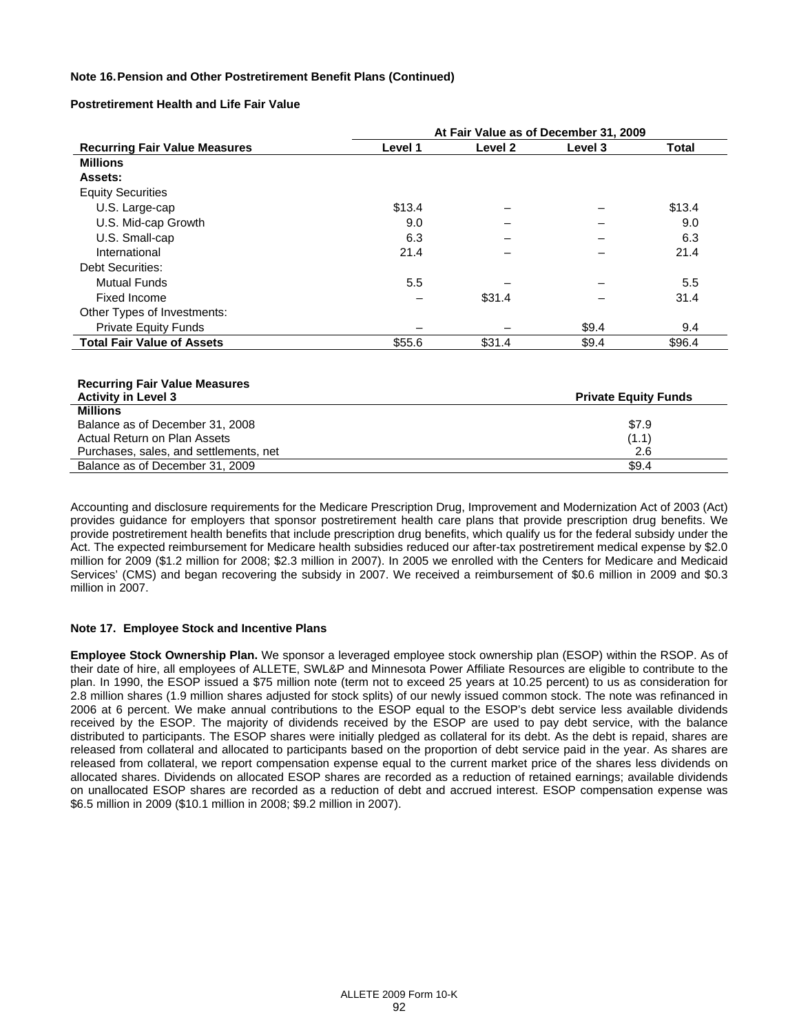**Postretirement Health and Life Fair Value** 

|                                      | At Fair Value as of December 31, 2009 |         |                             |        |  |
|--------------------------------------|---------------------------------------|---------|-----------------------------|--------|--|
| <b>Recurring Fair Value Measures</b> | Level 1                               | Level 2 | Level 3                     | Total  |  |
| <b>Millions</b>                      |                                       |         |                             |        |  |
| Assets:                              |                                       |         |                             |        |  |
| <b>Equity Securities</b>             |                                       |         |                             |        |  |
| U.S. Large-cap                       | \$13.4                                |         |                             | \$13.4 |  |
| U.S. Mid-cap Growth                  | 9.0                                   |         |                             | 9.0    |  |
| U.S. Small-cap                       | 6.3                                   |         |                             | 6.3    |  |
| International                        | 21.4                                  |         |                             | 21.4   |  |
| <b>Debt Securities:</b>              |                                       |         |                             |        |  |
| <b>Mutual Funds</b>                  | 5.5                                   |         |                             | 5.5    |  |
| Fixed Income                         |                                       | \$31.4  |                             | 31.4   |  |
| Other Types of Investments:          |                                       |         |                             |        |  |
| <b>Private Equity Funds</b>          |                                       |         | \$9.4                       | 9.4    |  |
| <b>Total Fair Value of Assets</b>    | \$55.6                                | \$31.4  | \$9.4                       | \$96.4 |  |
|                                      |                                       |         |                             |        |  |
| <b>Recurring Fair Value Measures</b> |                                       |         |                             |        |  |
| <b>Activity in Level 3</b>           |                                       |         | <b>Private Equity Funds</b> |        |  |
| <b>Millions</b>                      |                                       |         |                             |        |  |
| Balance as of December 31, 2008      |                                       |         |                             | \$7.9  |  |
| Actual Return on Plan Assets         |                                       |         |                             | (1.1)  |  |

Accounting and disclosure requirements for the Medicare Prescription Drug, Improvement and Modernization Act of 2003 (Act) provides guidance for employers that sponsor postretirement health care plans that provide prescription drug benefits. We provide postretirement health benefits that include prescription drug benefits, which qualify us for the federal subsidy under the Act. The expected reimbursement for Medicare health subsidies reduced our after-tax postretirement medical expense by \$2.0 million for 2009 (\$1.2 million for 2008; \$2.3 million in 2007). In 2005 we enrolled with the Centers for Medicare and Medicaid Services' (CMS) and began recovering the subsidy in 2007. We received a reimbursement of \$0.6 million in 2009 and \$0.3 million in 2007.

Purchases, sales, and settlements, net 2.6 Balance as of December 31, 2009 **\$9.4** Section 31, 2009

#### **Note 17. Employee Stock and Incentive Plans**

**Employee Stock Ownership Plan.** We sponsor a leveraged employee stock ownership plan (ESOP) within the RSOP. As of their date of hire, all employees of ALLETE, SWL&P and Minnesota Power Affiliate Resources are eligible to contribute to the plan. In 1990, the ESOP issued a \$75 million note (term not to exceed 25 years at 10.25 percent) to us as consideration for 2.8 million shares (1.9 million shares adjusted for stock splits) of our newly issued common stock. The note was refinanced in 2006 at 6 percent. We make annual contributions to the ESOP equal to the ESOP's debt service less available dividends received by the ESOP. The majority of dividends received by the ESOP are used to pay debt service, with the balance distributed to participants. The ESOP shares were initially pledged as collateral for its debt. As the debt is repaid, shares are released from collateral and allocated to participants based on the proportion of debt service paid in the year. As shares are released from collateral, we report compensation expense equal to the current market price of the shares less dividends on allocated shares. Dividends on allocated ESOP shares are recorded as a reduction of retained earnings; available dividends on unallocated ESOP shares are recorded as a reduction of debt and accrued interest. ESOP compensation expense was \$6.5 million in 2009 (\$10.1 million in 2008; \$9.2 million in 2007).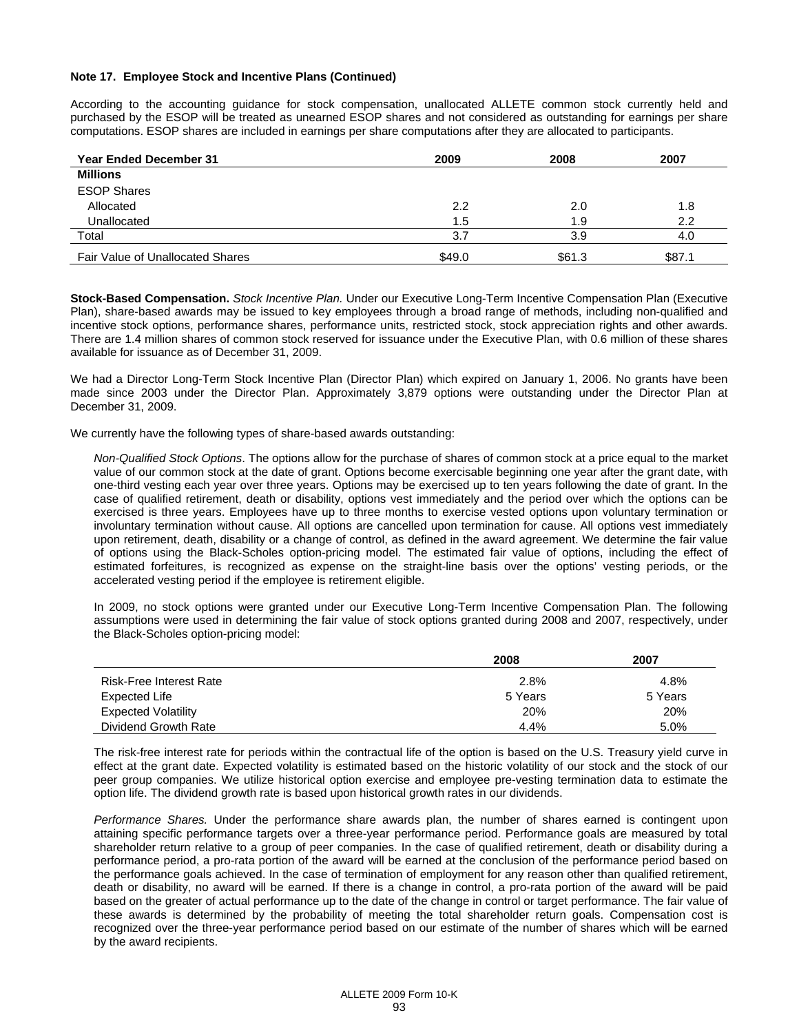#### **Note 17. Employee Stock and Incentive Plans (Continued)**

According to the accounting guidance for stock compensation, unallocated ALLETE common stock currently held and purchased by the ESOP will be treated as unearned ESOP shares and not considered as outstanding for earnings per share computations. ESOP shares are included in earnings per share computations after they are allocated to participants.

| <b>Year Ended December 31</b>    | 2009   | 2008   | 2007   |
|----------------------------------|--------|--------|--------|
| <b>Millions</b>                  |        |        |        |
| <b>ESOP Shares</b>               |        |        |        |
| Allocated                        | 2.2    | 2.0    | 1.8    |
| Unallocated                      | 1.5    | 1.9    | 2.2    |
| Total                            | 3.7    | 3.9    | 4.0    |
| Fair Value of Unallocated Shares | \$49.0 | \$61.3 | \$87.1 |

**Stock-Based Compensation.** *Stock Incentive Plan.* Under our Executive Long-Term Incentive Compensation Plan (Executive Plan), share-based awards may be issued to key employees through a broad range of methods, including non-qualified and incentive stock options, performance shares, performance units, restricted stock, stock appreciation rights and other awards. There are 1.4 million shares of common stock reserved for issuance under the Executive Plan, with 0.6 million of these shares available for issuance as of December 31, 2009.

We had a Director Long-Term Stock Incentive Plan (Director Plan) which expired on January 1, 2006. No grants have been made since 2003 under the Director Plan. Approximately 3,879 options were outstanding under the Director Plan at December 31, 2009.

We currently have the following types of share-based awards outstanding:

*Non-Qualified Stock Options*. The options allow for the purchase of shares of common stock at a price equal to the market value of our common stock at the date of grant. Options become exercisable beginning one year after the grant date, with one-third vesting each year over three years. Options may be exercised up to ten years following the date of grant. In the case of qualified retirement, death or disability, options vest immediately and the period over which the options can be exercised is three years. Employees have up to three months to exercise vested options upon voluntary termination or involuntary termination without cause. All options are cancelled upon termination for cause. All options vest immediately upon retirement, death, disability or a change of control, as defined in the award agreement. We determine the fair value of options using the Black-Scholes option-pricing model. The estimated fair value of options, including the effect of estimated forfeitures, is recognized as expense on the straight-line basis over the options' vesting periods, or the accelerated vesting period if the employee is retirement eligible.

In 2009, no stock options were granted under our Executive Long-Term Incentive Compensation Plan. The following assumptions were used in determining the fair value of stock options granted during 2008 and 2007, respectively, under the Black-Scholes option-pricing model:

|                                | 2008    | 2007    |
|--------------------------------|---------|---------|
| <b>Risk-Free Interest Rate</b> | 2.8%    | 4.8%    |
| Expected Life                  | 5 Years | 5 Years |
| <b>Expected Volatility</b>     | 20%     | 20%     |
| Dividend Growth Rate           | 4.4%    | 5.0%    |

The risk-free interest rate for periods within the contractual life of the option is based on the U.S. Treasury yield curve in effect at the grant date. Expected volatility is estimated based on the historic volatility of our stock and the stock of our peer group companies. We utilize historical option exercise and employee pre-vesting termination data to estimate the option life. The dividend growth rate is based upon historical growth rates in our dividends.

*Performance Shares.* Under the performance share awards plan, the number of shares earned is contingent upon attaining specific performance targets over a three-year performance period. Performance goals are measured by total shareholder return relative to a group of peer companies. In the case of qualified retirement, death or disability during a performance period, a pro-rata portion of the award will be earned at the conclusion of the performance period based on the performance goals achieved. In the case of termination of employment for any reason other than qualified retirement, death or disability, no award will be earned. If there is a change in control, a pro-rata portion of the award will be paid based on the greater of actual performance up to the date of the change in control or target performance. The fair value of these awards is determined by the probability of meeting the total shareholder return goals. Compensation cost is recognized over the three-year performance period based on our estimate of the number of shares which will be earned by the award recipients.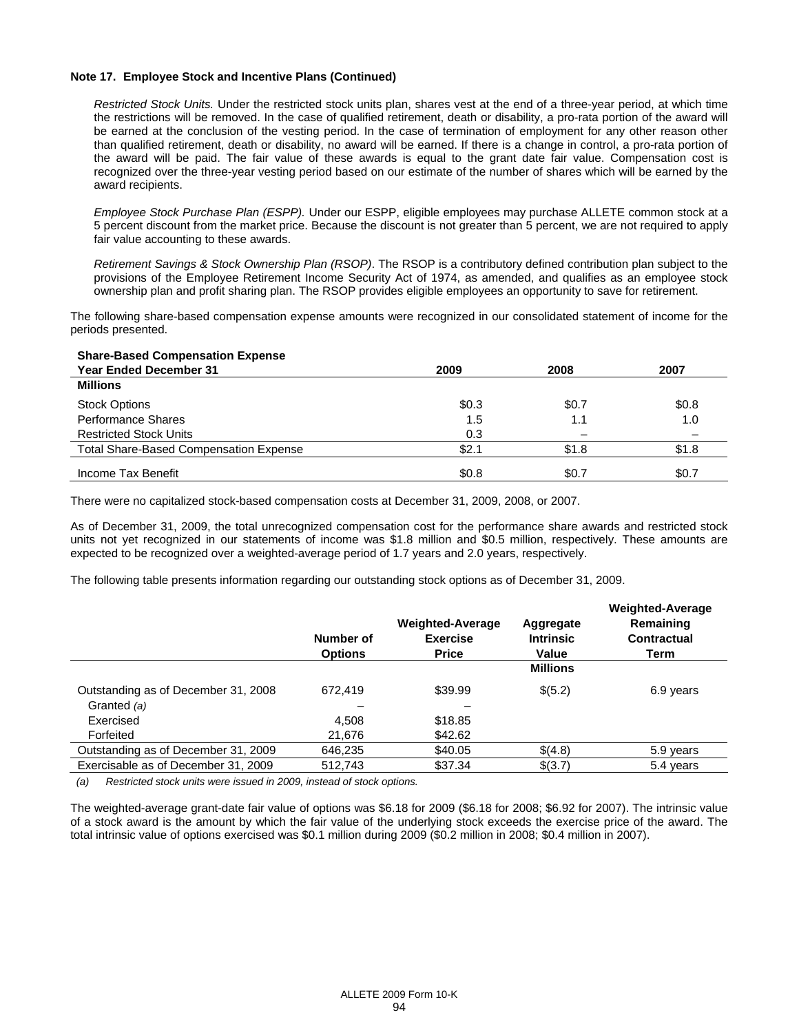#### **Note 17. Employee Stock and Incentive Plans (Continued)**

*Restricted Stock Units.* Under the restricted stock units plan, shares vest at the end of a three-year period, at which time the restrictions will be removed. In the case of qualified retirement, death or disability, a pro-rata portion of the award will be earned at the conclusion of the vesting period. In the case of termination of employment for any other reason other than qualified retirement, death or disability, no award will be earned. If there is a change in control, a pro-rata portion of the award will be paid. The fair value of these awards is equal to the grant date fair value. Compensation cost is recognized over the three-year vesting period based on our estimate of the number of shares which will be earned by the award recipients.

*Employee Stock Purchase Plan (ESPP).* Under our ESPP, eligible employees may purchase ALLETE common stock at a 5 percent discount from the market price. Because the discount is not greater than 5 percent, we are not required to apply fair value accounting to these awards.

*Retirement Savings & Stock Ownership Plan (RSOP)*. The RSOP is a contributory defined contribution plan subject to the provisions of the Employee Retirement Income Security Act of 1974, as amended, and qualifies as an employee stock ownership plan and profit sharing plan. The RSOP provides eligible employees an opportunity to save for retirement.

The following share-based compensation expense amounts were recognized in our consolidated statement of income for the periods presented.

# **Share-Based Compensation Expense**

| <b>Year Ended December 31</b>                 | 2009<br>2008 |       | 2007  |
|-----------------------------------------------|--------------|-------|-------|
| <b>Millions</b>                               |              |       |       |
| <b>Stock Options</b>                          | \$0.3        | \$0.7 | \$0.8 |
| <b>Performance Shares</b>                     | 1.5          | 1.1   | 1.0   |
| <b>Restricted Stock Units</b>                 | 0.3          |       |       |
| <b>Total Share-Based Compensation Expense</b> | \$2.1        | \$1.8 | \$1.8 |
| Income Tax Benefit                            | \$0.8        | \$0.7 | \$0.7 |

There were no capitalized stock-based compensation costs at December 31, 2009, 2008, or 2007.

As of December 31, 2009, the total unrecognized compensation cost for the performance share awards and restricted stock units not yet recognized in our statements of income was \$1.8 million and \$0.5 million, respectively. These amounts are expected to be recognized over a weighted-average period of 1.7 years and 2.0 years, respectively.

The following table presents information regarding our outstanding stock options as of December 31, 2009.

|                                     | Number of<br><b>Options</b> | <b>Weighted-Average</b><br><b>Exercise</b><br><b>Price</b> | Aggregate<br><b>Intrinsic</b><br>Value | <b>Weighted-Average</b><br>Remaining<br><b>Contractual</b><br>Term |
|-------------------------------------|-----------------------------|------------------------------------------------------------|----------------------------------------|--------------------------------------------------------------------|
|                                     |                             |                                                            | <b>Millions</b>                        |                                                                    |
| Outstanding as of December 31, 2008 | 672.419                     | \$39.99                                                    | \$(5.2)                                | 6.9 years                                                          |
| Granted (a)                         |                             |                                                            |                                        |                                                                    |
| Exercised                           | 4.508                       | \$18.85                                                    |                                        |                                                                    |
| Forfeited                           | 21.676                      | \$42.62                                                    |                                        |                                                                    |
| Outstanding as of December 31, 2009 | 646.235                     | \$40.05                                                    | \$(4.8)                                | 5.9 years                                                          |
| Exercisable as of December 31, 2009 | 512.743                     | \$37.34                                                    | \$(3.7)                                | 5.4 years                                                          |

*(a) Restricted stock units were issued in 2009, instead of stock options.* 

The weighted-average grant-date fair value of options was \$6.18 for 2009 (\$6.18 for 2008; \$6.92 for 2007). The intrinsic value of a stock award is the amount by which the fair value of the underlying stock exceeds the exercise price of the award. The total intrinsic value of options exercised was \$0.1 million during 2009 (\$0.2 million in 2008; \$0.4 million in 2007).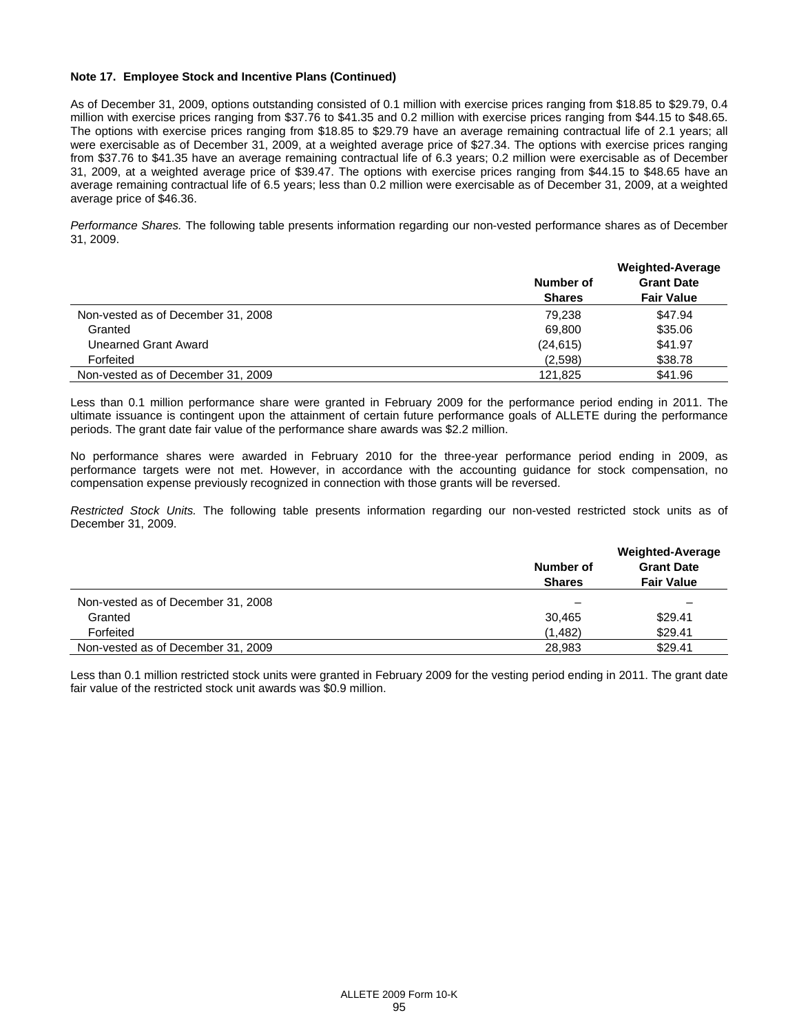#### **Note 17. Employee Stock and Incentive Plans (Continued)**

As of December 31, 2009, options outstanding consisted of 0.1 million with exercise prices ranging from \$18.85 to \$29.79, 0.4 million with exercise prices ranging from \$37.76 to \$41.35 and 0.2 million with exercise prices ranging from \$44.15 to \$48.65. The options with exercise prices ranging from \$18.85 to \$29.79 have an average remaining contractual life of 2.1 years; all were exercisable as of December 31, 2009, at a weighted average price of \$27.34. The options with exercise prices ranging from \$37.76 to \$41.35 have an average remaining contractual life of 6.3 years; 0.2 million were exercisable as of December 31, 2009, at a weighted average price of \$39.47. The options with exercise prices ranging from \$44.15 to \$48.65 have an average remaining contractual life of 6.5 years; less than 0.2 million were exercisable as of December 31, 2009, at a weighted average price of \$46.36.

*Performance Shares.* The following table presents information regarding our non-vested performance shares as of December 31, 2009.

|                                    | Number of<br><b>Shares</b> | <b>Weighted-Average</b><br><b>Grant Date</b><br><b>Fair Value</b> |
|------------------------------------|----------------------------|-------------------------------------------------------------------|
| Non-vested as of December 31, 2008 | 79.238                     | \$47.94                                                           |
| Granted                            | 69.800                     | \$35.06                                                           |
| Unearned Grant Award               | (24, 615)                  | \$41.97                                                           |
| Forfeited                          | (2,598)                    | \$38.78                                                           |
| Non-vested as of December 31, 2009 | 121.825                    | \$41.96                                                           |

Less than 0.1 million performance share were granted in February 2009 for the performance period ending in 2011. The ultimate issuance is contingent upon the attainment of certain future performance goals of ALLETE during the performance periods. The grant date fair value of the performance share awards was \$2.2 million.

No performance shares were awarded in February 2010 for the three-year performance period ending in 2009, as performance targets were not met. However, in accordance with the accounting guidance for stock compensation, no compensation expense previously recognized in connection with those grants will be reversed.

*Restricted Stock Units.* The following table presents information regarding our non-vested restricted stock units as of December 31, 2009.

|                                    | Number of<br><b>Shares</b> | <b>Weighted-Average</b><br><b>Grant Date</b><br><b>Fair Value</b> |
|------------------------------------|----------------------------|-------------------------------------------------------------------|
| Non-vested as of December 31, 2008 |                            |                                                                   |
| Granted                            | 30.465                     | \$29.41                                                           |
| Forfeited                          | (1, 482)                   | \$29.41                                                           |
| Non-vested as of December 31, 2009 | 28,983                     | \$29.41                                                           |

Less than 0.1 million restricted stock units were granted in February 2009 for the vesting period ending in 2011. The grant date fair value of the restricted stock unit awards was \$0.9 million.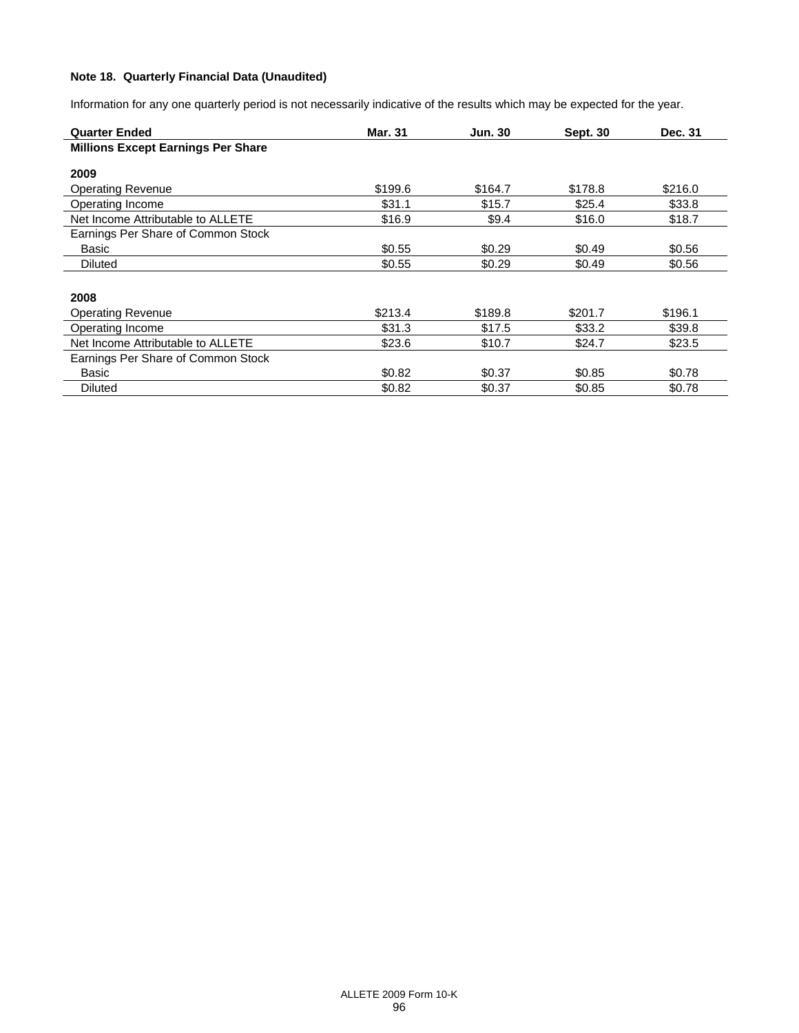# **Note 18. Quarterly Financial Data (Unaudited)**

Information for any one quarterly period is not necessarily indicative of the results which may be expected for the year.

| <b>Quarter Ended</b>                      | <b>Mar. 31</b> | <b>Jun. 30</b> | <b>Sept. 30</b> | Dec. 31 |
|-------------------------------------------|----------------|----------------|-----------------|---------|
| <b>Millions Except Earnings Per Share</b> |                |                |                 |         |
|                                           |                |                |                 |         |
| 2009                                      |                |                |                 |         |
| <b>Operating Revenue</b>                  | \$199.6        | \$164.7        | \$178.8         | \$216.0 |
| Operating Income                          | \$31.1         | \$15.7         | \$25.4          | \$33.8  |
| Net Income Attributable to ALLETE         | \$16.9         | \$9.4          | \$16.0          | \$18.7  |
| Earnings Per Share of Common Stock        |                |                |                 |         |
| Basic                                     | \$0.55         | \$0.29         | \$0.49          | \$0.56  |
| <b>Diluted</b>                            | \$0.55         | \$0.29         | \$0.49          | \$0.56  |
|                                           |                |                |                 |         |
| 2008                                      |                |                |                 |         |
| <b>Operating Revenue</b>                  | \$213.4        | \$189.8        | \$201.7         | \$196.1 |
| Operating Income                          | \$31.3         | \$17.5         | \$33.2          | \$39.8  |
| Net Income Attributable to ALLETE         | \$23.6         | \$10.7         | \$24.7          | \$23.5  |
| Earnings Per Share of Common Stock        |                |                |                 |         |
| Basic                                     | \$0.82         | \$0.37         | \$0.85          | \$0.78  |
| <b>Diluted</b>                            | \$0.82         | \$0.37         | \$0.85          | \$0.78  |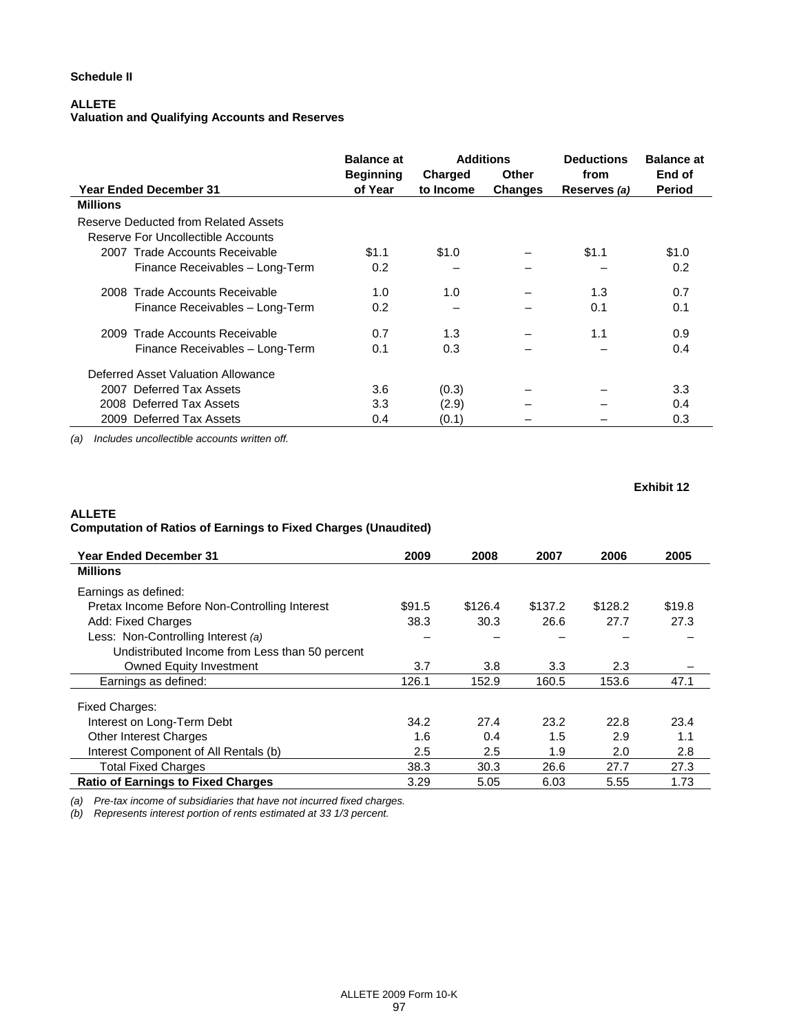## **Schedule II**

# **ALLETE**

# **Valuation and Qualifying Accounts and Reserves**

|                                      | <b>Balance at</b><br><b>Beginning</b> | <b>Additions</b><br>Other<br>Charged |                | <b>Deductions</b><br>from | <b>Balance at</b><br>End of |
|--------------------------------------|---------------------------------------|--------------------------------------|----------------|---------------------------|-----------------------------|
| <b>Year Ended December 31</b>        | of Year                               | to Income                            | <b>Changes</b> | Reserves (a)              | <b>Period</b>               |
| <b>Millions</b>                      |                                       |                                      |                |                           |                             |
| Reserve Deducted from Related Assets |                                       |                                      |                |                           |                             |
| Reserve For Uncollectible Accounts   |                                       |                                      |                |                           |                             |
| 2007 Trade Accounts Receivable       | \$1.1                                 | \$1.0                                |                | \$1.1                     | \$1.0                       |
| Finance Receivables - Long-Term      | 0.2                                   |                                      |                |                           | 0.2                         |
| Trade Accounts Receivable<br>2008.   | 1.0                                   | 1.0                                  |                | 1.3                       | 0.7                         |
| Finance Receivables - Long-Term      | 0.2                                   |                                      |                | 0.1                       | 0.1                         |
| 2009 Trade Accounts Receivable       | 0.7                                   | 1.3                                  |                | 1.1                       | 0.9                         |
| Finance Receivables - Long-Term      | 0.1                                   | 0.3                                  |                |                           | 0.4                         |
| Deferred Asset Valuation Allowance   |                                       |                                      |                |                           |                             |
| 2007 Deferred Tax Assets             | 3.6                                   | (0.3)                                |                |                           | 3.3                         |
| 2008 Deferred Tax Assets             | 3.3                                   | (2.9)                                |                |                           | 0.4                         |
| 2009 Deferred Tax Assets             | 0.4                                   | (0.1)                                |                |                           | 0.3                         |

*(a) Includes uncollectible accounts written off.* 

#### **Exhibit 12**

# **ALLETE Computation of Ratios of Earnings to Fixed Charges (Unaudited)**

| <b>Year Ended December 31</b>                  | 2009   | 2008    | 2007    | 2006    | 2005   |
|------------------------------------------------|--------|---------|---------|---------|--------|
| <b>Millions</b>                                |        |         |         |         |        |
| Earnings as defined:                           |        |         |         |         |        |
| Pretax Income Before Non-Controlling Interest  | \$91.5 | \$126.4 | \$137.2 | \$128.2 | \$19.8 |
| Add: Fixed Charges                             | 38.3   | 30.3    | 26.6    | 27.7    | 27.3   |
| Less: Non-Controlling Interest (a)             |        |         |         |         |        |
| Undistributed Income from Less than 50 percent |        |         |         |         |        |
| <b>Owned Equity Investment</b>                 | 3.7    | 3.8     | 3.3     | 2.3     |        |
| Earnings as defined:                           | 126.1  | 152.9   | 160.5   | 153.6   | 47.1   |
| <b>Fixed Charges:</b>                          |        |         |         |         |        |
| Interest on Long-Term Debt                     | 34.2   | 27.4    | 23.2    | 22.8    | 23.4   |
| <b>Other Interest Charges</b>                  | 1.6    | 0.4     | 1.5     | 2.9     | 1.1    |
| Interest Component of All Rentals (b)          | 2.5    | $2.5\,$ | 1.9     | 2.0     | 2.8    |
| <b>Total Fixed Charges</b>                     | 38.3   | 30.3    | 26.6    | 27.7    | 27.3   |
| <b>Ratio of Earnings to Fixed Charges</b>      | 3.29   | 5.05    | 6.03    | 5.55    | 1.73   |

*(a) Pre-tax income of subsidiaries that have not incurred fixed charges.* 

*(b) Represents interest portion of rents estimated at 33 1/3 percent.*